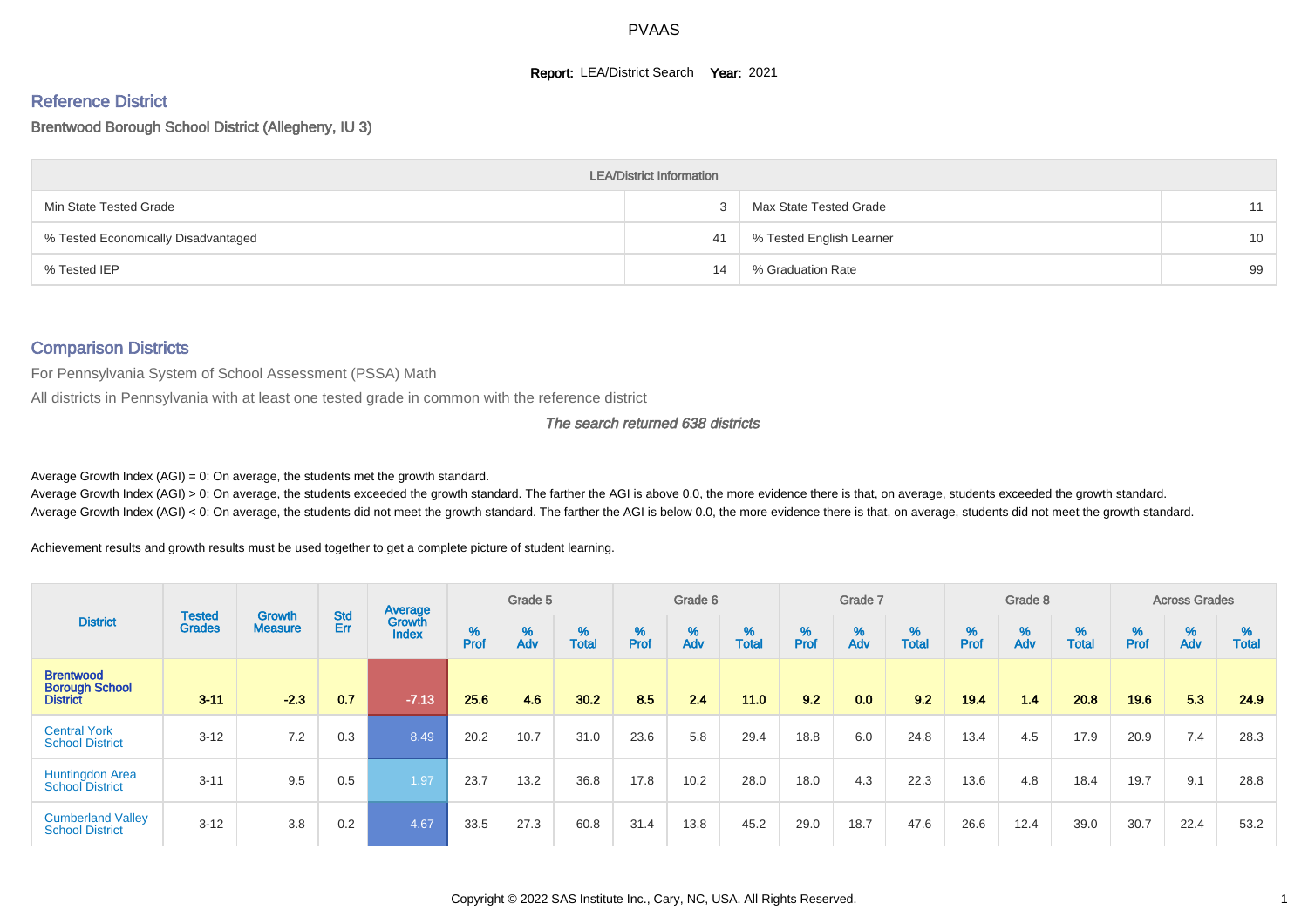#### **Report: LEA/District Search Year: 2021**

# Reference District

#### Brentwood Borough School District (Allegheny, IU 3)

|                                     | <b>LEA/District Information</b> |                          |    |
|-------------------------------------|---------------------------------|--------------------------|----|
| Min State Tested Grade              |                                 | Max State Tested Grade   | 11 |
| % Tested Economically Disadvantaged | 41                              | % Tested English Learner | 10 |
| % Tested IEP                        | 14                              | % Graduation Rate        | 99 |

#### Comparison Districts

For Pennsylvania System of School Assessment (PSSA) Math

All districts in Pennsylvania with at least one tested grade in common with the reference district

#### The search returned 638 districts

Average Growth Index  $(AGI) = 0$ : On average, the students met the growth standard.

Average Growth Index (AGI) > 0: On average, the students exceeded the growth standard. The farther the AGI is above 0.0, the more evidence there is that, on average, students exceeded the growth standard. Average Growth Index (AGI) < 0: On average, the students did not meet the growth standard. The farther the AGI is below 0.0, the more evidence there is that, on average, students did not meet the growth standard.

Achievement results and growth results must be used together to get a complete picture of student learning.

|                                                              |                                |                                 |            | Average                |           | Grade 5  |                   |           | Grade 6  |                   |           | Grade 7  |                   |           | Grade 8  |                   |           | <b>Across Grades</b> |                   |
|--------------------------------------------------------------|--------------------------------|---------------------------------|------------|------------------------|-----------|----------|-------------------|-----------|----------|-------------------|-----------|----------|-------------------|-----------|----------|-------------------|-----------|----------------------|-------------------|
| <b>District</b>                                              | <b>Tested</b><br><b>Grades</b> | <b>Growth</b><br><b>Measure</b> | Std<br>Err | Growth<br><b>Index</b> | %<br>Prof | %<br>Adv | %<br><b>Total</b> | %<br>Prof | %<br>Adv | %<br><b>Total</b> | %<br>Prof | %<br>Adv | %<br><b>Total</b> | %<br>Prof | %<br>Adv | %<br><b>Total</b> | %<br>Prof | %<br>Adv             | %<br><b>Total</b> |
| <b>Brentwood</b><br><b>Borough School</b><br><b>District</b> | $3 - 11$                       | $-2.3$                          | 0.7        | $-7.13$                | 25.6      | 4.6      | 30.2              | 8.5       | 2.4      | 11.0              | 9.2       | 0.0      | 9.2               | 19.4      | 1.4      | 20.8              | 19.6      | 5.3                  | 24.9              |
| <b>Central York</b><br><b>School District</b>                | $3 - 12$                       | 7.2                             | 0.3        | 8.49                   | 20.2      | 10.7     | 31.0              | 23.6      | 5.8      | 29.4              | 18.8      | 6.0      | 24.8              | 13.4      | 4.5      | 17.9              | 20.9      | 7.4                  | 28.3              |
| <b>Huntingdon Area</b><br><b>School District</b>             | $3 - 11$                       | 9.5                             | 0.5        | 1.97                   | 23.7      | 13.2     | 36.8              | 17.8      | 10.2     | 28.0              | 18.0      | 4.3      | 22.3              | 13.6      | 4.8      | 18.4              | 19.7      | 9.1                  | 28.8              |
| <b>Cumberland Valley</b><br><b>School District</b>           | $3 - 12$                       | 3.8                             | 0.2        | 4.67                   | 33.5      | 27.3     | 60.8              | 31.4      | 13.8     | 45.2              | 29.0      | 18.7     | 47.6              | 26.6      | 12.4     | 39.0              | 30.7      | 22.4                 | 53.2              |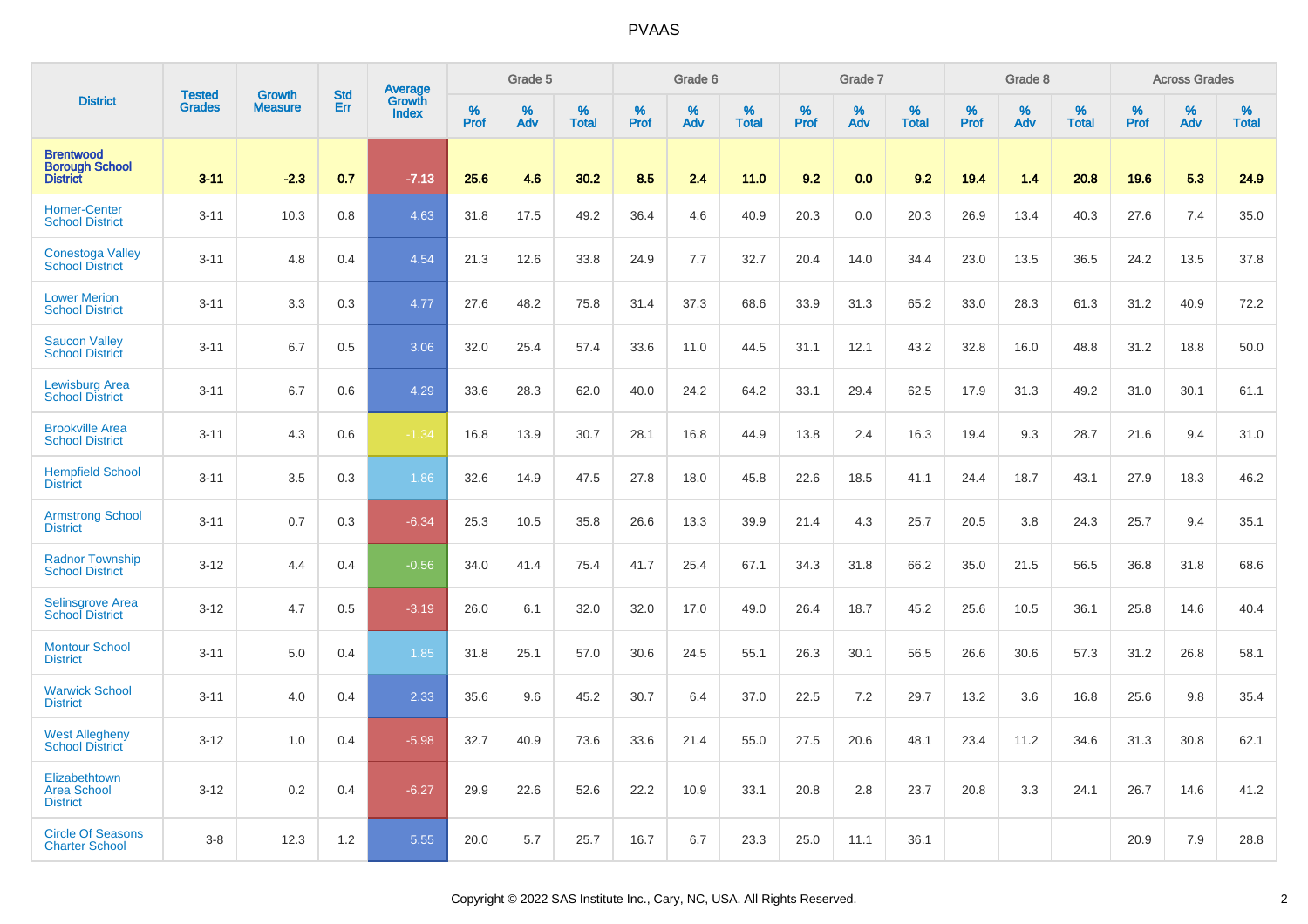|                                                              | <b>Tested</b> | <b>Growth</b>  | <b>Std</b> |                                   |              | Grade 5  |                   |              | Grade 6  |                   |              | Grade 7  |                   |              | Grade 8  |                   |                  | <b>Across Grades</b> |                   |
|--------------------------------------------------------------|---------------|----------------|------------|-----------------------------------|--------------|----------|-------------------|--------------|----------|-------------------|--------------|----------|-------------------|--------------|----------|-------------------|------------------|----------------------|-------------------|
| <b>District</b>                                              | <b>Grades</b> | <b>Measure</b> | Err        | Average<br>Growth<br><b>Index</b> | $\%$<br>Prof | %<br>Adv | %<br><b>Total</b> | $\%$<br>Prof | %<br>Adv | %<br><b>Total</b> | $\%$<br>Prof | %<br>Adv | %<br><b>Total</b> | $\%$<br>Prof | %<br>Adv | %<br><b>Total</b> | %<br><b>Prof</b> | %<br>Adv             | %<br><b>Total</b> |
| <b>Brentwood</b><br><b>Borough School</b><br><b>District</b> | $3 - 11$      | $-2.3$         | 0.7        | $-7.13$                           | 25.6         | 4.6      | 30.2              | 8.5          | 2.4      | 11.0              | 9.2          | 0.0      | 9.2               | 19.4         | 1.4      | 20.8              | 19.6             | 5.3                  | 24.9              |
| <b>Homer-Center</b><br><b>School District</b>                | $3 - 11$      | 10.3           | 0.8        | 4.63                              | 31.8         | 17.5     | 49.2              | 36.4         | 4.6      | 40.9              | 20.3         | 0.0      | 20.3              | 26.9         | 13.4     | 40.3              | 27.6             | 7.4                  | 35.0              |
| Conestoga Valley<br><b>School District</b>                   | $3 - 11$      | 4.8            | 0.4        | 4.54                              | 21.3         | 12.6     | 33.8              | 24.9         | 7.7      | 32.7              | 20.4         | 14.0     | 34.4              | 23.0         | 13.5     | 36.5              | 24.2             | 13.5                 | 37.8              |
| <b>Lower Merion</b><br><b>School District</b>                | $3 - 11$      | 3.3            | 0.3        | 4.77                              | 27.6         | 48.2     | 75.8              | 31.4         | 37.3     | 68.6              | 33.9         | 31.3     | 65.2              | 33.0         | 28.3     | 61.3              | 31.2             | 40.9                 | 72.2              |
| <b>Saucon Valley</b><br><b>School District</b>               | $3 - 11$      | 6.7            | 0.5        | 3.06                              | 32.0         | 25.4     | 57.4              | 33.6         | 11.0     | 44.5              | 31.1         | 12.1     | 43.2              | 32.8         | 16.0     | 48.8              | 31.2             | 18.8                 | 50.0              |
| <b>Lewisburg Area</b><br><b>School District</b>              | $3 - 11$      | 6.7            | 0.6        | 4.29                              | 33.6         | 28.3     | 62.0              | 40.0         | 24.2     | 64.2              | 33.1         | 29.4     | 62.5              | 17.9         | 31.3     | 49.2              | 31.0             | 30.1                 | 61.1              |
| <b>Brookville Area</b><br><b>School District</b>             | $3 - 11$      | 4.3            | 0.6        | $-1.34$                           | 16.8         | 13.9     | 30.7              | 28.1         | 16.8     | 44.9              | 13.8         | 2.4      | 16.3              | 19.4         | 9.3      | 28.7              | 21.6             | 9.4                  | 31.0              |
| <b>Hempfield School</b><br><b>District</b>                   | $3 - 11$      | 3.5            | 0.3        | 1.86                              | 32.6         | 14.9     | 47.5              | 27.8         | 18.0     | 45.8              | 22.6         | 18.5     | 41.1              | 24.4         | 18.7     | 43.1              | 27.9             | 18.3                 | 46.2              |
| <b>Armstrong School</b><br><b>District</b>                   | $3 - 11$      | 0.7            | 0.3        | $-6.34$                           | 25.3         | 10.5     | 35.8              | 26.6         | 13.3     | 39.9              | 21.4         | 4.3      | 25.7              | 20.5         | 3.8      | 24.3              | 25.7             | 9.4                  | 35.1              |
| <b>Radnor Township</b><br><b>School District</b>             | $3 - 12$      | 4.4            | 0.4        | $-0.56$                           | 34.0         | 41.4     | 75.4              | 41.7         | 25.4     | 67.1              | 34.3         | 31.8     | 66.2              | 35.0         | 21.5     | 56.5              | 36.8             | 31.8                 | 68.6              |
| <b>Selinsgrove Area</b><br><b>School District</b>            | $3 - 12$      | 4.7            | 0.5        | $-3.19$                           | 26.0         | 6.1      | 32.0              | 32.0         | 17.0     | 49.0              | 26.4         | 18.7     | 45.2              | 25.6         | 10.5     | 36.1              | 25.8             | 14.6                 | 40.4              |
| <b>Montour School</b><br><b>District</b>                     | $3 - 11$      | 5.0            | 0.4        | 1.85                              | 31.8         | 25.1     | 57.0              | 30.6         | 24.5     | 55.1              | 26.3         | 30.1     | 56.5              | 26.6         | 30.6     | 57.3              | 31.2             | 26.8                 | 58.1              |
| <b>Warwick School</b><br><b>District</b>                     | $3 - 11$      | 4.0            | 0.4        | 2.33                              | 35.6         | 9.6      | 45.2              | 30.7         | 6.4      | 37.0              | 22.5         | 7.2      | 29.7              | 13.2         | 3.6      | 16.8              | 25.6             | 9.8                  | 35.4              |
| <b>West Allegheny</b><br><b>School District</b>              | $3 - 12$      | 1.0            | 0.4        | $-5.98$                           | 32.7         | 40.9     | 73.6              | 33.6         | 21.4     | 55.0              | 27.5         | 20.6     | 48.1              | 23.4         | 11.2     | 34.6              | 31.3             | 30.8                 | 62.1              |
| Elizabethtown<br><b>Area School</b><br><b>District</b>       | $3 - 12$      | 0.2            | 0.4        | $-6.27$                           | 29.9         | 22.6     | 52.6              | 22.2         | 10.9     | 33.1              | 20.8         | 2.8      | 23.7              | 20.8         | 3.3      | 24.1              | 26.7             | 14.6                 | 41.2              |
| <b>Circle Of Seasons</b><br><b>Charter School</b>            | $3 - 8$       | 12.3           | 1.2        | 5.55                              | 20.0         | 5.7      | 25.7              | 16.7         | 6.7      | 23.3              | 25.0         | 11.1     | 36.1              |              |          |                   | 20.9             | 7.9                  | 28.8              |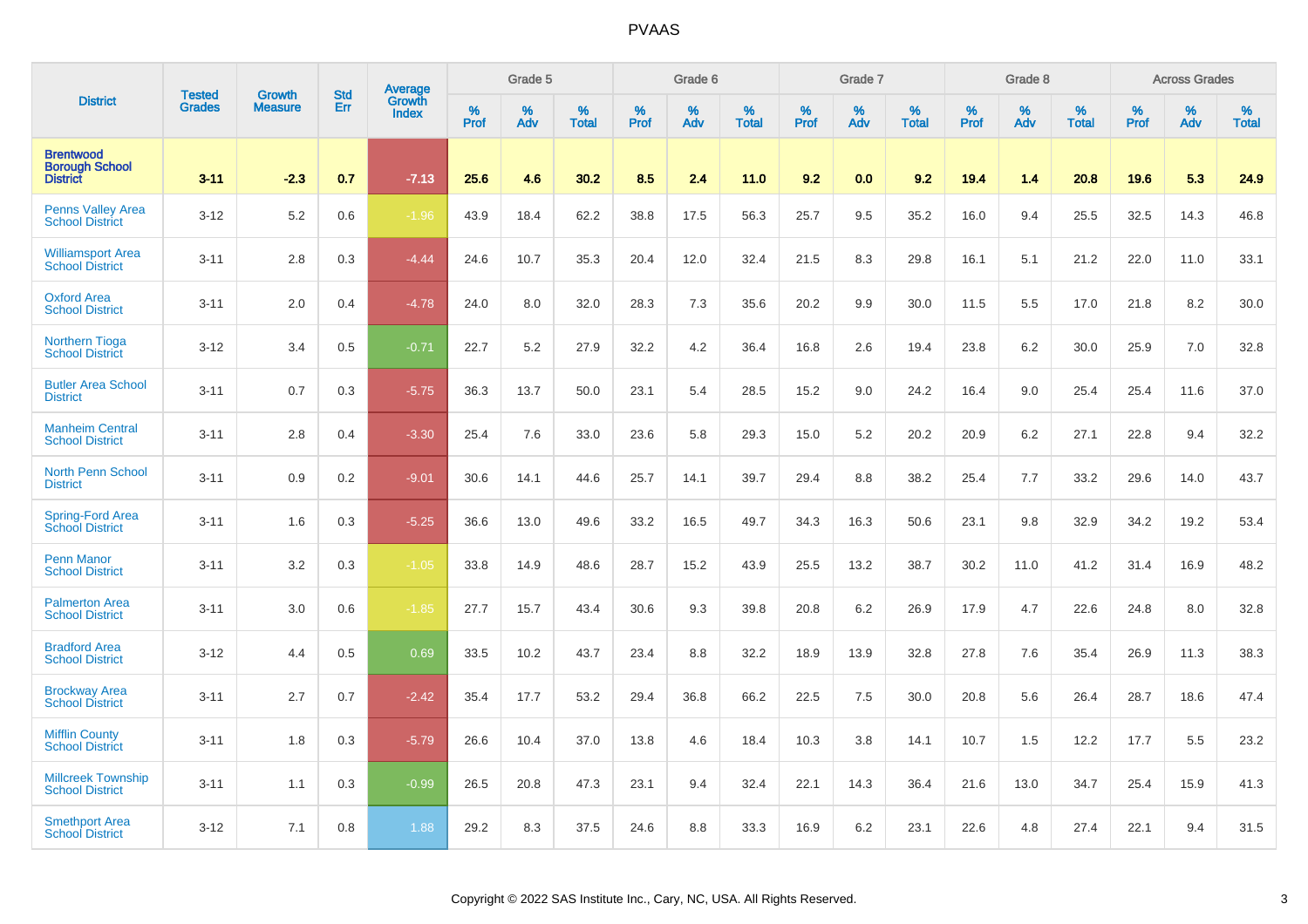|                                                              |                         | <b>Growth</b>  | <b>Std</b> | Average         |                     | Grade 5  |                   |                     | Grade 6  |                      |                     | Grade 7     |                      |                     | Grade 8     |                   |                     | <b>Across Grades</b> |                   |
|--------------------------------------------------------------|-------------------------|----------------|------------|-----------------|---------------------|----------|-------------------|---------------------|----------|----------------------|---------------------|-------------|----------------------|---------------------|-------------|-------------------|---------------------|----------------------|-------------------|
| <b>District</b>                                              | <b>Tested</b><br>Grades | <b>Measure</b> | Err        | Growth<br>Index | $\%$<br><b>Prof</b> | %<br>Adv | %<br><b>Total</b> | $\%$<br><b>Prof</b> | %<br>Adv | $\%$<br><b>Total</b> | $\%$<br><b>Prof</b> | $\%$<br>Adv | $\%$<br><b>Total</b> | $\%$<br><b>Prof</b> | $\%$<br>Adv | %<br><b>Total</b> | $\%$<br><b>Prof</b> | %<br>Adv             | %<br><b>Total</b> |
| <b>Brentwood</b><br><b>Borough School</b><br><b>District</b> | $3 - 11$                | $-2.3$         | 0.7        | $-7.13$         | 25.6                | 4.6      | 30.2              | 8.5                 | 2.4      | 11.0                 | 9.2                 | 0.0         | 9.2                  | 19.4                | 1.4         | 20.8              | 19.6                | 5.3                  | 24.9              |
| <b>Penns Valley Area</b><br><b>School District</b>           | $3 - 12$                | 5.2            | 0.6        | $-1.96$         | 43.9                | 18.4     | 62.2              | 38.8                | 17.5     | 56.3                 | 25.7                | 9.5         | 35.2                 | 16.0                | 9.4         | 25.5              | 32.5                | 14.3                 | 46.8              |
| <b>Williamsport Area</b><br><b>School District</b>           | $3 - 11$                | 2.8            | 0.3        | $-4.44$         | 24.6                | 10.7     | 35.3              | 20.4                | 12.0     | 32.4                 | 21.5                | 8.3         | 29.8                 | 16.1                | 5.1         | 21.2              | 22.0                | 11.0                 | 33.1              |
| <b>Oxford Area</b><br><b>School District</b>                 | $3 - 11$                | 2.0            | 0.4        | $-4.78$         | 24.0                | 8.0      | 32.0              | 28.3                | 7.3      | 35.6                 | 20.2                | 9.9         | 30.0                 | 11.5                | 5.5         | 17.0              | 21.8                | 8.2                  | 30.0              |
| <b>Northern Tioga</b><br><b>School District</b>              | $3 - 12$                | 3.4            | 0.5        | $-0.71$         | 22.7                | 5.2      | 27.9              | 32.2                | 4.2      | 36.4                 | 16.8                | 2.6         | 19.4                 | 23.8                | 6.2         | 30.0              | 25.9                | 7.0                  | 32.8              |
| <b>Butler Area School</b><br><b>District</b>                 | $3 - 11$                | 0.7            | 0.3        | $-5.75$         | 36.3                | 13.7     | 50.0              | 23.1                | 5.4      | 28.5                 | 15.2                | 9.0         | 24.2                 | 16.4                | 9.0         | 25.4              | 25.4                | 11.6                 | 37.0              |
| <b>Manheim Central</b><br><b>School District</b>             | $3 - 11$                | 2.8            | 0.4        | $-3.30$         | 25.4                | 7.6      | 33.0              | 23.6                | 5.8      | 29.3                 | 15.0                | 5.2         | 20.2                 | 20.9                | 6.2         | 27.1              | 22.8                | 9.4                  | 32.2              |
| <b>North Penn School</b><br><b>District</b>                  | $3 - 11$                | 0.9            | 0.2        | $-9.01$         | 30.6                | 14.1     | 44.6              | 25.7                | 14.1     | 39.7                 | 29.4                | 8.8         | 38.2                 | 25.4                | 7.7         | 33.2              | 29.6                | 14.0                 | 43.7              |
| Spring-Ford Area<br>School District                          | $3 - 11$                | 1.6            | 0.3        | $-5.25$         | 36.6                | 13.0     | 49.6              | 33.2                | 16.5     | 49.7                 | 34.3                | 16.3        | 50.6                 | 23.1                | 9.8         | 32.9              | 34.2                | 19.2                 | 53.4              |
| <b>Penn Manor</b><br><b>School District</b>                  | $3 - 11$                | 3.2            | 0.3        | $-1.05$         | 33.8                | 14.9     | 48.6              | 28.7                | 15.2     | 43.9                 | 25.5                | 13.2        | 38.7                 | 30.2                | 11.0        | 41.2              | 31.4                | 16.9                 | 48.2              |
| <b>Palmerton Area</b><br><b>School District</b>              | $3 - 11$                | 3.0            | 0.6        | $-1.85$         | 27.7                | 15.7     | 43.4              | 30.6                | 9.3      | 39.8                 | 20.8                | 6.2         | 26.9                 | 17.9                | 4.7         | 22.6              | 24.8                | 8.0                  | 32.8              |
| <b>Bradford Area</b><br><b>School District</b>               | $3 - 12$                | 4.4            | 0.5        | 0.69            | 33.5                | 10.2     | 43.7              | 23.4                | 8.8      | 32.2                 | 18.9                | 13.9        | 32.8                 | 27.8                | 7.6         | 35.4              | 26.9                | 11.3                 | 38.3              |
| <b>Brockway Area</b><br><b>School District</b>               | $3 - 11$                | 2.7            | 0.7        | $-2.42$         | 35.4                | 17.7     | 53.2              | 29.4                | 36.8     | 66.2                 | 22.5                | 7.5         | 30.0                 | 20.8                | 5.6         | 26.4              | 28.7                | 18.6                 | 47.4              |
| <b>Mifflin County</b><br><b>School District</b>              | $3 - 11$                | 1.8            | 0.3        | $-5.79$         | 26.6                | 10.4     | 37.0              | 13.8                | 4.6      | 18.4                 | 10.3                | 3.8         | 14.1                 | 10.7                | 1.5         | 12.2              | 17.7                | 5.5                  | 23.2              |
| <b>Millcreek Township</b><br><b>School District</b>          | $3 - 11$                | 1.1            | 0.3        | $-0.99$         | 26.5                | 20.8     | 47.3              | 23.1                | 9.4      | 32.4                 | 22.1                | 14.3        | 36.4                 | 21.6                | 13.0        | 34.7              | 25.4                | 15.9                 | 41.3              |
| <b>Smethport Area</b><br><b>School District</b>              | $3 - 12$                | 7.1            | 0.8        | 1.88            | 29.2                | 8.3      | 37.5              | 24.6                | 8.8      | 33.3                 | 16.9                | 6.2         | 23.1                 | 22.6                | 4.8         | 27.4              | 22.1                | 9.4                  | 31.5              |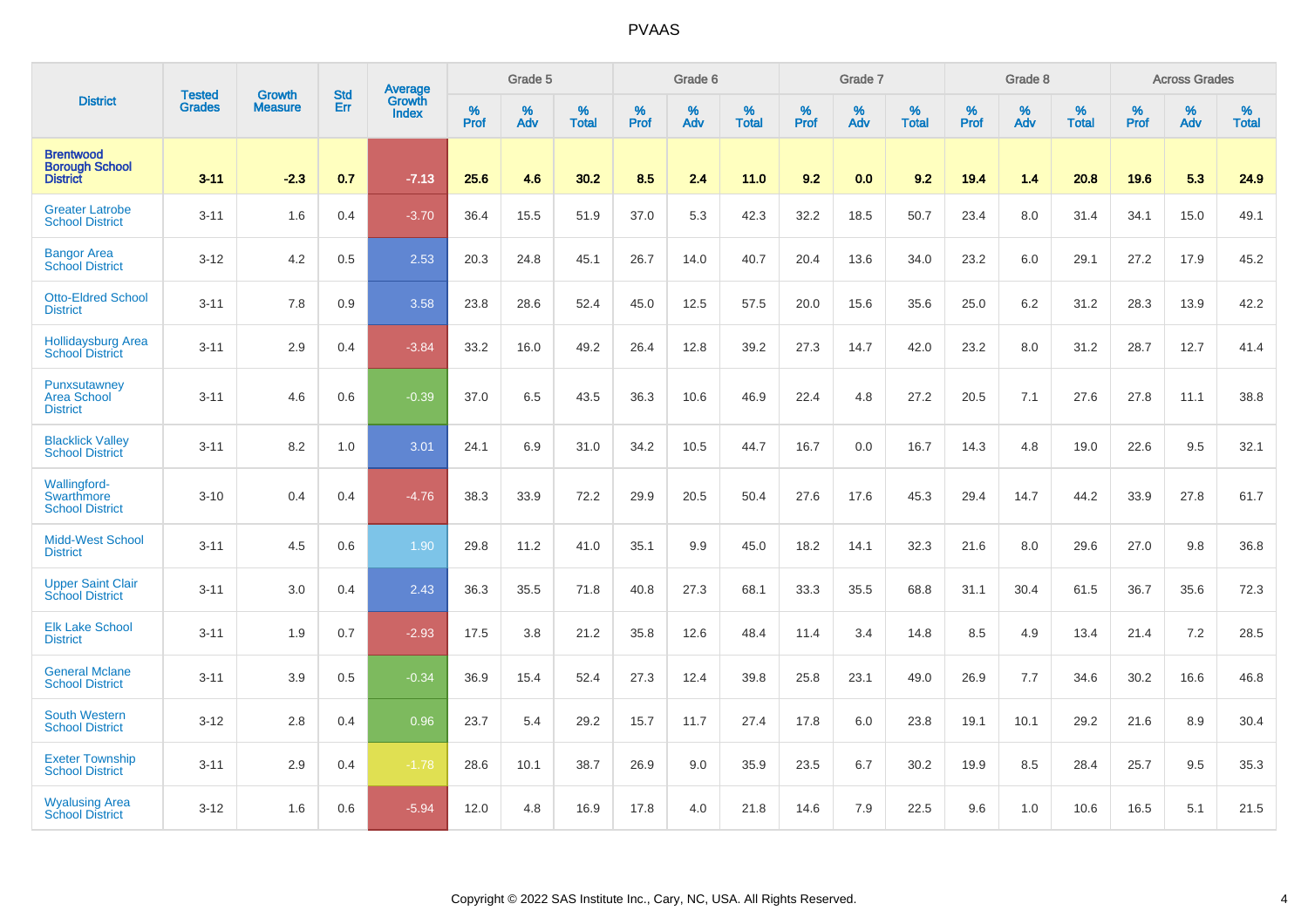|                                                              | <b>Tested</b> | <b>Growth</b>  | <b>Std</b> | Average                |           | Grade 5  |                   |           | Grade 6  |                   |           | Grade 7  |                   |           | Grade 8  |                   |           | <b>Across Grades</b> |                   |
|--------------------------------------------------------------|---------------|----------------|------------|------------------------|-----------|----------|-------------------|-----------|----------|-------------------|-----------|----------|-------------------|-----------|----------|-------------------|-----------|----------------------|-------------------|
| <b>District</b>                                              | <b>Grades</b> | <b>Measure</b> | Err        | <b>Growth</b><br>Index | %<br>Prof | %<br>Adv | %<br><b>Total</b> | %<br>Prof | %<br>Adv | %<br><b>Total</b> | %<br>Prof | %<br>Adv | %<br><b>Total</b> | %<br>Prof | %<br>Adv | %<br><b>Total</b> | %<br>Prof | %<br>Adv             | %<br><b>Total</b> |
| <b>Brentwood</b><br><b>Borough School</b><br><b>District</b> | $3 - 11$      | $-2.3$         | 0.7        | $-7.13$                | 25.6      | 4.6      | 30.2              | 8.5       | 2.4      | 11.0              | 9.2       | 0.0      | 9.2               | 19.4      | 1.4      | 20.8              | 19.6      | 5.3                  | 24.9              |
| <b>Greater Latrobe</b><br><b>School District</b>             | $3 - 11$      | 1.6            | 0.4        | $-3.70$                | 36.4      | 15.5     | 51.9              | 37.0      | 5.3      | 42.3              | 32.2      | 18.5     | 50.7              | 23.4      | 8.0      | 31.4              | 34.1      | 15.0                 | 49.1              |
| <b>Bangor Area</b><br><b>School District</b>                 | $3 - 12$      | 4.2            | 0.5        | 2.53                   | 20.3      | 24.8     | 45.1              | 26.7      | 14.0     | 40.7              | 20.4      | 13.6     | 34.0              | 23.2      | 6.0      | 29.1              | 27.2      | 17.9                 | 45.2              |
| <b>Otto-Eldred School</b><br><b>District</b>                 | $3 - 11$      | 7.8            | 0.9        | 3.58                   | 23.8      | 28.6     | 52.4              | 45.0      | 12.5     | 57.5              | 20.0      | 15.6     | 35.6              | 25.0      | 6.2      | 31.2              | 28.3      | 13.9                 | 42.2              |
| <b>Hollidaysburg Area</b><br><b>School District</b>          | $3 - 11$      | 2.9            | 0.4        | $-3.84$                | 33.2      | 16.0     | 49.2              | 26.4      | 12.8     | 39.2              | 27.3      | 14.7     | 42.0              | 23.2      | 8.0      | 31.2              | 28.7      | 12.7                 | 41.4              |
| Punxsutawney<br><b>Area School</b><br><b>District</b>        | $3 - 11$      | 4.6            | 0.6        | $-0.39$                | 37.0      | 6.5      | 43.5              | 36.3      | 10.6     | 46.9              | 22.4      | 4.8      | 27.2              | 20.5      | 7.1      | 27.6              | 27.8      | 11.1                 | 38.8              |
| <b>Blacklick Valley</b><br><b>School District</b>            | $3 - 11$      | 8.2            | 1.0        | 3.01                   | 24.1      | 6.9      | 31.0              | 34.2      | 10.5     | 44.7              | 16.7      | 0.0      | 16.7              | 14.3      | 4.8      | 19.0              | 22.6      | 9.5                  | 32.1              |
| <b>Wallingford-</b><br>Swarthmore<br><b>School District</b>  | $3 - 10$      | 0.4            | 0.4        | $-4.76$                | 38.3      | 33.9     | 72.2              | 29.9      | 20.5     | 50.4              | 27.6      | 17.6     | 45.3              | 29.4      | 14.7     | 44.2              | 33.9      | 27.8                 | 61.7              |
| <b>Midd-West School</b><br><b>District</b>                   | $3 - 11$      | 4.5            | 0.6        | 1.90                   | 29.8      | 11.2     | 41.0              | 35.1      | 9.9      | 45.0              | 18.2      | 14.1     | 32.3              | 21.6      | 8.0      | 29.6              | 27.0      | 9.8                  | 36.8              |
| <b>Upper Saint Clair</b><br><b>School District</b>           | $3 - 11$      | 3.0            | 0.4        | 2.43                   | 36.3      | 35.5     | 71.8              | 40.8      | 27.3     | 68.1              | 33.3      | 35.5     | 68.8              | 31.1      | 30.4     | 61.5              | 36.7      | 35.6                 | 72.3              |
| <b>Elk Lake School</b><br><b>District</b>                    | $3 - 11$      | 1.9            | 0.7        | $-2.93$                | 17.5      | 3.8      | 21.2              | 35.8      | 12.6     | 48.4              | 11.4      | 3.4      | 14.8              | 8.5       | 4.9      | 13.4              | 21.4      | 7.2                  | 28.5              |
| <b>General Mclane</b><br><b>School District</b>              | $3 - 11$      | 3.9            | 0.5        | $-0.34$                | 36.9      | 15.4     | 52.4              | 27.3      | 12.4     | 39.8              | 25.8      | 23.1     | 49.0              | 26.9      | 7.7      | 34.6              | 30.2      | 16.6                 | 46.8              |
| <b>South Western</b><br><b>School District</b>               | $3 - 12$      | 2.8            | 0.4        | 0.96                   | 23.7      | 5.4      | 29.2              | 15.7      | 11.7     | 27.4              | 17.8      | 6.0      | 23.8              | 19.1      | 10.1     | 29.2              | 21.6      | 8.9                  | 30.4              |
| <b>Exeter Township</b><br><b>School District</b>             | $3 - 11$      | 2.9            | 0.4        | $-1.78$                | 28.6      | 10.1     | 38.7              | 26.9      | 9.0      | 35.9              | 23.5      | 6.7      | 30.2              | 19.9      | 8.5      | 28.4              | 25.7      | 9.5                  | 35.3              |
| <b>Wyalusing Area</b><br><b>School District</b>              | $3 - 12$      | 1.6            | 0.6        | $-5.94$                | 12.0      | 4.8      | 16.9              | 17.8      | 4.0      | 21.8              | 14.6      | 7.9      | 22.5              | 9.6       | 1.0      | 10.6              | 16.5      | 5.1                  | 21.5              |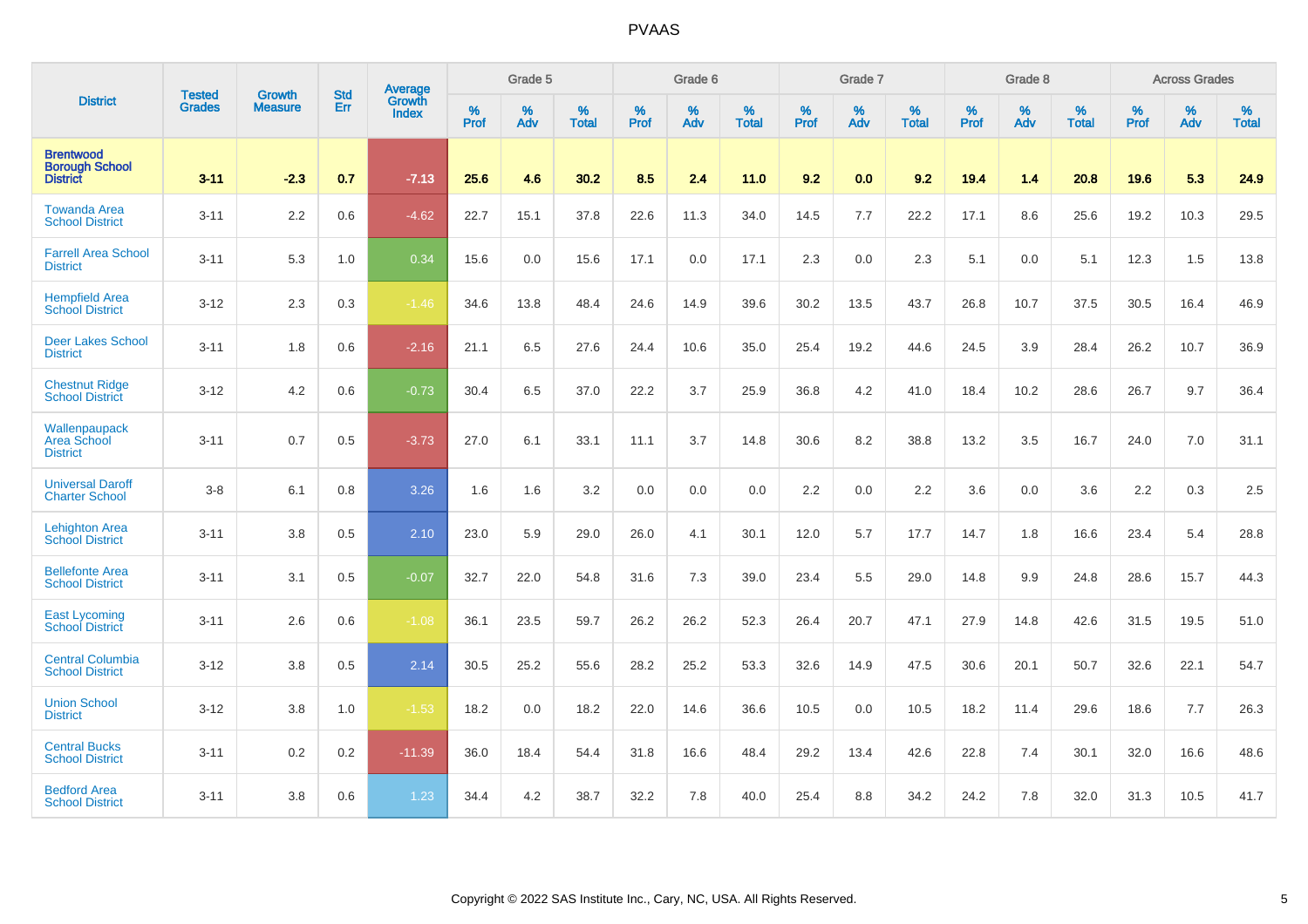| <b>District</b>                                              | <b>Tested</b> | <b>Growth</b>  | <b>Std</b> | <b>Average</b>         |           | Grade 5  |                   |           | Grade 6  |                   |           | Grade 7  |                   |           | Grade 8  |                   |           | <b>Across Grades</b> |                   |
|--------------------------------------------------------------|---------------|----------------|------------|------------------------|-----------|----------|-------------------|-----------|----------|-------------------|-----------|----------|-------------------|-----------|----------|-------------------|-----------|----------------------|-------------------|
|                                                              | <b>Grades</b> | <b>Measure</b> | Err        | Growth<br><b>Index</b> | %<br>Prof | %<br>Adv | %<br><b>Total</b> | %<br>Prof | %<br>Adv | %<br><b>Total</b> | %<br>Prof | %<br>Adv | %<br><b>Total</b> | %<br>Prof | %<br>Adv | %<br><b>Total</b> | %<br>Prof | %<br>Adv             | %<br><b>Total</b> |
| <b>Brentwood</b><br><b>Borough School</b><br><b>District</b> | $3 - 11$      | $-2.3$         | 0.7        | $-7.13$                | 25.6      | 4.6      | 30.2              | 8.5       | 2.4      | 11.0              | 9.2       | 0.0      | 9.2               | 19.4      | 1.4      | 20.8              | 19.6      | 5.3                  | 24.9              |
| <b>Towanda Area</b><br><b>School District</b>                | $3 - 11$      | 2.2            | 0.6        | $-4.62$                | 22.7      | 15.1     | 37.8              | 22.6      | 11.3     | 34.0              | 14.5      | 7.7      | 22.2              | 17.1      | 8.6      | 25.6              | 19.2      | 10.3                 | 29.5              |
| <b>Farrell Area School</b><br><b>District</b>                | $3 - 11$      | 5.3            | 1.0        | 0.34                   | 15.6      | 0.0      | 15.6              | 17.1      | 0.0      | 17.1              | 2.3       | 0.0      | 2.3               | 5.1       | 0.0      | 5.1               | 12.3      | 1.5                  | 13.8              |
| <b>Hempfield Area</b><br><b>School District</b>              | $3 - 12$      | 2.3            | 0.3        | $-1.46$                | 34.6      | 13.8     | 48.4              | 24.6      | 14.9     | 39.6              | 30.2      | 13.5     | 43.7              | 26.8      | 10.7     | 37.5              | 30.5      | 16.4                 | 46.9              |
| <b>Deer Lakes School</b><br><b>District</b>                  | $3 - 11$      | 1.8            | 0.6        | $-2.16$                | 21.1      | 6.5      | 27.6              | 24.4      | 10.6     | 35.0              | 25.4      | 19.2     | 44.6              | 24.5      | 3.9      | 28.4              | 26.2      | 10.7                 | 36.9              |
| <b>Chestnut Ridge</b><br><b>School District</b>              | $3 - 12$      | 4.2            | 0.6        | $-0.73$                | 30.4      | 6.5      | 37.0              | 22.2      | 3.7      | 25.9              | 36.8      | 4.2      | 41.0              | 18.4      | 10.2     | 28.6              | 26.7      | 9.7                  | 36.4              |
| Wallenpaupack<br>Area School<br><b>District</b>              | $3 - 11$      | 0.7            | 0.5        | $-3.73$                | 27.0      | 6.1      | 33.1              | 11.1      | 3.7      | 14.8              | 30.6      | 8.2      | 38.8              | 13.2      | 3.5      | 16.7              | 24.0      | 7.0                  | 31.1              |
| <b>Universal Daroff</b><br><b>Charter School</b>             | $3 - 8$       | 6.1            | 0.8        | 3.26                   | 1.6       | 1.6      | 3.2               | 0.0       | 0.0      | 0.0               | 2.2       | 0.0      | 2.2               | 3.6       | 0.0      | 3.6               | 2.2       | 0.3                  | 2.5               |
| <b>Lehighton Area</b><br><b>School District</b>              | $3 - 11$      | 3.8            | 0.5        | 2.10                   | 23.0      | 5.9      | 29.0              | 26.0      | 4.1      | 30.1              | 12.0      | 5.7      | 17.7              | 14.7      | 1.8      | 16.6              | 23.4      | 5.4                  | 28.8              |
| <b>Bellefonte Area</b><br><b>School District</b>             | $3 - 11$      | 3.1            | 0.5        | $-0.07$                | 32.7      | 22.0     | 54.8              | 31.6      | 7.3      | 39.0              | 23.4      | 5.5      | 29.0              | 14.8      | 9.9      | 24.8              | 28.6      | 15.7                 | 44.3              |
| <b>East Lycoming</b><br><b>School District</b>               | $3 - 11$      | 2.6            | 0.6        | $-1.08$                | 36.1      | 23.5     | 59.7              | 26.2      | 26.2     | 52.3              | 26.4      | 20.7     | 47.1              | 27.9      | 14.8     | 42.6              | 31.5      | 19.5                 | 51.0              |
| <b>Central Columbia</b><br><b>School District</b>            | $3 - 12$      | 3.8            | 0.5        | 2.14                   | 30.5      | 25.2     | 55.6              | 28.2      | 25.2     | 53.3              | 32.6      | 14.9     | 47.5              | 30.6      | 20.1     | 50.7              | 32.6      | 22.1                 | 54.7              |
| <b>Union School</b><br><b>District</b>                       | $3 - 12$      | 3.8            | 1.0        | $-1.53$                | 18.2      | 0.0      | 18.2              | 22.0      | 14.6     | 36.6              | 10.5      | 0.0      | 10.5              | 18.2      | 11.4     | 29.6              | 18.6      | 7.7                  | 26.3              |
| <b>Central Bucks</b><br><b>School District</b>               | $3 - 11$      | 0.2            | 0.2        | $-11.39$               | 36.0      | 18.4     | 54.4              | 31.8      | 16.6     | 48.4              | 29.2      | 13.4     | 42.6              | 22.8      | 7.4      | 30.1              | 32.0      | 16.6                 | 48.6              |
| <b>Bedford Area</b><br><b>School District</b>                | $3 - 11$      | 3.8            | 0.6        | 1.23                   | 34.4      | 4.2      | 38.7              | 32.2      | 7.8      | 40.0              | 25.4      | 8.8      | 34.2              | 24.2      | 7.8      | 32.0              | 31.3      | 10.5                 | 41.7              |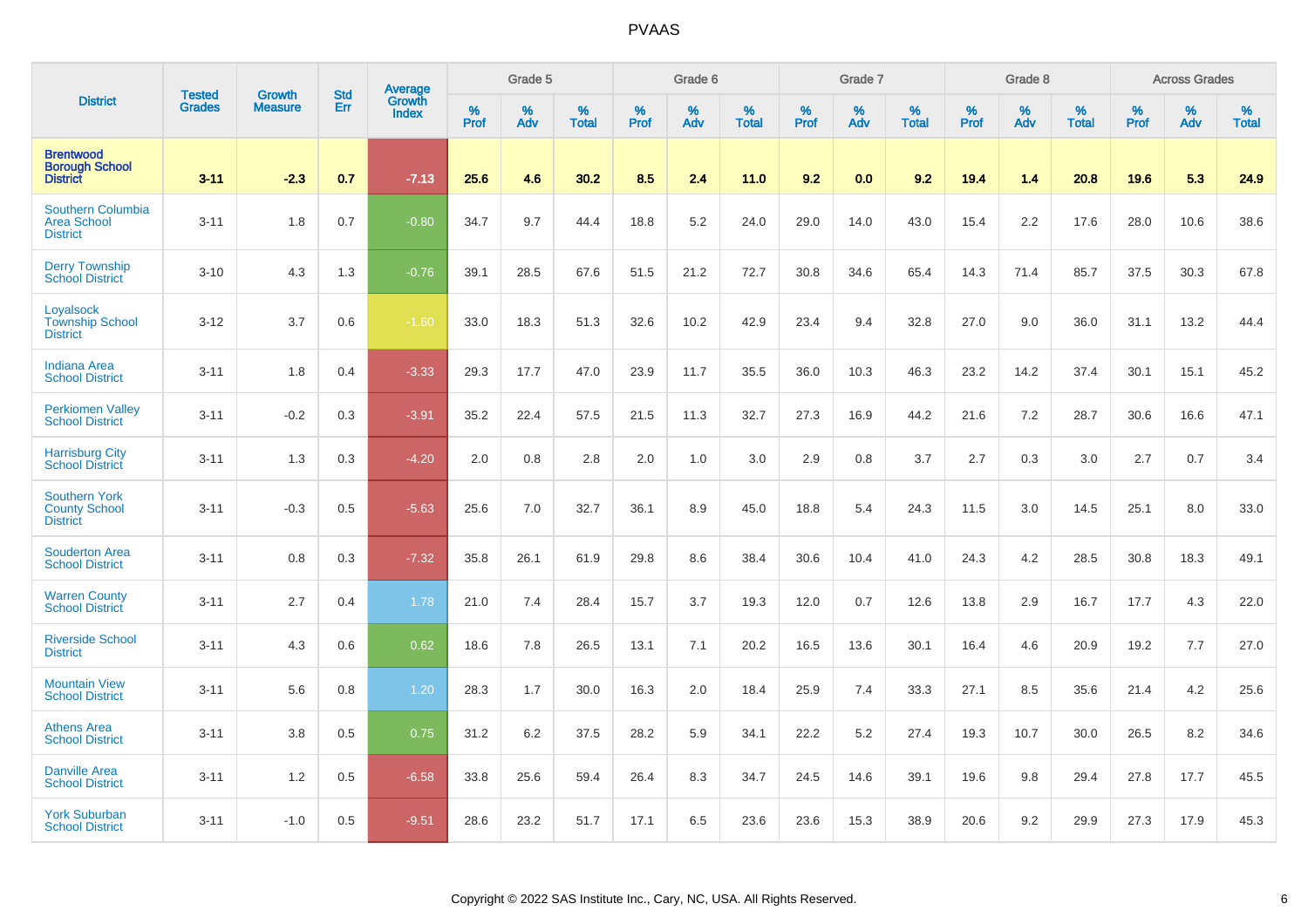|                                                                 | <b>Tested</b> |                                 | <b>Std</b> | Average         |              | Grade 5  |                   |           | Grade 6  |                   |           | Grade 7  |                   |           | Grade 8  |                   |           | <b>Across Grades</b> |                   |
|-----------------------------------------------------------------|---------------|---------------------------------|------------|-----------------|--------------|----------|-------------------|-----------|----------|-------------------|-----------|----------|-------------------|-----------|----------|-------------------|-----------|----------------------|-------------------|
| <b>District</b>                                                 | Grades        | <b>Growth</b><br><b>Measure</b> | Err        | Growth<br>Index | $\%$<br>Prof | %<br>Adv | %<br><b>Total</b> | %<br>Prof | %<br>Adv | %<br><b>Total</b> | %<br>Prof | %<br>Adv | %<br><b>Total</b> | %<br>Prof | %<br>Adv | %<br><b>Total</b> | %<br>Prof | %<br>Adv             | %<br><b>Total</b> |
| <b>Brentwood</b><br><b>Borough School</b><br><b>District</b>    | $3 - 11$      | $-2.3$                          | 0.7        | $-7.13$         | 25.6         | 4.6      | 30.2              | 8.5       | 2.4      | 11.0              | 9.2       | 0.0      | 9.2               | 19.4      | 1.4      | 20.8              | 19.6      | 5.3                  | 24.9              |
| Southern Columbia<br><b>Area School</b><br><b>District</b>      | $3 - 11$      | 1.8                             | 0.7        | $-0.80$         | 34.7         | 9.7      | 44.4              | 18.8      | $5.2\,$  | 24.0              | 29.0      | 14.0     | 43.0              | 15.4      | 2.2      | 17.6              | 28.0      | 10.6                 | 38.6              |
| <b>Derry Township</b><br><b>School District</b>                 | $3 - 10$      | 4.3                             | 1.3        | $-0.76$         | 39.1         | 28.5     | 67.6              | 51.5      | 21.2     | 72.7              | 30.8      | 34.6     | 65.4              | 14.3      | 71.4     | 85.7              | 37.5      | 30.3                 | 67.8              |
| Loyalsock<br><b>Township School</b><br><b>District</b>          | $3 - 12$      | 3.7                             | 0.6        | $-1.60$         | 33.0         | 18.3     | 51.3              | 32.6      | 10.2     | 42.9              | 23.4      | 9.4      | 32.8              | 27.0      | 9.0      | 36.0              | 31.1      | 13.2                 | 44.4              |
| <b>Indiana Area</b><br><b>School District</b>                   | $3 - 11$      | 1.8                             | 0.4        | $-3.33$         | 29.3         | 17.7     | 47.0              | 23.9      | 11.7     | 35.5              | 36.0      | 10.3     | 46.3              | 23.2      | 14.2     | 37.4              | 30.1      | 15.1                 | 45.2              |
| <b>Perkiomen Valley</b><br><b>School District</b>               | $3 - 11$      | $-0.2$                          | 0.3        | $-3.91$         | 35.2         | 22.4     | 57.5              | 21.5      | 11.3     | 32.7              | 27.3      | 16.9     | 44.2              | 21.6      | 7.2      | 28.7              | 30.6      | 16.6                 | 47.1              |
| <b>Harrisburg City</b><br><b>School District</b>                | $3 - 11$      | 1.3                             | 0.3        | $-4.20$         | 2.0          | 0.8      | 2.8               | 2.0       | 1.0      | 3.0               | 2.9       | 0.8      | 3.7               | 2.7       | 0.3      | 3.0               | 2.7       | 0.7                  | 3.4               |
| <b>Southern York</b><br><b>County School</b><br><b>District</b> | $3 - 11$      | $-0.3$                          | 0.5        | $-5.63$         | 25.6         | 7.0      | 32.7              | 36.1      | 8.9      | 45.0              | 18.8      | 5.4      | 24.3              | 11.5      | 3.0      | 14.5              | 25.1      | 8.0                  | 33.0              |
| <b>Souderton Area</b><br><b>School District</b>                 | $3 - 11$      | 0.8                             | 0.3        | $-7.32$         | 35.8         | 26.1     | 61.9              | 29.8      | 8.6      | 38.4              | 30.6      | 10.4     | 41.0              | 24.3      | 4.2      | 28.5              | 30.8      | 18.3                 | 49.1              |
| <b>Warren County</b><br><b>School District</b>                  | $3 - 11$      | 2.7                             | 0.4        | 1.78            | 21.0         | 7.4      | 28.4              | 15.7      | 3.7      | 19.3              | 12.0      | 0.7      | 12.6              | 13.8      | 2.9      | 16.7              | 17.7      | 4.3                  | 22.0              |
| <b>Riverside School</b><br><b>District</b>                      | $3 - 11$      | 4.3                             | 0.6        | 0.62            | 18.6         | 7.8      | 26.5              | 13.1      | 7.1      | 20.2              | 16.5      | 13.6     | 30.1              | 16.4      | 4.6      | 20.9              | 19.2      | 7.7                  | 27.0              |
| <b>Mountain View</b><br><b>School District</b>                  | $3 - 11$      | 5.6                             | 0.8        | 1.20            | 28.3         | 1.7      | 30.0              | 16.3      | 2.0      | 18.4              | 25.9      | 7.4      | 33.3              | 27.1      | 8.5      | 35.6              | 21.4      | 4.2                  | 25.6              |
| <b>Athens Area</b><br><b>School District</b>                    | $3 - 11$      | 3.8                             | 0.5        | 0.75            | 31.2         | 6.2      | 37.5              | 28.2      | 5.9      | 34.1              | 22.2      | 5.2      | 27.4              | 19.3      | 10.7     | 30.0              | 26.5      | 8.2                  | 34.6              |
| <b>Danville Area</b><br><b>School District</b>                  | $3 - 11$      | 1.2                             | 0.5        | $-6.58$         | 33.8         | 25.6     | 59.4              | 26.4      | 8.3      | 34.7              | 24.5      | 14.6     | 39.1              | 19.6      | 9.8      | 29.4              | 27.8      | 17.7                 | 45.5              |
| <b>York Suburban</b><br><b>School District</b>                  | $3 - 11$      | $-1.0$                          | 0.5        | $-9.51$         | 28.6         | 23.2     | 51.7              | 17.1      | 6.5      | 23.6              | 23.6      | 15.3     | 38.9              | 20.6      | 9.2      | 29.9              | 27.3      | 17.9                 | 45.3              |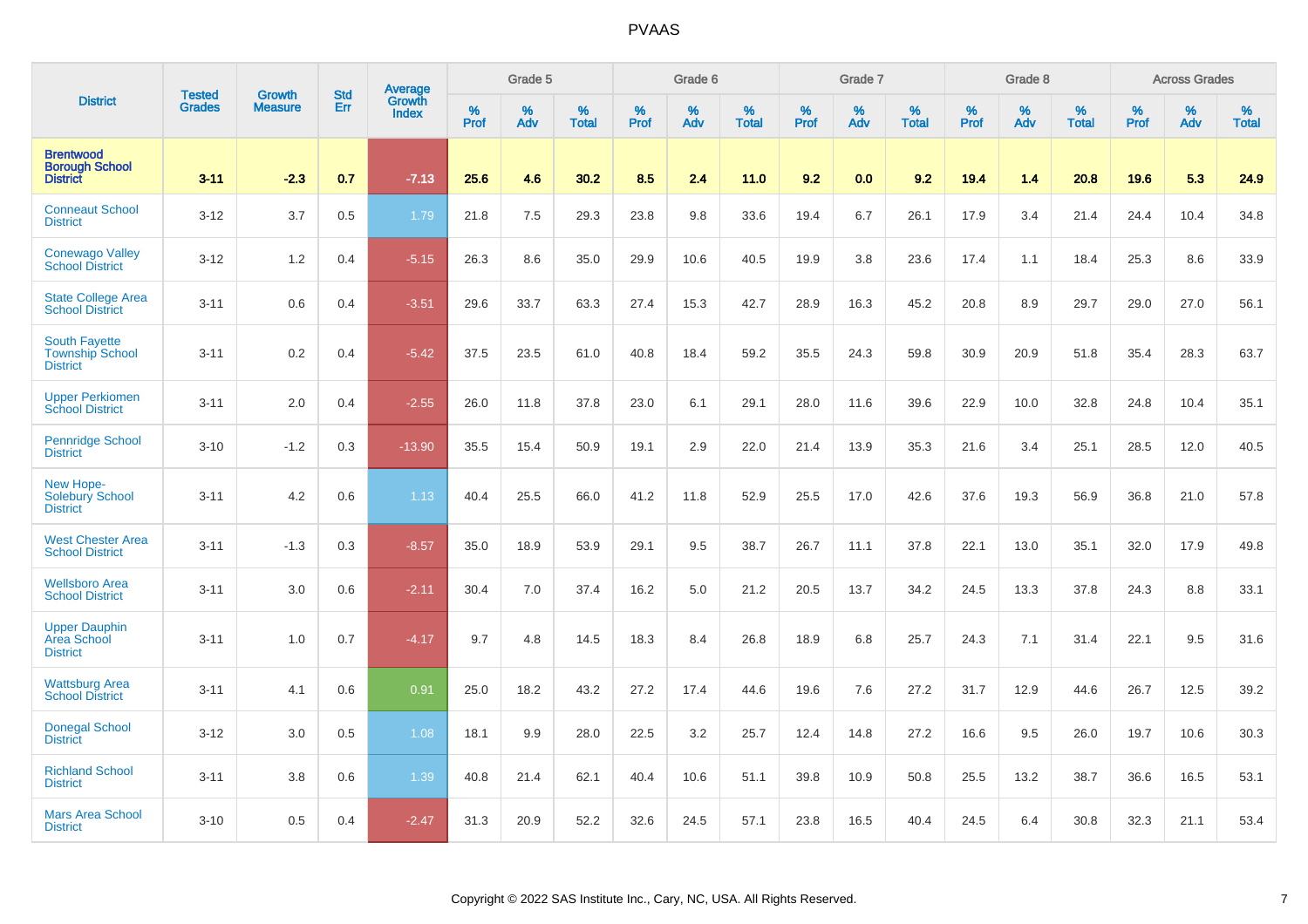|                                                                   | <b>Tested</b> | <b>Growth</b>  | <b>Std</b> | Average                |                     | Grade 5  |                   |                  | Grade 6  |                   |                  | Grade 7  |                   |           | Grade 8  |                   |              | <b>Across Grades</b> |                   |
|-------------------------------------------------------------------|---------------|----------------|------------|------------------------|---------------------|----------|-------------------|------------------|----------|-------------------|------------------|----------|-------------------|-----------|----------|-------------------|--------------|----------------------|-------------------|
| <b>District</b>                                                   | <b>Grades</b> | <b>Measure</b> | Err        | Growth<br><b>Index</b> | $\%$<br><b>Prof</b> | %<br>Adv | %<br><b>Total</b> | %<br><b>Prof</b> | %<br>Adv | %<br><b>Total</b> | %<br><b>Prof</b> | %<br>Adv | %<br><b>Total</b> | %<br>Prof | %<br>Adv | %<br><b>Total</b> | $\%$<br>Prof | %<br>Adv             | %<br><b>Total</b> |
| <b>Brentwood</b><br><b>Borough School</b><br><b>District</b>      | $3 - 11$      | $-2.3$         | 0.7        | $-7.13$                | 25.6                | 4.6      | 30.2              | 8.5              | 2.4      | 11.0              | 9.2              | 0.0      | 9.2               | 19.4      | 1.4      | 20.8              | 19.6         | 5.3                  | 24.9              |
| <b>Conneaut School</b><br><b>District</b>                         | $3 - 12$      | 3.7            | 0.5        | 1.79                   | 21.8                | 7.5      | 29.3              | 23.8             | 9.8      | 33.6              | 19.4             | 6.7      | 26.1              | 17.9      | 3.4      | 21.4              | 24.4         | 10.4                 | 34.8              |
| <b>Conewago Valley</b><br><b>School District</b>                  | $3 - 12$      | 1.2            | 0.4        | $-5.15$                | 26.3                | 8.6      | 35.0              | 29.9             | 10.6     | 40.5              | 19.9             | 3.8      | 23.6              | 17.4      | 1.1      | 18.4              | 25.3         | 8.6                  | 33.9              |
| State College Area<br><b>School District</b>                      | $3 - 11$      | 0.6            | 0.4        | $-3.51$                | 29.6                | 33.7     | 63.3              | 27.4             | 15.3     | 42.7              | 28.9             | 16.3     | 45.2              | 20.8      | 8.9      | 29.7              | 29.0         | 27.0                 | 56.1              |
| <b>South Fayette</b><br><b>Township School</b><br><b>District</b> | $3 - 11$      | 0.2            | 0.4        | $-5.42$                | 37.5                | 23.5     | 61.0              | 40.8             | 18.4     | 59.2              | 35.5             | 24.3     | 59.8              | 30.9      | 20.9     | 51.8              | 35.4         | 28.3                 | 63.7              |
| <b>Upper Perkiomen</b><br><b>School District</b>                  | $3 - 11$      | 2.0            | 0.4        | $-2.55$                | 26.0                | 11.8     | 37.8              | 23.0             | 6.1      | 29.1              | 28.0             | 11.6     | 39.6              | 22.9      | 10.0     | 32.8              | 24.8         | 10.4                 | 35.1              |
| <b>Pennridge School</b><br><b>District</b>                        | $3 - 10$      | $-1.2$         | 0.3        | $-13.90$               | 35.5                | 15.4     | 50.9              | 19.1             | 2.9      | 22.0              | 21.4             | 13.9     | 35.3              | 21.6      | 3.4      | 25.1              | 28.5         | 12.0                 | 40.5              |
| New Hope-<br>Solebury School<br><b>District</b>                   | $3 - 11$      | 4.2            | 0.6        | 1.13                   | 40.4                | 25.5     | 66.0              | 41.2             | 11.8     | 52.9              | 25.5             | 17.0     | 42.6              | 37.6      | 19.3     | 56.9              | 36.8         | 21.0                 | 57.8              |
| <b>West Chester Area</b><br><b>School District</b>                | $3 - 11$      | $-1.3$         | 0.3        | $-8.57$                | 35.0                | 18.9     | 53.9              | 29.1             | 9.5      | 38.7              | 26.7             | 11.1     | 37.8              | 22.1      | 13.0     | 35.1              | 32.0         | 17.9                 | 49.8              |
| <b>Wellsboro Area</b><br><b>School District</b>                   | $3 - 11$      | 3.0            | 0.6        | $-2.11$                | 30.4                | 7.0      | 37.4              | 16.2             | 5.0      | 21.2              | 20.5             | 13.7     | 34.2              | 24.5      | 13.3     | 37.8              | 24.3         | 8.8                  | 33.1              |
| <b>Upper Dauphin</b><br>Area School<br><b>District</b>            | $3 - 11$      | 1.0            | 0.7        | $-4.17$                | 9.7                 | 4.8      | 14.5              | 18.3             | 8.4      | 26.8              | 18.9             | 6.8      | 25.7              | 24.3      | 7.1      | 31.4              | 22.1         | 9.5                  | 31.6              |
| <b>Wattsburg Area</b><br><b>School District</b>                   | $3 - 11$      | 4.1            | 0.6        | 0.91                   | 25.0                | 18.2     | 43.2              | 27.2             | 17.4     | 44.6              | 19.6             | 7.6      | 27.2              | 31.7      | 12.9     | 44.6              | 26.7         | 12.5                 | 39.2              |
| <b>Donegal School</b><br><b>District</b>                          | $3 - 12$      | 3.0            | 0.5        | 1.08                   | 18.1                | 9.9      | 28.0              | 22.5             | 3.2      | 25.7              | 12.4             | 14.8     | 27.2              | 16.6      | 9.5      | 26.0              | 19.7         | 10.6                 | 30.3              |
| <b>Richland School</b><br><b>District</b>                         | $3 - 11$      | 3.8            | 0.6        | 1.39                   | 40.8                | 21.4     | 62.1              | 40.4             | 10.6     | 51.1              | 39.8             | 10.9     | 50.8              | 25.5      | 13.2     | 38.7              | 36.6         | 16.5                 | 53.1              |
| <b>Mars Area School</b><br><b>District</b>                        | $3 - 10$      | 0.5            | 0.4        | $-2.47$                | 31.3                | 20.9     | 52.2              | 32.6             | 24.5     | 57.1              | 23.8             | 16.5     | 40.4              | 24.5      | 6.4      | 30.8              | 32.3         | 21.1                 | 53.4              |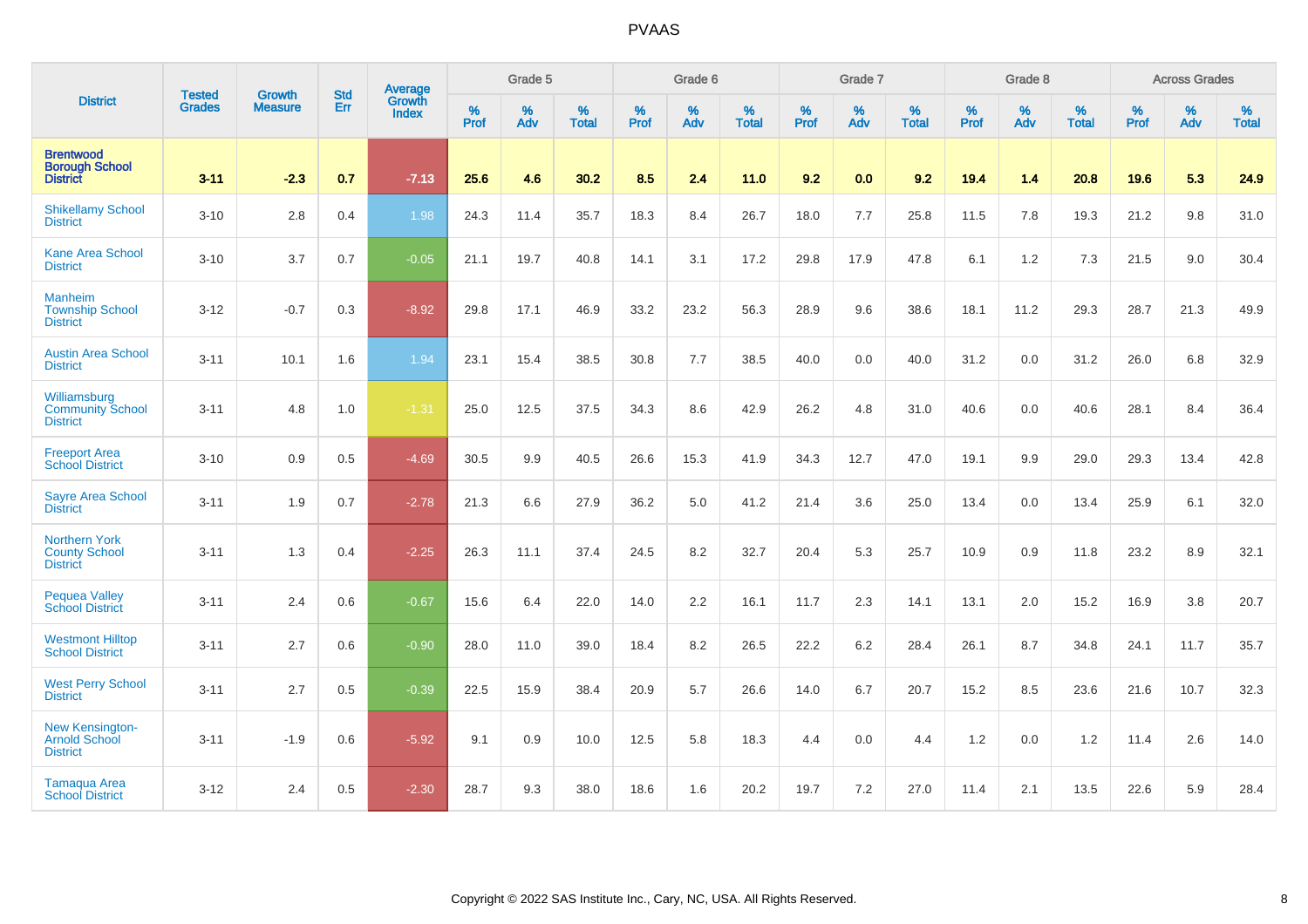|                                                                   | <b>Tested</b> | <b>Growth</b>  | <b>Std</b> | Average                |                     | Grade 5  |                   |              | Grade 6  |                   |                     | Grade 7  |                   |                     | Grade 8     |                   |                     | <b>Across Grades</b> |                   |
|-------------------------------------------------------------------|---------------|----------------|------------|------------------------|---------------------|----------|-------------------|--------------|----------|-------------------|---------------------|----------|-------------------|---------------------|-------------|-------------------|---------------------|----------------------|-------------------|
| <b>District</b>                                                   | <b>Grades</b> | <b>Measure</b> | <b>Err</b> | Growth<br><b>Index</b> | $\%$<br><b>Prof</b> | %<br>Adv | %<br><b>Total</b> | $\%$<br>Prof | %<br>Adv | %<br><b>Total</b> | $\%$<br><b>Prof</b> | %<br>Adv | %<br><b>Total</b> | $\%$<br><b>Prof</b> | $\%$<br>Adv | %<br><b>Total</b> | $\%$<br><b>Prof</b> | $\%$<br>Adv          | %<br><b>Total</b> |
| <b>Brentwood</b><br><b>Borough School</b><br><b>District</b>      | $3 - 11$      | $-2.3$         | 0.7        | $-7.13$                | 25.6                | 4.6      | 30.2              | 8.5          | 2.4      | 11.0              | 9.2                 | 0.0      | 9.2               | 19.4                | $1.4$       | 20.8              | 19.6                | 5.3                  | 24.9              |
| <b>Shikellamy School</b><br><b>District</b>                       | $3 - 10$      | 2.8            | 0.4        | 1.98                   | 24.3                | 11.4     | 35.7              | 18.3         | 8.4      | 26.7              | 18.0                | 7.7      | 25.8              | 11.5                | 7.8         | 19.3              | 21.2                | 9.8                  | 31.0              |
| <b>Kane Area School</b><br><b>District</b>                        | $3 - 10$      | 3.7            | 0.7        | $-0.05$                | 21.1                | 19.7     | 40.8              | 14.1         | 3.1      | 17.2              | 29.8                | 17.9     | 47.8              | 6.1                 | 1.2         | 7.3               | 21.5                | 9.0                  | 30.4              |
| <b>Manheim</b><br><b>Township School</b><br><b>District</b>       | $3 - 12$      | $-0.7$         | 0.3        | $-8.92$                | 29.8                | 17.1     | 46.9              | 33.2         | 23.2     | 56.3              | 28.9                | 9.6      | 38.6              | 18.1                | 11.2        | 29.3              | 28.7                | 21.3                 | 49.9              |
| <b>Austin Area School</b><br><b>District</b>                      | $3 - 11$      | 10.1           | 1.6        | 1.94                   | 23.1                | 15.4     | 38.5              | 30.8         | 7.7      | 38.5              | 40.0                | 0.0      | 40.0              | 31.2                | 0.0         | 31.2              | 26.0                | 6.8                  | 32.9              |
| Williamsburg<br><b>Community School</b><br><b>District</b>        | $3 - 11$      | 4.8            | 1.0        | $-1.31$                | 25.0                | 12.5     | 37.5              | 34.3         | 8.6      | 42.9              | 26.2                | 4.8      | 31.0              | 40.6                | 0.0         | 40.6              | 28.1                | 8.4                  | 36.4              |
| <b>Freeport Area</b><br><b>School District</b>                    | $3 - 10$      | 0.9            | 0.5        | $-4.69$                | 30.5                | 9.9      | 40.5              | 26.6         | 15.3     | 41.9              | 34.3                | 12.7     | 47.0              | 19.1                | 9.9         | 29.0              | 29.3                | 13.4                 | 42.8              |
| <b>Sayre Area School</b><br><b>District</b>                       | $3 - 11$      | 1.9            | 0.7        | $-2.78$                | 21.3                | 6.6      | 27.9              | 36.2         | 5.0      | 41.2              | 21.4                | 3.6      | 25.0              | 13.4                | 0.0         | 13.4              | 25.9                | 6.1                  | 32.0              |
| <b>Northern York</b><br><b>County School</b><br><b>District</b>   | $3 - 11$      | 1.3            | 0.4        | $-2.25$                | 26.3                | 11.1     | 37.4              | 24.5         | 8.2      | 32.7              | 20.4                | 5.3      | 25.7              | 10.9                | 0.9         | 11.8              | 23.2                | 8.9                  | 32.1              |
| <b>Pequea Valley</b><br><b>School District</b>                    | $3 - 11$      | 2.4            | 0.6        | $-0.67$                | 15.6                | 6.4      | 22.0              | 14.0         | 2.2      | 16.1              | 11.7                | 2.3      | 14.1              | 13.1                | 2.0         | 15.2              | 16.9                | 3.8                  | 20.7              |
| <b>Westmont Hilltop</b><br><b>School District</b>                 | $3 - 11$      | 2.7            | 0.6        | $-0.90$                | 28.0                | 11.0     | 39.0              | 18.4         | 8.2      | 26.5              | 22.2                | $6.2\,$  | 28.4              | 26.1                | 8.7         | 34.8              | 24.1                | 11.7                 | 35.7              |
| <b>West Perry School</b><br><b>District</b>                       | $3 - 11$      | 2.7            | 0.5        | $-0.39$                | 22.5                | 15.9     | 38.4              | 20.9         | 5.7      | 26.6              | 14.0                | 6.7      | 20.7              | 15.2                | 8.5         | 23.6              | 21.6                | 10.7                 | 32.3              |
| <b>New Kensington-</b><br><b>Arnold School</b><br><b>District</b> | $3 - 11$      | $-1.9$         | 0.6        | $-5.92$                | 9.1                 | 0.9      | 10.0              | 12.5         | 5.8      | 18.3              | 4.4                 | 0.0      | 4.4               | 1.2                 | 0.0         | 1.2               | 11.4                | 2.6                  | 14.0              |
| <b>Tamaqua Area</b><br><b>School District</b>                     | $3 - 12$      | 2.4            | 0.5        | $-2.30$                | 28.7                | 9.3      | 38.0              | 18.6         | 1.6      | 20.2              | 19.7                | 7.2      | 27.0              | 11.4                | 2.1         | 13.5              | 22.6                | 5.9                  | 28.4              |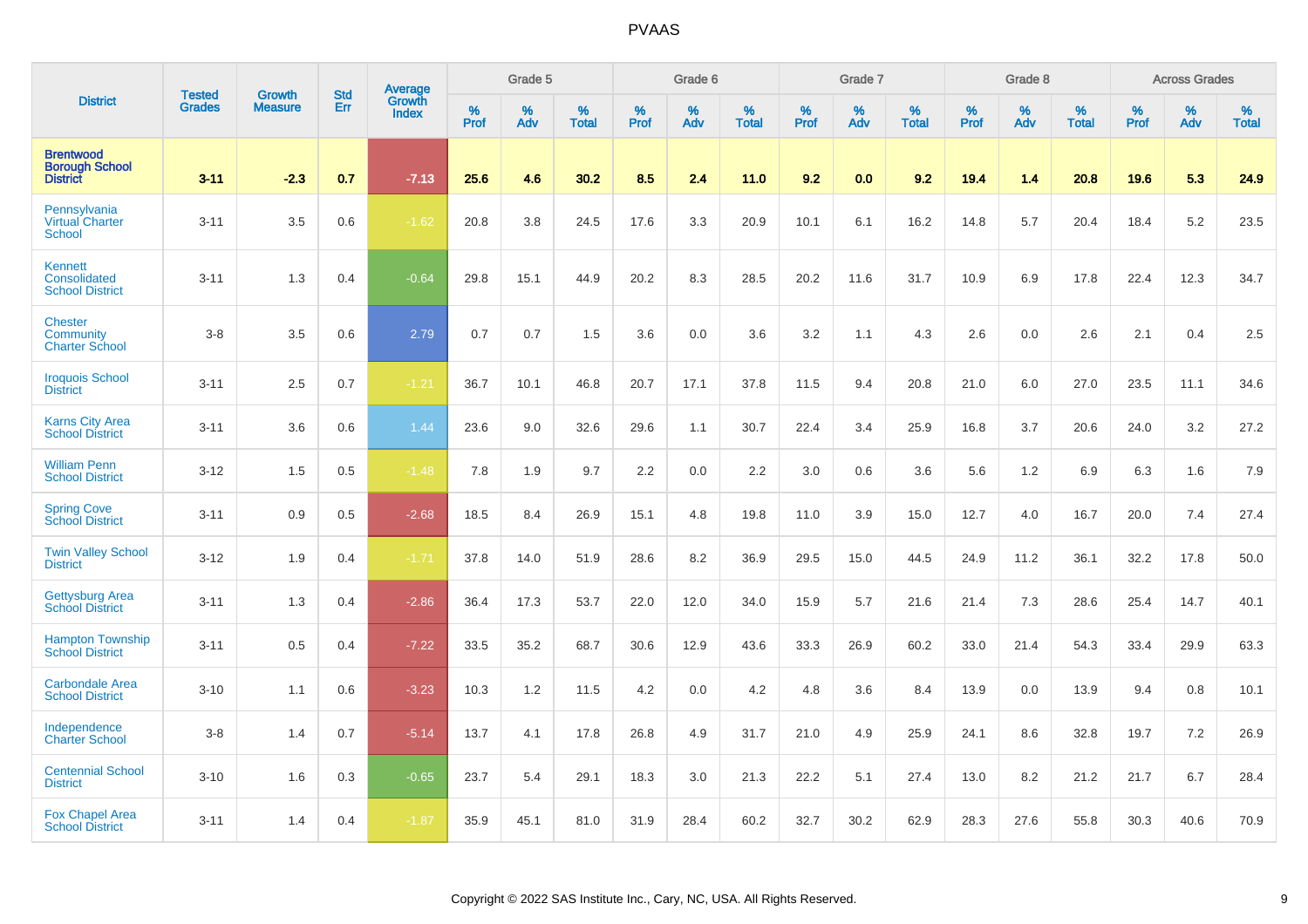|                                                              | <b>Tested</b> | <b>Growth</b>  | <b>Std</b> | <b>Average</b>         |              | Grade 5  |                   |           | Grade 6  |                   |           | Grade 7  |                   |           | Grade 8  |                   |           | <b>Across Grades</b> |                   |
|--------------------------------------------------------------|---------------|----------------|------------|------------------------|--------------|----------|-------------------|-----------|----------|-------------------|-----------|----------|-------------------|-----------|----------|-------------------|-----------|----------------------|-------------------|
| <b>District</b>                                              | <b>Grades</b> | <b>Measure</b> | Err        | Growth<br><b>Index</b> | $\%$<br>Prof | %<br>Adv | %<br><b>Total</b> | %<br>Prof | %<br>Adv | %<br><b>Total</b> | %<br>Prof | %<br>Adv | %<br><b>Total</b> | %<br>Prof | %<br>Adv | %<br><b>Total</b> | %<br>Prof | %<br>Adv             | %<br><b>Total</b> |
| <b>Brentwood</b><br><b>Borough School</b><br><b>District</b> | $3 - 11$      | $-2.3$         | 0.7        | $-7.13$                | 25.6         | 4.6      | 30.2              | 8.5       | 2.4      | 11.0              | 9.2       | 0.0      | 9.2               | 19.4      | 1.4      | 20.8              | 19.6      | 5.3                  | 24.9              |
| Pennsylvania<br>Virtual Charter<br><b>School</b>             | $3 - 11$      | 3.5            | 0.6        | $-1.62$                | 20.8         | 3.8      | 24.5              | 17.6      | 3.3      | 20.9              | 10.1      | 6.1      | 16.2              | 14.8      | 5.7      | 20.4              | 18.4      | 5.2                  | 23.5              |
| Kennett<br>Consolidated<br><b>School District</b>            | $3 - 11$      | 1.3            | 0.4        | $-0.64$                | 29.8         | 15.1     | 44.9              | 20.2      | 8.3      | 28.5              | 20.2      | 11.6     | 31.7              | 10.9      | 6.9      | 17.8              | 22.4      | 12.3                 | 34.7              |
| <b>Chester</b><br>Community<br><b>Charter School</b>         | $3-8$         | 3.5            | 0.6        | 2.79                   | 0.7          | 0.7      | 1.5               | 3.6       | 0.0      | 3.6               | 3.2       | 1.1      | 4.3               | 2.6       | 0.0      | 2.6               | 2.1       | 0.4                  | 2.5               |
| <b>Iroquois School</b><br><b>District</b>                    | $3 - 11$      | 2.5            | 0.7        | $-1.21$                | 36.7         | 10.1     | 46.8              | 20.7      | 17.1     | 37.8              | 11.5      | 9.4      | 20.8              | 21.0      | 6.0      | 27.0              | 23.5      | 11.1                 | 34.6              |
| <b>Karns City Area</b><br><b>School District</b>             | $3 - 11$      | 3.6            | 0.6        | 1.44                   | 23.6         | 9.0      | 32.6              | 29.6      | 1.1      | 30.7              | 22.4      | 3.4      | 25.9              | 16.8      | 3.7      | 20.6              | 24.0      | 3.2                  | 27.2              |
| <b>William Penn</b><br><b>School District</b>                | $3 - 12$      | 1.5            | 0.5        | $-1.48$                | 7.8          | 1.9      | 9.7               | 2.2       | 0.0      | 2.2               | 3.0       | 0.6      | 3.6               | 5.6       | 1.2      | 6.9               | 6.3       | 1.6                  | 7.9               |
| <b>Spring Cove</b><br><b>School District</b>                 | $3 - 11$      | 0.9            | 0.5        | $-2.68$                | 18.5         | 8.4      | 26.9              | 15.1      | 4.8      | 19.8              | 11.0      | 3.9      | 15.0              | 12.7      | 4.0      | 16.7              | 20.0      | 7.4                  | 27.4              |
| <b>Twin Valley School</b><br><b>District</b>                 | $3 - 12$      | 1.9            | 0.4        | $-1.71$                | 37.8         | 14.0     | 51.9              | 28.6      | 8.2      | 36.9              | 29.5      | 15.0     | 44.5              | 24.9      | 11.2     | 36.1              | 32.2      | 17.8                 | 50.0              |
| <b>Gettysburg Area</b><br><b>School District</b>             | $3 - 11$      | 1.3            | 0.4        | $-2.86$                | 36.4         | 17.3     | 53.7              | 22.0      | 12.0     | 34.0              | 15.9      | 5.7      | 21.6              | 21.4      | 7.3      | 28.6              | 25.4      | 14.7                 | 40.1              |
| <b>Hampton Township</b><br><b>School District</b>            | $3 - 11$      | 0.5            | 0.4        | $-7.22$                | 33.5         | 35.2     | 68.7              | 30.6      | 12.9     | 43.6              | 33.3      | 26.9     | 60.2              | 33.0      | 21.4     | 54.3              | 33.4      | 29.9                 | 63.3              |
| <b>Carbondale Area</b><br><b>School District</b>             | $3 - 10$      | 1.1            | 0.6        | $-3.23$                | 10.3         | 1.2      | 11.5              | 4.2       | 0.0      | 4.2               | 4.8       | 3.6      | 8.4               | 13.9      | 0.0      | 13.9              | 9.4       | 0.8                  | 10.1              |
| Independence<br><b>Charter School</b>                        | $3-8$         | 1.4            | 0.7        | $-5.14$                | 13.7         | 4.1      | 17.8              | 26.8      | 4.9      | 31.7              | 21.0      | 4.9      | 25.9              | 24.1      | 8.6      | 32.8              | 19.7      | 7.2                  | 26.9              |
| <b>Centennial School</b><br><b>District</b>                  | $3 - 10$      | 1.6            | 0.3        | $-0.65$                | 23.7         | 5.4      | 29.1              | 18.3      | 3.0      | 21.3              | 22.2      | 5.1      | 27.4              | 13.0      | 8.2      | 21.2              | 21.7      | 6.7                  | 28.4              |
| <b>Fox Chapel Area</b><br><b>School District</b>             | $3 - 11$      | 1.4            | 0.4        | $-1.87$                | 35.9         | 45.1     | 81.0              | 31.9      | 28.4     | 60.2              | 32.7      | 30.2     | 62.9              | 28.3      | 27.6     | 55.8              | 30.3      | 40.6                 | 70.9              |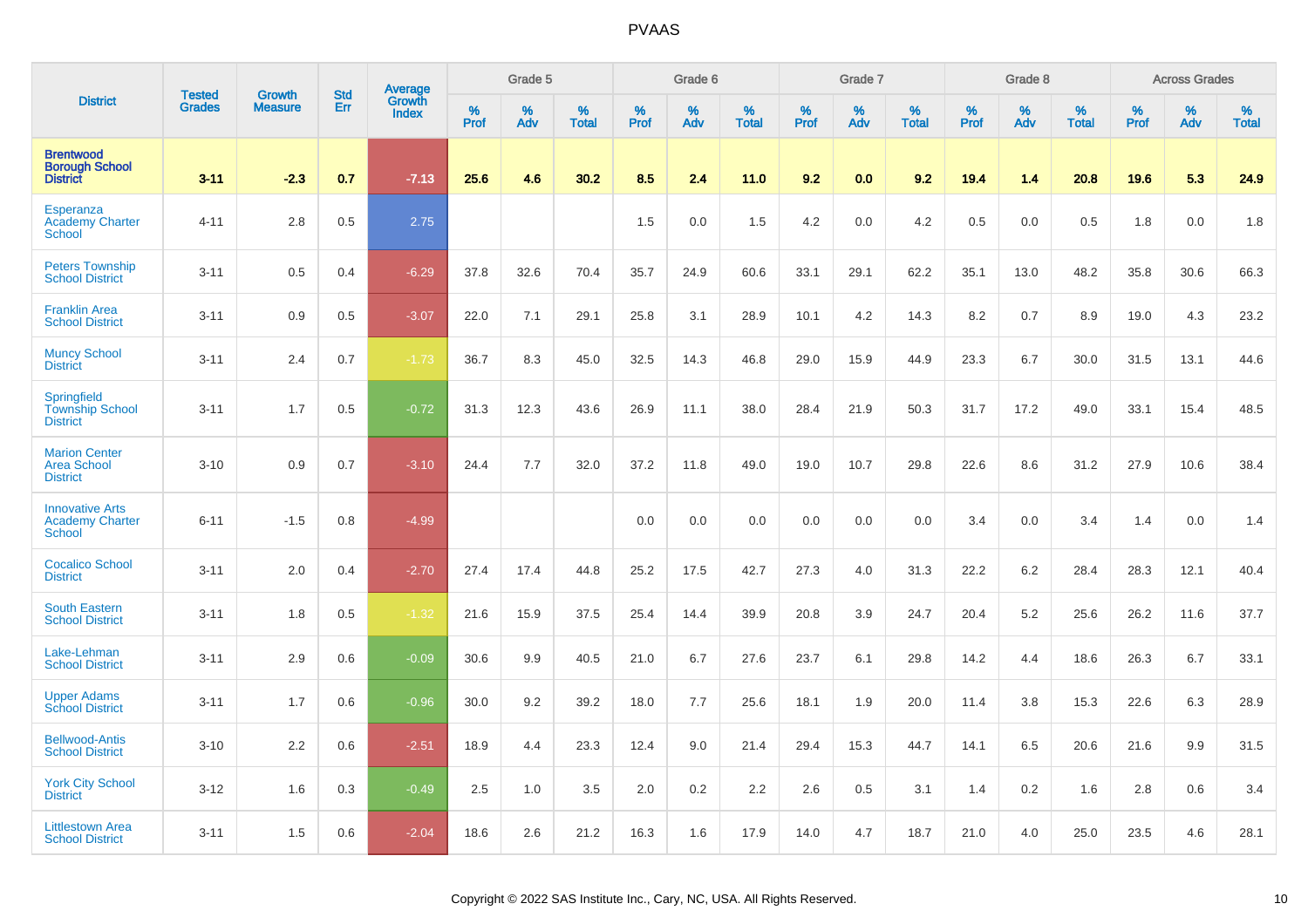|                                                                   | <b>Tested</b> | <b>Growth</b>  | <b>Std</b> |                                   |           | Grade 5  |                   |           | Grade 6  |                   |           | Grade 7  |                   |           | Grade 8  |                   |           | <b>Across Grades</b> |                   |
|-------------------------------------------------------------------|---------------|----------------|------------|-----------------------------------|-----------|----------|-------------------|-----------|----------|-------------------|-----------|----------|-------------------|-----------|----------|-------------------|-----------|----------------------|-------------------|
| <b>District</b>                                                   | <b>Grades</b> | <b>Measure</b> | Err        | Average<br>Growth<br><b>Index</b> | %<br>Prof | %<br>Adv | %<br><b>Total</b> | %<br>Prof | %<br>Adv | %<br><b>Total</b> | %<br>Prof | %<br>Adv | %<br><b>Total</b> | %<br>Prof | %<br>Adv | %<br><b>Total</b> | %<br>Prof | %<br>Adv             | %<br><b>Total</b> |
| <b>Brentwood</b><br><b>Borough School</b><br><b>District</b>      | $3 - 11$      | $-2.3$         | 0.7        | $-7.13$                           | 25.6      | 4.6      | 30.2              | 8.5       | 2.4      | 11.0              | 9.2       | 0.0      | 9.2               | 19.4      | 1.4      | 20.8              | 19.6      | 5.3                  | 24.9              |
| Esperanza<br><b>Academy Charter</b><br><b>School</b>              | $4 - 11$      | 2.8            | 0.5        | 2.75                              |           |          |                   | 1.5       | 0.0      | 1.5               | 4.2       | 0.0      | 4.2               | 0.5       | 0.0      | 0.5               | 1.8       | 0.0                  | 1.8               |
| <b>Peters Township</b><br><b>School District</b>                  | $3 - 11$      | 0.5            | 0.4        | $-6.29$                           | 37.8      | 32.6     | 70.4              | 35.7      | 24.9     | 60.6              | 33.1      | 29.1     | 62.2              | 35.1      | 13.0     | 48.2              | 35.8      | 30.6                 | 66.3              |
| <b>Franklin Area</b><br><b>School District</b>                    | $3 - 11$      | 0.9            | 0.5        | $-3.07$                           | 22.0      | 7.1      | 29.1              | 25.8      | 3.1      | 28.9              | 10.1      | 4.2      | 14.3              | 8.2       | 0.7      | 8.9               | 19.0      | 4.3                  | 23.2              |
| <b>Muncy School</b><br><b>District</b>                            | $3 - 11$      | 2.4            | 0.7        | $-1.73$                           | 36.7      | 8.3      | 45.0              | 32.5      | 14.3     | 46.8              | 29.0      | 15.9     | 44.9              | 23.3      | 6.7      | 30.0              | 31.5      | 13.1                 | 44.6              |
| Springfield<br><b>Township School</b><br><b>District</b>          | $3 - 11$      | 1.7            | 0.5        | $-0.72$                           | 31.3      | 12.3     | 43.6              | 26.9      | 11.1     | 38.0              | 28.4      | 21.9     | 50.3              | 31.7      | 17.2     | 49.0              | 33.1      | 15.4                 | 48.5              |
| <b>Marion Center</b><br><b>Area School</b><br><b>District</b>     | $3 - 10$      | 0.9            | 0.7        | $-3.10$                           | 24.4      | 7.7      | 32.0              | 37.2      | 11.8     | 49.0              | 19.0      | 10.7     | 29.8              | 22.6      | 8.6      | 31.2              | 27.9      | 10.6                 | 38.4              |
| <b>Innovative Arts</b><br><b>Academy Charter</b><br><b>School</b> | $6 - 11$      | $-1.5$         | 0.8        | $-4.99$                           |           |          |                   | 0.0       | 0.0      | 0.0               | 0.0       | 0.0      | 0.0               | 3.4       | 0.0      | 3.4               | 1.4       | 0.0                  | 1.4               |
| <b>Cocalico School</b><br><b>District</b>                         | $3 - 11$      | 2.0            | 0.4        | $-2.70$                           | 27.4      | 17.4     | 44.8              | 25.2      | 17.5     | 42.7              | 27.3      | 4.0      | 31.3              | 22.2      | 6.2      | 28.4              | 28.3      | 12.1                 | 40.4              |
| <b>South Eastern</b><br><b>School District</b>                    | $3 - 11$      | 1.8            | 0.5        | $-1.32$                           | 21.6      | 15.9     | 37.5              | 25.4      | 14.4     | 39.9              | 20.8      | 3.9      | 24.7              | 20.4      | 5.2      | 25.6              | 26.2      | 11.6                 | 37.7              |
| Lake-Lehman<br><b>School District</b>                             | $3 - 11$      | 2.9            | 0.6        | $-0.09$                           | 30.6      | 9.9      | 40.5              | 21.0      | 6.7      | 27.6              | 23.7      | 6.1      | 29.8              | 14.2      | 4.4      | 18.6              | 26.3      | 6.7                  | 33.1              |
| <b>Upper Adams</b><br><b>School District</b>                      | $3 - 11$      | 1.7            | 0.6        | $-0.96$                           | 30.0      | 9.2      | 39.2              | 18.0      | 7.7      | 25.6              | 18.1      | 1.9      | 20.0              | 11.4      | 3.8      | 15.3              | 22.6      | 6.3                  | 28.9              |
| <b>Bellwood-Antis</b><br><b>School District</b>                   | $3 - 10$      | 2.2            | 0.6        | $-2.51$                           | 18.9      | 4.4      | 23.3              | 12.4      | 9.0      | 21.4              | 29.4      | 15.3     | 44.7              | 14.1      | 6.5      | 20.6              | 21.6      | 9.9                  | 31.5              |
| <b>York City School</b><br><b>District</b>                        | $3 - 12$      | 1.6            | 0.3        | $-0.49$                           | 2.5       | 1.0      | 3.5               | 2.0       | 0.2      | 2.2               | 2.6       | 0.5      | 3.1               | 1.4       | 0.2      | 1.6               | 2.8       | 0.6                  | 3.4               |
| <b>Littlestown Area</b><br><b>School District</b>                 | $3 - 11$      | 1.5            | 0.6        | $-2.04$                           | 18.6      | 2.6      | 21.2              | 16.3      | 1.6      | 17.9              | 14.0      | 4.7      | 18.7              | 21.0      | 4.0      | 25.0              | 23.5      | 4.6                  | 28.1              |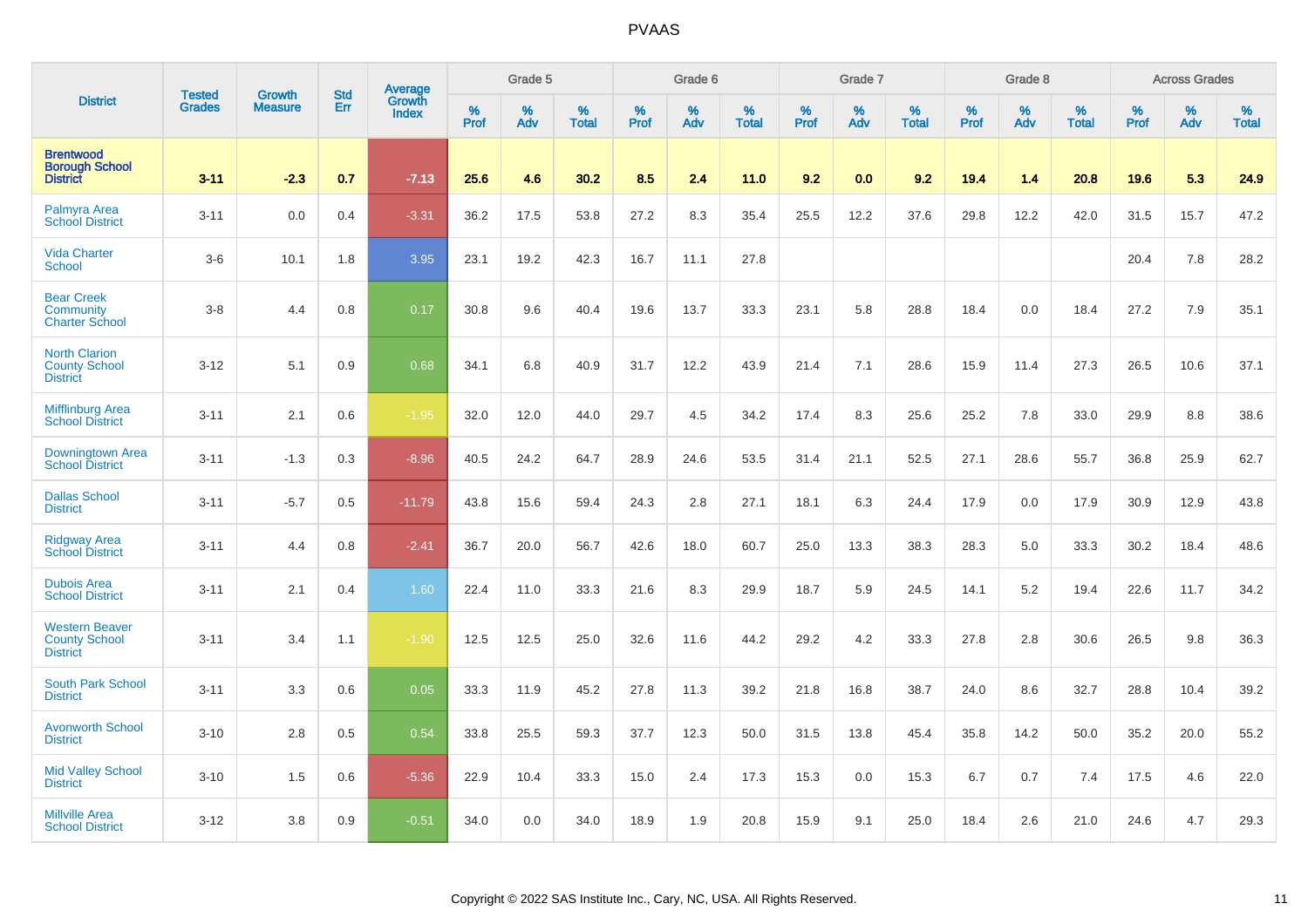|                                                                  |                                |                                 | <b>Std</b> | Average                |              | Grade 5  |                   |           | Grade 6  |                   |           | Grade 7  |                   |           | Grade 8  |                   |           | <b>Across Grades</b> |                   |
|------------------------------------------------------------------|--------------------------------|---------------------------------|------------|------------------------|--------------|----------|-------------------|-----------|----------|-------------------|-----------|----------|-------------------|-----------|----------|-------------------|-----------|----------------------|-------------------|
| <b>District</b>                                                  | <b>Tested</b><br><b>Grades</b> | <b>Growth</b><br><b>Measure</b> | Err        | Growth<br><b>Index</b> | $\%$<br>Prof | %<br>Adv | %<br><b>Total</b> | %<br>Prof | %<br>Adv | %<br><b>Total</b> | %<br>Prof | %<br>Adv | %<br><b>Total</b> | %<br>Prof | %<br>Adv | %<br><b>Total</b> | %<br>Prof | %<br>Adv             | %<br><b>Total</b> |
| <b>Brentwood</b><br><b>Borough School</b><br><b>District</b>     | $3 - 11$                       | $-2.3$                          | 0.7        | $-7.13$                | 25.6         | 4.6      | 30.2              | 8.5       | 2.4      | 11.0              | 9.2       | 0.0      | 9.2               | 19.4      | 1.4      | 20.8              | 19.6      | 5.3                  | 24.9              |
| Palmyra Area<br><b>School District</b>                           | $3 - 11$                       | 0.0                             | 0.4        | $-3.31$                | 36.2         | 17.5     | 53.8              | 27.2      | 8.3      | 35.4              | 25.5      | 12.2     | 37.6              | 29.8      | 12.2     | 42.0              | 31.5      | 15.7                 | 47.2              |
| <b>Vida Charter</b><br><b>School</b>                             | $3-6$                          | 10.1                            | 1.8        | 3.95                   | 23.1         | 19.2     | 42.3              | 16.7      | 11.1     | 27.8              |           |          |                   |           |          |                   | 20.4      | 7.8                  | 28.2              |
| <b>Bear Creek</b><br>Community<br><b>Charter School</b>          | $3-8$                          | 4.4                             | 0.8        | 0.17                   | 30.8         | 9.6      | 40.4              | 19.6      | 13.7     | 33.3              | 23.1      | 5.8      | 28.8              | 18.4      | 0.0      | 18.4              | 27.2      | 7.9                  | 35.1              |
| <b>North Clarion</b><br><b>County School</b><br><b>District</b>  | $3 - 12$                       | 5.1                             | 0.9        | 0.68                   | 34.1         | 6.8      | 40.9              | 31.7      | 12.2     | 43.9              | 21.4      | 7.1      | 28.6              | 15.9      | 11.4     | 27.3              | 26.5      | 10.6                 | 37.1              |
| <b>Mifflinburg Area</b><br><b>School District</b>                | $3 - 11$                       | 2.1                             | 0.6        | $-1.95$                | 32.0         | 12.0     | 44.0              | 29.7      | 4.5      | 34.2              | 17.4      | 8.3      | 25.6              | 25.2      | 7.8      | 33.0              | 29.9      | 8.8                  | 38.6              |
| <b>Downingtown Area</b><br><b>School District</b>                | $3 - 11$                       | $-1.3$                          | 0.3        | $-8.96$                | 40.5         | 24.2     | 64.7              | 28.9      | 24.6     | 53.5              | 31.4      | 21.1     | 52.5              | 27.1      | 28.6     | 55.7              | 36.8      | 25.9                 | 62.7              |
| <b>Dallas School</b><br><b>District</b>                          | $3 - 11$                       | $-5.7$                          | 0.5        | $-11.79$               | 43.8         | 15.6     | 59.4              | 24.3      | 2.8      | 27.1              | 18.1      | 6.3      | 24.4              | 17.9      | 0.0      | 17.9              | 30.9      | 12.9                 | 43.8              |
| <b>Ridgway Area</b><br><b>School District</b>                    | $3 - 11$                       | 4.4                             | 0.8        | $-2.41$                | 36.7         | 20.0     | 56.7              | 42.6      | 18.0     | 60.7              | 25.0      | 13.3     | 38.3              | 28.3      | 5.0      | 33.3              | 30.2      | 18.4                 | 48.6              |
| <b>Dubois Area</b><br><b>School District</b>                     | $3 - 11$                       | 2.1                             | 0.4        | 1.60                   | 22.4         | 11.0     | 33.3              | 21.6      | 8.3      | 29.9              | 18.7      | 5.9      | 24.5              | 14.1      | 5.2      | 19.4              | 22.6      | 11.7                 | 34.2              |
| <b>Western Beaver</b><br><b>County School</b><br><b>District</b> | $3 - 11$                       | 3.4                             | 1.1        | $-1.90$                | 12.5         | 12.5     | 25.0              | 32.6      | 11.6     | 44.2              | 29.2      | 4.2      | 33.3              | 27.8      | 2.8      | 30.6              | 26.5      | 9.8                  | 36.3              |
| South Park School<br><b>District</b>                             | $3 - 11$                       | 3.3                             | 0.6        | 0.05                   | 33.3         | 11.9     | 45.2              | 27.8      | 11.3     | 39.2              | 21.8      | 16.8     | 38.7              | 24.0      | 8.6      | 32.7              | 28.8      | 10.4                 | 39.2              |
| <b>Avonworth School</b><br><b>District</b>                       | $3 - 10$                       | 2.8                             | 0.5        | 0.54                   | 33.8         | 25.5     | 59.3              | 37.7      | 12.3     | 50.0              | 31.5      | 13.8     | 45.4              | 35.8      | 14.2     | 50.0              | 35.2      | 20.0                 | 55.2              |
| <b>Mid Valley School</b><br><b>District</b>                      | $3 - 10$                       | 1.5                             | 0.6        | $-5.36$                | 22.9         | 10.4     | 33.3              | 15.0      | 2.4      | 17.3              | 15.3      | 0.0      | 15.3              | 6.7       | 0.7      | 7.4               | 17.5      | 4.6                  | 22.0              |
| <b>Millville Area</b><br><b>School District</b>                  | $3 - 12$                       | 3.8                             | 0.9        | $-0.51$                | 34.0         | 0.0      | 34.0              | 18.9      | 1.9      | 20.8              | 15.9      | 9.1      | 25.0              | 18.4      | 2.6      | 21.0              | 24.6      | 4.7                  | 29.3              |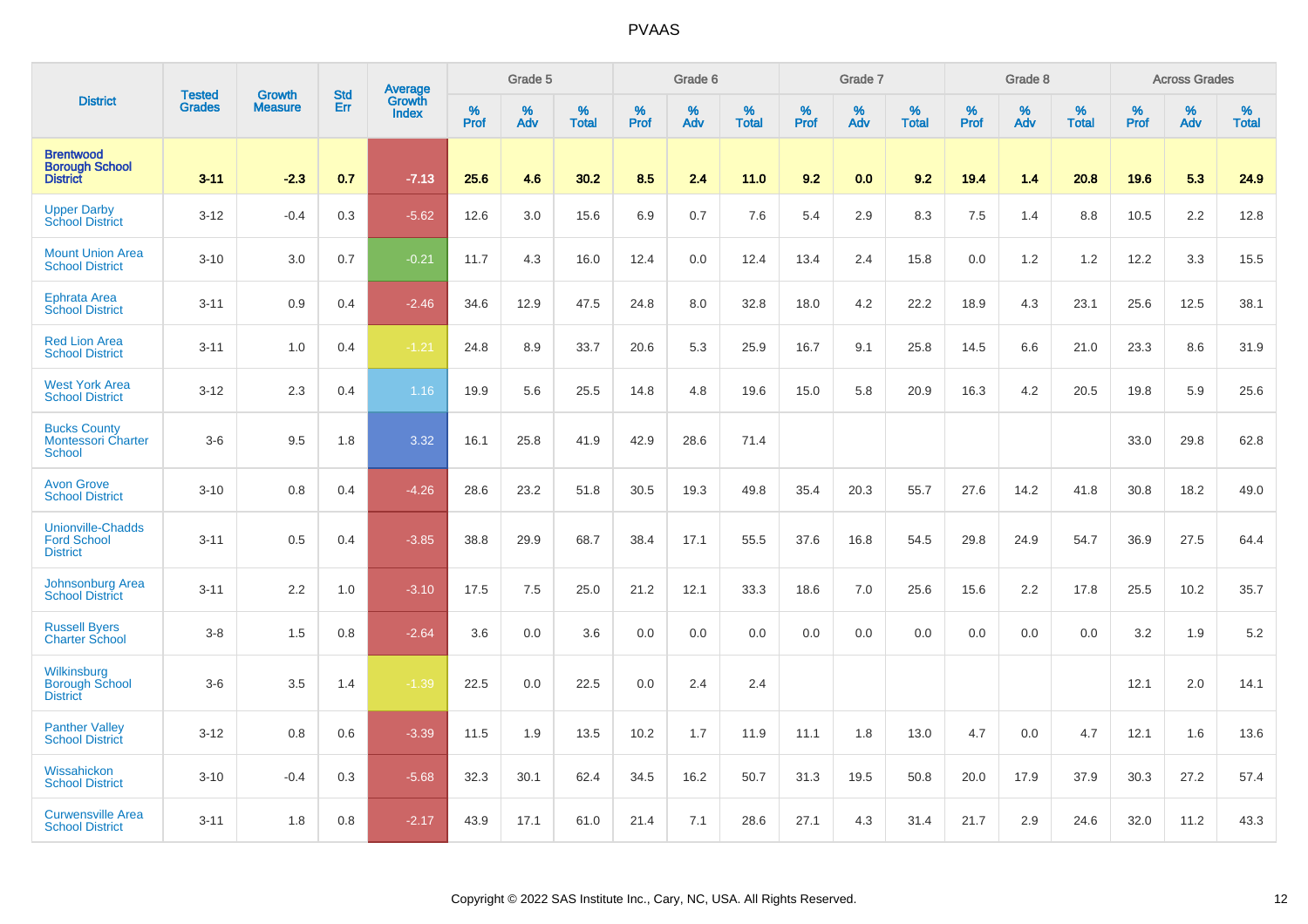|                                                                   | <b>Tested</b> |                                 | <b>Std</b> | Average         |              | Grade 5  |                   |           | Grade 6  |                   |           | Grade 7  |                   |           | Grade 8  |                   |           | <b>Across Grades</b> |                   |
|-------------------------------------------------------------------|---------------|---------------------------------|------------|-----------------|--------------|----------|-------------------|-----------|----------|-------------------|-----------|----------|-------------------|-----------|----------|-------------------|-----------|----------------------|-------------------|
| <b>District</b>                                                   | <b>Grades</b> | <b>Growth</b><br><b>Measure</b> | Err        | Growth<br>Index | $\%$<br>Prof | %<br>Adv | %<br><b>Total</b> | %<br>Prof | %<br>Adv | %<br><b>Total</b> | %<br>Prof | %<br>Adv | %<br><b>Total</b> | %<br>Prof | %<br>Adv | %<br><b>Total</b> | %<br>Prof | %<br>Adv             | %<br><b>Total</b> |
| <b>Brentwood</b><br><b>Borough School</b><br><b>District</b>      | $3 - 11$      | $-2.3$                          | 0.7        | $-7.13$         | 25.6         | 4.6      | 30.2              | 8.5       | 2.4      | 11.0              | 9.2       | 0.0      | 9.2               | 19.4      | 1.4      | 20.8              | 19.6      | 5.3                  | 24.9              |
| <b>Upper Darby</b><br><b>School District</b>                      | $3 - 12$      | $-0.4$                          | 0.3        | $-5.62$         | 12.6         | 3.0      | 15.6              | 6.9       | 0.7      | 7.6               | 5.4       | 2.9      | 8.3               | 7.5       | 1.4      | 8.8               | 10.5      | 2.2                  | 12.8              |
| <b>Mount Union Area</b><br><b>School District</b>                 | $3 - 10$      | 3.0                             | 0.7        | $-0.21$         | 11.7         | 4.3      | 16.0              | 12.4      | 0.0      | 12.4              | 13.4      | 2.4      | 15.8              | 0.0       | 1.2      | 1.2               | 12.2      | 3.3                  | 15.5              |
| Ephrata Area<br><b>School District</b>                            | $3 - 11$      | 0.9                             | 0.4        | $-2.46$         | 34.6         | 12.9     | 47.5              | 24.8      | 8.0      | 32.8              | 18.0      | 4.2      | 22.2              | 18.9      | 4.3      | 23.1              | 25.6      | 12.5                 | 38.1              |
| <b>Red Lion Area</b><br><b>School District</b>                    | $3 - 11$      | 1.0                             | 0.4        | $-1.21$         | 24.8         | 8.9      | 33.7              | 20.6      | 5.3      | 25.9              | 16.7      | 9.1      | 25.8              | 14.5      | 6.6      | 21.0              | 23.3      | 8.6                  | 31.9              |
| <b>West York Area</b><br><b>School District</b>                   | $3 - 12$      | 2.3                             | 0.4        | 1.16            | 19.9         | 5.6      | 25.5              | 14.8      | 4.8      | 19.6              | 15.0      | 5.8      | 20.9              | 16.3      | 4.2      | 20.5              | 19.8      | 5.9                  | 25.6              |
| <b>Bucks County</b><br><b>Montessori Charter</b><br><b>School</b> | $3-6$         | 9.5                             | 1.8        | 3.32            | 16.1         | 25.8     | 41.9              | 42.9      | 28.6     | 71.4              |           |          |                   |           |          |                   | 33.0      | 29.8                 | 62.8              |
| <b>Avon Grove</b><br><b>School District</b>                       | $3 - 10$      | 0.8                             | 0.4        | $-4.26$         | 28.6         | 23.2     | 51.8              | 30.5      | 19.3     | 49.8              | 35.4      | 20.3     | 55.7              | 27.6      | 14.2     | 41.8              | 30.8      | 18.2                 | 49.0              |
| <b>Unionville-Chadds</b><br><b>Ford School</b><br><b>District</b> | $3 - 11$      | 0.5                             | 0.4        | $-3.85$         | 38.8         | 29.9     | 68.7              | 38.4      | 17.1     | 55.5              | 37.6      | 16.8     | 54.5              | 29.8      | 24.9     | 54.7              | 36.9      | 27.5                 | 64.4              |
| <b>Johnsonburg Area</b><br><b>School District</b>                 | $3 - 11$      | 2.2                             | 1.0        | $-3.10$         | 17.5         | 7.5      | 25.0              | 21.2      | 12.1     | 33.3              | 18.6      | 7.0      | 25.6              | 15.6      | 2.2      | 17.8              | 25.5      | 10.2                 | 35.7              |
| <b>Russell Byers</b><br><b>Charter School</b>                     | $3-8$         | 1.5                             | 0.8        | $-2.64$         | 3.6          | 0.0      | 3.6               | 0.0       | 0.0      | 0.0               | 0.0       | 0.0      | 0.0               | 0.0       | 0.0      | 0.0               | 3.2       | 1.9                  | 5.2               |
| Wilkinsburg<br><b>Borough School</b><br><b>District</b>           | $3-6$         | 3.5                             | 1.4        | $-1.39$         | 22.5         | 0.0      | 22.5              | 0.0       | 2.4      | 2.4               |           |          |                   |           |          |                   | 12.1      | 2.0                  | 14.1              |
| <b>Panther Valley</b><br><b>School District</b>                   | $3 - 12$      | 0.8                             | 0.6        | $-3.39$         | 11.5         | 1.9      | 13.5              | 10.2      | 1.7      | 11.9              | 11.1      | 1.8      | 13.0              | 4.7       | 0.0      | 4.7               | 12.1      | 1.6                  | 13.6              |
| Wissahickon<br><b>School District</b>                             | $3 - 10$      | $-0.4$                          | 0.3        | $-5.68$         | 32.3         | 30.1     | 62.4              | 34.5      | 16.2     | 50.7              | 31.3      | 19.5     | 50.8              | 20.0      | 17.9     | 37.9              | 30.3      | 27.2                 | 57.4              |
| <b>Curwensville Area</b><br><b>School District</b>                | $3 - 11$      | 1.8                             | 0.8        | $-2.17$         | 43.9         | 17.1     | 61.0              | 21.4      | 7.1      | 28.6              | 27.1      | 4.3      | 31.4              | 21.7      | 2.9      | 24.6              | 32.0      | 11.2                 | 43.3              |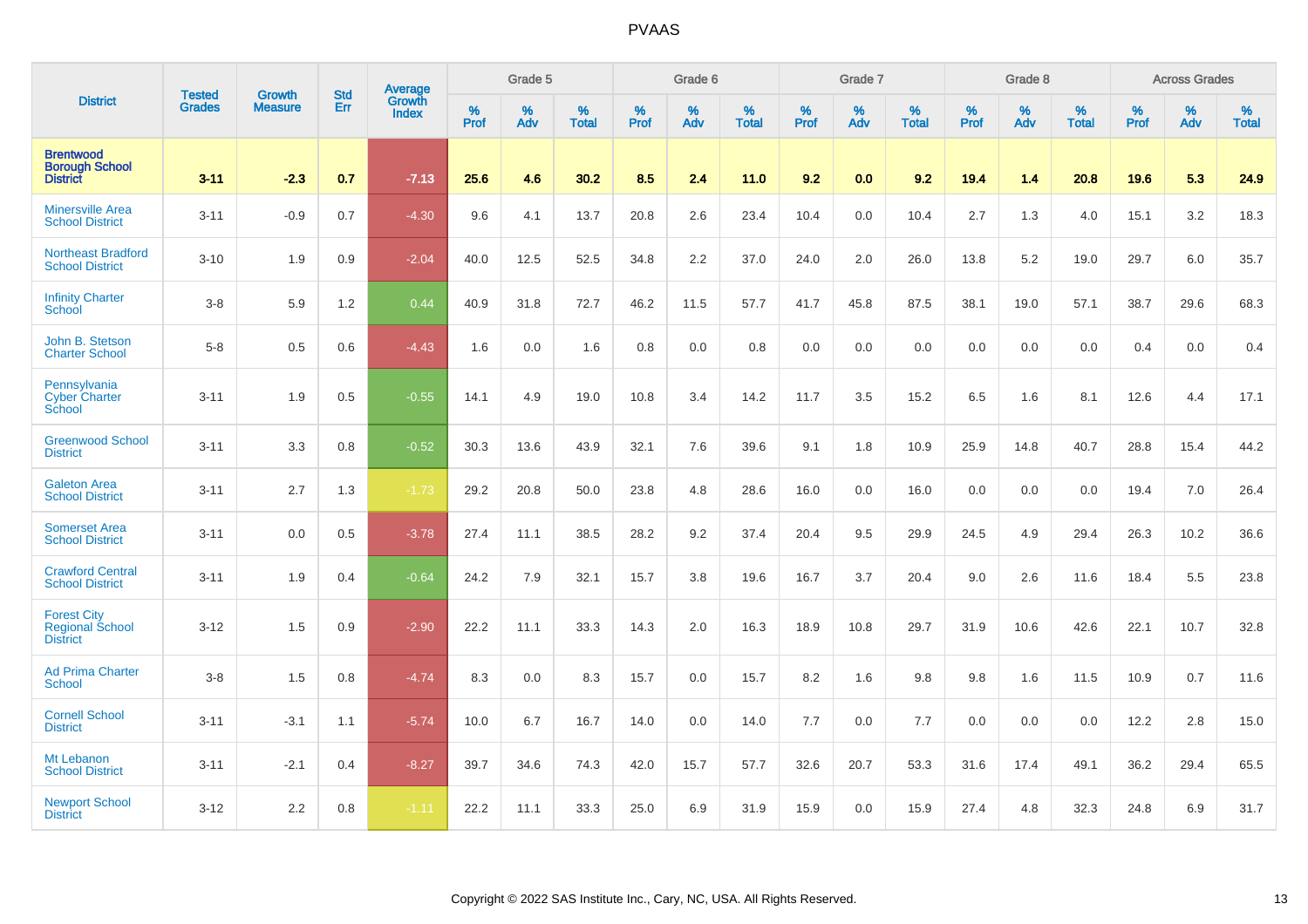|                                                                 | <b>Tested</b> | <b>Growth</b>  | <b>Std</b> | Average                |              | Grade 5  |                   |           | Grade 6  |                   |           | Grade 7  |                   |           | Grade 8  |                   |           | <b>Across Grades</b> |                   |
|-----------------------------------------------------------------|---------------|----------------|------------|------------------------|--------------|----------|-------------------|-----------|----------|-------------------|-----------|----------|-------------------|-----------|----------|-------------------|-----------|----------------------|-------------------|
| <b>District</b>                                                 | <b>Grades</b> | <b>Measure</b> | Err        | Growth<br><b>Index</b> | $\%$<br>Prof | %<br>Adv | %<br><b>Total</b> | %<br>Prof | %<br>Adv | %<br><b>Total</b> | %<br>Prof | %<br>Adv | %<br><b>Total</b> | %<br>Prof | %<br>Adv | %<br><b>Total</b> | %<br>Prof | %<br>Adv             | %<br><b>Total</b> |
| <b>Brentwood</b><br><b>Borough School</b><br><b>District</b>    | $3 - 11$      | $-2.3$         | 0.7        | $-7.13$                | 25.6         | 4.6      | 30.2              | 8.5       | 2.4      | 11.0              | 9.2       | 0.0      | 9.2               | 19.4      | 1.4      | 20.8              | 19.6      | 5.3                  | 24.9              |
| <b>Minersville Area</b><br><b>School District</b>               | $3 - 11$      | $-0.9$         | 0.7        | $-4.30$                | 9.6          | 4.1      | 13.7              | 20.8      | 2.6      | 23.4              | 10.4      | 0.0      | 10.4              | 2.7       | 1.3      | 4.0               | 15.1      | 3.2                  | 18.3              |
| <b>Northeast Bradford</b><br><b>School District</b>             | $3 - 10$      | 1.9            | 0.9        | $-2.04$                | 40.0         | 12.5     | 52.5              | 34.8      | 2.2      | 37.0              | 24.0      | 2.0      | 26.0              | 13.8      | 5.2      | 19.0              | 29.7      | 6.0                  | 35.7              |
| <b>Infinity Charter</b><br>School                               | $3-8$         | 5.9            | 1.2        | 0.44                   | 40.9         | 31.8     | 72.7              | 46.2      | 11.5     | 57.7              | 41.7      | 45.8     | 87.5              | 38.1      | 19.0     | 57.1              | 38.7      | 29.6                 | 68.3              |
| John B. Stetson<br><b>Charter School</b>                        | $5-8$         | 0.5            | 0.6        | $-4.43$                | 1.6          | 0.0      | 1.6               | 0.8       | 0.0      | 0.8               | 0.0       | 0.0      | 0.0               | 0.0       | 0.0      | 0.0               | 0.4       | 0.0                  | 0.4               |
| Pennsylvania<br><b>Cyber Charter</b><br>School                  | $3 - 11$      | 1.9            | 0.5        | $-0.55$                | 14.1         | 4.9      | 19.0              | 10.8      | 3.4      | 14.2              | 11.7      | 3.5      | 15.2              | 6.5       | 1.6      | 8.1               | 12.6      | 4.4                  | 17.1              |
| <b>Greenwood School</b><br><b>District</b>                      | $3 - 11$      | 3.3            | 0.8        | $-0.52$                | 30.3         | 13.6     | 43.9              | 32.1      | 7.6      | 39.6              | 9.1       | 1.8      | 10.9              | 25.9      | 14.8     | 40.7              | 28.8      | 15.4                 | 44.2              |
| <b>Galeton Area</b><br><b>School District</b>                   | $3 - 11$      | 2.7            | 1.3        | $-1.73$                | 29.2         | 20.8     | 50.0              | 23.8      | 4.8      | 28.6              | 16.0      | 0.0      | 16.0              | 0.0       | 0.0      | 0.0               | 19.4      | 7.0                  | 26.4              |
| <b>Somerset Area</b><br><b>School District</b>                  | $3 - 11$      | 0.0            | 0.5        | $-3.78$                | 27.4         | 11.1     | 38.5              | 28.2      | 9.2      | 37.4              | 20.4      | 9.5      | 29.9              | 24.5      | 4.9      | 29.4              | 26.3      | 10.2                 | 36.6              |
| <b>Crawford Central</b><br><b>School District</b>               | $3 - 11$      | 1.9            | 0.4        | $-0.64$                | 24.2         | 7.9      | 32.1              | 15.7      | 3.8      | 19.6              | 16.7      | 3.7      | 20.4              | 9.0       | 2.6      | 11.6              | 18.4      | 5.5                  | 23.8              |
| <b>Forest City</b><br><b>Regional School</b><br><b>District</b> | $3 - 12$      | 1.5            | 0.9        | $-2.90$                | 22.2         | 11.1     | 33.3              | 14.3      | 2.0      | 16.3              | 18.9      | 10.8     | 29.7              | 31.9      | 10.6     | 42.6              | 22.1      | 10.7                 | 32.8              |
| <b>Ad Prima Charter</b><br><b>School</b>                        | $3-8$         | 1.5            | 0.8        | $-4.74$                | 8.3          | 0.0      | 8.3               | 15.7      | 0.0      | 15.7              | 8.2       | 1.6      | 9.8               | 9.8       | 1.6      | 11.5              | 10.9      | 0.7                  | 11.6              |
| <b>Cornell School</b><br><b>District</b>                        | $3 - 11$      | $-3.1$         | 1.1        | $-5.74$                | 10.0         | 6.7      | 16.7              | 14.0      | 0.0      | 14.0              | 7.7       | 0.0      | 7.7               | 0.0       | 0.0      | 0.0               | 12.2      | 2.8                  | 15.0              |
| Mt Lebanon<br><b>School District</b>                            | $3 - 11$      | $-2.1$         | 0.4        | $-8.27$                | 39.7         | 34.6     | 74.3              | 42.0      | 15.7     | 57.7              | 32.6      | 20.7     | 53.3              | 31.6      | 17.4     | 49.1              | 36.2      | 29.4                 | 65.5              |
| <b>Newport School</b><br><b>District</b>                        | $3 - 12$      | 2.2            | 0.8        | $-1.11$                | 22.2         | 11.1     | 33.3              | 25.0      | 6.9      | 31.9              | 15.9      | 0.0      | 15.9              | 27.4      | 4.8      | 32.3              | 24.8      | 6.9                  | 31.7              |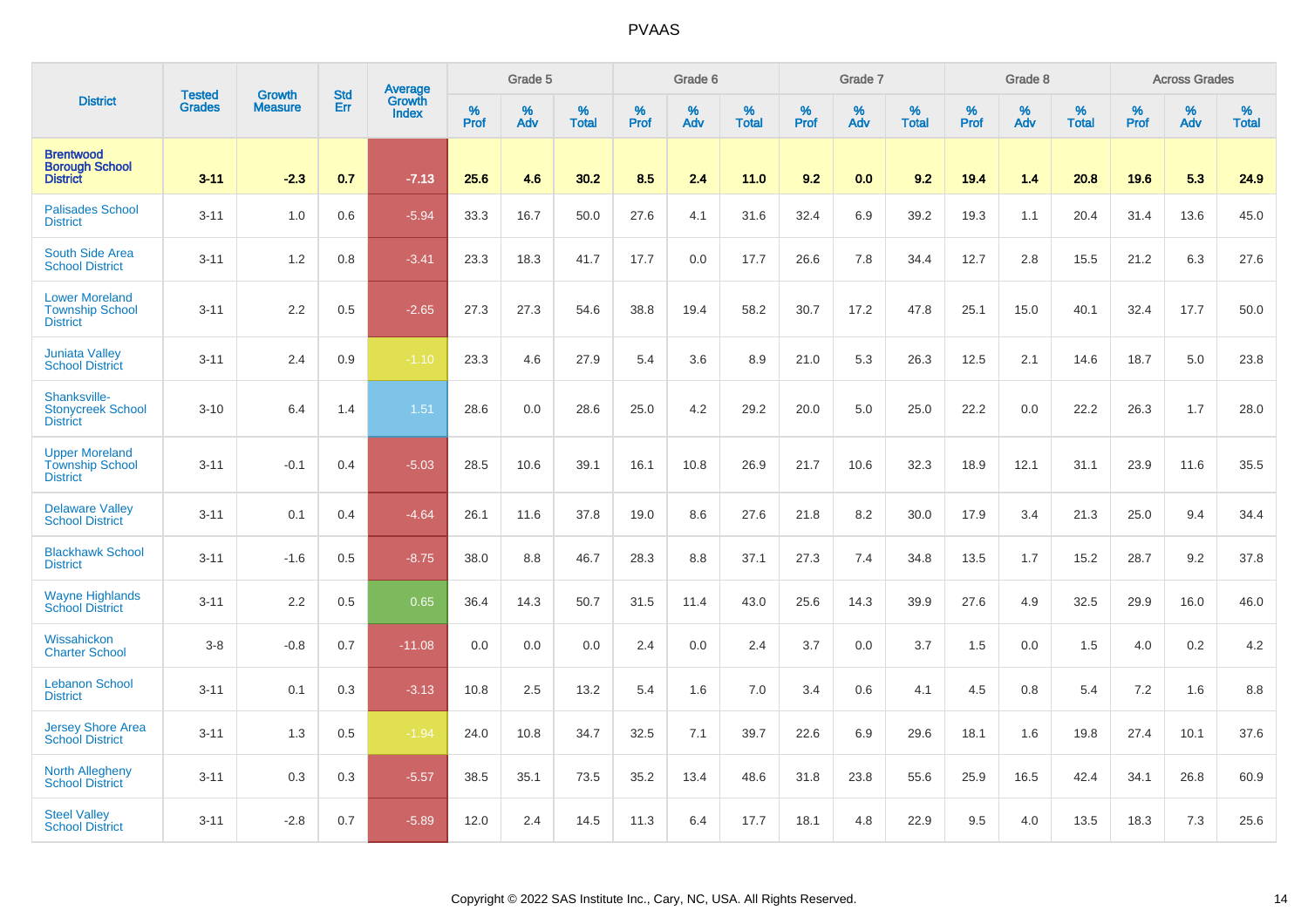|                                                                    | <b>Tested</b> | <b>Growth</b>  | <b>Std</b> | <b>Average</b>         |              | Grade 5  |                   |           | Grade 6  |                   |           | Grade 7  |                   |           | Grade 8  |                   |           | <b>Across Grades</b> |                   |
|--------------------------------------------------------------------|---------------|----------------|------------|------------------------|--------------|----------|-------------------|-----------|----------|-------------------|-----------|----------|-------------------|-----------|----------|-------------------|-----------|----------------------|-------------------|
| <b>District</b>                                                    | <b>Grades</b> | <b>Measure</b> | Err        | Growth<br><b>Index</b> | $\%$<br>Prof | %<br>Adv | %<br><b>Total</b> | %<br>Prof | %<br>Adv | %<br><b>Total</b> | %<br>Prof | %<br>Adv | %<br><b>Total</b> | %<br>Prof | %<br>Adv | %<br><b>Total</b> | %<br>Prof | %<br>Adv             | %<br><b>Total</b> |
| <b>Brentwood</b><br><b>Borough School</b><br><b>District</b>       | $3 - 11$      | $-2.3$         | 0.7        | $-7.13$                | 25.6         | 4.6      | 30.2              | 8.5       | 2.4      | 11.0              | 9.2       | 0.0      | 9.2               | 19.4      | 1.4      | 20.8              | 19.6      | 5.3                  | 24.9              |
| <b>Palisades School</b><br><b>District</b>                         | $3 - 11$      | 1.0            | 0.6        | $-5.94$                | 33.3         | 16.7     | 50.0              | 27.6      | 4.1      | 31.6              | 32.4      | 6.9      | 39.2              | 19.3      | 1.1      | 20.4              | 31.4      | 13.6                 | 45.0              |
| South Side Area<br><b>School District</b>                          | $3 - 11$      | 1.2            | 0.8        | $-3.41$                | 23.3         | 18.3     | 41.7              | 17.7      | 0.0      | 17.7              | 26.6      | 7.8      | 34.4              | 12.7      | 2.8      | 15.5              | 21.2      | 6.3                  | 27.6              |
| <b>Lower Moreland</b><br><b>Township School</b><br><b>District</b> | $3 - 11$      | 2.2            | 0.5        | $-2.65$                | 27.3         | 27.3     | 54.6              | 38.8      | 19.4     | 58.2              | 30.7      | 17.2     | 47.8              | 25.1      | 15.0     | 40.1              | 32.4      | 17.7                 | 50.0              |
| <b>Juniata Valley</b><br><b>School District</b>                    | $3 - 11$      | 2.4            | 0.9        | $-1.10$                | 23.3         | 4.6      | 27.9              | 5.4       | 3.6      | 8.9               | 21.0      | 5.3      | 26.3              | 12.5      | 2.1      | 14.6              | 18.7      | 5.0                  | 23.8              |
| Shanksville-<br><b>Stonycreek School</b><br><b>District</b>        | $3 - 10$      | 6.4            | 1.4        | 1.51                   | 28.6         | 0.0      | 28.6              | 25.0      | 4.2      | 29.2              | 20.0      | 5.0      | 25.0              | 22.2      | 0.0      | 22.2              | 26.3      | 1.7                  | 28.0              |
| <b>Upper Moreland</b><br><b>Township School</b><br><b>District</b> | $3 - 11$      | $-0.1$         | 0.4        | $-5.03$                | 28.5         | 10.6     | 39.1              | 16.1      | 10.8     | 26.9              | 21.7      | 10.6     | 32.3              | 18.9      | 12.1     | 31.1              | 23.9      | 11.6                 | 35.5              |
| <b>Delaware Valley</b><br><b>School District</b>                   | $3 - 11$      | 0.1            | 0.4        | $-4.64$                | 26.1         | 11.6     | 37.8              | 19.0      | 8.6      | 27.6              | 21.8      | 8.2      | 30.0              | 17.9      | 3.4      | 21.3              | 25.0      | 9.4                  | 34.4              |
| <b>Blackhawk School</b><br><b>District</b>                         | $3 - 11$      | $-1.6$         | 0.5        | $-8.75$                | 38.0         | 8.8      | 46.7              | 28.3      | 8.8      | 37.1              | 27.3      | 7.4      | 34.8              | 13.5      | 1.7      | 15.2              | 28.7      | 9.2                  | 37.8              |
| <b>Wayne Highlands</b><br><b>School District</b>                   | $3 - 11$      | 2.2            | 0.5        | 0.65                   | 36.4         | 14.3     | 50.7              | 31.5      | 11.4     | 43.0              | 25.6      | 14.3     | 39.9              | 27.6      | 4.9      | 32.5              | 29.9      | 16.0                 | 46.0              |
| Wissahickon<br><b>Charter School</b>                               | $3-8$         | $-0.8$         | 0.7        | $-11.08$               | 0.0          | 0.0      | 0.0               | 2.4       | 0.0      | 2.4               | 3.7       | 0.0      | 3.7               | 1.5       | 0.0      | 1.5               | 4.0       | 0.2                  | 4.2               |
| <b>Lebanon School</b><br><b>District</b>                           | $3 - 11$      | 0.1            | 0.3        | $-3.13$                | 10.8         | 2.5      | 13.2              | 5.4       | 1.6      | 7.0               | 3.4       | 0.6      | 4.1               | 4.5       | 0.8      | 5.4               | 7.2       | 1.6                  | 8.8               |
| <b>Jersey Shore Area</b><br><b>School District</b>                 | $3 - 11$      | 1.3            | 0.5        | $-1.94$                | 24.0         | 10.8     | 34.7              | 32.5      | 7.1      | 39.7              | 22.6      | 6.9      | 29.6              | 18.1      | 1.6      | 19.8              | 27.4      | 10.1                 | 37.6              |
| <b>North Allegheny</b><br><b>School District</b>                   | $3 - 11$      | 0.3            | 0.3        | $-5.57$                | 38.5         | 35.1     | 73.5              | 35.2      | 13.4     | 48.6              | 31.8      | 23.8     | 55.6              | 25.9      | 16.5     | 42.4              | 34.1      | 26.8                 | 60.9              |
| <b>Steel Valley</b><br><b>School District</b>                      | $3 - 11$      | $-2.8$         | 0.7        | $-5.89$                | 12.0         | 2.4      | 14.5              | 11.3      | 6.4      | 17.7              | 18.1      | 4.8      | 22.9              | 9.5       | 4.0      | 13.5              | 18.3      | 7.3                  | 25.6              |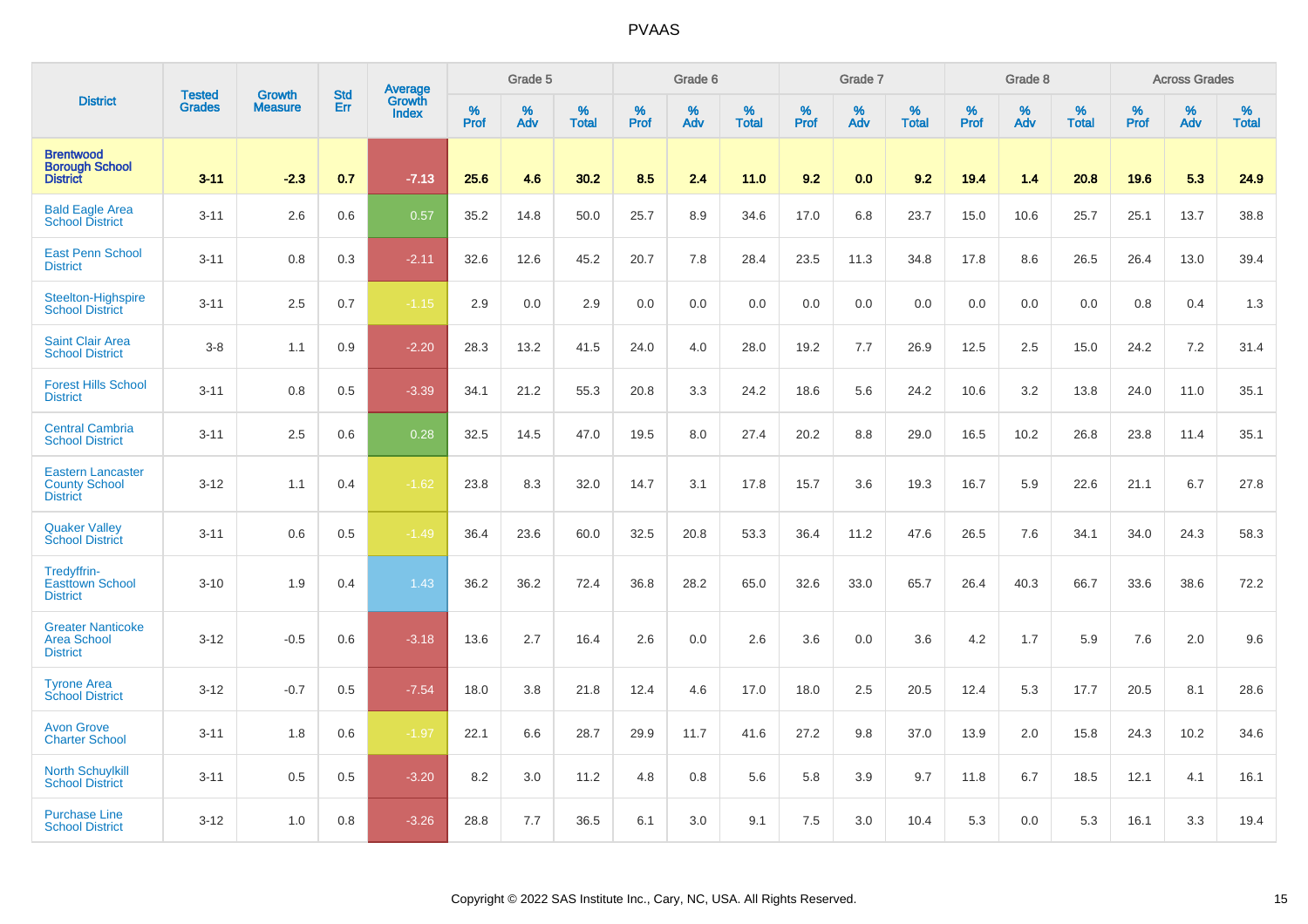|                                                                     |                                |                                 | <b>Std</b> | Average                |              | Grade 5  |                   |           | Grade 6  |                   |           | Grade 7  |                   |           | Grade 8  |                   |           | <b>Across Grades</b> |                   |
|---------------------------------------------------------------------|--------------------------------|---------------------------------|------------|------------------------|--------------|----------|-------------------|-----------|----------|-------------------|-----------|----------|-------------------|-----------|----------|-------------------|-----------|----------------------|-------------------|
| <b>District</b>                                                     | <b>Tested</b><br><b>Grades</b> | <b>Growth</b><br><b>Measure</b> | Err        | Growth<br><b>Index</b> | $\%$<br>Prof | %<br>Adv | %<br><b>Total</b> | %<br>Prof | %<br>Adv | %<br><b>Total</b> | %<br>Prof | %<br>Adv | %<br><b>Total</b> | %<br>Prof | %<br>Adv | %<br><b>Total</b> | %<br>Prof | %<br>Adv             | %<br><b>Total</b> |
| <b>Brentwood</b><br><b>Borough School</b><br><b>District</b>        | $3 - 11$                       | $-2.3$                          | 0.7        | $-7.13$                | 25.6         | 4.6      | 30.2              | 8.5       | 2.4      | 11.0              | 9.2       | 0.0      | 9.2               | 19.4      | 1.4      | 20.8              | 19.6      | 5.3                  | 24.9              |
| <b>Bald Eagle Area</b><br><b>School District</b>                    | $3 - 11$                       | 2.6                             | 0.6        | 0.57                   | 35.2         | 14.8     | 50.0              | 25.7      | 8.9      | 34.6              | 17.0      | 6.8      | 23.7              | 15.0      | 10.6     | 25.7              | 25.1      | 13.7                 | 38.8              |
| <b>East Penn School</b><br><b>District</b>                          | $3 - 11$                       | 0.8                             | 0.3        | $-2.11$                | 32.6         | 12.6     | 45.2              | 20.7      | 7.8      | 28.4              | 23.5      | 11.3     | 34.8              | 17.8      | 8.6      | 26.5              | 26.4      | 13.0                 | 39.4              |
| Steelton-Highspire<br><b>School District</b>                        | $3 - 11$                       | 2.5                             | 0.7        | $-1.15$                | 2.9          | 0.0      | 2.9               | 0.0       | 0.0      | 0.0               | 0.0       | 0.0      | 0.0               | 0.0       | 0.0      | 0.0               | 0.8       | 0.4                  | 1.3               |
| <b>Saint Clair Area</b><br><b>School District</b>                   | $3-8$                          | 1.1                             | 0.9        | $-2.20$                | 28.3         | 13.2     | 41.5              | 24.0      | 4.0      | 28.0              | 19.2      | 7.7      | 26.9              | 12.5      | 2.5      | 15.0              | 24.2      | 7.2                  | 31.4              |
| <b>Forest Hills School</b><br><b>District</b>                       | $3 - 11$                       | 0.8                             | 0.5        | $-3.39$                | 34.1         | 21.2     | 55.3              | 20.8      | 3.3      | 24.2              | 18.6      | 5.6      | 24.2              | 10.6      | 3.2      | 13.8              | 24.0      | 11.0                 | 35.1              |
| <b>Central Cambria</b><br><b>School District</b>                    | $3 - 11$                       | 2.5                             | 0.6        | 0.28                   | 32.5         | 14.5     | 47.0              | 19.5      | 8.0      | 27.4              | 20.2      | 8.8      | 29.0              | 16.5      | 10.2     | 26.8              | 23.8      | 11.4                 | 35.1              |
| <b>Eastern Lancaster</b><br><b>County School</b><br><b>District</b> | $3 - 12$                       | 1.1                             | 0.4        | $-1.62$                | 23.8         | 8.3      | 32.0              | 14.7      | 3.1      | 17.8              | 15.7      | 3.6      | 19.3              | 16.7      | 5.9      | 22.6              | 21.1      | 6.7                  | 27.8              |
| <b>Quaker Valley</b><br><b>School District</b>                      | $3 - 11$                       | 0.6                             | 0.5        | $-1.49$                | 36.4         | 23.6     | 60.0              | 32.5      | 20.8     | 53.3              | 36.4      | 11.2     | 47.6              | 26.5      | 7.6      | 34.1              | 34.0      | 24.3                 | 58.3              |
| Tredyffrin-<br><b>Easttown School</b><br><b>District</b>            | $3 - 10$                       | 1.9                             | 0.4        | 1.43                   | 36.2         | 36.2     | 72.4              | 36.8      | 28.2     | 65.0              | 32.6      | 33.0     | 65.7              | 26.4      | 40.3     | 66.7              | 33.6      | 38.6                 | 72.2              |
| <b>Greater Nanticoke</b><br><b>Area School</b><br><b>District</b>   | $3 - 12$                       | $-0.5$                          | 0.6        | $-3.18$                | 13.6         | 2.7      | 16.4              | 2.6       | 0.0      | 2.6               | 3.6       | 0.0      | 3.6               | 4.2       | 1.7      | 5.9               | 7.6       | 2.0                  | 9.6               |
| <b>Tyrone Area</b><br><b>School District</b>                        | $3 - 12$                       | $-0.7$                          | 0.5        | $-7.54$                | 18.0         | 3.8      | 21.8              | 12.4      | 4.6      | 17.0              | 18.0      | 2.5      | 20.5              | 12.4      | 5.3      | 17.7              | 20.5      | 8.1                  | 28.6              |
| <b>Avon Grove</b><br><b>Charter School</b>                          | $3 - 11$                       | 1.8                             | 0.6        | $-1.97$                | 22.1         | 6.6      | 28.7              | 29.9      | 11.7     | 41.6              | 27.2      | 9.8      | 37.0              | 13.9      | 2.0      | 15.8              | 24.3      | 10.2                 | 34.6              |
| <b>North Schuylkill</b><br><b>School District</b>                   | $3 - 11$                       | 0.5                             | 0.5        | $-3.20$                | 8.2          | 3.0      | 11.2              | 4.8       | 0.8      | 5.6               | 5.8       | 3.9      | 9.7               | 11.8      | 6.7      | 18.5              | 12.1      | 4.1                  | 16.1              |
| <b>Purchase Line</b><br><b>School District</b>                      | $3 - 12$                       | 1.0                             | 0.8        | $-3.26$                | 28.8         | 7.7      | 36.5              | 6.1       | 3.0      | 9.1               | 7.5       | 3.0      | 10.4              | 5.3       | 0.0      | 5.3               | 16.1      | 3.3                  | 19.4              |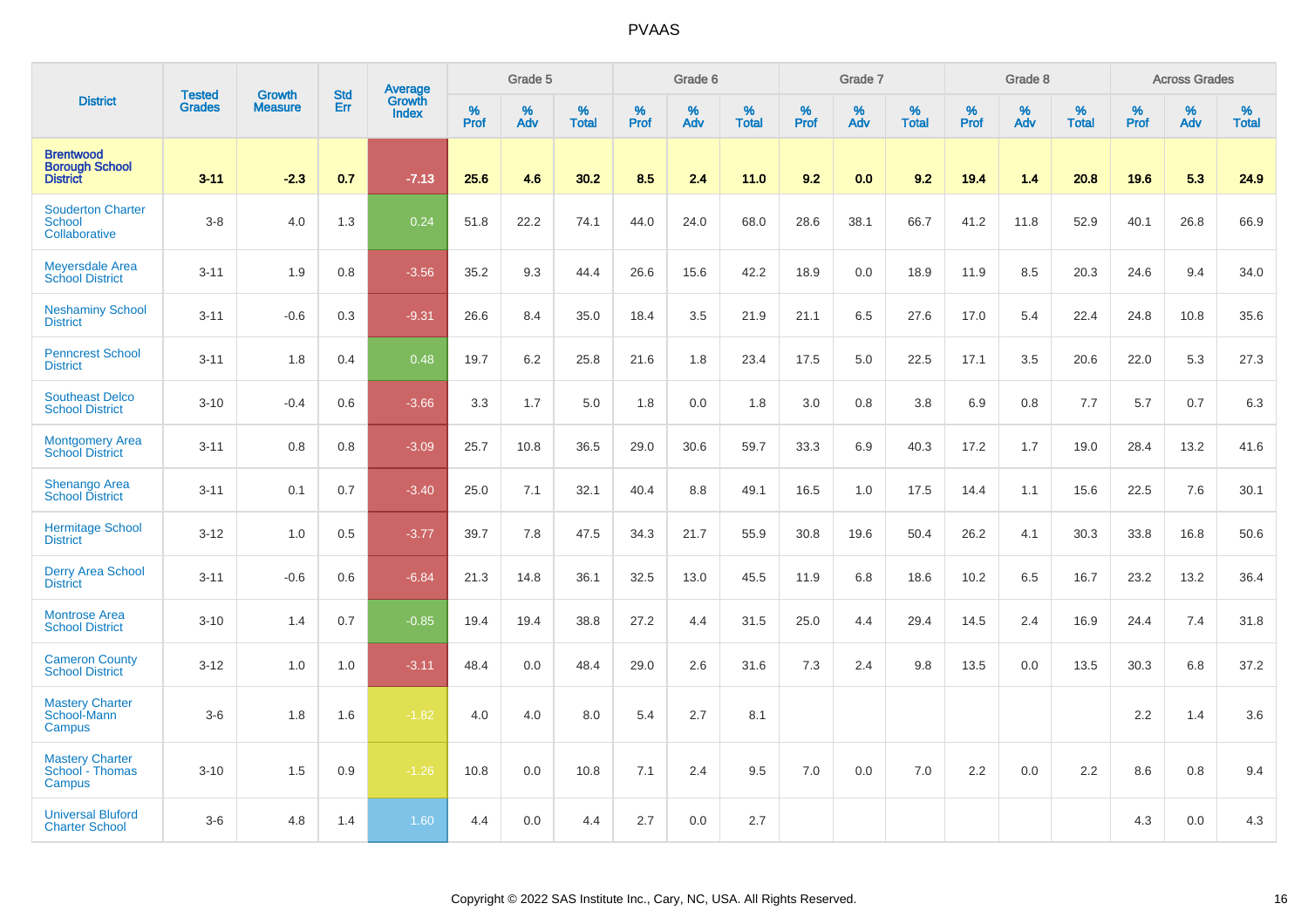|                                                              |                                |                                 | <b>Std</b> | Average                |              | Grade 5  |                   |           | Grade 6  |                   |              | Grade 7  |                   |           | Grade 8  |                   |           | <b>Across Grades</b> |                   |
|--------------------------------------------------------------|--------------------------------|---------------------------------|------------|------------------------|--------------|----------|-------------------|-----------|----------|-------------------|--------------|----------|-------------------|-----------|----------|-------------------|-----------|----------------------|-------------------|
| <b>District</b>                                              | <b>Tested</b><br><b>Grades</b> | <b>Growth</b><br><b>Measure</b> | Err        | Growth<br><b>Index</b> | $\%$<br>Prof | %<br>Adv | %<br><b>Total</b> | %<br>Prof | %<br>Adv | %<br><b>Total</b> | $\%$<br>Prof | %<br>Adv | %<br><b>Total</b> | %<br>Prof | %<br>Adv | %<br><b>Total</b> | %<br>Prof | %<br>Adv             | %<br><b>Total</b> |
| <b>Brentwood</b><br><b>Borough School</b><br><b>District</b> | $3 - 11$                       | $-2.3$                          | 0.7        | $-7.13$                | 25.6         | 4.6      | 30.2              | 8.5       | 2.4      | 11.0              | 9.2          | 0.0      | 9.2               | 19.4      | 1.4      | 20.8              | 19.6      | 5.3                  | 24.9              |
| <b>Souderton Charter</b><br>School<br>Collaborative          | $3-8$                          | 4.0                             | 1.3        | 0.24                   | 51.8         | 22.2     | 74.1              | 44.0      | 24.0     | 68.0              | 28.6         | 38.1     | 66.7              | 41.2      | 11.8     | 52.9              | 40.1      | 26.8                 | 66.9              |
| <b>Meyersdale Area</b><br><b>School District</b>             | $3 - 11$                       | 1.9                             | 0.8        | $-3.56$                | 35.2         | 9.3      | 44.4              | 26.6      | 15.6     | 42.2              | 18.9         | 0.0      | 18.9              | 11.9      | 8.5      | 20.3              | 24.6      | 9.4                  | 34.0              |
| <b>Neshaminy School</b><br><b>District</b>                   | $3 - 11$                       | $-0.6$                          | 0.3        | $-9.31$                | 26.6         | 8.4      | 35.0              | 18.4      | 3.5      | 21.9              | 21.1         | 6.5      | 27.6              | 17.0      | 5.4      | 22.4              | 24.8      | 10.8                 | 35.6              |
| <b>Penncrest School</b><br><b>District</b>                   | $3 - 11$                       | 1.8                             | 0.4        | 0.48                   | 19.7         | 6.2      | 25.8              | 21.6      | 1.8      | 23.4              | 17.5         | 5.0      | 22.5              | 17.1      | 3.5      | 20.6              | 22.0      | 5.3                  | 27.3              |
| <b>Southeast Delco</b><br><b>School District</b>             | $3 - 10$                       | $-0.4$                          | 0.6        | $-3.66$                | 3.3          | 1.7      | 5.0               | 1.8       | 0.0      | 1.8               | 3.0          | 0.8      | 3.8               | 6.9       | 0.8      | 7.7               | 5.7       | 0.7                  | 6.3               |
| <b>Montgomery Area</b><br><b>School District</b>             | $3 - 11$                       | 0.8                             | 0.8        | $-3.09$                | 25.7         | 10.8     | 36.5              | 29.0      | 30.6     | 59.7              | 33.3         | 6.9      | 40.3              | 17.2      | 1.7      | 19.0              | 28.4      | 13.2                 | 41.6              |
| <b>Shenango Area</b><br><b>School District</b>               | $3 - 11$                       | 0.1                             | 0.7        | $-3.40$                | 25.0         | 7.1      | 32.1              | 40.4      | 8.8      | 49.1              | 16.5         | 1.0      | 17.5              | 14.4      | 1.1      | 15.6              | 22.5      | 7.6                  | 30.1              |
| <b>Hermitage School</b><br><b>District</b>                   | $3 - 12$                       | 1.0                             | 0.5        | $-3.77$                | 39.7         | 7.8      | 47.5              | 34.3      | 21.7     | 55.9              | 30.8         | 19.6     | 50.4              | 26.2      | 4.1      | 30.3              | 33.8      | 16.8                 | 50.6              |
| <b>Derry Area School</b><br><b>District</b>                  | $3 - 11$                       | $-0.6$                          | 0.6        | $-6.84$                | 21.3         | 14.8     | 36.1              | 32.5      | 13.0     | 45.5              | 11.9         | 6.8      | 18.6              | 10.2      | 6.5      | 16.7              | 23.2      | 13.2                 | 36.4              |
| <b>Montrose Area</b><br><b>School District</b>               | $3 - 10$                       | 1.4                             | 0.7        | $-0.85$                | 19.4         | 19.4     | 38.8              | 27.2      | 4.4      | 31.5              | 25.0         | 4.4      | 29.4              | 14.5      | 2.4      | 16.9              | 24.4      | 7.4                  | 31.8              |
| <b>Cameron County</b><br><b>School District</b>              | $3 - 12$                       | 1.0                             | 1.0        | $-3.11$                | 48.4         | 0.0      | 48.4              | 29.0      | 2.6      | 31.6              | 7.3          | 2.4      | 9.8               | 13.5      | 0.0      | 13.5              | 30.3      | 6.8                  | 37.2              |
| <b>Mastery Charter</b><br>School-Mann<br><b>Campus</b>       | $3-6$                          | 1.8                             | 1.6        | $-1.82$                | 4.0          | 4.0      | 8.0               | 5.4       | 2.7      | 8.1               |              |          |                   |           |          |                   | 2.2       | 1.4                  | 3.6               |
| <b>Mastery Charter</b><br>School - Thomas<br>Campus          | $3 - 10$                       | 1.5                             | 0.9        | $-1.26$                | 10.8         | 0.0      | 10.8              | 7.1       | 2.4      | 9.5               | 7.0          | 0.0      | 7.0               | 2.2       | 0.0      | 2.2               | 8.6       | 0.8                  | 9.4               |
| <b>Universal Bluford</b><br><b>Charter School</b>            | $3-6$                          | 4.8                             | 1.4        | 1.60                   | 4.4          | 0.0      | 4.4               | 2.7       | 0.0      | 2.7               |              |          |                   |           |          |                   | 4.3       | 0.0                  | 4.3               |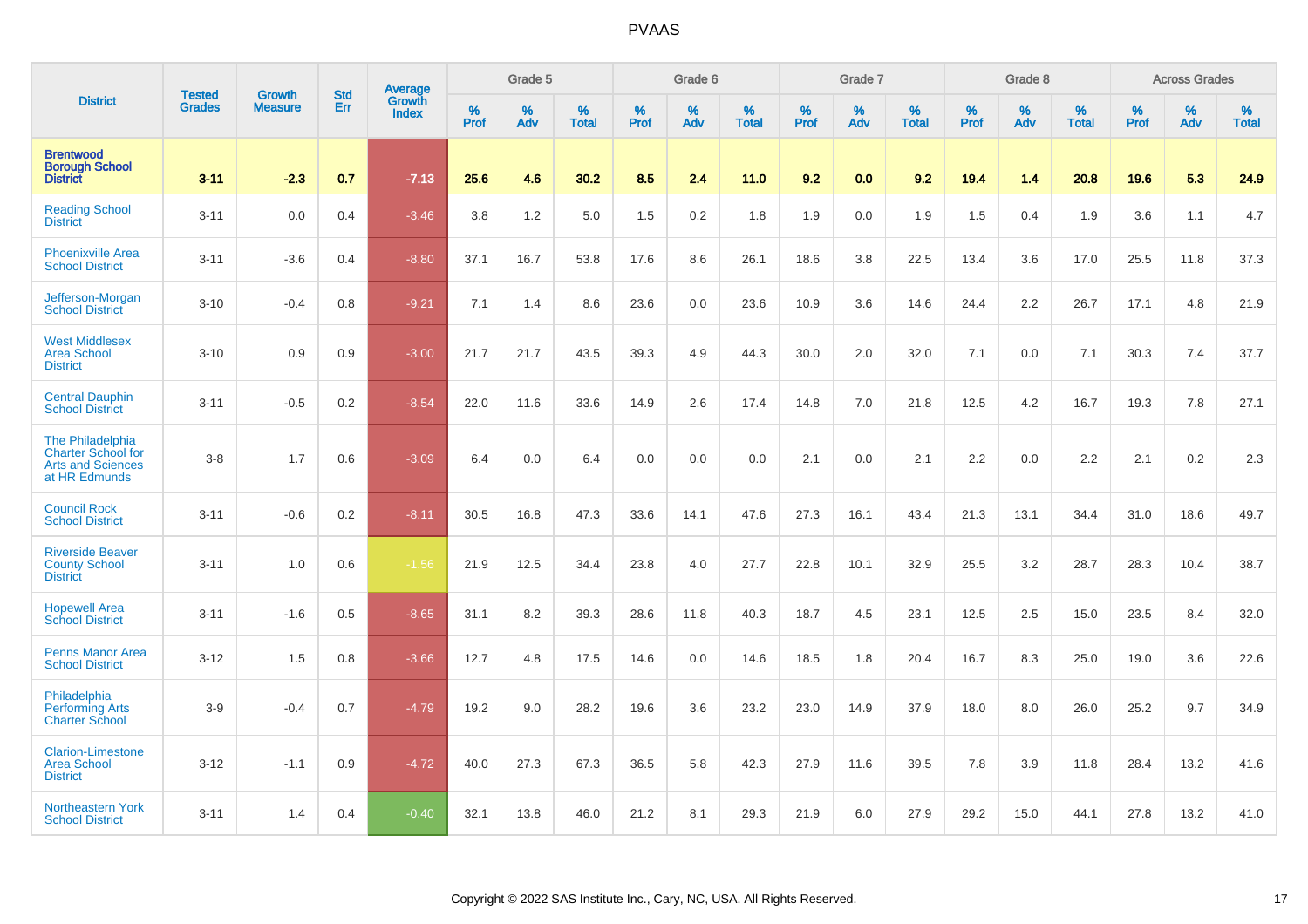|                                                                                            | <b>Tested</b> | <b>Growth</b>  | <b>Std</b> | <b>Average</b>         |           | Grade 5  |                   |           | Grade 6  |                   |           | Grade 7  |                   |           | Grade 8  |                   |           | <b>Across Grades</b> |                   |
|--------------------------------------------------------------------------------------------|---------------|----------------|------------|------------------------|-----------|----------|-------------------|-----------|----------|-------------------|-----------|----------|-------------------|-----------|----------|-------------------|-----------|----------------------|-------------------|
| <b>District</b>                                                                            | <b>Grades</b> | <b>Measure</b> | Err        | Growth<br><b>Index</b> | %<br>Prof | %<br>Adv | %<br><b>Total</b> | %<br>Prof | %<br>Adv | %<br><b>Total</b> | %<br>Prof | %<br>Adv | %<br><b>Total</b> | %<br>Prof | %<br>Adv | %<br><b>Total</b> | %<br>Prof | %<br>Adv             | %<br><b>Total</b> |
| <b>Brentwood</b><br><b>Borough School</b><br><b>District</b>                               | $3 - 11$      | $-2.3$         | 0.7        | $-7.13$                | 25.6      | 4.6      | 30.2              | 8.5       | 2.4      | 11.0              | 9.2       | 0.0      | 9.2               | 19.4      | 1.4      | 20.8              | 19.6      | 5.3                  | 24.9              |
| <b>Reading School</b><br><b>District</b>                                                   | $3 - 11$      | 0.0            | 0.4        | $-3.46$                | 3.8       | 1.2      | 5.0               | 1.5       | 0.2      | 1.8               | 1.9       | 0.0      | 1.9               | 1.5       | 0.4      | 1.9               | 3.6       | 1.1                  | 4.7               |
| <b>Phoenixville Area</b><br><b>School District</b>                                         | $3 - 11$      | $-3.6$         | 0.4        | $-8.80$                | 37.1      | 16.7     | 53.8              | 17.6      | 8.6      | 26.1              | 18.6      | 3.8      | 22.5              | 13.4      | 3.6      | 17.0              | 25.5      | 11.8                 | 37.3              |
| Jefferson-Morgan<br><b>School District</b>                                                 | $3 - 10$      | $-0.4$         | 0.8        | $-9.21$                | 7.1       | 1.4      | 8.6               | 23.6      | 0.0      | 23.6              | 10.9      | 3.6      | 14.6              | 24.4      | 2.2      | 26.7              | 17.1      | 4.8                  | 21.9              |
| <b>West Middlesex</b><br><b>Area School</b><br><b>District</b>                             | $3 - 10$      | 0.9            | 0.9        | $-3.00$                | 21.7      | 21.7     | 43.5              | 39.3      | 4.9      | 44.3              | 30.0      | 2.0      | 32.0              | 7.1       | 0.0      | 7.1               | 30.3      | 7.4                  | 37.7              |
| <b>Central Dauphin</b><br><b>School District</b>                                           | $3 - 11$      | $-0.5$         | 0.2        | $-8.54$                | 22.0      | 11.6     | 33.6              | 14.9      | 2.6      | 17.4              | 14.8      | 7.0      | 21.8              | 12.5      | 4.2      | 16.7              | 19.3      | 7.8                  | 27.1              |
| The Philadelphia<br><b>Charter School for</b><br><b>Arts and Sciences</b><br>at HR Edmunds | $3-8$         | 1.7            | 0.6        | $-3.09$                | 6.4       | 0.0      | 6.4               | 0.0       | 0.0      | 0.0               | 2.1       | 0.0      | 2.1               | 2.2       | 0.0      | 2.2               | 2.1       | 0.2                  | 2.3               |
| <b>Council Rock</b><br><b>School District</b>                                              | $3 - 11$      | $-0.6$         | 0.2        | $-8.11$                | 30.5      | 16.8     | 47.3              | 33.6      | 14.1     | 47.6              | 27.3      | 16.1     | 43.4              | 21.3      | 13.1     | 34.4              | 31.0      | 18.6                 | 49.7              |
| <b>Riverside Beaver</b><br><b>County School</b><br><b>District</b>                         | $3 - 11$      | 1.0            | 0.6        | $-1.56$                | 21.9      | 12.5     | 34.4              | 23.8      | 4.0      | 27.7              | 22.8      | 10.1     | 32.9              | 25.5      | 3.2      | 28.7              | 28.3      | 10.4                 | 38.7              |
| <b>Hopewell Area</b><br><b>School District</b>                                             | $3 - 11$      | $-1.6$         | 0.5        | $-8.65$                | 31.1      | 8.2      | 39.3              | 28.6      | 11.8     | 40.3              | 18.7      | 4.5      | 23.1              | 12.5      | 2.5      | 15.0              | 23.5      | 8.4                  | 32.0              |
| <b>Penns Manor Area</b><br><b>School District</b>                                          | $3 - 12$      | 1.5            | 0.8        | $-3.66$                | 12.7      | 4.8      | 17.5              | 14.6      | 0.0      | 14.6              | 18.5      | 1.8      | 20.4              | 16.7      | 8.3      | 25.0              | 19.0      | 3.6                  | 22.6              |
| Philadelphia<br><b>Performing Arts</b><br><b>Charter School</b>                            | $3-9$         | $-0.4$         | 0.7        | $-4.79$                | 19.2      | 9.0      | 28.2              | 19.6      | 3.6      | 23.2              | 23.0      | 14.9     | 37.9              | 18.0      | 8.0      | 26.0              | 25.2      | 9.7                  | 34.9              |
| <b>Clarion-Limestone</b><br><b>Area School</b><br><b>District</b>                          | $3 - 12$      | $-1.1$         | 0.9        | $-4.72$                | 40.0      | 27.3     | 67.3              | 36.5      | 5.8      | 42.3              | 27.9      | 11.6     | 39.5              | 7.8       | 3.9      | 11.8              | 28.4      | 13.2                 | 41.6              |
| Northeastern York<br><b>School District</b>                                                | $3 - 11$      | 1.4            | 0.4        | $-0.40$                | 32.1      | 13.8     | 46.0              | 21.2      | 8.1      | 29.3              | 21.9      | 6.0      | 27.9              | 29.2      | 15.0     | 44.1              | 27.8      | 13.2                 | 41.0              |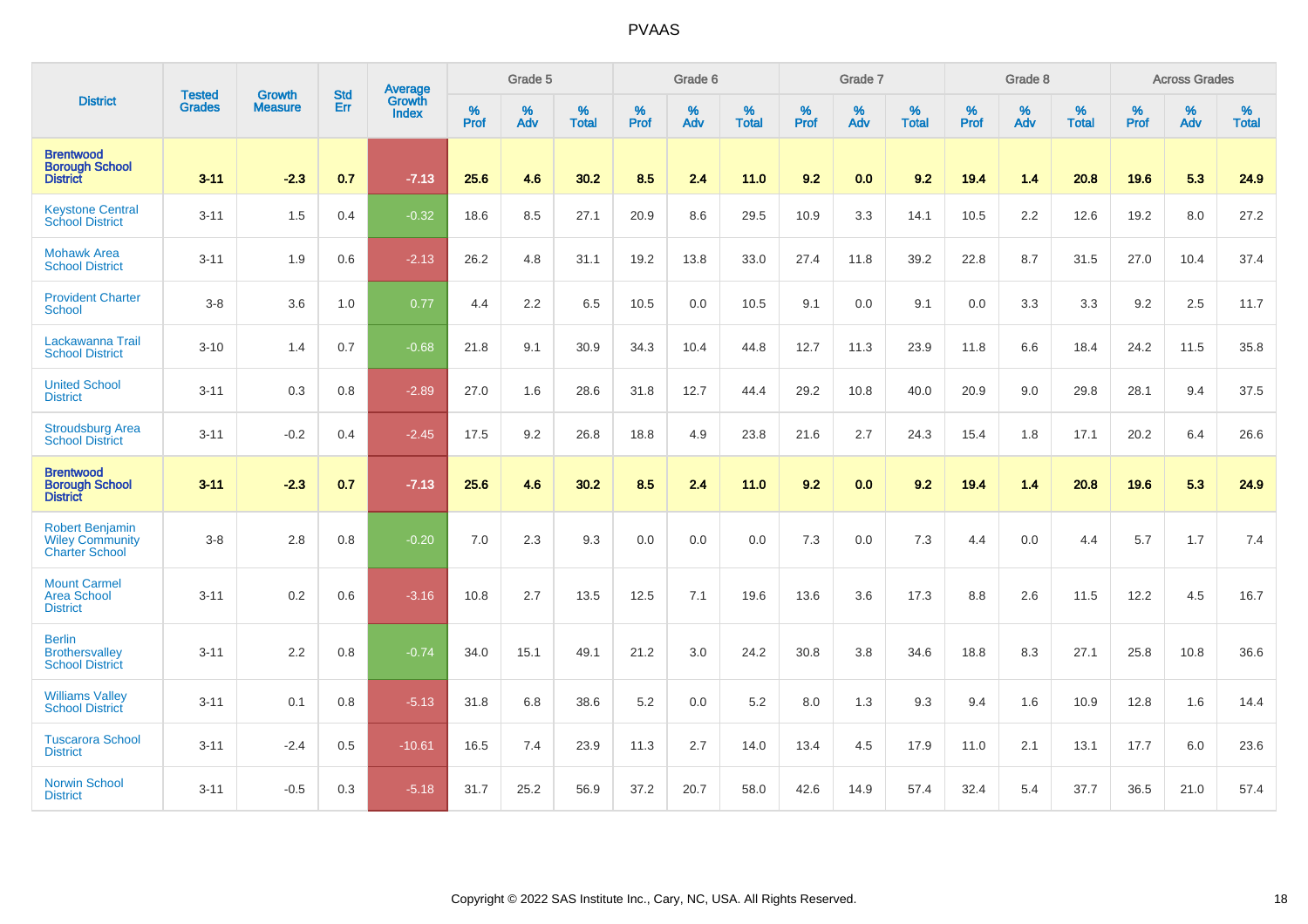|                                                                           | <b>Tested</b> | <b>Growth</b>  | <b>Std</b> | Average                |                     | Grade 5  |                   |                     | Grade 6  |                   |                     | Grade 7     |                   |           | Grade 8  |                   |                  | <b>Across Grades</b> |                   |
|---------------------------------------------------------------------------|---------------|----------------|------------|------------------------|---------------------|----------|-------------------|---------------------|----------|-------------------|---------------------|-------------|-------------------|-----------|----------|-------------------|------------------|----------------------|-------------------|
| <b>District</b>                                                           | <b>Grades</b> | <b>Measure</b> | <b>Err</b> | Growth<br><b>Index</b> | $\%$<br><b>Prof</b> | %<br>Adv | %<br><b>Total</b> | $\%$<br><b>Prof</b> | %<br>Adv | %<br><b>Total</b> | $\%$<br><b>Prof</b> | $\%$<br>Adv | %<br><b>Total</b> | %<br>Prof | %<br>Adv | %<br><b>Total</b> | %<br><b>Prof</b> | %<br>Adv             | %<br><b>Total</b> |
| <b>Brentwood</b><br><b>Borough School</b><br><b>District</b>              | $3 - 11$      | $-2.3$         | 0.7        | $-7.13$                | 25.6                | 4.6      | 30.2              | 8.5                 | 2.4      | 11.0              | 9.2                 | 0.0         | 9.2               | 19.4      | $1.4$    | 20.8              | 19.6             | 5.3                  | 24.9              |
| <b>Keystone Central</b><br><b>School District</b>                         | $3 - 11$      | 1.5            | 0.4        | $-0.32$                | 18.6                | 8.5      | 27.1              | 20.9                | 8.6      | 29.5              | 10.9                | 3.3         | 14.1              | 10.5      | 2.2      | 12.6              | 19.2             | 8.0                  | 27.2              |
| <b>Mohawk Area</b><br><b>School District</b>                              | $3 - 11$      | 1.9            | 0.6        | $-2.13$                | 26.2                | 4.8      | 31.1              | 19.2                | 13.8     | 33.0              | 27.4                | 11.8        | 39.2              | 22.8      | 8.7      | 31.5              | 27.0             | 10.4                 | 37.4              |
| <b>Provident Charter</b><br><b>School</b>                                 | $3-8$         | 3.6            | 1.0        | 0.77                   | 4.4                 | 2.2      | 6.5               | 10.5                | 0.0      | 10.5              | 9.1                 | 0.0         | 9.1               | 0.0       | 3.3      | 3.3               | 9.2              | 2.5                  | 11.7              |
| Lackawanna Trail<br><b>School District</b>                                | $3 - 10$      | 1.4            | 0.7        | $-0.68$                | 21.8                | 9.1      | 30.9              | 34.3                | 10.4     | 44.8              | 12.7                | 11.3        | 23.9              | 11.8      | 6.6      | 18.4              | 24.2             | 11.5                 | 35.8              |
| <b>United School</b><br><b>District</b>                                   | $3 - 11$      | 0.3            | 0.8        | $-2.89$                | 27.0                | 1.6      | 28.6              | 31.8                | 12.7     | 44.4              | 29.2                | 10.8        | 40.0              | 20.9      | 9.0      | 29.8              | 28.1             | 9.4                  | 37.5              |
| <b>Stroudsburg Area</b><br><b>School District</b>                         | $3 - 11$      | $-0.2$         | 0.4        | $-2.45$                | 17.5                | 9.2      | 26.8              | 18.8                | 4.9      | 23.8              | 21.6                | 2.7         | 24.3              | 15.4      | 1.8      | 17.1              | 20.2             | 6.4                  | 26.6              |
| <b>Brentwood</b><br><b>Borough School</b><br><b>District</b>              | 3.11          | $-2.3$         | 0.7        | $-7.13$                | 25.6                | 4.6      | 30.2              | 8.5                 | 2.4      | 11.0              | 9.2                 | 0.0         | 9.2               | 19.4      | 1.4      | 20.8              | 19.6             | 5.3                  | 24.9              |
| <b>Robert Benjamin</b><br><b>Wiley Community</b><br><b>Charter School</b> | $3-8$         | 2.8            | 0.8        | $-0.20$                | 7.0                 | 2.3      | 9.3               | 0.0                 | 0.0      | 0.0               | 7.3                 | 0.0         | 7.3               | 4.4       | 0.0      | 4.4               | 5.7              | 1.7                  | 7.4               |
| <b>Mount Carmel</b><br><b>Area School</b><br><b>District</b>              | $3 - 11$      | 0.2            | 0.6        | $-3.16$                | 10.8                | 2.7      | 13.5              | 12.5                | 7.1      | 19.6              | 13.6                | 3.6         | 17.3              | 8.8       | 2.6      | 11.5              | 12.2             | 4.5                  | 16.7              |
| <b>Berlin</b><br><b>Brothersvalley</b><br><b>School District</b>          | $3 - 11$      | 2.2            | 0.8        | $-0.74$                | 34.0                | 15.1     | 49.1              | 21.2                | 3.0      | 24.2              | 30.8                | 3.8         | 34.6              | 18.8      | 8.3      | 27.1              | 25.8             | 10.8                 | 36.6              |
| <b>Williams Valley</b><br><b>School District</b>                          | $3 - 11$      | 0.1            | 0.8        | $-5.13$                | 31.8                | 6.8      | 38.6              | 5.2                 | 0.0      | 5.2               | 8.0                 | 1.3         | 9.3               | 9.4       | 1.6      | 10.9              | 12.8             | 1.6                  | 14.4              |
| <b>Tuscarora School</b><br><b>District</b>                                | $3 - 11$      | $-2.4$         | 0.5        | $-10.61$               | 16.5                | 7.4      | 23.9              | 11.3                | 2.7      | 14.0              | 13.4                | 4.5         | 17.9              | 11.0      | 2.1      | 13.1              | 17.7             | 6.0                  | 23.6              |
| <b>Norwin School</b><br><b>District</b>                                   | $3 - 11$      | $-0.5$         | 0.3        | $-5.18$                | 31.7                | 25.2     | 56.9              | 37.2                | 20.7     | 58.0              | 42.6                | 14.9        | 57.4              | 32.4      | 5.4      | 37.7              | 36.5             | 21.0                 | 57.4              |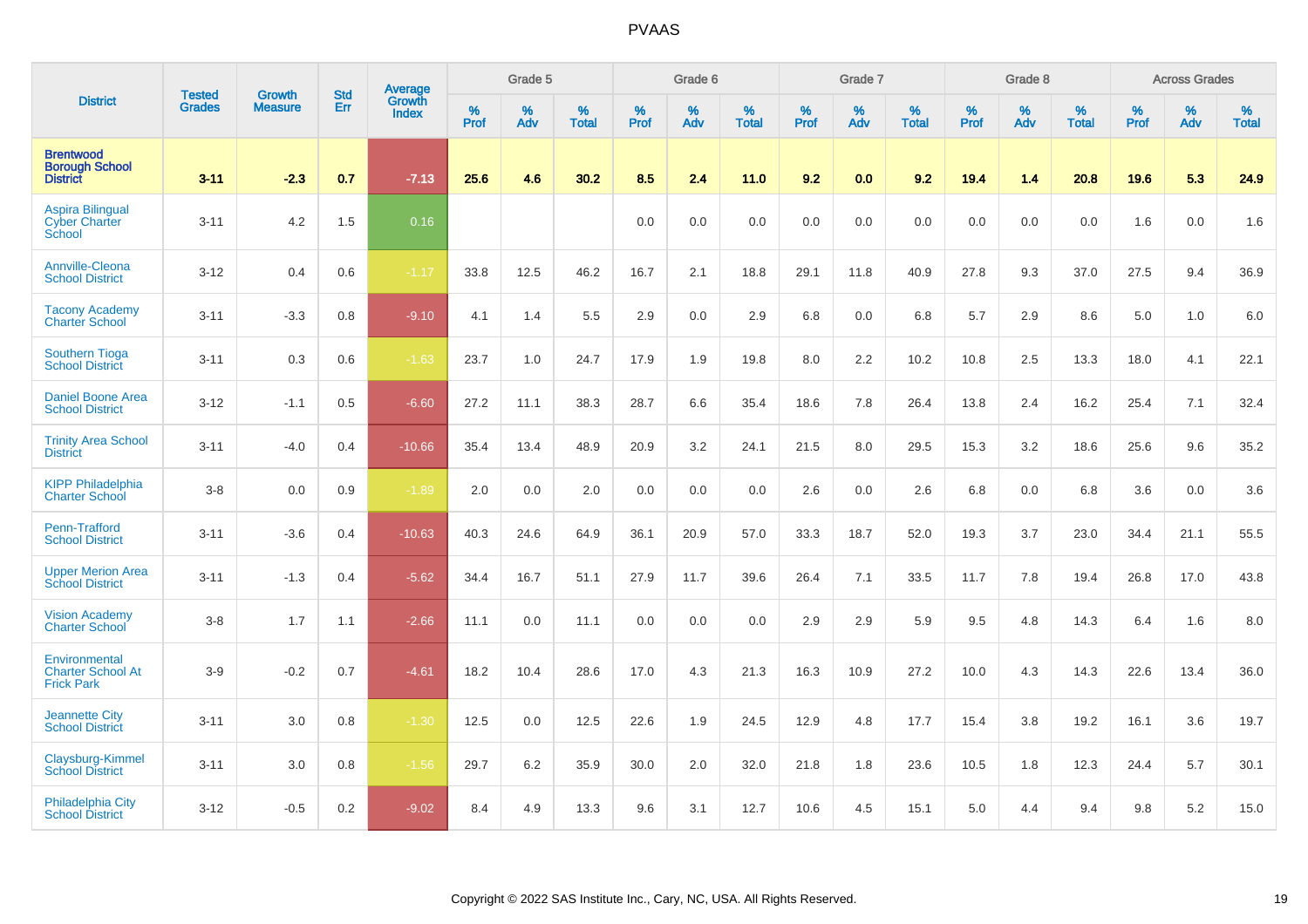|                                                                | <b>Tested</b> | <b>Growth</b>  | <b>Std</b> | Average                |              | Grade 5  |                   |           | Grade 6  |                   |           | Grade 7  |                   |           | Grade 8  |                   |           | <b>Across Grades</b> |                   |
|----------------------------------------------------------------|---------------|----------------|------------|------------------------|--------------|----------|-------------------|-----------|----------|-------------------|-----------|----------|-------------------|-----------|----------|-------------------|-----------|----------------------|-------------------|
| <b>District</b>                                                | <b>Grades</b> | <b>Measure</b> | Err        | Growth<br><b>Index</b> | $\%$<br>Prof | %<br>Adv | %<br><b>Total</b> | %<br>Prof | %<br>Adv | %<br><b>Total</b> | %<br>Prof | %<br>Adv | %<br><b>Total</b> | %<br>Prof | %<br>Adv | %<br><b>Total</b> | %<br>Prof | $\%$<br>Adv          | %<br><b>Total</b> |
| <b>Brentwood</b><br><b>Borough School</b><br><b>District</b>   | $3 - 11$      | $-2.3$         | 0.7        | $-7.13$                | 25.6         | 4.6      | 30.2              | 8.5       | 2.4      | 11.0              | 9.2       | 0.0      | 9.2               | 19.4      | 1.4      | 20.8              | 19.6      | 5.3                  | 24.9              |
| <b>Aspira Bilingual</b><br><b>Cyber Charter</b><br>School      | $3 - 11$      | 4.2            | 1.5        | 0.16                   |              |          |                   | 0.0       | 0.0      | 0.0               | 0.0       | 0.0      | 0.0               | 0.0       | 0.0      | 0.0               | 1.6       | 0.0                  | 1.6               |
| Annville-Cleona<br><b>School District</b>                      | $3 - 12$      | 0.4            | 0.6        | $-1.17$                | 33.8         | 12.5     | 46.2              | 16.7      | 2.1      | 18.8              | 29.1      | 11.8     | 40.9              | 27.8      | 9.3      | 37.0              | 27.5      | 9.4                  | 36.9              |
| <b>Tacony Academy</b><br><b>Charter School</b>                 | $3 - 11$      | $-3.3$         | 0.8        | $-9.10$                | 4.1          | 1.4      | 5.5               | 2.9       | 0.0      | 2.9               | 6.8       | 0.0      | 6.8               | 5.7       | 2.9      | 8.6               | 5.0       | 1.0                  | 6.0               |
| <b>Southern Tioga</b><br><b>School District</b>                | $3 - 11$      | 0.3            | 0.6        | $-1.63$                | 23.7         | 1.0      | 24.7              | 17.9      | 1.9      | 19.8              | 8.0       | 2.2      | 10.2              | 10.8      | 2.5      | 13.3              | 18.0      | 4.1                  | 22.1              |
| <b>Daniel Boone Area</b><br><b>School District</b>             | $3 - 12$      | $-1.1$         | 0.5        | $-6.60$                | 27.2         | 11.1     | 38.3              | 28.7      | 6.6      | 35.4              | 18.6      | 7.8      | 26.4              | 13.8      | 2.4      | 16.2              | 25.4      | 7.1                  | 32.4              |
| <b>Trinity Area School</b><br><b>District</b>                  | $3 - 11$      | $-4.0$         | 0.4        | $-10.66$               | 35.4         | 13.4     | 48.9              | 20.9      | 3.2      | 24.1              | 21.5      | 8.0      | 29.5              | 15.3      | 3.2      | 18.6              | 25.6      | 9.6                  | 35.2              |
| <b>KIPP Philadelphia</b><br><b>Charter School</b>              | $3 - 8$       | 0.0            | 0.9        | $-1.89$                | 2.0          | 0.0      | 2.0               | 0.0       | 0.0      | 0.0               | 2.6       | 0.0      | 2.6               | 6.8       | 0.0      | 6.8               | 3.6       | 0.0                  | 3.6               |
| Penn-Trafford<br><b>School District</b>                        | $3 - 11$      | $-3.6$         | 0.4        | $-10.63$               | 40.3         | 24.6     | 64.9              | 36.1      | 20.9     | 57.0              | 33.3      | 18.7     | 52.0              | 19.3      | 3.7      | 23.0              | 34.4      | 21.1                 | 55.5              |
| <b>Upper Merion Area</b><br><b>School District</b>             | $3 - 11$      | $-1.3$         | 0.4        | $-5.62$                | 34.4         | 16.7     | 51.1              | 27.9      | 11.7     | 39.6              | 26.4      | 7.1      | 33.5              | 11.7      | 7.8      | 19.4              | 26.8      | 17.0                 | 43.8              |
| <b>Vision Academy</b><br><b>Charter School</b>                 | $3 - 8$       | 1.7            | 1.1        | $-2.66$                | 11.1         | 0.0      | 11.1              | 0.0       | 0.0      | 0.0               | 2.9       | 2.9      | 5.9               | 9.5       | 4.8      | 14.3              | 6.4       | 1.6                  | 8.0               |
| Environmental<br><b>Charter School At</b><br><b>Frick Park</b> | $3-9$         | $-0.2$         | 0.7        | $-4.61$                | 18.2         | 10.4     | 28.6              | 17.0      | 4.3      | 21.3              | 16.3      | 10.9     | 27.2              | 10.0      | 4.3      | 14.3              | 22.6      | 13.4                 | 36.0              |
| <b>Jeannette City</b><br><b>School District</b>                | $3 - 11$      | 3.0            | 0.8        | $-1.30$                | 12.5         | 0.0      | 12.5              | 22.6      | 1.9      | 24.5              | 12.9      | 4.8      | 17.7              | 15.4      | 3.8      | 19.2              | 16.1      | 3.6                  | 19.7              |
| Claysburg-Kimmel<br><b>School District</b>                     | $3 - 11$      | 3.0            | 0.8        | $-1.56$                | 29.7         | 6.2      | 35.9              | 30.0      | 2.0      | 32.0              | 21.8      | 1.8      | 23.6              | 10.5      | 1.8      | 12.3              | 24.4      | 5.7                  | 30.1              |
| <b>Philadelphia City</b><br><b>School District</b>             | $3 - 12$      | $-0.5$         | 0.2        | $-9.02$                | 8.4          | 4.9      | 13.3              | 9.6       | 3.1      | 12.7              | 10.6      | 4.5      | 15.1              | 5.0       | 4.4      | 9.4               | 9.8       | 5.2                  | 15.0              |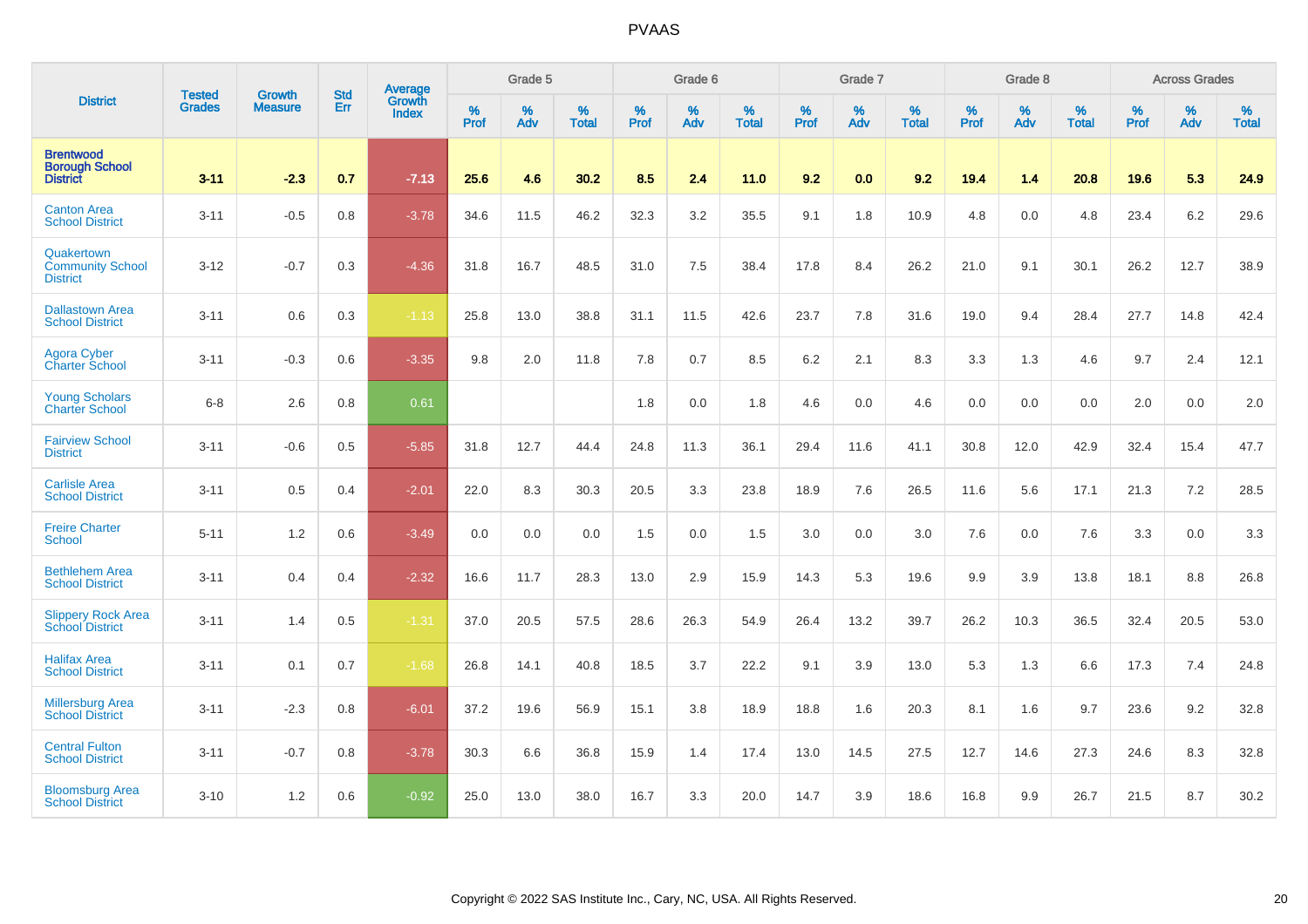|                                                              | <b>Tested</b> | <b>Growth</b>  | <b>Std</b> | Average                |                  | Grade 5  |                   |           | Grade 6  |                   |           | Grade 7  |                   |           | Grade 8  |                   |           | <b>Across Grades</b> |                   |
|--------------------------------------------------------------|---------------|----------------|------------|------------------------|------------------|----------|-------------------|-----------|----------|-------------------|-----------|----------|-------------------|-----------|----------|-------------------|-----------|----------------------|-------------------|
| <b>District</b>                                              | <b>Grades</b> | <b>Measure</b> | Err        | Growth<br><b>Index</b> | %<br><b>Prof</b> | %<br>Adv | %<br><b>Total</b> | %<br>Prof | %<br>Adv | %<br><b>Total</b> | %<br>Prof | %<br>Adv | %<br><b>Total</b> | %<br>Prof | %<br>Adv | %<br><b>Total</b> | %<br>Prof | %<br>Adv             | %<br><b>Total</b> |
| <b>Brentwood</b><br><b>Borough School</b><br><b>District</b> | $3 - 11$      | $-2.3$         | 0.7        | $-7.13$                | 25.6             | 4.6      | 30.2              | 8.5       | 2.4      | 11.0              | 9.2       | 0.0      | 9.2               | 19.4      | 1.4      | 20.8              | 19.6      | 5.3                  | 24.9              |
| <b>Canton Area</b><br><b>School District</b>                 | $3 - 11$      | $-0.5$         | 0.8        | $-3.78$                | 34.6             | 11.5     | 46.2              | 32.3      | 3.2      | 35.5              | 9.1       | 1.8      | 10.9              | 4.8       | 0.0      | 4.8               | 23.4      | 6.2                  | 29.6              |
| Quakertown<br><b>Community School</b><br><b>District</b>     | $3 - 12$      | $-0.7$         | 0.3        | $-4.36$                | 31.8             | 16.7     | 48.5              | 31.0      | 7.5      | 38.4              | 17.8      | 8.4      | 26.2              | 21.0      | 9.1      | 30.1              | 26.2      | 12.7                 | 38.9              |
| <b>Dallastown Area</b><br><b>School District</b>             | $3 - 11$      | 0.6            | 0.3        | $-1.13$                | 25.8             | 13.0     | 38.8              | 31.1      | 11.5     | 42.6              | 23.7      | 7.8      | 31.6              | 19.0      | 9.4      | 28.4              | 27.7      | 14.8                 | 42.4              |
| Agora Cyber<br><b>Charter School</b>                         | $3 - 11$      | $-0.3$         | 0.6        | $-3.35$                | 9.8              | 2.0      | 11.8              | 7.8       | 0.7      | 8.5               | 6.2       | 2.1      | 8.3               | 3.3       | 1.3      | 4.6               | 9.7       | 2.4                  | 12.1              |
| <b>Young Scholars</b><br><b>Charter School</b>               | $6 - 8$       | 2.6            | $0.8\,$    | 0.61                   |                  |          |                   | 1.8       | 0.0      | 1.8               | 4.6       | 0.0      | 4.6               | 0.0       | 0.0      | 0.0               | 2.0       | 0.0                  | $2.0\,$           |
| <b>Fairview School</b><br><b>District</b>                    | $3 - 11$      | $-0.6$         | 0.5        | $-5.85$                | 31.8             | 12.7     | 44.4              | 24.8      | 11.3     | 36.1              | 29.4      | 11.6     | 41.1              | 30.8      | 12.0     | 42.9              | 32.4      | 15.4                 | 47.7              |
| <b>Carlisle Area</b><br><b>School District</b>               | $3 - 11$      | 0.5            | 0.4        | $-2.01$                | 22.0             | 8.3      | 30.3              | 20.5      | 3.3      | 23.8              | 18.9      | 7.6      | 26.5              | 11.6      | 5.6      | 17.1              | 21.3      | 7.2                  | 28.5              |
| <b>Freire Charter</b><br>School                              | $5 - 11$      | 1.2            | 0.6        | $-3.49$                | 0.0              | 0.0      | 0.0               | 1.5       | 0.0      | 1.5               | 3.0       | 0.0      | 3.0               | 7.6       | 0.0      | 7.6               | 3.3       | 0.0                  | 3.3               |
| <b>Bethlehem Area</b><br><b>School District</b>              | $3 - 11$      | 0.4            | 0.4        | $-2.32$                | 16.6             | 11.7     | 28.3              | 13.0      | 2.9      | 15.9              | 14.3      | 5.3      | 19.6              | 9.9       | 3.9      | 13.8              | 18.1      | 8.8                  | 26.8              |
| <b>Slippery Rock Area</b><br><b>School District</b>          | $3 - 11$      | 1.4            | 0.5        | $-1.31$                | 37.0             | 20.5     | 57.5              | 28.6      | 26.3     | 54.9              | 26.4      | 13.2     | 39.7              | 26.2      | 10.3     | 36.5              | 32.4      | 20.5                 | 53.0              |
| <b>Halifax Area</b><br><b>School District</b>                | $3 - 11$      | 0.1            | 0.7        | $-1.68$                | 26.8             | 14.1     | 40.8              | 18.5      | 3.7      | 22.2              | 9.1       | 3.9      | 13.0              | 5.3       | 1.3      | 6.6               | 17.3      | 7.4                  | 24.8              |
| <b>Millersburg Area</b><br><b>School District</b>            | $3 - 11$      | $-2.3$         | 0.8        | $-6.01$                | 37.2             | 19.6     | 56.9              | 15.1      | 3.8      | 18.9              | 18.8      | 1.6      | 20.3              | 8.1       | 1.6      | 9.7               | 23.6      | 9.2                  | 32.8              |
| <b>Central Fulton</b><br><b>School District</b>              | $3 - 11$      | $-0.7$         | 0.8        | $-3.78$                | 30.3             | 6.6      | 36.8              | 15.9      | 1.4      | 17.4              | 13.0      | 14.5     | 27.5              | 12.7      | 14.6     | 27.3              | 24.6      | 8.3                  | 32.8              |
| <b>Bloomsburg Area</b><br><b>School District</b>             | $3 - 10$      | 1.2            | 0.6        | $-0.92$                | 25.0             | 13.0     | 38.0              | 16.7      | 3.3      | 20.0              | 14.7      | 3.9      | 18.6              | 16.8      | 9.9      | 26.7              | 21.5      | 8.7                  | 30.2              |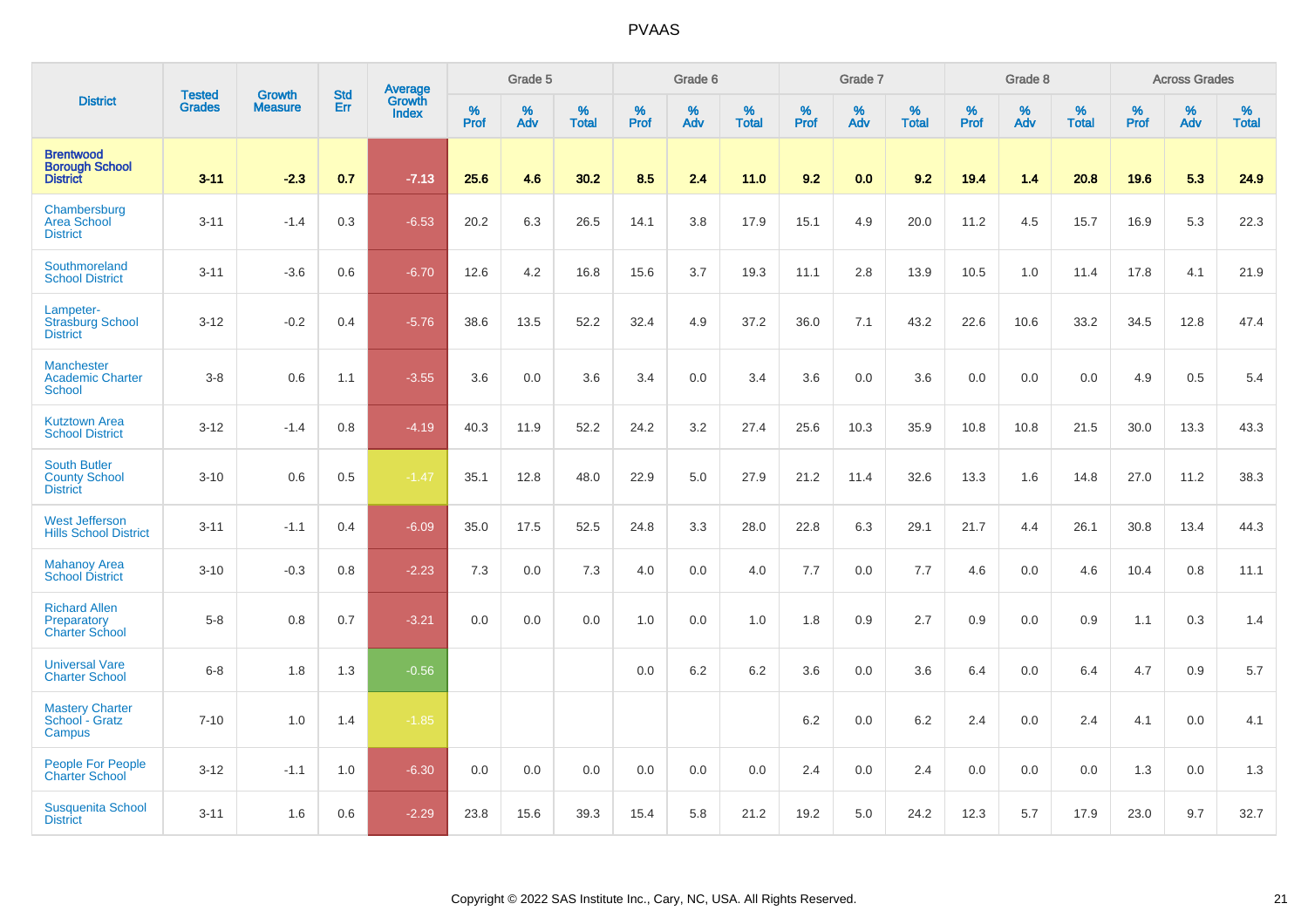|                                                                |                                |                                 | <b>Std</b> | Average                |              | Grade 5  |                   |           | Grade 6  |                   |           | Grade 7  |                   |           | Grade 8  |                   |           | <b>Across Grades</b> |                   |
|----------------------------------------------------------------|--------------------------------|---------------------------------|------------|------------------------|--------------|----------|-------------------|-----------|----------|-------------------|-----------|----------|-------------------|-----------|----------|-------------------|-----------|----------------------|-------------------|
| <b>District</b>                                                | <b>Tested</b><br><b>Grades</b> | <b>Growth</b><br><b>Measure</b> | Err        | Growth<br><b>Index</b> | $\%$<br>Prof | %<br>Adv | %<br><b>Total</b> | %<br>Prof | %<br>Adv | %<br><b>Total</b> | %<br>Prof | %<br>Adv | %<br><b>Total</b> | %<br>Prof | %<br>Adv | %<br><b>Total</b> | %<br>Prof | %<br>Adv             | %<br><b>Total</b> |
| <b>Brentwood</b><br><b>Borough School</b><br><b>District</b>   | $3 - 11$                       | $-2.3$                          | 0.7        | $-7.13$                | 25.6         | 4.6      | 30.2              | 8.5       | 2.4      | 11.0              | 9.2       | 0.0      | 9.2               | 19.4      | 1.4      | 20.8              | 19.6      | 5.3                  | 24.9              |
| Chambersburg<br><b>Area School</b><br><b>District</b>          | $3 - 11$                       | $-1.4$                          | 0.3        | $-6.53$                | 20.2         | 6.3      | 26.5              | 14.1      | 3.8      | 17.9              | 15.1      | 4.9      | 20.0              | 11.2      | 4.5      | 15.7              | 16.9      | 5.3                  | 22.3              |
| Southmoreland<br><b>School District</b>                        | $3 - 11$                       | $-3.6$                          | 0.6        | $-6.70$                | 12.6         | 4.2      | 16.8              | 15.6      | 3.7      | 19.3              | 11.1      | 2.8      | 13.9              | 10.5      | 1.0      | 11.4              | 17.8      | 4.1                  | 21.9              |
| Lampeter-<br><b>Strasburg School</b><br><b>District</b>        | $3 - 12$                       | $-0.2$                          | 0.4        | $-5.76$                | 38.6         | 13.5     | 52.2              | 32.4      | 4.9      | 37.2              | 36.0      | 7.1      | 43.2              | 22.6      | 10.6     | 33.2              | 34.5      | 12.8                 | 47.4              |
| Manchester<br><b>Academic Charter</b><br><b>School</b>         | $3 - 8$                        | 0.6                             | 1.1        | $-3.55$                | 3.6          | 0.0      | 3.6               | 3.4       | 0.0      | 3.4               | 3.6       | 0.0      | 3.6               | 0.0       | 0.0      | 0.0               | 4.9       | 0.5                  | 5.4               |
| <b>Kutztown Area</b><br><b>School District</b>                 | $3 - 12$                       | $-1.4$                          | 0.8        | $-4.19$                | 40.3         | 11.9     | 52.2              | 24.2      | 3.2      | 27.4              | 25.6      | 10.3     | 35.9              | 10.8      | 10.8     | 21.5              | 30.0      | 13.3                 | 43.3              |
| <b>South Butler</b><br><b>County School</b><br><b>District</b> | $3 - 10$                       | 0.6                             | 0.5        | $-1.47$                | 35.1         | 12.8     | 48.0              | 22.9      | 5.0      | 27.9              | 21.2      | 11.4     | 32.6              | 13.3      | 1.6      | 14.8              | 27.0      | 11.2                 | 38.3              |
| <b>West Jefferson</b><br><b>Hills School District</b>          | $3 - 11$                       | $-1.1$                          | 0.4        | $-6.09$                | 35.0         | 17.5     | 52.5              | 24.8      | 3.3      | 28.0              | 22.8      | 6.3      | 29.1              | 21.7      | 4.4      | 26.1              | 30.8      | 13.4                 | 44.3              |
| <b>Mahanoy Area</b><br><b>School District</b>                  | $3 - 10$                       | $-0.3$                          | 0.8        | $-2.23$                | 7.3          | 0.0      | 7.3               | 4.0       | 0.0      | 4.0               | 7.7       | 0.0      | 7.7               | 4.6       | 0.0      | 4.6               | 10.4      | 0.8                  | 11.1              |
| <b>Richard Allen</b><br>Preparatory<br><b>Charter School</b>   | $5-8$                          | 0.8                             | 0.7        | $-3.21$                | 0.0          | 0.0      | 0.0               | 1.0       | 0.0      | 1.0               | 1.8       | 0.9      | 2.7               | 0.9       | 0.0      | 0.9               | 1.1       | 0.3                  | 1.4               |
| <b>Universal Vare</b><br><b>Charter School</b>                 | $6 - 8$                        | 1.8                             | 1.3        | $-0.56$                |              |          |                   | 0.0       | 6.2      | 6.2               | 3.6       | 0.0      | 3.6               | 6.4       | 0.0      | 6.4               | 4.7       | 0.9                  | 5.7               |
| <b>Mastery Charter</b><br>School - Gratz<br>Campus             | $7 - 10$                       | 1.0                             | 1.4        | $-1.85$                |              |          |                   |           |          |                   | 6.2       | 0.0      | 6.2               | 2.4       | 0.0      | 2.4               | 4.1       | 0.0                  | 4.1               |
| <b>People For People</b><br><b>Charter School</b>              | $3 - 12$                       | $-1.1$                          | 1.0        | $-6.30$                | 0.0          | 0.0      | 0.0               | 0.0       | 0.0      | 0.0               | 2.4       | 0.0      | 2.4               | 0.0       | 0.0      | 0.0               | 1.3       | 0.0                  | 1.3               |
| <b>Susquenita School</b><br><b>District</b>                    | $3 - 11$                       | 1.6                             | 0.6        | $-2.29$                | 23.8         | 15.6     | 39.3              | 15.4      | 5.8      | 21.2              | 19.2      | 5.0      | 24.2              | 12.3      | 5.7      | 17.9              | 23.0      | 9.7                  | 32.7              |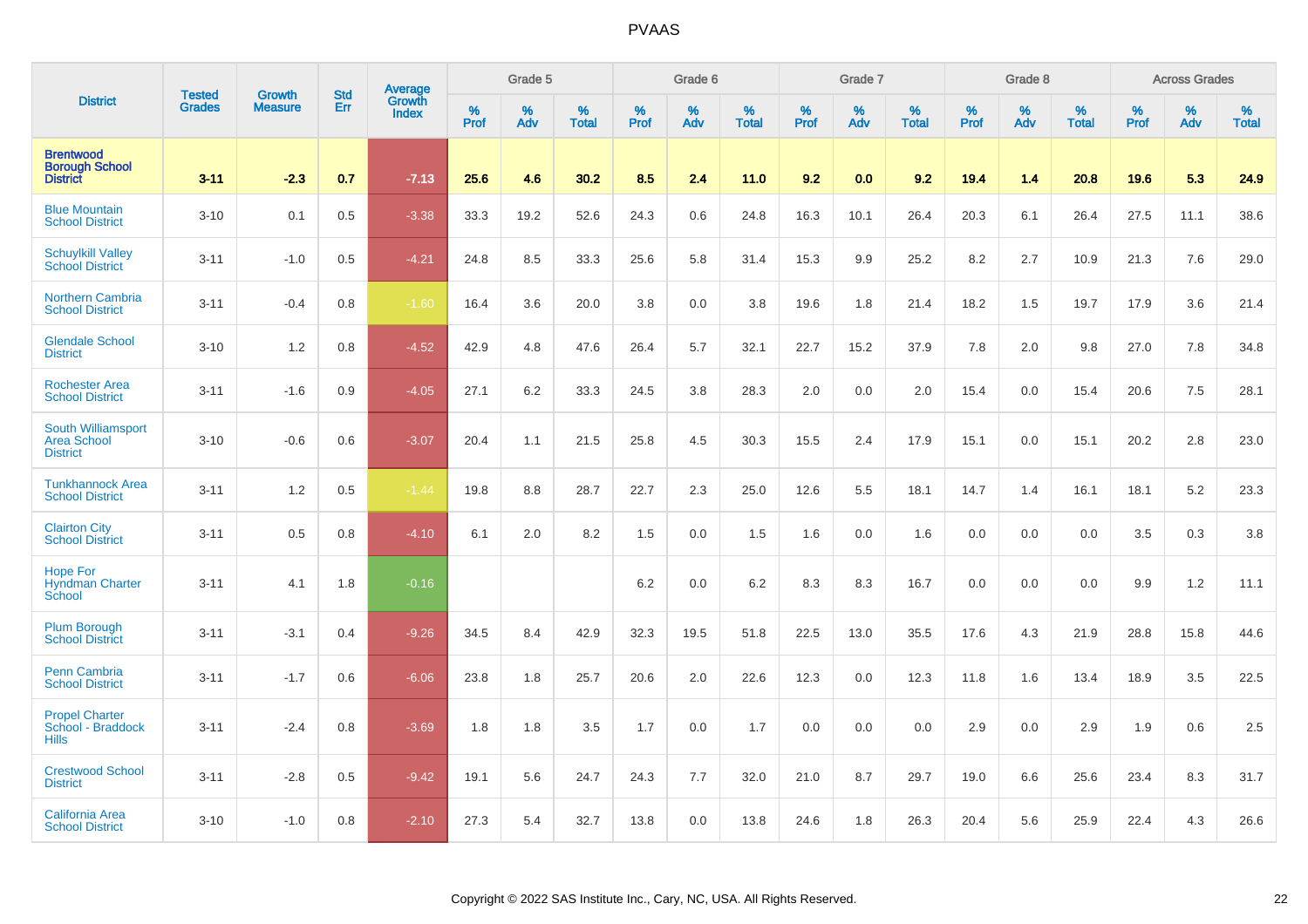|                                                                    |                                | <b>Growth</b>  | <b>Std</b> | Average                |              | Grade 5  |                   |           | Grade 6  |                   |           | Grade 7  |                   |           | Grade 8  |                   |           | <b>Across Grades</b> |                   |
|--------------------------------------------------------------------|--------------------------------|----------------|------------|------------------------|--------------|----------|-------------------|-----------|----------|-------------------|-----------|----------|-------------------|-----------|----------|-------------------|-----------|----------------------|-------------------|
| <b>District</b>                                                    | <b>Tested</b><br><b>Grades</b> | <b>Measure</b> | Err        | Growth<br><b>Index</b> | $\%$<br>Prof | %<br>Adv | %<br><b>Total</b> | %<br>Prof | %<br>Adv | %<br><b>Total</b> | %<br>Prof | %<br>Adv | %<br><b>Total</b> | %<br>Prof | %<br>Adv | %<br><b>Total</b> | %<br>Prof | %<br>Adv             | %<br><b>Total</b> |
| <b>Brentwood</b><br><b>Borough School</b><br><b>District</b>       | $3 - 11$                       | $-2.3$         | 0.7        | $-7.13$                | 25.6         | 4.6      | 30.2              | 8.5       | 2.4      | 11.0              | 9.2       | 0.0      | 9.2               | 19.4      | 1.4      | 20.8              | 19.6      | 5.3                  | 24.9              |
| <b>Blue Mountain</b><br><b>School District</b>                     | $3 - 10$                       | 0.1            | 0.5        | $-3.38$                | 33.3         | 19.2     | 52.6              | 24.3      | 0.6      | 24.8              | 16.3      | 10.1     | 26.4              | 20.3      | 6.1      | 26.4              | 27.5      | 11.1                 | 38.6              |
| <b>Schuylkill Valley</b><br><b>School District</b>                 | $3 - 11$                       | $-1.0$         | 0.5        | $-4.21$                | 24.8         | 8.5      | 33.3              | 25.6      | 5.8      | 31.4              | 15.3      | 9.9      | 25.2              | 8.2       | 2.7      | 10.9              | 21.3      | 7.6                  | 29.0              |
| <b>Northern Cambria</b><br><b>School District</b>                  | $3 - 11$                       | $-0.4$         | 0.8        | $-1.60$                | 16.4         | 3.6      | 20.0              | 3.8       | 0.0      | 3.8               | 19.6      | 1.8      | 21.4              | 18.2      | 1.5      | 19.7              | 17.9      | 3.6                  | 21.4              |
| <b>Glendale School</b><br><b>District</b>                          | $3 - 10$                       | 1.2            | 0.8        | $-4.52$                | 42.9         | 4.8      | 47.6              | 26.4      | 5.7      | 32.1              | 22.7      | 15.2     | 37.9              | 7.8       | 2.0      | 9.8               | 27.0      | 7.8                  | 34.8              |
| <b>Rochester Area</b><br><b>School District</b>                    | $3 - 11$                       | $-1.6$         | 0.9        | $-4.05$                | 27.1         | 6.2      | 33.3              | 24.5      | 3.8      | 28.3              | 2.0       | 0.0      | 2.0               | 15.4      | 0.0      | 15.4              | 20.6      | 7.5                  | 28.1              |
| <b>South Williamsport</b><br><b>Area School</b><br><b>District</b> | $3 - 10$                       | $-0.6$         | 0.6        | $-3.07$                | 20.4         | 1.1      | 21.5              | 25.8      | 4.5      | 30.3              | 15.5      | 2.4      | 17.9              | 15.1      | 0.0      | 15.1              | 20.2      | 2.8                  | 23.0              |
| <b>Tunkhannock Area</b><br><b>School District</b>                  | $3 - 11$                       | 1.2            | 0.5        | $-1.44$                | 19.8         | 8.8      | 28.7              | 22.7      | 2.3      | 25.0              | 12.6      | 5.5      | 18.1              | 14.7      | 1.4      | 16.1              | 18.1      | 5.2                  | 23.3              |
| <b>Clairton City</b><br><b>School District</b>                     | $3 - 11$                       | 0.5            | 0.8        | $-4.10$                | 6.1          | 2.0      | 8.2               | 1.5       | 0.0      | 1.5               | 1.6       | 0.0      | 1.6               | 0.0       | 0.0      | 0.0               | 3.5       | 0.3                  | 3.8               |
| <b>Hope For</b><br><b>Hyndman Charter</b><br>School                | $3 - 11$                       | 4.1            | 1.8        | $-0.16$                |              |          |                   | 6.2       | 0.0      | 6.2               | 8.3       | 8.3      | 16.7              | 0.0       | 0.0      | 0.0               | 9.9       | 1.2                  | 11.1              |
| <b>Plum Borough</b><br><b>School District</b>                      | $3 - 11$                       | $-3.1$         | 0.4        | $-9.26$                | 34.5         | 8.4      | 42.9              | 32.3      | 19.5     | 51.8              | 22.5      | 13.0     | 35.5              | 17.6      | 4.3      | 21.9              | 28.8      | 15.8                 | 44.6              |
| Penn Cambria<br><b>School District</b>                             | $3 - 11$                       | $-1.7$         | 0.6        | $-6.06$                | 23.8         | 1.8      | 25.7              | 20.6      | 2.0      | 22.6              | 12.3      | 0.0      | 12.3              | 11.8      | 1.6      | 13.4              | 18.9      | 3.5                  | 22.5              |
| <b>Propel Charter</b><br>School - Braddock<br><b>Hills</b>         | $3 - 11$                       | $-2.4$         | 0.8        | $-3.69$                | 1.8          | 1.8      | 3.5               | 1.7       | 0.0      | 1.7               | 0.0       | 0.0      | 0.0               | 2.9       | 0.0      | 2.9               | 1.9       | 0.6                  | $2.5\,$           |
| <b>Crestwood School</b><br><b>District</b>                         | $3 - 11$                       | $-2.8$         | 0.5        | $-9.42$                | 19.1         | 5.6      | 24.7              | 24.3      | 7.7      | 32.0              | 21.0      | 8.7      | 29.7              | 19.0      | 6.6      | 25.6              | 23.4      | 8.3                  | 31.7              |
| California Area<br><b>School District</b>                          | $3 - 10$                       | $-1.0$         | 0.8        | $-2.10$                | 27.3         | 5.4      | 32.7              | 13.8      | 0.0      | 13.8              | 24.6      | 1.8      | 26.3              | 20.4      | 5.6      | 25.9              | 22.4      | 4.3                  | 26.6              |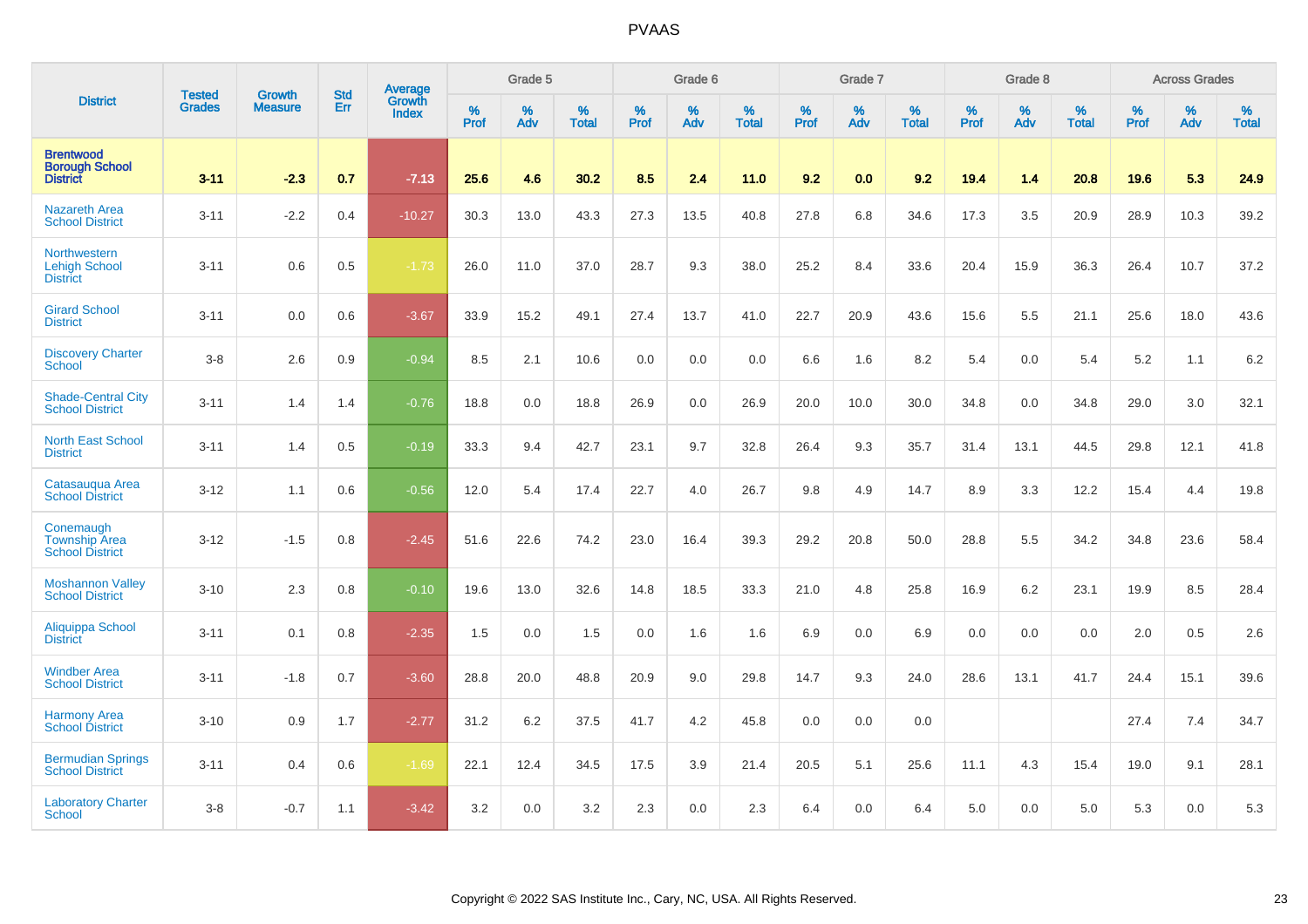|                                                              | <b>Tested</b> | <b>Growth</b>  | <b>Std</b> | Average                       |           | Grade 5  |                   |           | Grade 6  |                   |           | Grade 7  |                   |           | Grade 8  |                   |           | <b>Across Grades</b> |                   |
|--------------------------------------------------------------|---------------|----------------|------------|-------------------------------|-----------|----------|-------------------|-----------|----------|-------------------|-----------|----------|-------------------|-----------|----------|-------------------|-----------|----------------------|-------------------|
| <b>District</b>                                              | <b>Grades</b> | <b>Measure</b> | Err        | <b>Growth</b><br><b>Index</b> | %<br>Prof | %<br>Adv | %<br><b>Total</b> | %<br>Prof | %<br>Adv | %<br><b>Total</b> | %<br>Prof | %<br>Adv | %<br><b>Total</b> | %<br>Prof | %<br>Adv | %<br><b>Total</b> | %<br>Prof | %<br>Adv             | %<br><b>Total</b> |
| <b>Brentwood</b><br><b>Borough School</b><br><b>District</b> | $3 - 11$      | $-2.3$         | 0.7        | $-7.13$                       | 25.6      | 4.6      | 30.2              | 8.5       | 2.4      | 11.0              | 9.2       | 0.0      | 9.2               | 19.4      | 1.4      | 20.8              | 19.6      | 5.3                  | 24.9              |
| <b>Nazareth Area</b><br><b>School District</b>               | $3 - 11$      | $-2.2$         | 0.4        | $-10.27$                      | 30.3      | 13.0     | 43.3              | 27.3      | 13.5     | 40.8              | 27.8      | 6.8      | 34.6              | 17.3      | 3.5      | 20.9              | 28.9      | 10.3                 | 39.2              |
| Northwestern<br><b>Lehigh School</b><br><b>District</b>      | $3 - 11$      | 0.6            | 0.5        | $-1.73$                       | 26.0      | 11.0     | 37.0              | 28.7      | 9.3      | 38.0              | 25.2      | 8.4      | 33.6              | 20.4      | 15.9     | 36.3              | 26.4      | 10.7                 | 37.2              |
| <b>Girard School</b><br><b>District</b>                      | $3 - 11$      | 0.0            | 0.6        | $-3.67$                       | 33.9      | 15.2     | 49.1              | 27.4      | 13.7     | 41.0              | 22.7      | 20.9     | 43.6              | 15.6      | 5.5      | 21.1              | 25.6      | 18.0                 | 43.6              |
| <b>Discovery Charter</b><br>School                           | $3 - 8$       | 2.6            | 0.9        | $-0.94$                       | 8.5       | 2.1      | 10.6              | 0.0       | 0.0      | 0.0               | 6.6       | 1.6      | 8.2               | 5.4       | 0.0      | 5.4               | 5.2       | 1.1                  | 6.2               |
| <b>Shade-Central City</b><br><b>School District</b>          | $3 - 11$      | 1.4            | 1.4        | $-0.76$                       | 18.8      | 0.0      | 18.8              | 26.9      | 0.0      | 26.9              | 20.0      | 10.0     | 30.0              | 34.8      | 0.0      | 34.8              | 29.0      | 3.0                  | 32.1              |
| <b>North East School</b><br><b>District</b>                  | $3 - 11$      | 1.4            | 0.5        | $-0.19$                       | 33.3      | 9.4      | 42.7              | 23.1      | 9.7      | 32.8              | 26.4      | 9.3      | 35.7              | 31.4      | 13.1     | 44.5              | 29.8      | 12.1                 | 41.8              |
| Catasauqua Area<br><b>School District</b>                    | $3 - 12$      | 1.1            | 0.6        | $-0.56$                       | 12.0      | 5.4      | 17.4              | 22.7      | 4.0      | 26.7              | 9.8       | 4.9      | 14.7              | 8.9       | 3.3      | 12.2              | 15.4      | 4.4                  | 19.8              |
| Conemaugh<br><b>Township Area</b><br><b>School District</b>  | $3 - 12$      | $-1.5$         | 0.8        | $-2.45$                       | 51.6      | 22.6     | 74.2              | 23.0      | 16.4     | 39.3              | 29.2      | 20.8     | 50.0              | 28.8      | 5.5      | 34.2              | 34.8      | 23.6                 | 58.4              |
| <b>Moshannon Valley</b><br><b>School District</b>            | $3 - 10$      | 2.3            | 0.8        | $-0.10$                       | 19.6      | 13.0     | 32.6              | 14.8      | 18.5     | 33.3              | 21.0      | 4.8      | 25.8              | 16.9      | 6.2      | 23.1              | 19.9      | 8.5                  | 28.4              |
| Aliquippa School<br><b>District</b>                          | $3 - 11$      | 0.1            | 0.8        | $-2.35$                       | 1.5       | 0.0      | 1.5               | 0.0       | 1.6      | 1.6               | 6.9       | 0.0      | 6.9               | 0.0       | 0.0      | 0.0               | 2.0       | 0.5                  | 2.6               |
| <b>Windber Area</b><br><b>School District</b>                | $3 - 11$      | $-1.8$         | 0.7        | $-3.60$                       | 28.8      | 20.0     | 48.8              | 20.9      | 9.0      | 29.8              | 14.7      | 9.3      | 24.0              | 28.6      | 13.1     | 41.7              | 24.4      | 15.1                 | 39.6              |
| <b>Harmony Area</b><br><b>School District</b>                | $3 - 10$      | 0.9            | 1.7        | $-2.77$                       | 31.2      | 6.2      | 37.5              | 41.7      | 4.2      | 45.8              | 0.0       | 0.0      | 0.0               |           |          |                   | 27.4      | 7.4                  | 34.7              |
| <b>Bermudian Springs</b><br><b>School District</b>           | $3 - 11$      | 0.4            | 0.6        | $-1.69$                       | 22.1      | 12.4     | 34.5              | 17.5      | 3.9      | 21.4              | 20.5      | 5.1      | 25.6              | 11.1      | 4.3      | 15.4              | 19.0      | 9.1                  | 28.1              |
| <b>Laboratory Charter</b><br>School                          | $3 - 8$       | $-0.7$         | 1.1        | $-3.42$                       | 3.2       | 0.0      | 3.2               | 2.3       | 0.0      | 2.3               | 6.4       | 0.0      | 6.4               | 5.0       | 0.0      | 5.0               | 5.3       | 0.0                  | 5.3               |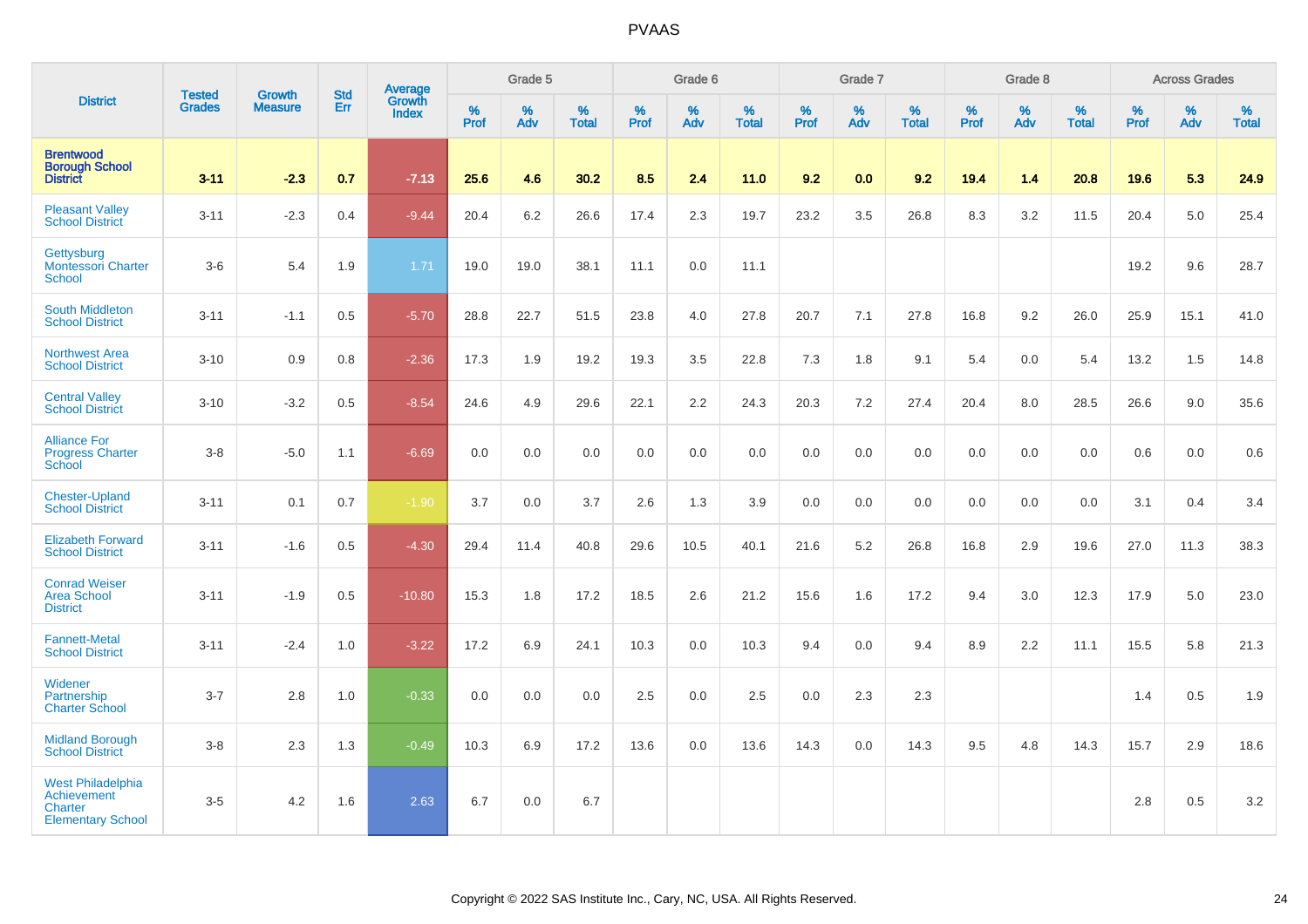|                                                                                              |                                |                                 | <b>Std</b> | Average                       |              | Grade 5  |                   |           | Grade 6  |                   |           | Grade 7  |                   |           | Grade 8  |                   |           | <b>Across Grades</b> |                   |
|----------------------------------------------------------------------------------------------|--------------------------------|---------------------------------|------------|-------------------------------|--------------|----------|-------------------|-----------|----------|-------------------|-----------|----------|-------------------|-----------|----------|-------------------|-----------|----------------------|-------------------|
| <b>District</b>                                                                              | <b>Tested</b><br><b>Grades</b> | <b>Growth</b><br><b>Measure</b> | Err        | <b>Growth</b><br><b>Index</b> | $\%$<br>Prof | %<br>Adv | %<br><b>Total</b> | %<br>Prof | %<br>Adv | %<br><b>Total</b> | %<br>Prof | %<br>Adv | %<br><b>Total</b> | %<br>Prof | %<br>Adv | %<br><b>Total</b> | %<br>Prof | %<br>Adv             | %<br><b>Total</b> |
| <b>Brentwood</b><br><b>Borough School</b><br><b>District</b>                                 | $3 - 11$                       | $-2.3$                          | 0.7        | $-7.13$                       | 25.6         | 4.6      | 30.2              | 8.5       | 2.4      | 11.0              | 9.2       | 0.0      | 9.2               | 19.4      | 1.4      | 20.8              | 19.6      | 5.3                  | 24.9              |
| <b>Pleasant Valley</b><br><b>School District</b>                                             | $3 - 11$                       | $-2.3$                          | 0.4        | $-9.44$                       | 20.4         | 6.2      | 26.6              | 17.4      | 2.3      | 19.7              | 23.2      | 3.5      | 26.8              | 8.3       | 3.2      | 11.5              | 20.4      | 5.0                  | 25.4              |
| Gettysburg<br><b>Montessori Charter</b><br><b>School</b>                                     | $3-6$                          | 5.4                             | 1.9        | 1.71                          | 19.0         | 19.0     | 38.1              | 11.1      | 0.0      | 11.1              |           |          |                   |           |          |                   | 19.2      | 9.6                  | 28.7              |
| <b>South Middleton</b><br><b>School District</b>                                             | $3 - 11$                       | $-1.1$                          | 0.5        | $-5.70$                       | 28.8         | 22.7     | 51.5              | 23.8      | 4.0      | 27.8              | 20.7      | 7.1      | 27.8              | 16.8      | 9.2      | 26.0              | 25.9      | 15.1                 | 41.0              |
| <b>Northwest Area</b><br><b>School District</b>                                              | $3 - 10$                       | 0.9                             | 0.8        | $-2.36$                       | 17.3         | 1.9      | 19.2              | 19.3      | 3.5      | 22.8              | 7.3       | 1.8      | 9.1               | 5.4       | 0.0      | 5.4               | 13.2      | 1.5                  | 14.8              |
| <b>Central Valley</b><br><b>School District</b>                                              | $3 - 10$                       | $-3.2$                          | 0.5        | $-8.54$                       | 24.6         | 4.9      | 29.6              | 22.1      | 2.2      | 24.3              | 20.3      | 7.2      | 27.4              | 20.4      | 8.0      | 28.5              | 26.6      | 9.0                  | 35.6              |
| <b>Alliance For</b><br><b>Progress Charter</b><br>School                                     | $3 - 8$                        | $-5.0$                          | 1.1        | $-6.69$                       | 0.0          | 0.0      | 0.0               | 0.0       | 0.0      | 0.0               | 0.0       | 0.0      | 0.0               | $0.0\,$   | 0.0      | 0.0               | 0.6       | 0.0                  | $0.6\,$           |
| <b>Chester-Upland</b><br><b>School District</b>                                              | $3 - 11$                       | 0.1                             | 0.7        | $-1.90$                       | 3.7          | 0.0      | 3.7               | 2.6       | 1.3      | 3.9               | 0.0       | 0.0      | 0.0               | 0.0       | 0.0      | 0.0               | 3.1       | 0.4                  | 3.4               |
| <b>Elizabeth Forward</b><br><b>School District</b>                                           | $3 - 11$                       | $-1.6$                          | 0.5        | $-4.30$                       | 29.4         | 11.4     | 40.8              | 29.6      | 10.5     | 40.1              | 21.6      | 5.2      | 26.8              | 16.8      | 2.9      | 19.6              | 27.0      | 11.3                 | 38.3              |
| <b>Conrad Weiser</b><br><b>Area School</b><br><b>District</b>                                | $3 - 11$                       | $-1.9$                          | 0.5        | $-10.80$                      | 15.3         | 1.8      | 17.2              | 18.5      | 2.6      | 21.2              | 15.6      | 1.6      | 17.2              | 9.4       | 3.0      | 12.3              | 17.9      | 5.0                  | 23.0              |
| <b>Fannett-Metal</b><br><b>School District</b>                                               | $3 - 11$                       | $-2.4$                          | 1.0        | $-3.22$                       | 17.2         | 6.9      | 24.1              | 10.3      | 0.0      | 10.3              | 9.4       | 0.0      | 9.4               | 8.9       | 2.2      | 11.1              | 15.5      | 5.8                  | 21.3              |
| Widener<br>Partnership<br><b>Charter School</b>                                              | $3 - 7$                        | 2.8                             | 1.0        | $-0.33$                       | 0.0          | 0.0      | 0.0               | 2.5       | 0.0      | 2.5               | 0.0       | 2.3      | 2.3               |           |          |                   | 1.4       | $0.5\,$              | 1.9               |
| <b>Midland Borough</b><br><b>School District</b>                                             | $3 - 8$                        | 2.3                             | 1.3        | $-0.49$                       | 10.3         | 6.9      | 17.2              | 13.6      | 0.0      | 13.6              | 14.3      | 0.0      | 14.3              | 9.5       | 4.8      | 14.3              | 15.7      | 2.9                  | 18.6              |
| <b>West Philadelphia</b><br><b>Achievement</b><br><b>Charter</b><br><b>Elementary School</b> | $3-5$                          | 4.2                             | 1.6        | 2.63                          | 6.7          | 0.0      | 6.7               |           |          |                   |           |          |                   |           |          |                   | 2.8       | 0.5                  | $3.2\,$           |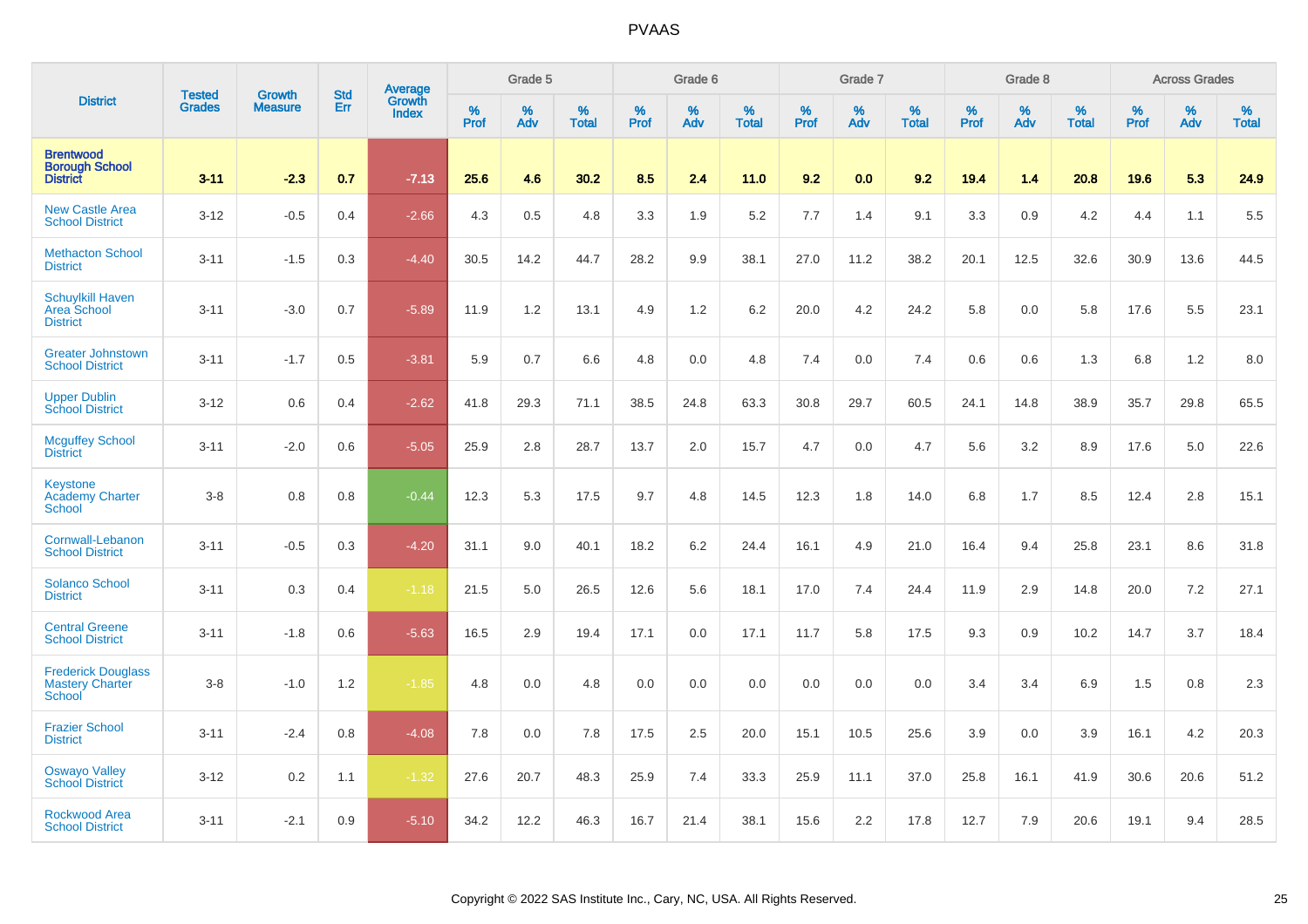|                                                               |                                | <b>Growth</b>  | <b>Std</b> | Average         |              | Grade 5  |                   |           | Grade 6  |                   |              | Grade 7  |                   |           | Grade 8  |                   |              | <b>Across Grades</b> |                   |
|---------------------------------------------------------------|--------------------------------|----------------|------------|-----------------|--------------|----------|-------------------|-----------|----------|-------------------|--------------|----------|-------------------|-----------|----------|-------------------|--------------|----------------------|-------------------|
| <b>District</b>                                               | <b>Tested</b><br><b>Grades</b> | <b>Measure</b> | Err        | Growth<br>Index | $\%$<br>Prof | %<br>Adv | %<br><b>Total</b> | %<br>Prof | %<br>Adv | %<br><b>Total</b> | $\%$<br>Prof | %<br>Adv | %<br><b>Total</b> | %<br>Prof | %<br>Adv | %<br><b>Total</b> | $\%$<br>Prof | %<br>Adv             | %<br><b>Total</b> |
| <b>Brentwood</b><br><b>Borough School</b><br><b>District</b>  | $3 - 11$                       | $-2.3$         | 0.7        | $-7.13$         | 25.6         | 4.6      | 30.2              | 8.5       | 2.4      | 11.0              | 9.2          | 0.0      | 9.2               | 19.4      | 1.4      | 20.8              | 19.6         | 5.3                  | 24.9              |
| <b>New Castle Area</b><br><b>School District</b>              | $3 - 12$                       | $-0.5$         | 0.4        | $-2.66$         | 4.3          | 0.5      | 4.8               | 3.3       | 1.9      | 5.2               | 7.7          | 1.4      | 9.1               | 3.3       | 0.9      | 4.2               | 4.4          | 1.1                  | 5.5               |
| <b>Methacton School</b><br><b>District</b>                    | $3 - 11$                       | $-1.5$         | 0.3        | $-4.40$         | 30.5         | 14.2     | 44.7              | 28.2      | 9.9      | 38.1              | 27.0         | 11.2     | 38.2              | 20.1      | 12.5     | 32.6              | 30.9         | 13.6                 | 44.5              |
| <b>Schuylkill Haven</b><br>Area School<br><b>District</b>     | $3 - 11$                       | $-3.0$         | 0.7        | $-5.89$         | 11.9         | 1.2      | 13.1              | 4.9       | 1.2      | 6.2               | 20.0         | 4.2      | 24.2              | 5.8       | 0.0      | 5.8               | 17.6         | 5.5                  | 23.1              |
| <b>Greater Johnstown</b><br><b>School District</b>            | $3 - 11$                       | $-1.7$         | 0.5        | $-3.81$         | 5.9          | 0.7      | 6.6               | 4.8       | 0.0      | 4.8               | 7.4          | 0.0      | 7.4               | 0.6       | 0.6      | 1.3               | 6.8          | 1.2                  | 8.0               |
| <b>Upper Dublin</b><br><b>School District</b>                 | $3 - 12$                       | 0.6            | 0.4        | $-2.62$         | 41.8         | 29.3     | 71.1              | 38.5      | 24.8     | 63.3              | 30.8         | 29.7     | 60.5              | 24.1      | 14.8     | 38.9              | 35.7         | 29.8                 | 65.5              |
| <b>Mcguffey School</b><br><b>District</b>                     | $3 - 11$                       | $-2.0$         | 0.6        | $-5.05$         | 25.9         | 2.8      | 28.7              | 13.7      | 2.0      | 15.7              | 4.7          | 0.0      | 4.7               | 5.6       | 3.2      | 8.9               | 17.6         | 5.0                  | 22.6              |
| <b>Keystone</b><br><b>Academy Charter</b><br>School           | $3-8$                          | 0.8            | 0.8        | $-0.44$         | 12.3         | 5.3      | 17.5              | 9.7       | 4.8      | 14.5              | 12.3         | 1.8      | 14.0              | 6.8       | 1.7      | 8.5               | 12.4         | 2.8                  | 15.1              |
| Cornwall-Lebanon<br><b>School District</b>                    | $3 - 11$                       | $-0.5$         | 0.3        | $-4.20$         | 31.1         | 9.0      | 40.1              | 18.2      | 6.2      | 24.4              | 16.1         | 4.9      | 21.0              | 16.4      | 9.4      | 25.8              | 23.1         | 8.6                  | 31.8              |
| <b>Solanco School</b><br><b>District</b>                      | $3 - 11$                       | 0.3            | 0.4        | $-1.18$         | 21.5         | 5.0      | 26.5              | 12.6      | 5.6      | 18.1              | 17.0         | 7.4      | 24.4              | 11.9      | 2.9      | 14.8              | 20.0         | 7.2                  | 27.1              |
| <b>Central Greene</b><br><b>School District</b>               | $3 - 11$                       | $-1.8$         | 0.6        | $-5.63$         | 16.5         | 2.9      | 19.4              | 17.1      | 0.0      | 17.1              | 11.7         | 5.8      | 17.5              | 9.3       | 0.9      | 10.2              | 14.7         | 3.7                  | 18.4              |
| <b>Frederick Douglass</b><br><b>Mastery Charter</b><br>School | $3-8$                          | $-1.0$         | 1.2        | $-1.85$         | 4.8          | 0.0      | 4.8               | 0.0       | 0.0      | 0.0               | 0.0          | 0.0      | 0.0               | 3.4       | 3.4      | 6.9               | 1.5          | 0.8                  | 2.3               |
| <b>Frazier School</b><br><b>District</b>                      | $3 - 11$                       | $-2.4$         | 0.8        | $-4.08$         | 7.8          | 0.0      | 7.8               | 17.5      | 2.5      | 20.0              | 15.1         | 10.5     | 25.6              | 3.9       | 0.0      | 3.9               | 16.1         | 4.2                  | 20.3              |
| <b>Oswayo Valley</b><br><b>School District</b>                | $3-12$                         | 0.2            | 1.1        | $-1.32$         | 27.6         | 20.7     | 48.3              | 25.9      | 7.4      | 33.3              | 25.9         | 11.1     | 37.0              | 25.8      | 16.1     | 41.9              | 30.6         | 20.6                 | 51.2              |
| Rockwood Area<br><b>School District</b>                       | $3 - 11$                       | $-2.1$         | 0.9        | $-5.10$         | 34.2         | 12.2     | 46.3              | 16.7      | 21.4     | 38.1              | 15.6         | 2.2      | 17.8              | 12.7      | 7.9      | 20.6              | 19.1         | 9.4                  | 28.5              |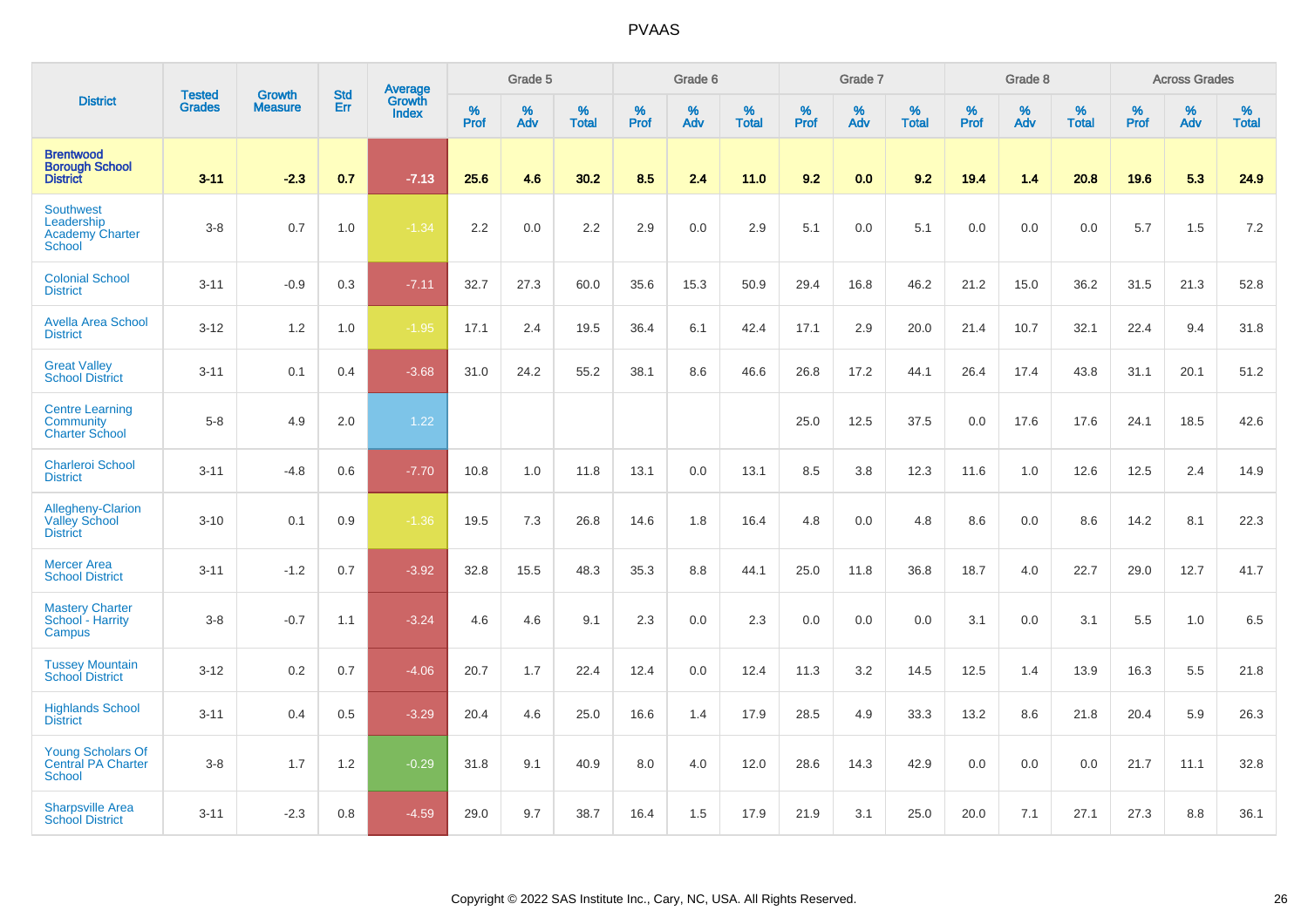|                                                                           |                                |                                 | <b>Std</b> | Average                |           | Grade 5  |                   |           | Grade 6  |                   |           | Grade 7  |                   |           | Grade 8  |                   |           | <b>Across Grades</b> |                   |
|---------------------------------------------------------------------------|--------------------------------|---------------------------------|------------|------------------------|-----------|----------|-------------------|-----------|----------|-------------------|-----------|----------|-------------------|-----------|----------|-------------------|-----------|----------------------|-------------------|
| <b>District</b>                                                           | <b>Tested</b><br><b>Grades</b> | <b>Growth</b><br><b>Measure</b> | Err        | Growth<br><b>Index</b> | %<br>Prof | %<br>Adv | %<br><b>Total</b> | %<br>Prof | %<br>Adv | %<br><b>Total</b> | %<br>Prof | %<br>Adv | %<br><b>Total</b> | %<br>Prof | %<br>Adv | %<br><b>Total</b> | %<br>Prof | %<br>Adv             | %<br><b>Total</b> |
| <b>Brentwood</b><br><b>Borough School</b><br><b>District</b>              | $3 - 11$                       | $-2.3$                          | 0.7        | $-7.13$                | 25.6      | 4.6      | 30.2              | 8.5       | 2.4      | 11.0              | 9.2       | 0.0      | 9.2               | 19.4      | 1.4      | 20.8              | 19.6      | 5.3                  | 24.9              |
| <b>Southwest</b><br>Leadership<br><b>Academy Charter</b><br><b>School</b> | $3-8$                          | 0.7                             | 1.0        | $-1.34$                | 2.2       | 0.0      | $2.2\,$           | 2.9       | 0.0      | 2.9               | 5.1       | 0.0      | 5.1               | 0.0       | 0.0      | 0.0               | 5.7       | 1.5                  | 7.2               |
| <b>Colonial School</b><br><b>District</b>                                 | $3 - 11$                       | $-0.9$                          | 0.3        | $-7.11$                | 32.7      | 27.3     | 60.0              | 35.6      | 15.3     | 50.9              | 29.4      | 16.8     | 46.2              | 21.2      | 15.0     | 36.2              | 31.5      | 21.3                 | 52.8              |
| <b>Avella Area School</b><br><b>District</b>                              | $3 - 12$                       | 1.2                             | 1.0        | $-1.95$                | 17.1      | 2.4      | 19.5              | 36.4      | 6.1      | 42.4              | 17.1      | 2.9      | 20.0              | 21.4      | 10.7     | 32.1              | 22.4      | 9.4                  | 31.8              |
| <b>Great Valley</b><br><b>School District</b>                             | $3 - 11$                       | 0.1                             | 0.4        | $-3.68$                | 31.0      | 24.2     | 55.2              | 38.1      | 8.6      | 46.6              | 26.8      | 17.2     | 44.1              | 26.4      | 17.4     | 43.8              | 31.1      | 20.1                 | 51.2              |
| <b>Centre Learning</b><br><b>Community</b><br><b>Charter School</b>       | $5-8$                          | 4.9                             | 2.0        | 1.22                   |           |          |                   |           |          |                   | 25.0      | 12.5     | 37.5              | 0.0       | 17.6     | 17.6              | 24.1      | 18.5                 | 42.6              |
| <b>Charleroi School</b><br><b>District</b>                                | $3 - 11$                       | $-4.8$                          | 0.6        | $-7.70$                | 10.8      | 1.0      | 11.8              | 13.1      | 0.0      | 13.1              | 8.5       | 3.8      | 12.3              | 11.6      | 1.0      | 12.6              | 12.5      | 2.4                  | 14.9              |
| Allegheny-Clarion<br><b>Valley School</b><br><b>District</b>              | $3 - 10$                       | 0.1                             | 0.9        | $-1.36$                | 19.5      | 7.3      | 26.8              | 14.6      | 1.8      | 16.4              | 4.8       | 0.0      | 4.8               | 8.6       | 0.0      | 8.6               | 14.2      | 8.1                  | 22.3              |
| <b>Mercer Area</b><br><b>School District</b>                              | $3 - 11$                       | $-1.2$                          | 0.7        | $-3.92$                | 32.8      | 15.5     | 48.3              | 35.3      | 8.8      | 44.1              | 25.0      | 11.8     | 36.8              | 18.7      | 4.0      | 22.7              | 29.0      | 12.7                 | 41.7              |
| <b>Mastery Charter</b><br>School - Harrity<br>Campus                      | $3-8$                          | $-0.7$                          | 1.1        | $-3.24$                | 4.6       | 4.6      | 9.1               | 2.3       | 0.0      | 2.3               | $0.0\,$   | 0.0      | 0.0               | 3.1       | 0.0      | 3.1               | 5.5       | 1.0                  | 6.5               |
| <b>Tussey Mountain</b><br><b>School District</b>                          | $3 - 12$                       | 0.2                             | 0.7        | $-4.06$                | 20.7      | 1.7      | 22.4              | 12.4      | 0.0      | 12.4              | 11.3      | 3.2      | 14.5              | 12.5      | 1.4      | 13.9              | 16.3      | 5.5                  | 21.8              |
| <b>Highlands School</b><br><b>District</b>                                | $3 - 11$                       | 0.4                             | 0.5        | $-3.29$                | 20.4      | 4.6      | 25.0              | 16.6      | 1.4      | 17.9              | 28.5      | 4.9      | 33.3              | 13.2      | 8.6      | 21.8              | 20.4      | 5.9                  | 26.3              |
| <b>Young Scholars Of</b><br><b>Central PA Charter</b><br><b>School</b>    | $3-8$                          | 1.7                             | 1.2        | $-0.29$                | 31.8      | 9.1      | 40.9              | 8.0       | 4.0      | 12.0              | 28.6      | 14.3     | 42.9              | 0.0       | 0.0      | 0.0               | 21.7      | 11.1                 | 32.8              |
| <b>Sharpsville Area</b><br><b>School District</b>                         | $3 - 11$                       | $-2.3$                          | 0.8        | $-4.59$                | 29.0      | 9.7      | 38.7              | 16.4      | 1.5      | 17.9              | 21.9      | 3.1      | 25.0              | 20.0      | 7.1      | 27.1              | 27.3      | 8.8                  | 36.1              |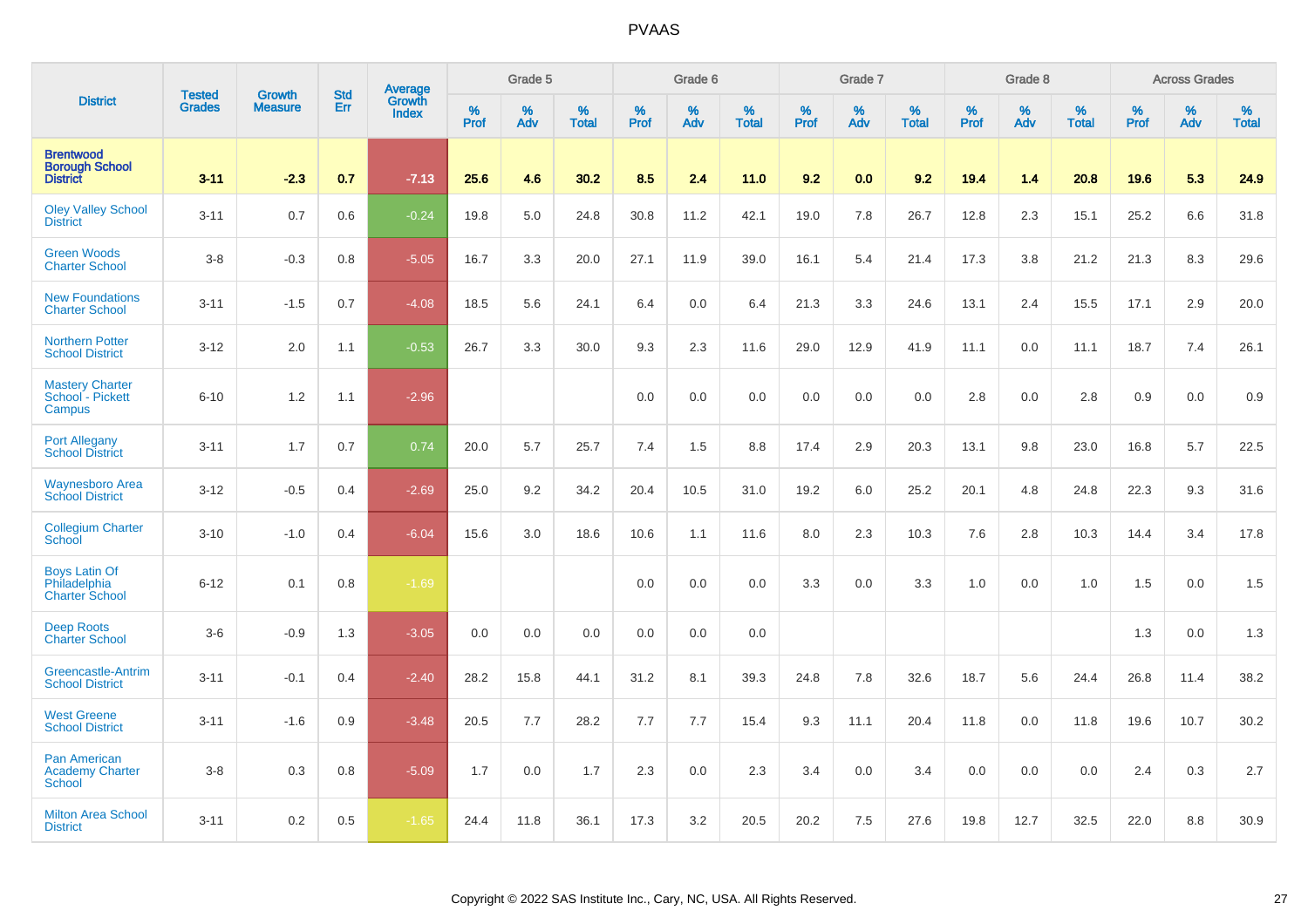|                                                               |                                | <b>Growth</b>  | <b>Std</b> | Average                |              | Grade 5  |                   |           | Grade 6  |                   |           | Grade 7  |                   |           | Grade 8  |                   |           | <b>Across Grades</b> |                   |
|---------------------------------------------------------------|--------------------------------|----------------|------------|------------------------|--------------|----------|-------------------|-----------|----------|-------------------|-----------|----------|-------------------|-----------|----------|-------------------|-----------|----------------------|-------------------|
| <b>District</b>                                               | <b>Tested</b><br><b>Grades</b> | <b>Measure</b> | Err        | Growth<br><b>Index</b> | $\%$<br>Prof | %<br>Adv | %<br><b>Total</b> | %<br>Prof | %<br>Adv | %<br><b>Total</b> | %<br>Prof | %<br>Adv | %<br><b>Total</b> | %<br>Prof | %<br>Adv | %<br><b>Total</b> | %<br>Prof | %<br>Adv             | %<br><b>Total</b> |
| <b>Brentwood</b><br><b>Borough School</b><br><b>District</b>  | $3 - 11$                       | $-2.3$         | 0.7        | $-7.13$                | 25.6         | 4.6      | 30.2              | 8.5       | 2.4      | 11.0              | 9.2       | 0.0      | 9.2               | 19.4      | 1.4      | 20.8              | 19.6      | 5.3                  | 24.9              |
| <b>Oley Valley School</b><br><b>District</b>                  | $3 - 11$                       | 0.7            | 0.6        | $-0.24$                | 19.8         | 5.0      | 24.8              | 30.8      | 11.2     | 42.1              | 19.0      | 7.8      | 26.7              | 12.8      | 2.3      | 15.1              | 25.2      | 6.6                  | 31.8              |
| <b>Green Woods</b><br><b>Charter School</b>                   | $3-8$                          | $-0.3$         | 0.8        | $-5.05$                | 16.7         | 3.3      | 20.0              | 27.1      | 11.9     | 39.0              | 16.1      | 5.4      | 21.4              | 17.3      | 3.8      | 21.2              | 21.3      | 8.3                  | 29.6              |
| <b>New Foundations</b><br><b>Charter School</b>               | $3 - 11$                       | $-1.5$         | 0.7        | $-4.08$                | 18.5         | 5.6      | 24.1              | 6.4       | 0.0      | 6.4               | 21.3      | 3.3      | 24.6              | 13.1      | 2.4      | 15.5              | 17.1      | 2.9                  | 20.0              |
| <b>Northern Potter</b><br><b>School District</b>              | $3 - 12$                       | 2.0            | 1.1        | $-0.53$                | 26.7         | 3.3      | 30.0              | 9.3       | 2.3      | 11.6              | 29.0      | 12.9     | 41.9              | 11.1      | 0.0      | 11.1              | 18.7      | 7.4                  | 26.1              |
| <b>Mastery Charter</b><br>School - Pickett<br>Campus          | $6 - 10$                       | 1.2            | 1.1        | $-2.96$                |              |          |                   | 0.0       | 0.0      | 0.0               | 0.0       | 0.0      | 0.0               | 2.8       | 0.0      | 2.8               | 0.9       | 0.0                  | 0.9               |
| <b>Port Allegany</b><br><b>School District</b>                | $3 - 11$                       | 1.7            | 0.7        | 0.74                   | 20.0         | 5.7      | 25.7              | 7.4       | 1.5      | 8.8               | 17.4      | 2.9      | 20.3              | 13.1      | 9.8      | 23.0              | 16.8      | 5.7                  | 22.5              |
| <b>Waynesboro Area</b><br><b>School District</b>              | $3 - 12$                       | $-0.5$         | 0.4        | $-2.69$                | 25.0         | 9.2      | 34.2              | 20.4      | 10.5     | 31.0              | 19.2      | 6.0      | 25.2              | 20.1      | 4.8      | 24.8              | 22.3      | 9.3                  | 31.6              |
| <b>Collegium Charter</b><br><b>School</b>                     | $3 - 10$                       | $-1.0$         | 0.4        | $-6.04$                | 15.6         | 3.0      | 18.6              | 10.6      | 1.1      | 11.6              | 8.0       | 2.3      | 10.3              | 7.6       | 2.8      | 10.3              | 14.4      | 3.4                  | 17.8              |
| <b>Boys Latin Of</b><br>Philadelphia<br><b>Charter School</b> | $6 - 12$                       | 0.1            | 0.8        | $-1.69$                |              |          |                   | 0.0       | 0.0      | 0.0               | 3.3       | 0.0      | 3.3               | 1.0       | 0.0      | 1.0               | 1.5       | 0.0                  | 1.5               |
| <b>Deep Roots</b><br><b>Charter School</b>                    | $3-6$                          | $-0.9$         | 1.3        | $-3.05$                | 0.0          | 0.0      | 0.0               | 0.0       | 0.0      | 0.0               |           |          |                   |           |          |                   | 1.3       | 0.0                  | 1.3               |
| Greencastle-Antrim<br><b>School District</b>                  | $3 - 11$                       | $-0.1$         | 0.4        | $-2.40$                | 28.2         | 15.8     | 44.1              | 31.2      | 8.1      | 39.3              | 24.8      | 7.8      | 32.6              | 18.7      | 5.6      | 24.4              | 26.8      | 11.4                 | 38.2              |
| <b>West Greene</b><br><b>School District</b>                  | $3 - 11$                       | $-1.6$         | 0.9        | $-3.48$                | 20.5         | 7.7      | 28.2              | 7.7       | 7.7      | 15.4              | 9.3       | 11.1     | 20.4              | 11.8      | 0.0      | 11.8              | 19.6      | 10.7                 | 30.2              |
| <b>Pan American</b><br><b>Academy Charter</b><br>School       | $3-8$                          | 0.3            | 0.8        | $-5.09$                | 1.7          | 0.0      | 1.7               | 2.3       | 0.0      | 2.3               | 3.4       | 0.0      | 3.4               | 0.0       | 0.0      | 0.0               | 2.4       | 0.3                  | 2.7               |
| <b>Milton Area School</b><br><b>District</b>                  | $3 - 11$                       | 0.2            | 0.5        | $-1.65$                | 24.4         | 11.8     | 36.1              | 17.3      | 3.2      | 20.5              | 20.2      | 7.5      | 27.6              | 19.8      | 12.7     | 32.5              | 22.0      | 8.8                  | 30.9              |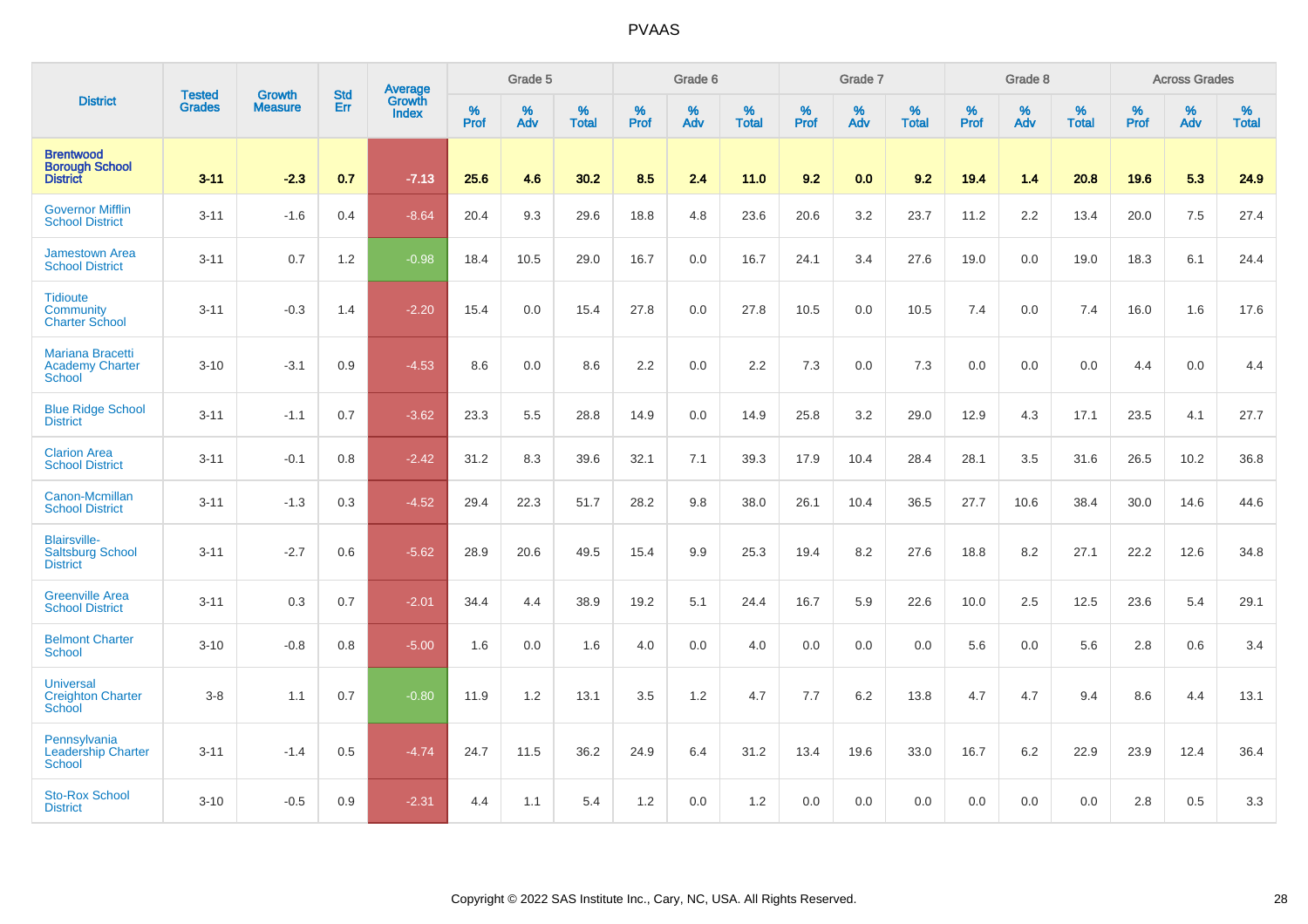|                                                                    | <b>Tested</b> | <b>Growth</b>  | <b>Std</b> | Average                |                     | Grade 5  |                   |              | Grade 6  |                   |              | Grade 7  |                   |              | Grade 8  |                   |           | <b>Across Grades</b> |                   |
|--------------------------------------------------------------------|---------------|----------------|------------|------------------------|---------------------|----------|-------------------|--------------|----------|-------------------|--------------|----------|-------------------|--------------|----------|-------------------|-----------|----------------------|-------------------|
| <b>District</b>                                                    | <b>Grades</b> | <b>Measure</b> | Err        | Growth<br><b>Index</b> | $\%$<br><b>Prof</b> | %<br>Adv | %<br><b>Total</b> | $\%$<br>Prof | %<br>Adv | %<br><b>Total</b> | $\%$<br>Prof | %<br>Adv | %<br><b>Total</b> | $\%$<br>Prof | %<br>Adv | %<br><b>Total</b> | %<br>Prof | %<br>Adv             | %<br><b>Total</b> |
| <b>Brentwood</b><br><b>Borough School</b><br><b>District</b>       | $3 - 11$      | $-2.3$         | 0.7        | $-7.13$                | 25.6                | 4.6      | 30.2              | 8.5          | 2.4      | 11.0              | 9.2          | 0.0      | 9.2               | 19.4         | 1.4      | 20.8              | 19.6      | 5.3                  | 24.9              |
| <b>Governor Mifflin</b><br><b>School District</b>                  | $3 - 11$      | $-1.6$         | 0.4        | $-8.64$                | 20.4                | 9.3      | 29.6              | 18.8         | 4.8      | 23.6              | 20.6         | 3.2      | 23.7              | 11.2         | 2.2      | 13.4              | 20.0      | 7.5                  | 27.4              |
| <b>Jamestown Area</b><br><b>School District</b>                    | $3 - 11$      | 0.7            | 1.2        | $-0.98$                | 18.4                | 10.5     | 29.0              | 16.7         | 0.0      | 16.7              | 24.1         | 3.4      | 27.6              | 19.0         | 0.0      | 19.0              | 18.3      | 6.1                  | 24.4              |
| <b>Tidioute</b><br>Community<br><b>Charter School</b>              | $3 - 11$      | $-0.3$         | 1.4        | $-2.20$                | 15.4                | 0.0      | 15.4              | 27.8         | 0.0      | 27.8              | 10.5         | 0.0      | 10.5              | 7.4          | 0.0      | 7.4               | 16.0      | 1.6                  | 17.6              |
| <b>Mariana Bracetti</b><br><b>Academy Charter</b><br><b>School</b> | $3 - 10$      | $-3.1$         | 0.9        | $-4.53$                | 8.6                 | 0.0      | 8.6               | 2.2          | 0.0      | 2.2               | 7.3          | 0.0      | 7.3               | 0.0          | $0.0\,$  | 0.0               | 4.4       | $0.0\,$              | 4.4               |
| <b>Blue Ridge School</b><br><b>District</b>                        | $3 - 11$      | $-1.1$         | 0.7        | $-3.62$                | 23.3                | 5.5      | 28.8              | 14.9         | 0.0      | 14.9              | 25.8         | 3.2      | 29.0              | 12.9         | 4.3      | 17.1              | 23.5      | 4.1                  | 27.7              |
| <b>Clarion Area</b><br><b>School District</b>                      | $3 - 11$      | $-0.1$         | 0.8        | $-2.42$                | 31.2                | 8.3      | 39.6              | 32.1         | 7.1      | 39.3              | 17.9         | 10.4     | 28.4              | 28.1         | 3.5      | 31.6              | 26.5      | 10.2                 | 36.8              |
| Canon-Mcmillan<br><b>School District</b>                           | $3 - 11$      | $-1.3$         | 0.3        | $-4.52$                | 29.4                | 22.3     | 51.7              | 28.2         | 9.8      | 38.0              | 26.1         | 10.4     | 36.5              | 27.7         | 10.6     | 38.4              | 30.0      | 14.6                 | 44.6              |
| <b>Blairsville-</b><br><b>Saltsburg School</b><br><b>District</b>  | $3 - 11$      | $-2.7$         | 0.6        | $-5.62$                | 28.9                | 20.6     | 49.5              | 15.4         | 9.9      | 25.3              | 19.4         | 8.2      | 27.6              | 18.8         | 8.2      | 27.1              | 22.2      | 12.6                 | 34.8              |
| <b>Greenville Area</b><br><b>School District</b>                   | $3 - 11$      | 0.3            | 0.7        | $-2.01$                | 34.4                | 4.4      | 38.9              | 19.2         | 5.1      | 24.4              | 16.7         | 5.9      | 22.6              | 10.0         | 2.5      | 12.5              | 23.6      | 5.4                  | 29.1              |
| <b>Belmont Charter</b><br><b>School</b>                            | $3 - 10$      | $-0.8$         | 0.8        | $-5.00$                | 1.6                 | 0.0      | 1.6               | 4.0          | 0.0      | 4.0               | 0.0          | 0.0      | 0.0               | 5.6          | 0.0      | 5.6               | 2.8       | 0.6                  | 3.4               |
| <b>Universal</b><br><b>Creighton Charter</b><br>School             | $3-8$         | 1.1            | 0.7        | $-0.80$                | 11.9                | 1.2      | 13.1              | 3.5          | 1.2      | 4.7               | 7.7          | 6.2      | 13.8              | 4.7          | 4.7      | 9.4               | 8.6       | 4.4                  | 13.1              |
| Pennsylvania<br><b>Leadership Charter</b><br><b>School</b>         | $3 - 11$      | $-1.4$         | 0.5        | $-4.74$                | 24.7                | 11.5     | 36.2              | 24.9         | 6.4      | 31.2              | 13.4         | 19.6     | 33.0              | 16.7         | $6.2\,$  | 22.9              | 23.9      | 12.4                 | 36.4              |
| <b>Sto-Rox School</b><br><b>District</b>                           | $3 - 10$      | $-0.5$         | 0.9        | $-2.31$                | 4.4                 | 1.1      | 5.4               | 1.2          | 0.0      | 1.2               | 0.0          | 0.0      | 0.0               | 0.0          | 0.0      | 0.0               | 2.8       | 0.5                  | 3.3               |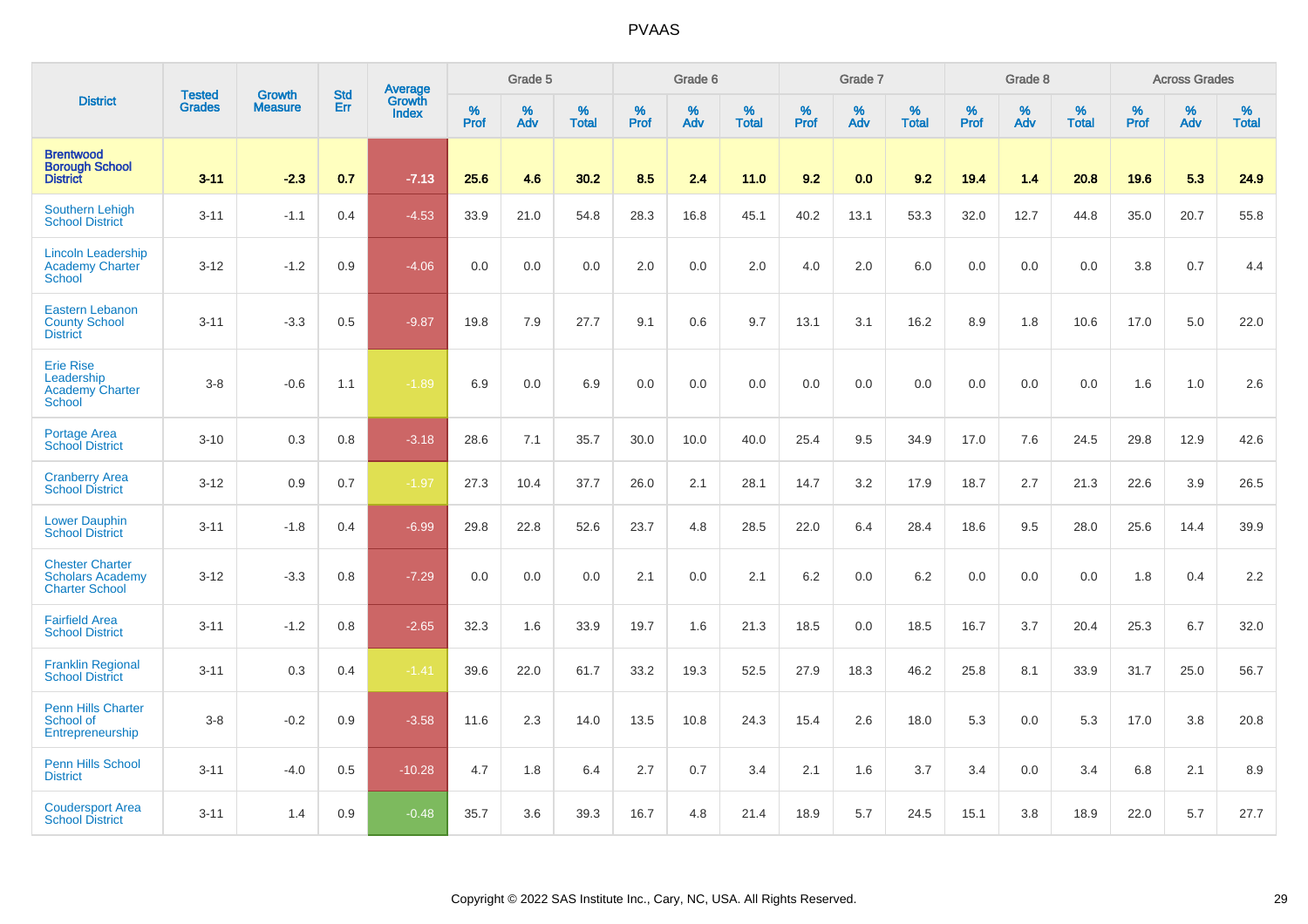|                                                                            |                                |                                 | <b>Std</b> | Average                |              | Grade 5  |                   |           | Grade 6  |                   |           | Grade 7  |                   |           | Grade 8  |                   |           | <b>Across Grades</b> |                   |
|----------------------------------------------------------------------------|--------------------------------|---------------------------------|------------|------------------------|--------------|----------|-------------------|-----------|----------|-------------------|-----------|----------|-------------------|-----------|----------|-------------------|-----------|----------------------|-------------------|
| <b>District</b>                                                            | <b>Tested</b><br><b>Grades</b> | <b>Growth</b><br><b>Measure</b> | Err        | Growth<br><b>Index</b> | $\%$<br>Prof | %<br>Adv | %<br><b>Total</b> | %<br>Prof | %<br>Adv | %<br><b>Total</b> | %<br>Prof | %<br>Adv | %<br><b>Total</b> | %<br>Prof | %<br>Adv | %<br><b>Total</b> | %<br>Prof | %<br>Adv             | %<br><b>Total</b> |
| <b>Brentwood</b><br><b>Borough School</b><br><b>District</b>               | $3 - 11$                       | $-2.3$                          | 0.7        | $-7.13$                | 25.6         | 4.6      | 30.2              | 8.5       | 2.4      | 11.0              | 9.2       | 0.0      | 9.2               | 19.4      | 1.4      | 20.8              | 19.6      | 5.3                  | 24.9              |
| <b>Southern Lehigh</b><br><b>School District</b>                           | $3 - 11$                       | $-1.1$                          | 0.4        | $-4.53$                | 33.9         | 21.0     | 54.8              | 28.3      | 16.8     | 45.1              | 40.2      | 13.1     | 53.3              | 32.0      | 12.7     | 44.8              | 35.0      | 20.7                 | 55.8              |
| <b>Lincoln Leadership</b><br><b>Academy Charter</b><br><b>School</b>       | $3 - 12$                       | $-1.2$                          | 0.9        | $-4.06$                | 0.0          | 0.0      | 0.0               | 2.0       | 0.0      | 2.0               | 4.0       | 2.0      | 6.0               | 0.0       | 0.0      | 0.0               | 3.8       | 0.7                  | 4.4               |
| <b>Eastern Lebanon</b><br><b>County School</b><br><b>District</b>          | $3 - 11$                       | $-3.3$                          | 0.5        | $-9.87$                | 19.8         | 7.9      | 27.7              | 9.1       | 0.6      | 9.7               | 13.1      | 3.1      | 16.2              | 8.9       | 1.8      | 10.6              | 17.0      | 5.0                  | 22.0              |
| <b>Erie Rise</b><br>Leadership<br><b>Academy Charter</b><br>School         | $3-8$                          | $-0.6$                          | 1.1        | $-1.89$                | 6.9          | 0.0      | 6.9               | 0.0       | 0.0      | 0.0               | 0.0       | 0.0      | 0.0               | 0.0       | 0.0      | 0.0               | 1.6       | 1.0                  | 2.6               |
| <b>Portage Area</b><br><b>School District</b>                              | $3 - 10$                       | 0.3                             | 0.8        | $-3.18$                | 28.6         | 7.1      | 35.7              | 30.0      | 10.0     | 40.0              | 25.4      | 9.5      | 34.9              | 17.0      | 7.6      | 24.5              | 29.8      | 12.9                 | 42.6              |
| <b>Cranberry Area</b><br><b>School District</b>                            | $3 - 12$                       | 0.9                             | 0.7        | $-1.97$                | 27.3         | 10.4     | 37.7              | 26.0      | 2.1      | 28.1              | 14.7      | 3.2      | 17.9              | 18.7      | 2.7      | 21.3              | 22.6      | 3.9                  | 26.5              |
| <b>Lower Dauphin</b><br><b>School District</b>                             | $3 - 11$                       | $-1.8$                          | 0.4        | $-6.99$                | 29.8         | 22.8     | 52.6              | 23.7      | 4.8      | 28.5              | 22.0      | 6.4      | 28.4              | 18.6      | 9.5      | 28.0              | 25.6      | 14.4                 | 39.9              |
| <b>Chester Charter</b><br><b>Scholars Academy</b><br><b>Charter School</b> | $3 - 12$                       | $-3.3$                          | 0.8        | $-7.29$                | 0.0          | 0.0      | 0.0               | 2.1       | 0.0      | 2.1               | 6.2       | 0.0      | 6.2               | 0.0       | 0.0      | 0.0               | 1.8       | 0.4                  | 2.2               |
| <b>Fairfield Area</b><br><b>School District</b>                            | $3 - 11$                       | $-1.2$                          | 0.8        | $-2.65$                | 32.3         | 1.6      | 33.9              | 19.7      | 1.6      | 21.3              | 18.5      | 0.0      | 18.5              | 16.7      | 3.7      | 20.4              | 25.3      | 6.7                  | 32.0              |
| <b>Franklin Regional</b><br><b>School District</b>                         | $3 - 11$                       | 0.3                             | 0.4        | $-1.41$                | 39.6         | 22.0     | 61.7              | 33.2      | 19.3     | 52.5              | 27.9      | 18.3     | 46.2              | 25.8      | 8.1      | 33.9              | 31.7      | 25.0                 | 56.7              |
| Penn Hills Charter<br>School of<br>Entrepreneurship                        | $3-8$                          | $-0.2$                          | 0.9        | $-3.58$                | 11.6         | 2.3      | 14.0              | 13.5      | 10.8     | 24.3              | 15.4      | 2.6      | 18.0              | 5.3       | 0.0      | 5.3               | 17.0      | 3.8                  | 20.8              |
| <b>Penn Hills School</b><br><b>District</b>                                | $3 - 11$                       | $-4.0$                          | 0.5        | $-10.28$               | 4.7          | 1.8      | 6.4               | 2.7       | 0.7      | 3.4               | 2.1       | 1.6      | 3.7               | 3.4       | 0.0      | 3.4               | 6.8       | 2.1                  | 8.9               |
| <b>Coudersport Area</b><br><b>School District</b>                          | $3 - 11$                       | 1.4                             | 0.9        | $-0.48$                | 35.7         | 3.6      | 39.3              | 16.7      | 4.8      | 21.4              | 18.9      | 5.7      | 24.5              | 15.1      | 3.8      | 18.9              | 22.0      | 5.7                  | 27.7              |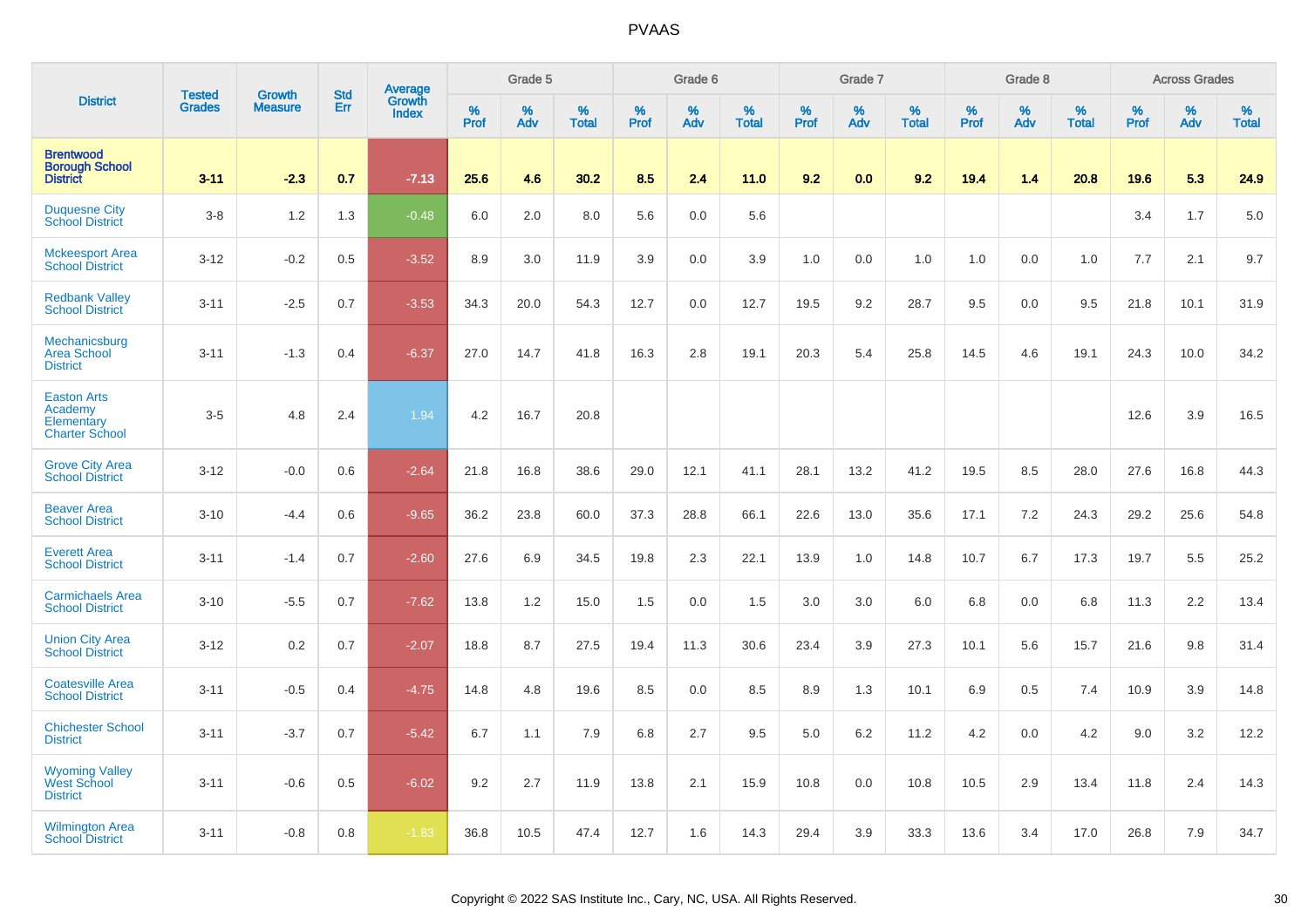|                                                                      |                                |                                 | <b>Std</b> | Average         |                     | Grade 5  |                   |              | Grade 6  |                   |              | Grade 7  |                   |              | Grade 8  |                   |              | <b>Across Grades</b> |                   |
|----------------------------------------------------------------------|--------------------------------|---------------------------------|------------|-----------------|---------------------|----------|-------------------|--------------|----------|-------------------|--------------|----------|-------------------|--------------|----------|-------------------|--------------|----------------------|-------------------|
| <b>District</b>                                                      | <b>Tested</b><br><b>Grades</b> | <b>Growth</b><br><b>Measure</b> | Err        | Growth<br>Index | $\%$<br><b>Prof</b> | %<br>Adv | %<br><b>Total</b> | $\%$<br>Prof | %<br>Adv | %<br><b>Total</b> | $\%$<br>Prof | %<br>Adv | %<br><b>Total</b> | $\%$<br>Prof | %<br>Adv | %<br><b>Total</b> | $\%$<br>Prof | $\%$<br>Adv          | %<br><b>Total</b> |
| <b>Brentwood</b><br><b>Borough School</b><br><b>District</b>         | $3 - 11$                       | $-2.3$                          | 0.7        | $-7.13$         | 25.6                | 4.6      | 30.2              | 8.5          | 2.4      | 11.0              | 9.2          | 0.0      | 9.2               | 19.4         | 1.4      | 20.8              | 19.6         | 5.3                  | 24.9              |
| <b>Duquesne City</b><br><b>School District</b>                       | $3-8$                          | 1.2                             | 1.3        | $-0.48$         | $6.0\,$             | 2.0      | 8.0               | 5.6          | 0.0      | 5.6               |              |          |                   |              |          |                   | 3.4          | 1.7                  | 5.0               |
| <b>Mckeesport Area</b><br><b>School District</b>                     | $3 - 12$                       | $-0.2$                          | 0.5        | $-3.52$         | 8.9                 | 3.0      | 11.9              | 3.9          | 0.0      | 3.9               | 1.0          | 0.0      | 1.0               | 1.0          | 0.0      | 1.0               | 7.7          | 2.1                  | 9.7               |
| <b>Redbank Valley</b><br><b>School District</b>                      | $3 - 11$                       | $-2.5$                          | 0.7        | $-3.53$         | 34.3                | 20.0     | 54.3              | 12.7         | 0.0      | 12.7              | 19.5         | 9.2      | 28.7              | 9.5          | 0.0      | 9.5               | 21.8         | 10.1                 | 31.9              |
| Mechanicsburg<br><b>Area School</b><br><b>District</b>               | $3 - 11$                       | $-1.3$                          | 0.4        | $-6.37$         | 27.0                | 14.7     | 41.8              | 16.3         | 2.8      | 19.1              | 20.3         | 5.4      | 25.8              | 14.5         | 4.6      | 19.1              | 24.3         | 10.0                 | 34.2              |
| <b>Easton Arts</b><br>Academy<br>Elementary<br><b>Charter School</b> | $3-5$                          | 4.8                             | 2.4        | 1.94            | 4.2                 | 16.7     | 20.8              |              |          |                   |              |          |                   |              |          |                   | 12.6         | 3.9                  | 16.5              |
| <b>Grove City Area</b><br><b>School District</b>                     | $3 - 12$                       | $-0.0$                          | 0.6        | $-2.64$         | 21.8                | 16.8     | 38.6              | 29.0         | 12.1     | 41.1              | 28.1         | 13.2     | 41.2              | 19.5         | 8.5      | 28.0              | 27.6         | 16.8                 | 44.3              |
| <b>Beaver Area</b><br><b>School District</b>                         | $3 - 10$                       | $-4.4$                          | 0.6        | $-9.65$         | 36.2                | 23.8     | 60.0              | 37.3         | 28.8     | 66.1              | 22.6         | 13.0     | 35.6              | 17.1         | 7.2      | 24.3              | 29.2         | 25.6                 | 54.8              |
| <b>Everett Area</b><br><b>School District</b>                        | $3 - 11$                       | $-1.4$                          | 0.7        | $-2.60$         | 27.6                | 6.9      | 34.5              | 19.8         | 2.3      | 22.1              | 13.9         | 1.0      | 14.8              | 10.7         | 6.7      | 17.3              | 19.7         | 5.5                  | 25.2              |
| <b>Carmichaels Area</b><br><b>School District</b>                    | $3 - 10$                       | $-5.5$                          | 0.7        | $-7.62$         | 13.8                | 1.2      | 15.0              | 1.5          | 0.0      | 1.5               | 3.0          | 3.0      | 6.0               | 6.8          | 0.0      | 6.8               | 11.3         | 2.2                  | 13.4              |
| <b>Union City Area</b><br><b>School District</b>                     | $3 - 12$                       | 0.2                             | 0.7        | $-2.07$         | 18.8                | 8.7      | 27.5              | 19.4         | 11.3     | 30.6              | 23.4         | 3.9      | 27.3              | 10.1         | 5.6      | 15.7              | 21.6         | 9.8                  | 31.4              |
| <b>Coatesville Area</b><br><b>School District</b>                    | $3 - 11$                       | $-0.5$                          | 0.4        | $-4.75$         | 14.8                | 4.8      | 19.6              | 8.5          | 0.0      | 8.5               | 8.9          | 1.3      | 10.1              | 6.9          | 0.5      | 7.4               | 10.9         | 3.9                  | 14.8              |
| <b>Chichester School</b><br><b>District</b>                          | $3 - 11$                       | $-3.7$                          | 0.7        | $-5.42$         | 6.7                 | 1.1      | 7.9               | 6.8          | 2.7      | 9.5               | 5.0          | 6.2      | 11.2              | 4.2          | 0.0      | 4.2               | 9.0          | 3.2                  | 12.2              |
| <b>Wyoming Valley</b><br><b>West School</b><br><b>District</b>       | $3 - 11$                       | $-0.6$                          | 0.5        | $-6.02$         | 9.2                 | 2.7      | 11.9              | 13.8         | 2.1      | 15.9              | 10.8         | 0.0      | 10.8              | 10.5         | 2.9      | 13.4              | 11.8         | 2.4                  | 14.3              |
| <b>Wilmington Area</b><br><b>School District</b>                     | $3 - 11$                       | $-0.8$                          | 0.8        | $-1.83$         | 36.8                | 10.5     | 47.4              | 12.7         | 1.6      | 14.3              | 29.4         | 3.9      | 33.3              | 13.6         | 3.4      | 17.0              | 26.8         | 7.9                  | 34.7              |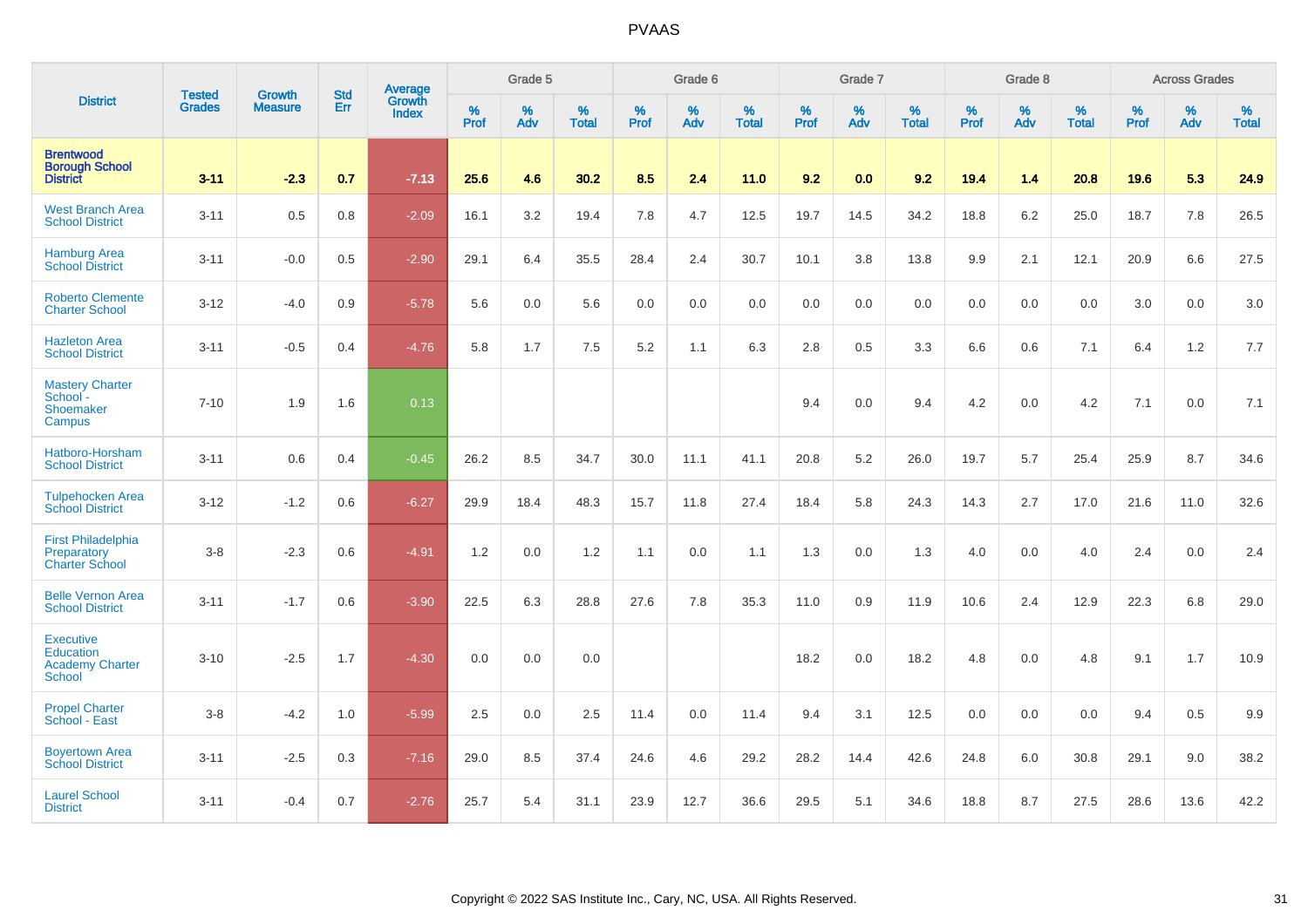|                                                                   |                                |                                 | <b>Std</b> | Average                |           | Grade 5  |                   |           | Grade 6  |                   |           | Grade 7  |                   |           | Grade 8  |                   |           | <b>Across Grades</b> |                   |
|-------------------------------------------------------------------|--------------------------------|---------------------------------|------------|------------------------|-----------|----------|-------------------|-----------|----------|-------------------|-----------|----------|-------------------|-----------|----------|-------------------|-----------|----------------------|-------------------|
| <b>District</b>                                                   | <b>Tested</b><br><b>Grades</b> | <b>Growth</b><br><b>Measure</b> | Err        | Growth<br><b>Index</b> | %<br>Prof | %<br>Adv | %<br><b>Total</b> | %<br>Prof | %<br>Adv | %<br><b>Total</b> | %<br>Prof | %<br>Adv | %<br><b>Total</b> | %<br>Prof | %<br>Adv | %<br><b>Total</b> | %<br>Prof | %<br>Adv             | %<br><b>Total</b> |
| <b>Brentwood</b><br><b>Borough School</b><br><b>District</b>      | $3 - 11$                       | $-2.3$                          | 0.7        | $-7.13$                | 25.6      | 4.6      | 30.2              | 8.5       | 2.4      | 11.0              | 9.2       | 0.0      | 9.2               | 19.4      | 1.4      | 20.8              | 19.6      | 5.3                  | 24.9              |
| <b>West Branch Area</b><br><b>School District</b>                 | $3 - 11$                       | 0.5                             | 0.8        | $-2.09$                | 16.1      | 3.2      | 19.4              | 7.8       | 4.7      | 12.5              | 19.7      | 14.5     | 34.2              | 18.8      | 6.2      | 25.0              | 18.7      | 7.8                  | 26.5              |
| <b>Hamburg Area</b><br><b>School District</b>                     | $3 - 11$                       | $-0.0$                          | 0.5        | $-2.90$                | 29.1      | 6.4      | 35.5              | 28.4      | 2.4      | 30.7              | 10.1      | 3.8      | 13.8              | 9.9       | 2.1      | 12.1              | 20.9      | 6.6                  | 27.5              |
| <b>Roberto Clemente</b><br><b>Charter School</b>                  | $3 - 12$                       | $-4.0$                          | 0.9        | $-5.78$                | 5.6       | 0.0      | 5.6               | 0.0       | 0.0      | 0.0               | 0.0       | 0.0      | 0.0               | 0.0       | 0.0      | 0.0               | 3.0       | 0.0                  | 3.0               |
| <b>Hazleton Area</b><br><b>School District</b>                    | $3 - 11$                       | $-0.5$                          | 0.4        | $-4.76$                | 5.8       | 1.7      | 7.5               | 5.2       | 1.1      | 6.3               | 2.8       | 0.5      | 3.3               | 6.6       | 0.6      | 7.1               | 6.4       | 1.2                  | 7.7               |
| <b>Mastery Charter</b><br>School -<br>Shoemaker<br>Campus         | $7 - 10$                       | 1.9                             | 1.6        | 0.13                   |           |          |                   |           |          |                   | 9.4       | 0.0      | 9.4               | 4.2       | 0.0      | 4.2               | 7.1       | 0.0                  | 7.1               |
| Hatboro-Horsham<br><b>School District</b>                         | $3 - 11$                       | 0.6                             | 0.4        | $-0.45$                | 26.2      | 8.5      | 34.7              | 30.0      | 11.1     | 41.1              | 20.8      | 5.2      | 26.0              | 19.7      | 5.7      | 25.4              | 25.9      | 8.7                  | 34.6              |
| <b>Tulpehocken Area</b><br><b>School District</b>                 | $3 - 12$                       | $-1.2$                          | 0.6        | $-6.27$                | 29.9      | 18.4     | 48.3              | 15.7      | 11.8     | 27.4              | 18.4      | 5.8      | 24.3              | 14.3      | 2.7      | 17.0              | 21.6      | 11.0                 | 32.6              |
| <b>First Philadelphia</b><br>Preparatory<br><b>Charter School</b> | $3-8$                          | $-2.3$                          | 0.6        | $-4.91$                | 1.2       | 0.0      | 1.2               | 1.1       | 0.0      | 1.1               | 1.3       | 0.0      | 1.3               | 4.0       | 0.0      | 4.0               | 2.4       | 0.0                  | 2.4               |
| <b>Belle Vernon Area</b><br><b>School District</b>                | $3 - 11$                       | $-1.7$                          | 0.6        | $-3.90$                | 22.5      | 6.3      | 28.8              | 27.6      | 7.8      | 35.3              | 11.0      | 0.9      | 11.9              | 10.6      | 2.4      | 12.9              | 22.3      | 6.8                  | 29.0              |
| <b>Executive</b><br>Education<br><b>Academy Charter</b><br>School | $3 - 10$                       | $-2.5$                          | 1.7        | $-4.30$                | 0.0       | 0.0      | 0.0               |           |          |                   | 18.2      | 0.0      | 18.2              | 4.8       | 0.0      | 4.8               | 9.1       | 1.7                  | 10.9              |
| <b>Propel Charter</b><br>School - East                            | $3-8$                          | $-4.2$                          | 1.0        | $-5.99$                | 2.5       | 0.0      | 2.5               | 11.4      | 0.0      | 11.4              | 9.4       | 3.1      | 12.5              | 0.0       | 0.0      | 0.0               | 9.4       | 0.5                  | 9.9               |
| <b>Boyertown Area</b><br><b>School District</b>                   | $3 - 11$                       | $-2.5$                          | 0.3        | $-7.16$                | 29.0      | 8.5      | 37.4              | 24.6      | 4.6      | 29.2              | 28.2      | 14.4     | 42.6              | 24.8      | 6.0      | 30.8              | 29.1      | 9.0                  | 38.2              |
| <b>Laurel School</b><br><b>District</b>                           | $3 - 11$                       | $-0.4$                          | 0.7        | $-2.76$                | 25.7      | 5.4      | 31.1              | 23.9      | 12.7     | 36.6              | 29.5      | 5.1      | 34.6              | 18.8      | 8.7      | 27.5              | 28.6      | 13.6                 | 42.2              |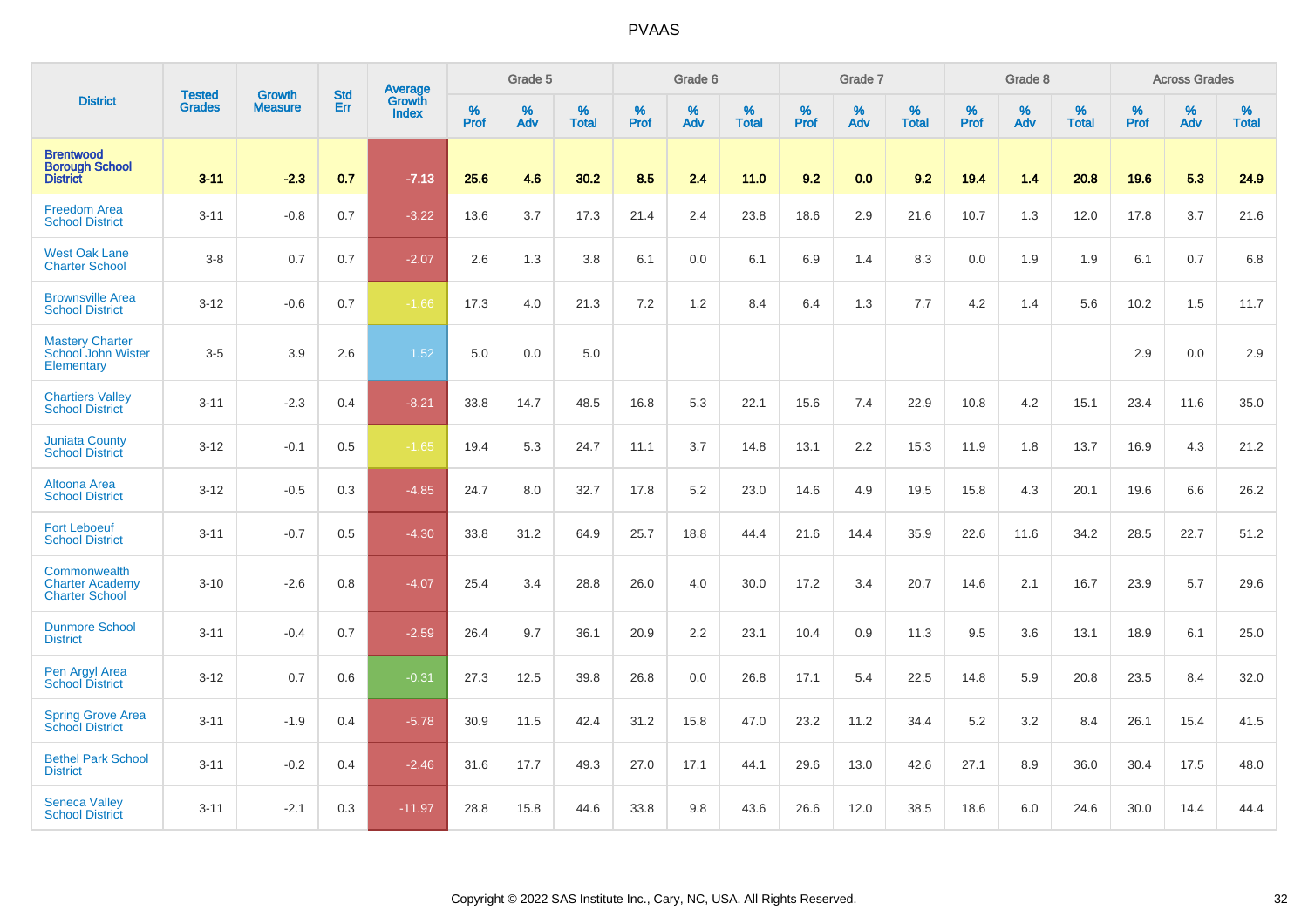|                                                                   | <b>Tested</b> | <b>Growth</b>  | <b>Std</b> | Average                       |              | Grade 5  |                   |           | Grade 6  |                   |           | Grade 7  |                   |           | Grade 8  |                   |           | <b>Across Grades</b> |                   |
|-------------------------------------------------------------------|---------------|----------------|------------|-------------------------------|--------------|----------|-------------------|-----------|----------|-------------------|-----------|----------|-------------------|-----------|----------|-------------------|-----------|----------------------|-------------------|
| <b>District</b>                                                   | <b>Grades</b> | <b>Measure</b> | <b>Err</b> | <b>Growth</b><br><b>Index</b> | $\%$<br>Prof | %<br>Adv | %<br><b>Total</b> | %<br>Prof | %<br>Adv | %<br><b>Total</b> | %<br>Prof | %<br>Adv | %<br><b>Total</b> | %<br>Prof | %<br>Adv | %<br><b>Total</b> | %<br>Prof | %<br>Adv             | %<br><b>Total</b> |
| <b>Brentwood</b><br><b>Borough School</b><br><b>District</b>      | $3 - 11$      | $-2.3$         | 0.7        | $-7.13$                       | 25.6         | 4.6      | 30.2              | 8.5       | 2.4      | 11.0              | 9.2       | 0.0      | 9.2               | 19.4      | 1.4      | 20.8              | 19.6      | 5.3                  | 24.9              |
| <b>Freedom Area</b><br><b>School District</b>                     | $3 - 11$      | $-0.8$         | 0.7        | $-3.22$                       | 13.6         | 3.7      | 17.3              | 21.4      | 2.4      | 23.8              | 18.6      | 2.9      | 21.6              | 10.7      | 1.3      | 12.0              | 17.8      | 3.7                  | 21.6              |
| <b>West Oak Lane</b><br><b>Charter School</b>                     | $3-8$         | 0.7            | 0.7        | $-2.07$                       | 2.6          | 1.3      | 3.8               | 6.1       | 0.0      | 6.1               | 6.9       | 1.4      | 8.3               | 0.0       | 1.9      | 1.9               | 6.1       | 0.7                  | 6.8               |
| <b>Brownsville Area</b><br><b>School District</b>                 | $3 - 12$      | $-0.6$         | 0.7        | $-1.66$                       | 17.3         | 4.0      | 21.3              | 7.2       | 1.2      | 8.4               | 6.4       | 1.3      | 7.7               | 4.2       | 1.4      | 5.6               | 10.2      | 1.5                  | 11.7              |
| <b>Mastery Charter</b><br><b>School John Wister</b><br>Elementary | $3-5$         | 3.9            | 2.6        | 1.52                          | 5.0          | 0.0      | 5.0               |           |          |                   |           |          |                   |           |          |                   | 2.9       | 0.0                  | 2.9               |
| <b>Chartiers Valley</b><br><b>School District</b>                 | $3 - 11$      | $-2.3$         | 0.4        | $-8.21$                       | 33.8         | 14.7     | 48.5              | 16.8      | 5.3      | 22.1              | 15.6      | 7.4      | 22.9              | 10.8      | 4.2      | 15.1              | 23.4      | 11.6                 | 35.0              |
| <b>Juniata County</b><br><b>School District</b>                   | $3 - 12$      | $-0.1$         | 0.5        | $-1.65$                       | 19.4         | 5.3      | 24.7              | 11.1      | 3.7      | 14.8              | 13.1      | 2.2      | 15.3              | 11.9      | 1.8      | 13.7              | 16.9      | 4.3                  | 21.2              |
| Altoona Area<br><b>School District</b>                            | $3 - 12$      | $-0.5$         | 0.3        | $-4.85$                       | 24.7         | 8.0      | 32.7              | 17.8      | 5.2      | 23.0              | 14.6      | 4.9      | 19.5              | 15.8      | 4.3      | 20.1              | 19.6      | 6.6                  | 26.2              |
| <b>Fort Leboeuf</b><br><b>School District</b>                     | $3 - 11$      | $-0.7$         | 0.5        | $-4.30$                       | 33.8         | 31.2     | 64.9              | 25.7      | 18.8     | 44.4              | 21.6      | 14.4     | 35.9              | 22.6      | 11.6     | 34.2              | 28.5      | 22.7                 | 51.2              |
| Commonwealth<br><b>Charter Academy</b><br><b>Charter School</b>   | $3 - 10$      | $-2.6$         | 0.8        | $-4.07$                       | 25.4         | 3.4      | 28.8              | 26.0      | 4.0      | 30.0              | 17.2      | 3.4      | 20.7              | 14.6      | 2.1      | 16.7              | 23.9      | 5.7                  | 29.6              |
| <b>Dunmore School</b><br><b>District</b>                          | $3 - 11$      | $-0.4$         | 0.7        | $-2.59$                       | 26.4         | 9.7      | 36.1              | 20.9      | 2.2      | 23.1              | 10.4      | 0.9      | 11.3              | 9.5       | 3.6      | 13.1              | 18.9      | 6.1                  | 25.0              |
| Pen Argyl Area<br><b>School District</b>                          | $3 - 12$      | 0.7            | 0.6        | $-0.31$                       | 27.3         | 12.5     | 39.8              | 26.8      | 0.0      | 26.8              | 17.1      | 5.4      | 22.5              | 14.8      | 5.9      | 20.8              | 23.5      | 8.4                  | 32.0              |
| <b>Spring Grove Area</b><br><b>School District</b>                | $3 - 11$      | $-1.9$         | 0.4        | $-5.78$                       | 30.9         | 11.5     | 42.4              | 31.2      | 15.8     | 47.0              | 23.2      | 11.2     | 34.4              | 5.2       | 3.2      | 8.4               | 26.1      | 15.4                 | 41.5              |
| <b>Bethel Park School</b><br><b>District</b>                      | $3 - 11$      | $-0.2$         | 0.4        | $-2.46$                       | 31.6         | 17.7     | 49.3              | 27.0      | 17.1     | 44.1              | 29.6      | 13.0     | 42.6              | 27.1      | 8.9      | 36.0              | 30.4      | 17.5                 | 48.0              |
| <b>Seneca Valley</b><br><b>School District</b>                    | $3 - 11$      | $-2.1$         | 0.3        | $-11.97$                      | 28.8         | 15.8     | 44.6              | 33.8      | 9.8      | 43.6              | 26.6      | 12.0     | 38.5              | 18.6      | 6.0      | 24.6              | 30.0      | 14.4                 | 44.4              |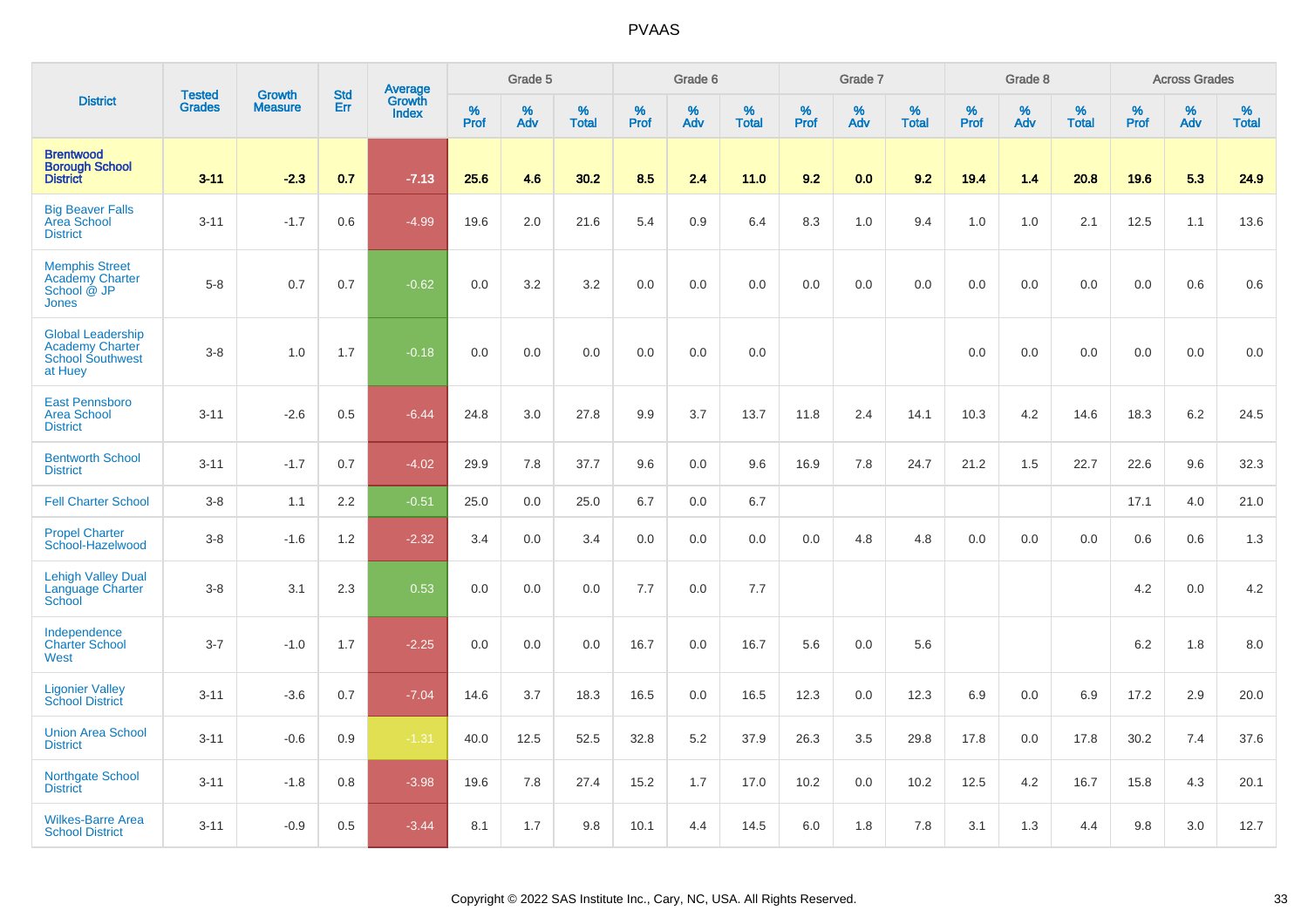|                                                                                   | <b>Tested</b> | <b>Growth</b>  | <b>Std</b> | Average                |                     | Grade 5     |                   |           | Grade 6  |                   |              | Grade 7  |                   |              | Grade 8  |                      |              | <b>Across Grades</b> |                      |
|-----------------------------------------------------------------------------------|---------------|----------------|------------|------------------------|---------------------|-------------|-------------------|-----------|----------|-------------------|--------------|----------|-------------------|--------------|----------|----------------------|--------------|----------------------|----------------------|
| <b>District</b>                                                                   | <b>Grades</b> | <b>Measure</b> | Err        | Growth<br><b>Index</b> | $\%$<br><b>Prof</b> | $\%$<br>Adv | %<br><b>Total</b> | %<br>Prof | %<br>Adv | %<br><b>Total</b> | $\%$<br>Prof | %<br>Adv | %<br><b>Total</b> | $\%$<br>Prof | %<br>Adv | $\%$<br><b>Total</b> | $\%$<br>Prof | $\%$<br>Adv          | $\%$<br><b>Total</b> |
| <b>Brentwood</b><br><b>Borough School</b><br><b>District</b>                      | $3 - 11$      | $-2.3$         | 0.7        | $-7.13$                | 25.6                | 4.6         | 30.2              | 8.5       | 2.4      | 11.0              | 9.2          | 0.0      | 9.2               | 19.4         | 1.4      | 20.8                 | 19.6         | 5.3                  | 24.9                 |
| <b>Big Beaver Falls</b><br>Area School<br><b>District</b>                         | $3 - 11$      | $-1.7$         | 0.6        | $-4.99$                | 19.6                | 2.0         | 21.6              | 5.4       | 0.9      | 6.4               | 8.3          | 1.0      | 9.4               | 1.0          | 1.0      | 2.1                  | 12.5         | 1.1                  | 13.6                 |
| <b>Memphis Street</b><br><b>Academy Charter</b><br>School @ JP<br><b>Jones</b>    | $5 - 8$       | 0.7            | 0.7        | $-0.62$                | 0.0                 | 3.2         | 3.2               | 0.0       | 0.0      | 0.0               | 0.0          | 0.0      | 0.0               | 0.0          | 0.0      | 0.0                  | 0.0          | 0.6                  | 0.6                  |
| <b>Global Leadership</b><br>Academy Charter<br><b>School Southwest</b><br>at Huey | $3 - 8$       | 1.0            | 1.7        | $-0.18$                | 0.0                 | 0.0         | 0.0               | 0.0       | 0.0      | 0.0               |              |          |                   | 0.0          | 0.0      | 0.0                  | 0.0          | 0.0                  | 0.0                  |
| <b>East Pennsboro</b><br><b>Area School</b><br><b>District</b>                    | $3 - 11$      | $-2.6$         | 0.5        | $-6.44$                | 24.8                | 3.0         | 27.8              | 9.9       | 3.7      | 13.7              | 11.8         | 2.4      | 14.1              | 10.3         | 4.2      | 14.6                 | 18.3         | 6.2                  | 24.5                 |
| <b>Bentworth School</b><br><b>District</b>                                        | $3 - 11$      | $-1.7$         | 0.7        | $-4.02$                | 29.9                | 7.8         | 37.7              | 9.6       | 0.0      | 9.6               | 16.9         | 7.8      | 24.7              | 21.2         | 1.5      | 22.7                 | 22.6         | 9.6                  | 32.3                 |
| <b>Fell Charter School</b>                                                        | $3 - 8$       | 1.1            | 2.2        | $-0.51$                | 25.0                | 0.0         | 25.0              | 6.7       | 0.0      | 6.7               |              |          |                   |              |          |                      | 17.1         | 4.0                  | 21.0                 |
| <b>Propel Charter</b><br>School-Hazelwood                                         | $3-8$         | $-1.6$         | 1.2        | $-2.32$                | 3.4                 | 0.0         | 3.4               | 0.0       | 0.0      | 0.0               | 0.0          | 4.8      | 4.8               | 0.0          | 0.0      | 0.0                  | 0.6          | 0.6                  | 1.3                  |
| <b>Lehigh Valley Dual</b><br>Language Charter<br>School                           | $3 - 8$       | 3.1            | 2.3        | 0.53                   | 0.0                 | 0.0         | 0.0               | 7.7       | 0.0      | 7.7               |              |          |                   |              |          |                      | 4.2          | 0.0                  | 4.2                  |
| Independence<br><b>Charter School</b><br>West                                     | $3 - 7$       | $-1.0$         | 1.7        | $-2.25$                | 0.0                 | 0.0         | 0.0               | 16.7      | 0.0      | 16.7              | 5.6          | 0.0      | 5.6               |              |          |                      | 6.2          | 1.8                  | 8.0                  |
| <b>Ligonier Valley</b><br><b>School District</b>                                  | $3 - 11$      | $-3.6$         | 0.7        | $-7.04$                | 14.6                | 3.7         | 18.3              | 16.5      | 0.0      | 16.5              | 12.3         | 0.0      | 12.3              | 6.9          | 0.0      | 6.9                  | 17.2         | 2.9                  | 20.0                 |
| <b>Union Area School</b><br><b>District</b>                                       | $3 - 11$      | $-0.6$         | 0.9        | $-1.31$                | 40.0                | 12.5        | 52.5              | 32.8      | 5.2      | 37.9              | 26.3         | 3.5      | 29.8              | 17.8         | 0.0      | 17.8                 | 30.2         | 7.4                  | 37.6                 |
| <b>Northgate School</b><br><b>District</b>                                        | $3 - 11$      | $-1.8$         | 0.8        | $-3.98$                | 19.6                | 7.8         | 27.4              | 15.2      | 1.7      | 17.0              | 10.2         | 0.0      | 10.2              | 12.5         | 4.2      | 16.7                 | 15.8         | 4.3                  | 20.1                 |
| <b>Wilkes-Barre Area</b><br><b>School District</b>                                | $3 - 11$      | $-0.9$         | 0.5        | $-3.44$                | 8.1                 | 1.7         | 9.8               | 10.1      | 4.4      | 14.5              | 6.0          | 1.8      | 7.8               | 3.1          | 1.3      | 4.4                  | 9.8          | 3.0                  | 12.7                 |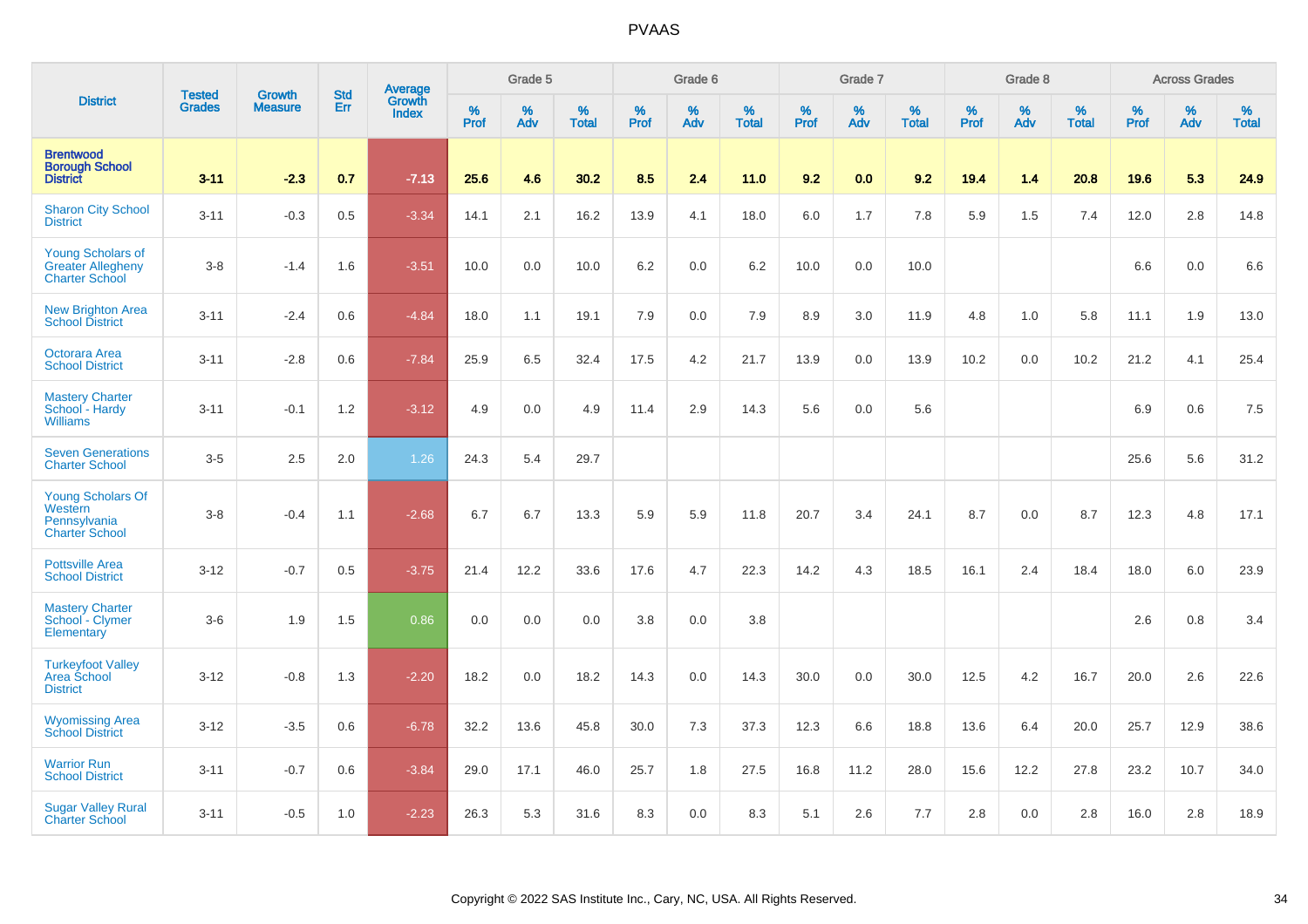|                                                                               |                                |                                 | <b>Std</b> | Average                |           | Grade 5  |                      |           | Grade 6  |                      |           | Grade 7  |                   |           | Grade 8  |                   |           | <b>Across Grades</b> |                   |
|-------------------------------------------------------------------------------|--------------------------------|---------------------------------|------------|------------------------|-----------|----------|----------------------|-----------|----------|----------------------|-----------|----------|-------------------|-----------|----------|-------------------|-----------|----------------------|-------------------|
| <b>District</b>                                                               | <b>Tested</b><br><b>Grades</b> | <b>Growth</b><br><b>Measure</b> | Err        | Growth<br><b>Index</b> | %<br>Prof | %<br>Adv | $\%$<br><b>Total</b> | %<br>Prof | %<br>Adv | $\%$<br><b>Total</b> | %<br>Prof | %<br>Adv | %<br><b>Total</b> | %<br>Prof | %<br>Adv | %<br><b>Total</b> | %<br>Prof | $\%$<br>Adv          | %<br><b>Total</b> |
| <b>Brentwood</b><br><b>Borough School</b><br><b>District</b>                  | $3 - 11$                       | $-2.3$                          | 0.7        | $-7.13$                | 25.6      | 4.6      | 30.2                 | 8.5       | 2.4      | 11.0                 | 9.2       | 0.0      | 9.2               | 19.4      | 1.4      | 20.8              | 19.6      | 5.3                  | 24.9              |
| <b>Sharon City School</b><br><b>District</b>                                  | $3 - 11$                       | $-0.3$                          | 0.5        | $-3.34$                | 14.1      | 2.1      | 16.2                 | 13.9      | 4.1      | 18.0                 | 6.0       | 1.7      | 7.8               | 5.9       | 1.5      | 7.4               | 12.0      | 2.8                  | 14.8              |
| <b>Young Scholars of</b><br><b>Greater Allegheny</b><br><b>Charter School</b> | $3-8$                          | $-1.4$                          | 1.6        | $-3.51$                | 10.0      | 0.0      | 10.0                 | 6.2       | 0.0      | 6.2                  | 10.0      | 0.0      | 10.0              |           |          |                   | 6.6       | 0.0                  | 6.6               |
| <b>New Brighton Area</b><br><b>School District</b>                            | $3 - 11$                       | $-2.4$                          | 0.6        | $-4.84$                | 18.0      | 1.1      | 19.1                 | 7.9       | 0.0      | 7.9                  | 8.9       | 3.0      | 11.9              | 4.8       | 1.0      | 5.8               | 11.1      | 1.9                  | 13.0              |
| <b>Octorara Area</b><br><b>School District</b>                                | $3 - 11$                       | $-2.8$                          | 0.6        | $-7.84$                | 25.9      | 6.5      | 32.4                 | 17.5      | 4.2      | 21.7                 | 13.9      | 0.0      | 13.9              | 10.2      | 0.0      | 10.2              | 21.2      | 4.1                  | 25.4              |
| <b>Mastery Charter</b><br>School - Hardy<br><b>Williams</b>                   | $3 - 11$                       | $-0.1$                          | 1.2        | $-3.12$                | 4.9       | 0.0      | 4.9                  | 11.4      | 2.9      | 14.3                 | 5.6       | 0.0      | 5.6               |           |          |                   | 6.9       | 0.6                  | 7.5               |
| <b>Seven Generations</b><br><b>Charter School</b>                             | $3-5$                          | 2.5                             | 2.0        | 1.26                   | 24.3      | 5.4      | 29.7                 |           |          |                      |           |          |                   |           |          |                   | 25.6      | 5.6                  | 31.2              |
| <b>Young Scholars Of</b><br>Western<br>Pennsylvania<br><b>Charter School</b>  | $3-8$                          | $-0.4$                          | 1.1        | $-2.68$                | 6.7       | 6.7      | 13.3                 | 5.9       | 5.9      | 11.8                 | 20.7      | 3.4      | 24.1              | 8.7       | 0.0      | 8.7               | 12.3      | 4.8                  | 17.1              |
| <b>Pottsville Area</b><br><b>School District</b>                              | $3 - 12$                       | $-0.7$                          | 0.5        | $-3.75$                | 21.4      | 12.2     | 33.6                 | 17.6      | 4.7      | 22.3                 | 14.2      | 4.3      | 18.5              | 16.1      | 2.4      | 18.4              | 18.0      | 6.0                  | 23.9              |
| <b>Mastery Charter</b><br>School - Clymer<br>Elementary                       | $3-6$                          | 1.9                             | 1.5        | 0.86                   | 0.0       | 0.0      | 0.0                  | 3.8       | 0.0      | 3.8                  |           |          |                   |           |          |                   | 2.6       | 0.8                  | 3.4               |
| <b>Turkeyfoot Valley</b><br>Area School<br><b>District</b>                    | $3 - 12$                       | $-0.8$                          | 1.3        | $-2.20$                | 18.2      | 0.0      | 18.2                 | 14.3      | 0.0      | 14.3                 | 30.0      | 0.0      | 30.0              | 12.5      | 4.2      | 16.7              | 20.0      | 2.6                  | 22.6              |
| <b>Wyomissing Area</b><br><b>School District</b>                              | $3 - 12$                       | $-3.5$                          | 0.6        | $-6.78$                | 32.2      | 13.6     | 45.8                 | 30.0      | 7.3      | 37.3                 | 12.3      | 6.6      | 18.8              | 13.6      | 6.4      | 20.0              | 25.7      | 12.9                 | 38.6              |
| <b>Warrior Run</b><br><b>School District</b>                                  | $3 - 11$                       | $-0.7$                          | 0.6        | $-3.84$                | 29.0      | 17.1     | 46.0                 | 25.7      | 1.8      | 27.5                 | 16.8      | 11.2     | 28.0              | 15.6      | 12.2     | 27.8              | 23.2      | 10.7                 | 34.0              |
| <b>Sugar Valley Rural</b><br><b>Charter School</b>                            | $3 - 11$                       | $-0.5$                          | 1.0        | $-2.23$                | 26.3      | 5.3      | 31.6                 | 8.3       | 0.0      | 8.3                  | 5.1       | 2.6      | 7.7               | 2.8       | 0.0      | 2.8               | 16.0      | 2.8                  | 18.9              |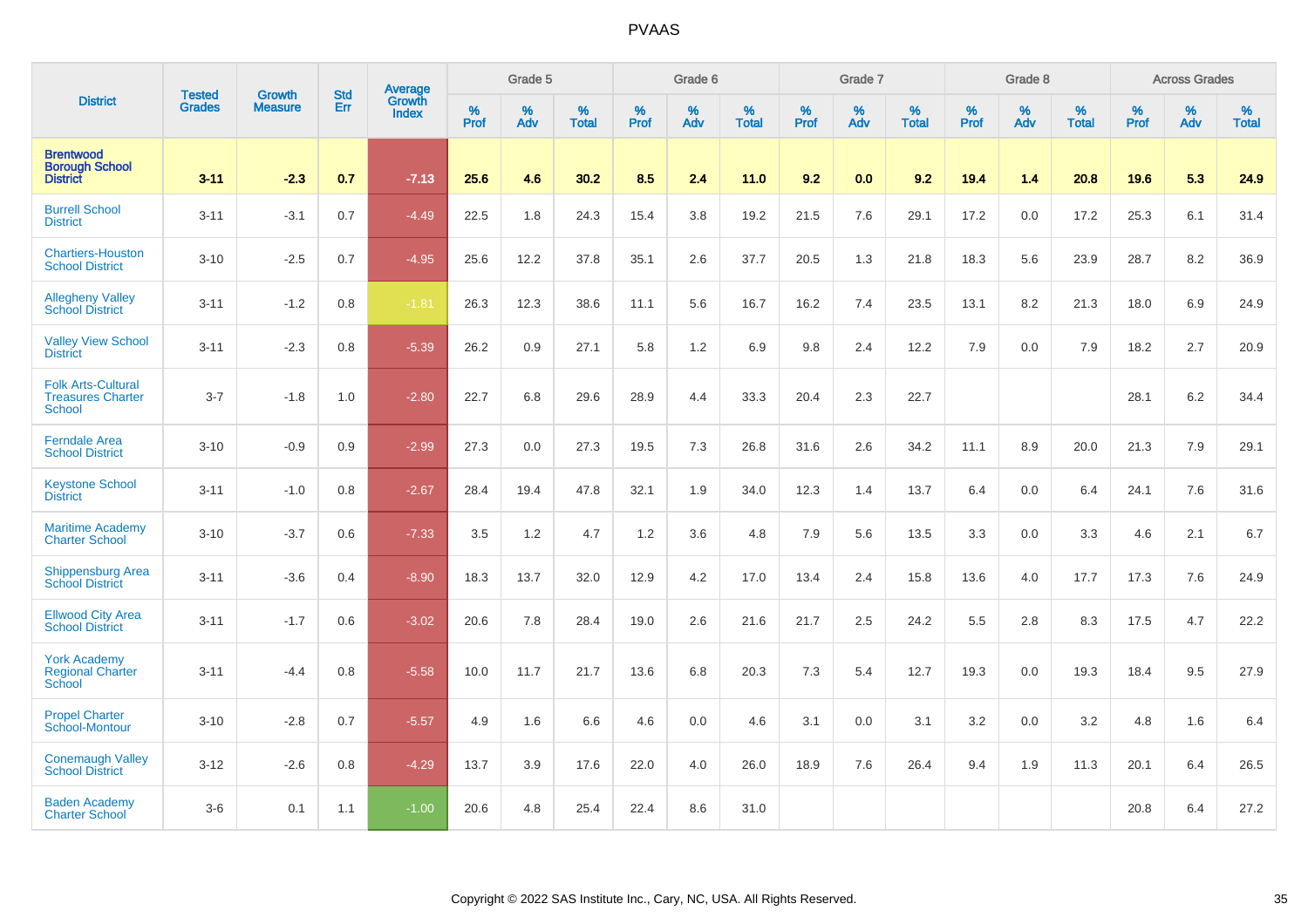|                                                                        | <b>Tested</b> | <b>Growth</b>  | <b>Std</b> | Average                       |           | Grade 5  |                   |           | Grade 6  |                   |           | Grade 7  |                   |           | Grade 8  |                   |           | <b>Across Grades</b> |                   |
|------------------------------------------------------------------------|---------------|----------------|------------|-------------------------------|-----------|----------|-------------------|-----------|----------|-------------------|-----------|----------|-------------------|-----------|----------|-------------------|-----------|----------------------|-------------------|
| <b>District</b>                                                        | <b>Grades</b> | <b>Measure</b> | Err        | <b>Growth</b><br><b>Index</b> | %<br>Prof | %<br>Adv | %<br><b>Total</b> | %<br>Prof | %<br>Adv | %<br><b>Total</b> | %<br>Prof | %<br>Adv | %<br><b>Total</b> | %<br>Prof | %<br>Adv | %<br><b>Total</b> | %<br>Prof | %<br>Adv             | %<br><b>Total</b> |
| <b>Brentwood</b><br><b>Borough School</b><br><b>District</b>           | $3 - 11$      | $-2.3$         | 0.7        | $-7.13$                       | 25.6      | 4.6      | 30.2              | 8.5       | 2.4      | 11.0              | 9.2       | 0.0      | 9.2               | 19.4      | 1.4      | 20.8              | 19.6      | 5.3                  | 24.9              |
| <b>Burrell School</b><br><b>District</b>                               | $3 - 11$      | $-3.1$         | 0.7        | $-4.49$                       | 22.5      | 1.8      | 24.3              | 15.4      | 3.8      | 19.2              | 21.5      | 7.6      | 29.1              | 17.2      | 0.0      | 17.2              | 25.3      | 6.1                  | 31.4              |
| <b>Chartiers-Houston</b><br><b>School District</b>                     | $3 - 10$      | $-2.5$         | 0.7        | $-4.95$                       | 25.6      | 12.2     | 37.8              | 35.1      | 2.6      | 37.7              | 20.5      | 1.3      | 21.8              | 18.3      | 5.6      | 23.9              | 28.7      | 8.2                  | 36.9              |
| <b>Allegheny Valley</b><br><b>School District</b>                      | $3 - 11$      | $-1.2$         | 0.8        | $-1.81$                       | 26.3      | 12.3     | 38.6              | 11.1      | 5.6      | 16.7              | 16.2      | 7.4      | 23.5              | 13.1      | 8.2      | 21.3              | 18.0      | 6.9                  | 24.9              |
| <b>Valley View School</b><br><b>District</b>                           | $3 - 11$      | $-2.3$         | 0.8        | $-5.39$                       | 26.2      | 0.9      | 27.1              | 5.8       | 1.2      | 6.9               | 9.8       | 2.4      | 12.2              | 7.9       | 0.0      | 7.9               | 18.2      | 2.7                  | 20.9              |
| <b>Folk Arts-Cultural</b><br><b>Treasures Charter</b><br><b>School</b> | $3 - 7$       | $-1.8$         | 1.0        | $-2.80$                       | 22.7      | 6.8      | 29.6              | 28.9      | 4.4      | 33.3              | 20.4      | 2.3      | 22.7              |           |          |                   | 28.1      | $6.2\,$              | 34.4              |
| <b>Ferndale Area</b><br><b>School District</b>                         | $3 - 10$      | $-0.9$         | 0.9        | $-2.99$                       | 27.3      | 0.0      | 27.3              | 19.5      | 7.3      | 26.8              | 31.6      | 2.6      | 34.2              | 11.1      | 8.9      | 20.0              | 21.3      | 7.9                  | 29.1              |
| <b>Keystone School</b><br><b>District</b>                              | $3 - 11$      | $-1.0$         | 0.8        | $-2.67$                       | 28.4      | 19.4     | 47.8              | 32.1      | 1.9      | 34.0              | 12.3      | 1.4      | 13.7              | 6.4       | 0.0      | 6.4               | 24.1      | 7.6                  | 31.6              |
| <b>Maritime Academy</b><br><b>Charter School</b>                       | $3 - 10$      | $-3.7$         | 0.6        | $-7.33$                       | 3.5       | 1.2      | 4.7               | 1.2       | 3.6      | 4.8               | 7.9       | 5.6      | 13.5              | 3.3       | 0.0      | 3.3               | 4.6       | 2.1                  | 6.7               |
| <b>Shippensburg Area</b><br><b>School District</b>                     | $3 - 11$      | $-3.6$         | 0.4        | $-8.90$                       | 18.3      | 13.7     | 32.0              | 12.9      | 4.2      | 17.0              | 13.4      | 2.4      | 15.8              | 13.6      | 4.0      | 17.7              | 17.3      | 7.6                  | 24.9              |
| <b>Ellwood City Area</b><br><b>School District</b>                     | $3 - 11$      | $-1.7$         | 0.6        | $-3.02$                       | 20.6      | 7.8      | 28.4              | 19.0      | 2.6      | 21.6              | 21.7      | 2.5      | 24.2              | 5.5       | 2.8      | 8.3               | 17.5      | 4.7                  | 22.2              |
| <b>York Academy</b><br><b>Regional Charter</b><br>School               | $3 - 11$      | $-4.4$         | 0.8        | $-5.58$                       | 10.0      | 11.7     | 21.7              | 13.6      | 6.8      | 20.3              | 7.3       | 5.4      | 12.7              | 19.3      | 0.0      | 19.3              | 18.4      | 9.5                  | 27.9              |
| <b>Propel Charter</b><br>School-Montour                                | $3 - 10$      | $-2.8$         | 0.7        | $-5.57$                       | 4.9       | 1.6      | 6.6               | 4.6       | 0.0      | 4.6               | 3.1       | 0.0      | 3.1               | 3.2       | 0.0      | 3.2               | 4.8       | 1.6                  | 6.4               |
| <b>Conemaugh Valley</b><br><b>School District</b>                      | $3 - 12$      | $-2.6$         | 0.8        | $-4.29$                       | 13.7      | 3.9      | 17.6              | 22.0      | 4.0      | 26.0              | 18.9      | 7.6      | 26.4              | 9.4       | 1.9      | 11.3              | 20.1      | 6.4                  | 26.5              |
| <b>Baden Academy</b><br><b>Charter School</b>                          | $3-6$         | 0.1            | 1.1        | $-1.00$                       | 20.6      | 4.8      | 25.4              | 22.4      | 8.6      | 31.0              |           |          |                   |           |          |                   | 20.8      | 6.4                  | 27.2              |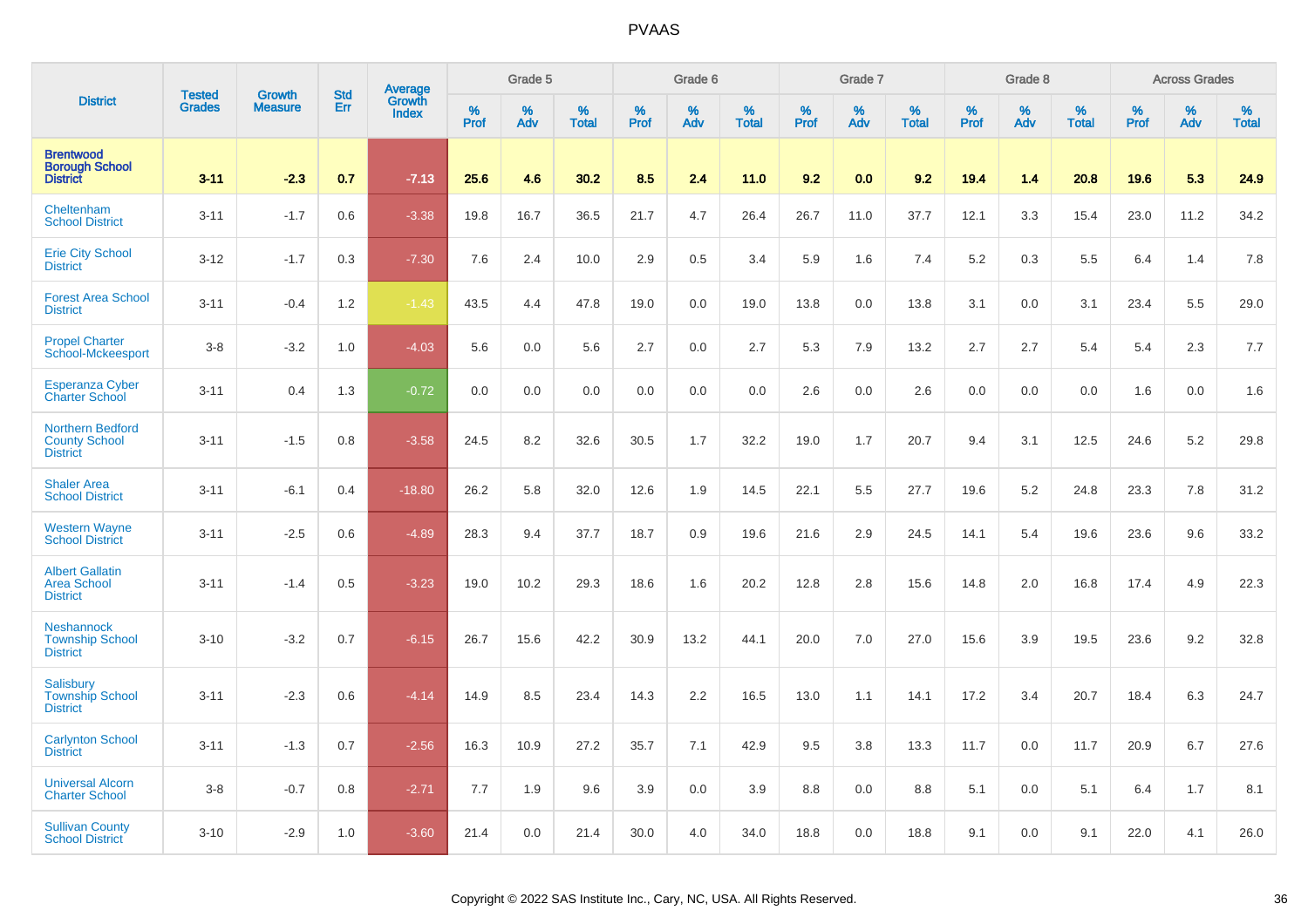|                                                                    |                                | <b>Growth</b>  | <b>Std</b> | <b>Average</b><br>Growth |           | Grade 5  |                   |           | Grade 6  |                   |           | Grade 7  |                   |           | Grade 8  |                   |           | <b>Across Grades</b> |                   |
|--------------------------------------------------------------------|--------------------------------|----------------|------------|--------------------------|-----------|----------|-------------------|-----------|----------|-------------------|-----------|----------|-------------------|-----------|----------|-------------------|-----------|----------------------|-------------------|
| <b>District</b>                                                    | <b>Tested</b><br><b>Grades</b> | <b>Measure</b> | Err        | <b>Index</b>             | %<br>Prof | %<br>Adv | %<br><b>Total</b> | %<br>Prof | %<br>Adv | %<br><b>Total</b> | %<br>Prof | %<br>Adv | %<br><b>Total</b> | %<br>Prof | %<br>Adv | %<br><b>Total</b> | %<br>Prof | %<br>Adv             | %<br><b>Total</b> |
| <b>Brentwood</b><br><b>Borough School</b><br><b>District</b>       | $3 - 11$                       | $-2.3$         | 0.7        | $-7.13$                  | 25.6      | 4.6      | 30.2              | 8.5       | 2.4      | 11.0              | 9.2       | 0.0      | 9.2               | 19.4      | 1.4      | 20.8              | 19.6      | 5.3                  | 24.9              |
| Cheltenham<br><b>School District</b>                               | $3 - 11$                       | $-1.7$         | 0.6        | $-3.38$                  | 19.8      | 16.7     | 36.5              | 21.7      | 4.7      | 26.4              | 26.7      | 11.0     | 37.7              | 12.1      | 3.3      | 15.4              | 23.0      | 11.2                 | 34.2              |
| <b>Erie City School</b><br><b>District</b>                         | $3 - 12$                       | $-1.7$         | 0.3        | $-7.30$                  | 7.6       | 2.4      | 10.0              | 2.9       | 0.5      | 3.4               | 5.9       | 1.6      | 7.4               | 5.2       | 0.3      | 5.5               | 6.4       | 1.4                  | 7.8               |
| <b>Forest Area School</b><br><b>District</b>                       | $3 - 11$                       | $-0.4$         | 1.2        | $-1.43$                  | 43.5      | 4.4      | 47.8              | 19.0      | 0.0      | 19.0              | 13.8      | 0.0      | 13.8              | 3.1       | 0.0      | 3.1               | 23.4      | 5.5                  | 29.0              |
| <b>Propel Charter</b><br>School-Mckeesport                         | $3-8$                          | $-3.2$         | 1.0        | $-4.03$                  | 5.6       | 0.0      | 5.6               | 2.7       | 0.0      | 2.7               | 5.3       | 7.9      | 13.2              | 2.7       | 2.7      | 5.4               | 5.4       | 2.3                  | 7.7               |
| <b>Esperanza Cyber</b><br><b>Charter School</b>                    | $3 - 11$                       | 0.4            | 1.3        | $-0.72$                  | 0.0       | 0.0      | 0.0               | 0.0       | 0.0      | 0.0               | 2.6       | 0.0      | 2.6               | 0.0       | 0.0      | 0.0               | 1.6       | 0.0                  | 1.6               |
| <b>Northern Bedford</b><br><b>County School</b><br><b>District</b> | $3 - 11$                       | $-1.5$         | 0.8        | $-3.58$                  | 24.5      | 8.2      | 32.6              | 30.5      | 1.7      | 32.2              | 19.0      | 1.7      | 20.7              | 9.4       | 3.1      | 12.5              | 24.6      | 5.2                  | 29.8              |
| <b>Shaler Area</b><br><b>School District</b>                       | $3 - 11$                       | $-6.1$         | 0.4        | $-18.80$                 | 26.2      | 5.8      | 32.0              | 12.6      | 1.9      | 14.5              | 22.1      | 5.5      | 27.7              | 19.6      | 5.2      | 24.8              | 23.3      | 7.8                  | 31.2              |
| <b>Western Wayne</b><br><b>School District</b>                     | $3 - 11$                       | $-2.5$         | 0.6        | $-4.89$                  | 28.3      | 9.4      | 37.7              | 18.7      | 0.9      | 19.6              | 21.6      | 2.9      | 24.5              | 14.1      | 5.4      | 19.6              | 23.6      | 9.6                  | 33.2              |
| <b>Albert Gallatin</b><br><b>Area School</b><br><b>District</b>    | $3 - 11$                       | $-1.4$         | 0.5        | $-3.23$                  | 19.0      | 10.2     | 29.3              | 18.6      | 1.6      | 20.2              | 12.8      | 2.8      | 15.6              | 14.8      | 2.0      | 16.8              | 17.4      | 4.9                  | 22.3              |
| <b>Neshannock</b><br><b>Township School</b><br><b>District</b>     | $3 - 10$                       | $-3.2$         | 0.7        | $-6.15$                  | 26.7      | 15.6     | 42.2              | 30.9      | 13.2     | 44.1              | 20.0      | 7.0      | 27.0              | 15.6      | 3.9      | 19.5              | 23.6      | 9.2                  | 32.8              |
| Salisbury<br><b>Township School</b><br><b>District</b>             | $3 - 11$                       | $-2.3$         | 0.6        | $-4.14$                  | 14.9      | 8.5      | 23.4              | 14.3      | 2.2      | 16.5              | 13.0      | 1.1      | 14.1              | 17.2      | 3.4      | 20.7              | 18.4      | 6.3                  | 24.7              |
| <b>Carlynton School</b><br><b>District</b>                         | $3 - 11$                       | $-1.3$         | 0.7        | $-2.56$                  | 16.3      | 10.9     | 27.2              | 35.7      | 7.1      | 42.9              | 9.5       | 3.8      | 13.3              | 11.7      | 0.0      | 11.7              | 20.9      | 6.7                  | 27.6              |
| <b>Universal Alcorn</b><br><b>Charter School</b>                   | $3 - 8$                        | $-0.7$         | 0.8        | $-2.71$                  | 7.7       | 1.9      | 9.6               | 3.9       | 0.0      | 3.9               | 8.8       | 0.0      | 8.8               | 5.1       | 0.0      | 5.1               | 6.4       | 1.7                  | 8.1               |
| <b>Sullivan County</b><br><b>School District</b>                   | $3 - 10$                       | $-2.9$         | 1.0        | $-3.60$                  | 21.4      | 0.0      | 21.4              | 30.0      | 4.0      | 34.0              | 18.8      | 0.0      | 18.8              | 9.1       | 0.0      | 9.1               | 22.0      | 4.1                  | 26.0              |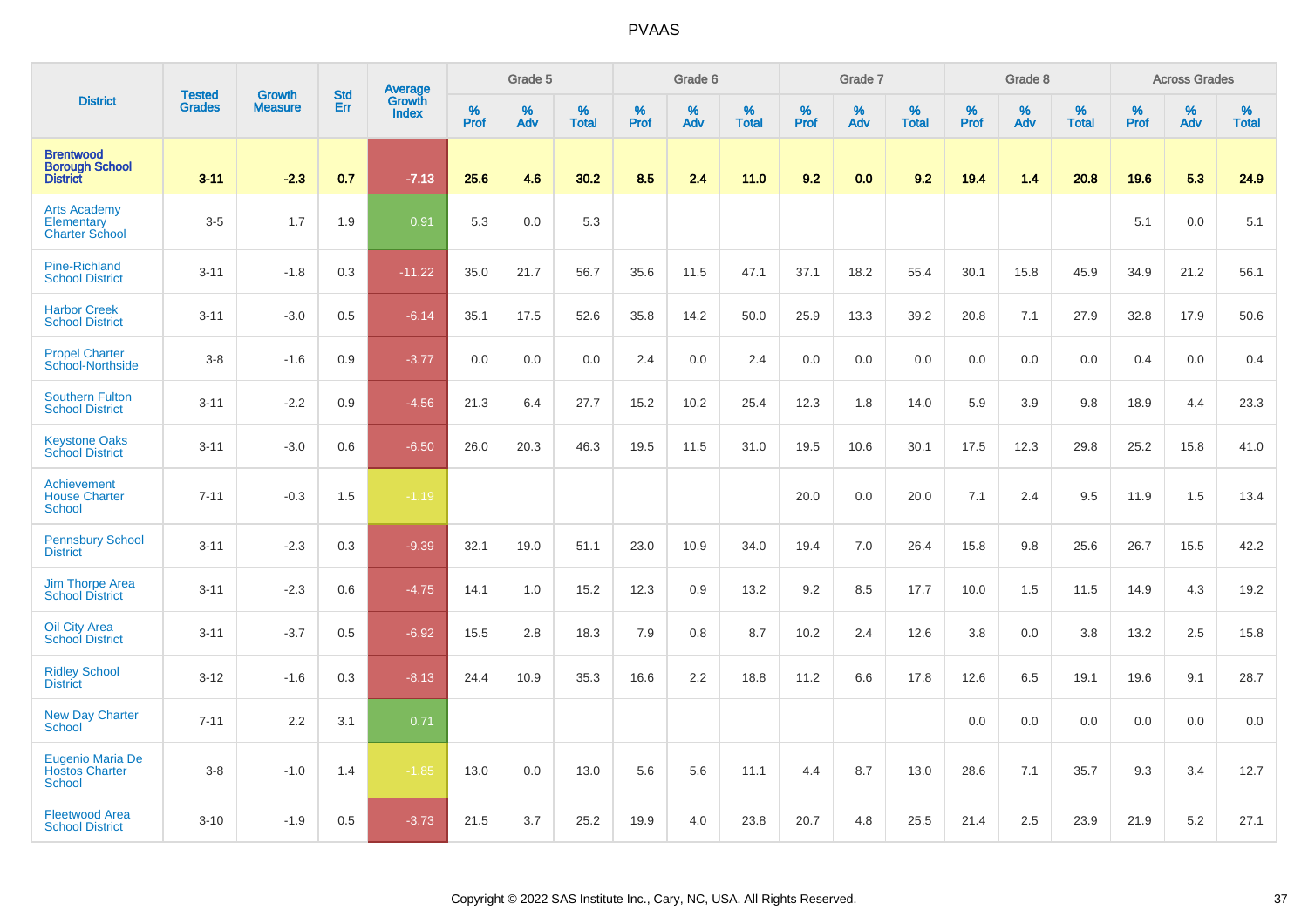|                                                              |                                | <b>Growth</b>  | <b>Std</b> | <b>Average</b><br>Growth |              | Grade 5  |                   |           | Grade 6  |                   |              | Grade 7  |                   |           | Grade 8  |                   |              | <b>Across Grades</b> |                   |
|--------------------------------------------------------------|--------------------------------|----------------|------------|--------------------------|--------------|----------|-------------------|-----------|----------|-------------------|--------------|----------|-------------------|-----------|----------|-------------------|--------------|----------------------|-------------------|
| <b>District</b>                                              | <b>Tested</b><br><b>Grades</b> | <b>Measure</b> | Err        | Index                    | $\%$<br>Prof | %<br>Adv | %<br><b>Total</b> | %<br>Prof | %<br>Adv | %<br><b>Total</b> | $\%$<br>Prof | %<br>Adv | %<br><b>Total</b> | %<br>Prof | %<br>Adv | %<br><b>Total</b> | $\%$<br>Prof | $\%$<br>Adv          | %<br><b>Total</b> |
| <b>Brentwood</b><br><b>Borough School</b><br><b>District</b> | $3 - 11$                       | $-2.3$         | 0.7        | $-7.13$                  | 25.6         | 4.6      | 30.2              | 8.5       | 2.4      | 11.0              | 9.2          | 0.0      | 9.2               | 19.4      | 1.4      | 20.8              | 19.6         | 5.3                  | 24.9              |
| <b>Arts Academy</b><br>Elementary<br><b>Charter School</b>   | $3-5$                          | 1.7            | 1.9        | 0.91                     | 5.3          | 0.0      | 5.3               |           |          |                   |              |          |                   |           |          |                   | 5.1          | 0.0                  | 5.1               |
| <b>Pine-Richland</b><br><b>School District</b>               | $3 - 11$                       | $-1.8$         | 0.3        | $-11.22$                 | 35.0         | 21.7     | 56.7              | 35.6      | 11.5     | 47.1              | 37.1         | 18.2     | 55.4              | 30.1      | 15.8     | 45.9              | 34.9         | 21.2                 | 56.1              |
| <b>Harbor Creek</b><br><b>School District</b>                | $3 - 11$                       | $-3.0$         | 0.5        | $-6.14$                  | 35.1         | 17.5     | 52.6              | 35.8      | 14.2     | 50.0              | 25.9         | 13.3     | 39.2              | 20.8      | 7.1      | 27.9              | 32.8         | 17.9                 | 50.6              |
| <b>Propel Charter</b><br>School-Northside                    | $3-8$                          | $-1.6$         | 0.9        | $-3.77$                  | 0.0          | 0.0      | 0.0               | 2.4       | 0.0      | 2.4               | 0.0          | 0.0      | 0.0               | 0.0       | 0.0      | 0.0               | 0.4          | 0.0                  | 0.4               |
| <b>Southern Fulton</b><br><b>School District</b>             | $3 - 11$                       | $-2.2$         | 0.9        | $-4.56$                  | 21.3         | 6.4      | 27.7              | 15.2      | 10.2     | 25.4              | 12.3         | 1.8      | 14.0              | 5.9       | 3.9      | 9.8               | 18.9         | 4.4                  | 23.3              |
| <b>Keystone Oaks</b><br><b>School District</b>               | $3 - 11$                       | $-3.0$         | 0.6        | $-6.50$                  | 26.0         | 20.3     | 46.3              | 19.5      | 11.5     | 31.0              | 19.5         | 10.6     | 30.1              | 17.5      | 12.3     | 29.8              | 25.2         | 15.8                 | 41.0              |
| Achievement<br><b>House Charter</b><br>School                | $7 - 11$                       | $-0.3$         | 1.5        | $-1.19$                  |              |          |                   |           |          |                   | 20.0         | 0.0      | 20.0              | 7.1       | 2.4      | 9.5               | 11.9         | 1.5                  | 13.4              |
| <b>Pennsbury School</b><br><b>District</b>                   | $3 - 11$                       | $-2.3$         | 0.3        | $-9.39$                  | 32.1         | 19.0     | 51.1              | 23.0      | 10.9     | 34.0              | 19.4         | 7.0      | 26.4              | 15.8      | 9.8      | 25.6              | 26.7         | 15.5                 | 42.2              |
| <b>Jim Thorpe Area</b><br><b>School District</b>             | $3 - 11$                       | $-2.3$         | 0.6        | $-4.75$                  | 14.1         | 1.0      | 15.2              | 12.3      | 0.9      | 13.2              | 9.2          | 8.5      | 17.7              | 10.0      | 1.5      | 11.5              | 14.9         | 4.3                  | 19.2              |
| <b>Oil City Area</b><br><b>School District</b>               | $3 - 11$                       | $-3.7$         | 0.5        | $-6.92$                  | 15.5         | 2.8      | 18.3              | 7.9       | 0.8      | 8.7               | 10.2         | 2.4      | 12.6              | 3.8       | 0.0      | 3.8               | 13.2         | 2.5                  | 15.8              |
| <b>Ridley School</b><br><b>District</b>                      | $3 - 12$                       | $-1.6$         | 0.3        | $-8.13$                  | 24.4         | 10.9     | 35.3              | 16.6      | 2.2      | 18.8              | 11.2         | 6.6      | 17.8              | 12.6      | 6.5      | 19.1              | 19.6         | 9.1                  | 28.7              |
| <b>New Day Charter</b><br><b>School</b>                      | $7 - 11$                       | 2.2            | 3.1        | 0.71                     |              |          |                   |           |          |                   |              |          |                   | 0.0       | 0.0      | 0.0               | 0.0          | 0.0                  | 0.0               |
| Eugenio Maria De<br><b>Hostos Charter</b><br>School          | $3-8$                          | $-1.0$         | 1.4        | $-1.85$                  | 13.0         | 0.0      | 13.0              | 5.6       | 5.6      | 11.1              | 4.4          | 8.7      | 13.0              | 28.6      | 7.1      | 35.7              | 9.3          | 3.4                  | 12.7              |
| <b>Fleetwood Area</b><br><b>School District</b>              | $3 - 10$                       | $-1.9$         | 0.5        | $-3.73$                  | 21.5         | 3.7      | 25.2              | 19.9      | 4.0      | 23.8              | 20.7         | 4.8      | 25.5              | 21.4      | 2.5      | 23.9              | 21.9         | 5.2                  | 27.1              |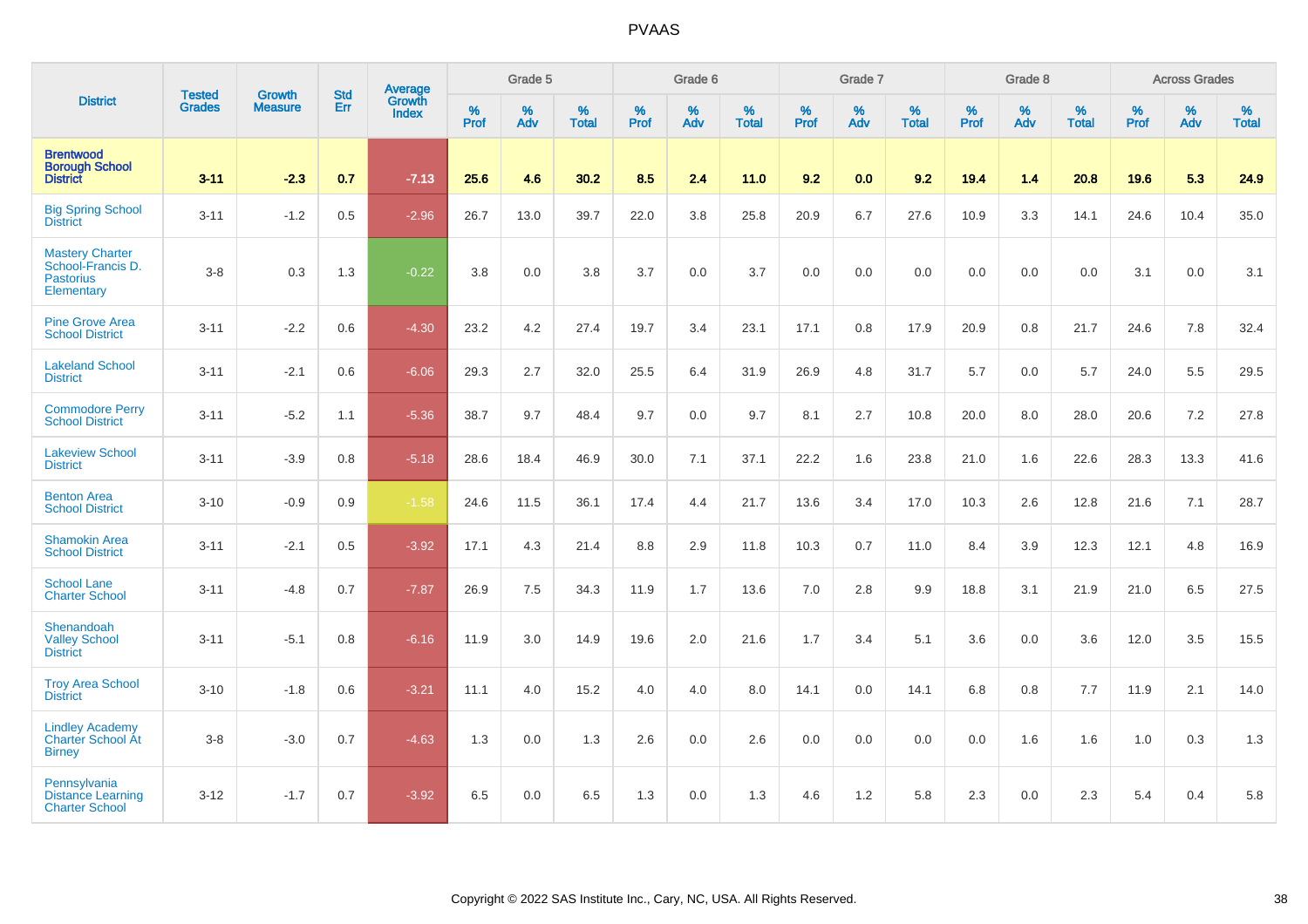|                                                                               |                                |                                 | <b>Std</b> | Average                |           | Grade 5  |                   |           | Grade 6  |                   |           | Grade 7  |                   |           | Grade 8  |                   |           | <b>Across Grades</b> |                   |
|-------------------------------------------------------------------------------|--------------------------------|---------------------------------|------------|------------------------|-----------|----------|-------------------|-----------|----------|-------------------|-----------|----------|-------------------|-----------|----------|-------------------|-----------|----------------------|-------------------|
| <b>District</b>                                                               | <b>Tested</b><br><b>Grades</b> | <b>Growth</b><br><b>Measure</b> | Err        | Growth<br><b>Index</b> | %<br>Prof | %<br>Adv | %<br><b>Total</b> | %<br>Prof | %<br>Adv | %<br><b>Total</b> | %<br>Prof | %<br>Adv | %<br><b>Total</b> | %<br>Prof | %<br>Adv | %<br><b>Total</b> | %<br>Prof | %<br>Adv             | %<br><b>Total</b> |
| <b>Brentwood</b><br><b>Borough School</b><br><b>District</b>                  | $3 - 11$                       | $-2.3$                          | 0.7        | $-7.13$                | 25.6      | 4.6      | 30.2              | 8.5       | 2.4      | 11.0              | 9.2       | 0.0      | 9.2               | 19.4      | 1.4      | 20.8              | 19.6      | 5.3                  | 24.9              |
| <b>Big Spring School</b><br><b>District</b>                                   | $3 - 11$                       | $-1.2$                          | 0.5        | $-2.96$                | 26.7      | 13.0     | 39.7              | 22.0      | 3.8      | 25.8              | 20.9      | 6.7      | 27.6              | 10.9      | 3.3      | 14.1              | 24.6      | 10.4                 | 35.0              |
| <b>Mastery Charter</b><br>School-Francis D.<br><b>Pastorius</b><br>Elementary | $3-8$                          | 0.3                             | 1.3        | $-0.22$                | 3.8       | 0.0      | 3.8               | 3.7       | 0.0      | 3.7               | 0.0       | 0.0      | 0.0               | 0.0       | 0.0      | 0.0               | 3.1       | 0.0                  | 3.1               |
| <b>Pine Grove Area</b><br><b>School District</b>                              | $3 - 11$                       | $-2.2$                          | 0.6        | $-4.30$                | 23.2      | 4.2      | 27.4              | 19.7      | 3.4      | 23.1              | 17.1      | 0.8      | 17.9              | 20.9      | 0.8      | 21.7              | 24.6      | 7.8                  | 32.4              |
| <b>Lakeland School</b><br><b>District</b>                                     | $3 - 11$                       | $-2.1$                          | 0.6        | $-6.06$                | 29.3      | 2.7      | 32.0              | 25.5      | 6.4      | 31.9              | 26.9      | 4.8      | 31.7              | 5.7       | 0.0      | 5.7               | 24.0      | 5.5                  | 29.5              |
| <b>Commodore Perry</b><br><b>School District</b>                              | $3 - 11$                       | $-5.2$                          | 1.1        | $-5.36$                | 38.7      | 9.7      | 48.4              | 9.7       | 0.0      | 9.7               | 8.1       | 2.7      | 10.8              | 20.0      | 8.0      | 28.0              | 20.6      | 7.2                  | 27.8              |
| <b>Lakeview School</b><br><b>District</b>                                     | $3 - 11$                       | $-3.9$                          | 0.8        | $-5.18$                | 28.6      | 18.4     | 46.9              | 30.0      | 7.1      | 37.1              | 22.2      | 1.6      | 23.8              | 21.0      | 1.6      | 22.6              | 28.3      | 13.3                 | 41.6              |
| <b>Benton Area</b><br><b>School District</b>                                  | $3 - 10$                       | $-0.9$                          | 0.9        | $-1.58$                | 24.6      | 11.5     | 36.1              | 17.4      | 4.4      | 21.7              | 13.6      | 3.4      | 17.0              | 10.3      | 2.6      | 12.8              | 21.6      | 7.1                  | 28.7              |
| <b>Shamokin Area</b><br><b>School District</b>                                | $3 - 11$                       | $-2.1$                          | 0.5        | $-3.92$                | 17.1      | 4.3      | 21.4              | 8.8       | 2.9      | 11.8              | 10.3      | 0.7      | 11.0              | 8.4       | 3.9      | 12.3              | 12.1      | 4.8                  | 16.9              |
| <b>School Lane</b><br><b>Charter School</b>                                   | $3 - 11$                       | $-4.8$                          | 0.7        | $-7.87$                | 26.9      | 7.5      | 34.3              | 11.9      | 1.7      | 13.6              | 7.0       | 2.8      | 9.9               | 18.8      | 3.1      | 21.9              | 21.0      | 6.5                  | 27.5              |
| Shenandoah<br><b>Valley School</b><br><b>District</b>                         | $3 - 11$                       | $-5.1$                          | 0.8        | $-6.16$                | 11.9      | 3.0      | 14.9              | 19.6      | 2.0      | 21.6              | 1.7       | 3.4      | 5.1               | 3.6       | 0.0      | 3.6               | 12.0      | 3.5                  | 15.5              |
| <b>Troy Area School</b><br><b>District</b>                                    | $3 - 10$                       | $-1.8$                          | 0.6        | $-3.21$                | 11.1      | 4.0      | 15.2              | 4.0       | 4.0      | 8.0               | 14.1      | 0.0      | 14.1              | 6.8       | 0.8      | 7.7               | 11.9      | 2.1                  | 14.0              |
| <b>Lindley Academy</b><br><b>Charter School At</b><br><b>Birney</b>           | $3 - 8$                        | $-3.0$                          | 0.7        | $-4.63$                | 1.3       | 0.0      | 1.3               | 2.6       | 0.0      | 2.6               | 0.0       | 0.0      | 0.0               | 0.0       | 1.6      | 1.6               | 1.0       | 0.3                  | 1.3               |
| Pennsylvania<br><b>Distance Learning</b><br><b>Charter School</b>             | $3 - 12$                       | $-1.7$                          | 0.7        | $-3.92$                | 6.5       | 0.0      | 6.5               | 1.3       | 0.0      | 1.3               | 4.6       | 1.2      | 5.8               | 2.3       | 0.0      | 2.3               | 5.4       | 0.4                  | 5.8               |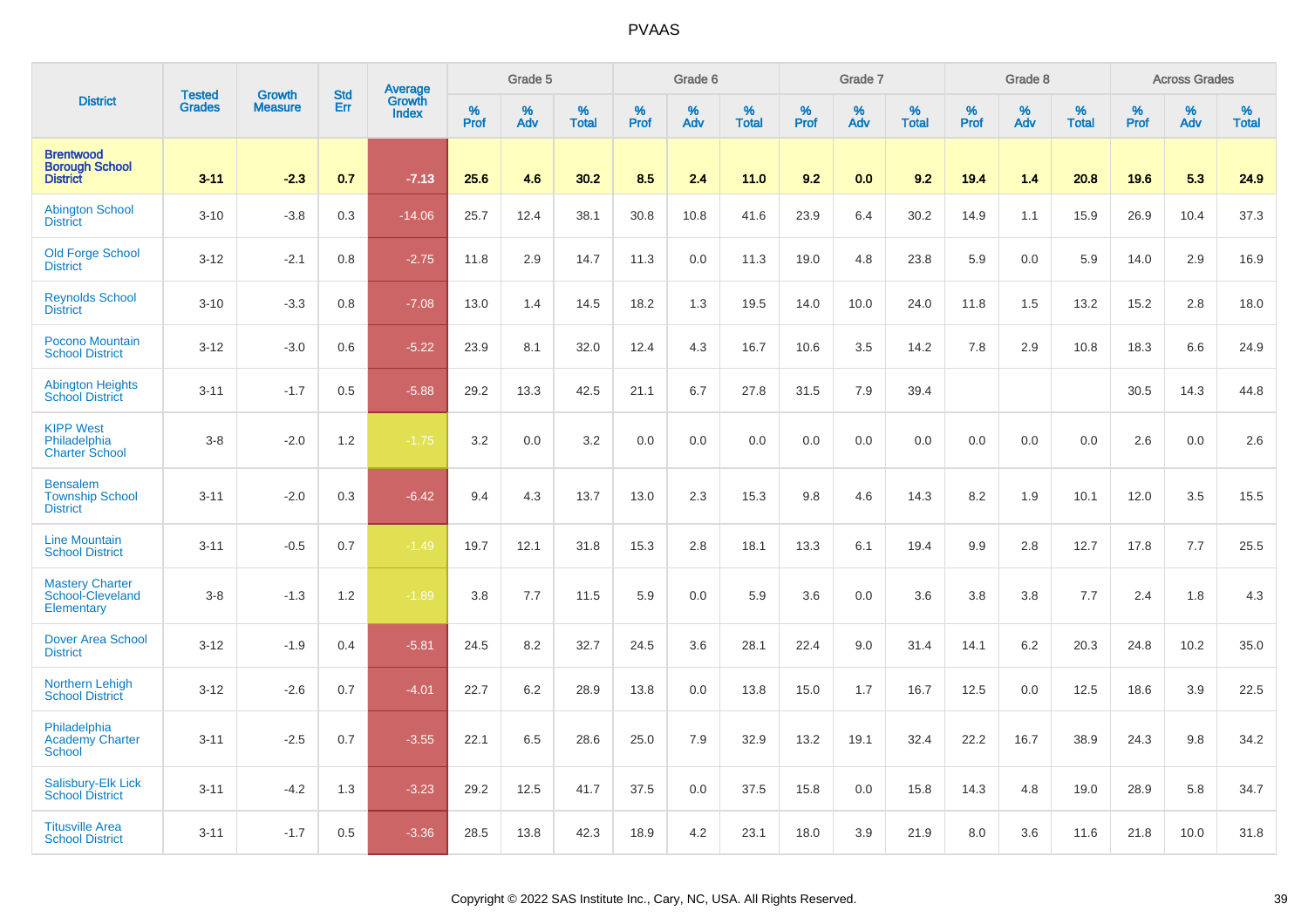|                                                              | <b>Tested</b> | <b>Growth</b>  | <b>Std</b> |                                          |              | Grade 5  |                   |           | Grade 6  |                   |           | Grade 7  |                   |           | Grade 8  |                   |              | <b>Across Grades</b> |                   |
|--------------------------------------------------------------|---------------|----------------|------------|------------------------------------------|--------------|----------|-------------------|-----------|----------|-------------------|-----------|----------|-------------------|-----------|----------|-------------------|--------------|----------------------|-------------------|
| <b>District</b>                                              | <b>Grades</b> | <b>Measure</b> | Err        | <b>Average</b><br>Growth<br><b>Index</b> | $\%$<br>Prof | %<br>Adv | %<br><b>Total</b> | %<br>Prof | %<br>Adv | %<br><b>Total</b> | %<br>Prof | %<br>Adv | %<br><b>Total</b> | %<br>Prof | %<br>Adv | %<br><b>Total</b> | $\%$<br>Prof | %<br>Adv             | %<br><b>Total</b> |
| <b>Brentwood</b><br><b>Borough School</b><br><b>District</b> | $3 - 11$      | $-2.3$         | 0.7        | $-7.13$                                  | 25.6         | 4.6      | 30.2              | 8.5       | 2.4      | 11.0              | 9.2       | 0.0      | 9.2               | 19.4      | 1.4      | 20.8              | 19.6         | 5.3                  | 24.9              |
| <b>Abington School</b><br><b>District</b>                    | $3 - 10$      | $-3.8$         | 0.3        | $-14.06$                                 | 25.7         | 12.4     | 38.1              | 30.8      | 10.8     | 41.6              | 23.9      | 6.4      | 30.2              | 14.9      | 1.1      | 15.9              | 26.9         | 10.4                 | 37.3              |
| <b>Old Forge School</b><br><b>District</b>                   | $3 - 12$      | $-2.1$         | 0.8        | $-2.75$                                  | 11.8         | 2.9      | 14.7              | 11.3      | 0.0      | 11.3              | 19.0      | 4.8      | 23.8              | 5.9       | 0.0      | 5.9               | 14.0         | 2.9                  | 16.9              |
| <b>Reynolds School</b><br><b>District</b>                    | $3 - 10$      | $-3.3$         | 0.8        | $-7.08$                                  | 13.0         | 1.4      | 14.5              | 18.2      | 1.3      | 19.5              | 14.0      | 10.0     | 24.0              | 11.8      | 1.5      | 13.2              | 15.2         | 2.8                  | 18.0              |
| Pocono Mountain<br><b>School District</b>                    | $3 - 12$      | $-3.0$         | 0.6        | $-5.22$                                  | 23.9         | 8.1      | 32.0              | 12.4      | 4.3      | 16.7              | 10.6      | 3.5      | 14.2              | 7.8       | 2.9      | 10.8              | 18.3         | 6.6                  | 24.9              |
| <b>Abington Heights</b><br><b>School District</b>            | $3 - 11$      | $-1.7$         | 0.5        | $-5.88$                                  | 29.2         | 13.3     | 42.5              | 21.1      | 6.7      | 27.8              | 31.5      | 7.9      | 39.4              |           |          |                   | 30.5         | 14.3                 | 44.8              |
| <b>KIPP West</b><br>Philadelphia<br><b>Charter School</b>    | $3-8$         | $-2.0$         | 1.2        | $-1.75$                                  | 3.2          | 0.0      | 3.2               | 0.0       | 0.0      | 0.0               | 0.0       | 0.0      | 0.0               | 0.0       | 0.0      | 0.0               | 2.6          | 0.0                  | 2.6               |
| <b>Bensalem</b><br><b>Township School</b><br><b>District</b> | $3 - 11$      | $-2.0$         | 0.3        | $-6.42$                                  | 9.4          | 4.3      | 13.7              | 13.0      | 2.3      | 15.3              | 9.8       | 4.6      | 14.3              | 8.2       | 1.9      | 10.1              | 12.0         | 3.5                  | 15.5              |
| <b>Line Mountain</b><br><b>School District</b>               | $3 - 11$      | $-0.5$         | 0.7        | $-1.49$                                  | 19.7         | 12.1     | 31.8              | 15.3      | 2.8      | 18.1              | 13.3      | 6.1      | 19.4              | 9.9       | 2.8      | 12.7              | 17.8         | 7.7                  | 25.5              |
| <b>Mastery Charter</b><br>School-Cleveland<br>Elementary     | $3-8$         | $-1.3$         | 1.2        | $-1.89$                                  | 3.8          | 7.7      | 11.5              | 5.9       | 0.0      | 5.9               | 3.6       | 0.0      | 3.6               | 3.8       | 3.8      | 7.7               | 2.4          | 1.8                  | 4.3               |
| <b>Dover Area School</b><br><b>District</b>                  | $3 - 12$      | $-1.9$         | 0.4        | $-5.81$                                  | 24.5         | 8.2      | 32.7              | 24.5      | 3.6      | 28.1              | 22.4      | 9.0      | 31.4              | 14.1      | 6.2      | 20.3              | 24.8         | 10.2                 | 35.0              |
| <b>Northern Lehigh</b><br><b>School District</b>             | $3 - 12$      | $-2.6$         | 0.7        | $-4.01$                                  | 22.7         | 6.2      | 28.9              | 13.8      | 0.0      | 13.8              | 15.0      | 1.7      | 16.7              | 12.5      | 0.0      | 12.5              | 18.6         | 3.9                  | 22.5              |
| Philadelphia<br><b>Academy Charter</b><br><b>School</b>      | $3 - 11$      | $-2.5$         | 0.7        | $-3.55$                                  | 22.1         | 6.5      | 28.6              | 25.0      | 7.9      | 32.9              | 13.2      | 19.1     | 32.4              | 22.2      | 16.7     | 38.9              | 24.3         | 9.8                  | 34.2              |
| Salisbury-Elk Lick<br><b>School District</b>                 | $3 - 11$      | $-4.2$         | 1.3        | $-3.23$                                  | 29.2         | 12.5     | 41.7              | 37.5      | 0.0      | 37.5              | 15.8      | 0.0      | 15.8              | 14.3      | 4.8      | 19.0              | 28.9         | 5.8                  | 34.7              |
| <b>Titusville Area</b><br><b>School District</b>             | $3 - 11$      | $-1.7$         | 0.5        | $-3.36$                                  | 28.5         | 13.8     | 42.3              | 18.9      | 4.2      | 23.1              | 18.0      | 3.9      | 21.9              | 8.0       | 3.6      | 11.6              | 21.8         | 10.0                 | 31.8              |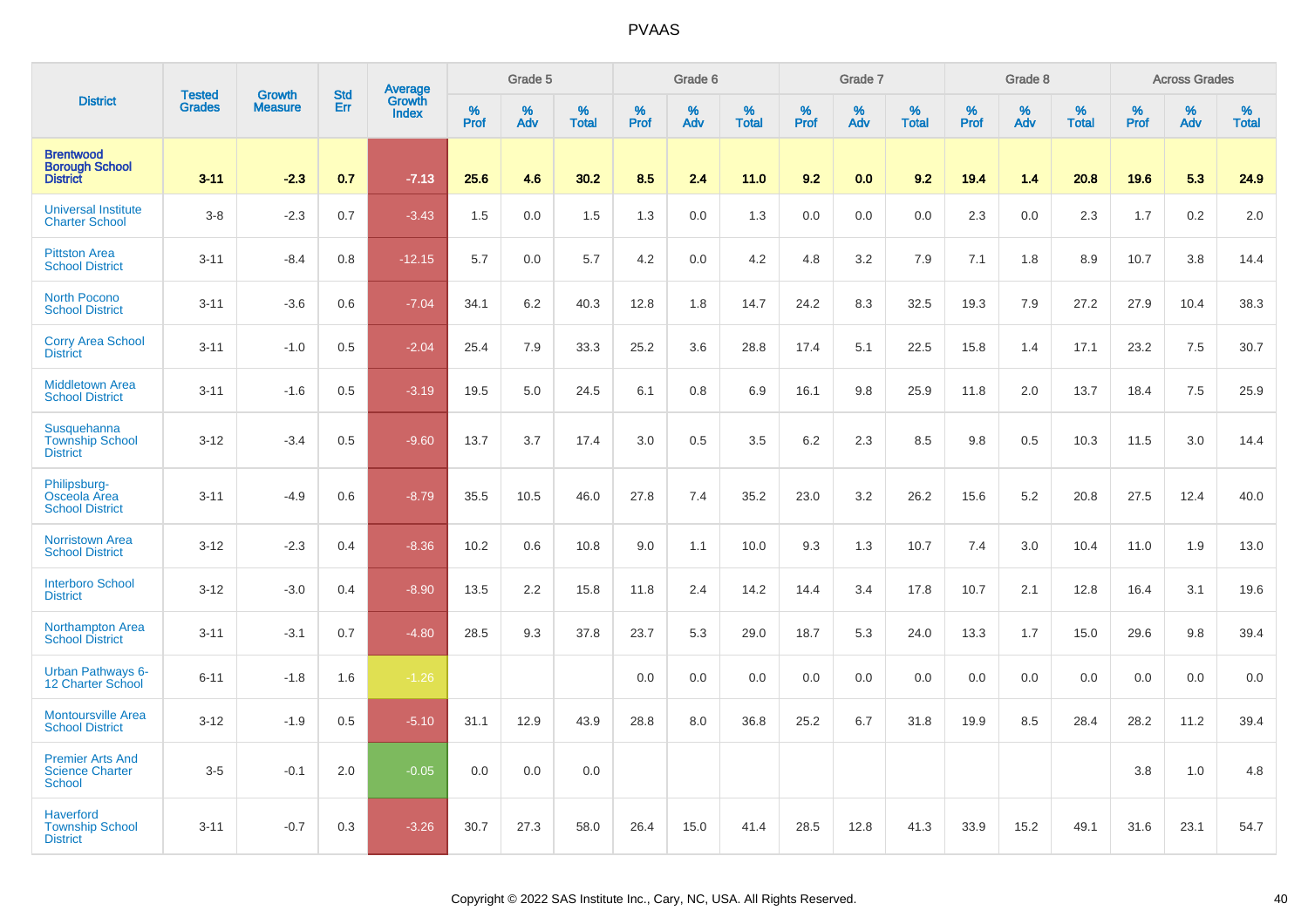|                                                               | <b>Tested</b> | <b>Growth</b>  | <b>Std</b> | <b>Average</b><br>Growth |                     | Grade 5  |                   |                  | Grade 6  |                   |                  | Grade 7  |                   |                  | Grade 8  |                   |           | <b>Across Grades</b> |                   |
|---------------------------------------------------------------|---------------|----------------|------------|--------------------------|---------------------|----------|-------------------|------------------|----------|-------------------|------------------|----------|-------------------|------------------|----------|-------------------|-----------|----------------------|-------------------|
| <b>District</b>                                               | <b>Grades</b> | <b>Measure</b> | Err        | <b>Index</b>             | $\%$<br><b>Prof</b> | %<br>Adv | %<br><b>Total</b> | %<br><b>Prof</b> | %<br>Adv | %<br><b>Total</b> | %<br><b>Prof</b> | %<br>Adv | %<br><b>Total</b> | %<br><b>Prof</b> | %<br>Adv | %<br><b>Total</b> | %<br>Prof | %<br>Adv             | %<br><b>Total</b> |
| <b>Brentwood</b><br><b>Borough School</b><br><b>District</b>  | $3 - 11$      | $-2.3$         | 0.7        | $-7.13$                  | 25.6                | 4.6      | 30.2              | 8.5              | 2.4      | 11.0              | 9.2              | 0.0      | 9.2               | 19.4             | 1.4      | 20.8              | 19.6      | 5.3                  | 24.9              |
| <b>Universal Institute</b><br><b>Charter School</b>           | $3 - 8$       | $-2.3$         | 0.7        | $-3.43$                  | 1.5                 | 0.0      | 1.5               | 1.3              | 0.0      | 1.3               | 0.0              | 0.0      | 0.0               | 2.3              | 0.0      | 2.3               | 1.7       | 0.2                  | 2.0               |
| <b>Pittston Area</b><br><b>School District</b>                | $3 - 11$      | $-8.4$         | 0.8        | $-12.15$                 | 5.7                 | 0.0      | 5.7               | 4.2              | 0.0      | 4.2               | 4.8              | 3.2      | 7.9               | 7.1              | 1.8      | 8.9               | 10.7      | 3.8                  | 14.4              |
| <b>North Pocono</b><br><b>School District</b>                 | $3 - 11$      | $-3.6$         | 0.6        | $-7.04$                  | 34.1                | 6.2      | 40.3              | 12.8             | 1.8      | 14.7              | 24.2             | 8.3      | 32.5              | 19.3             | 7.9      | 27.2              | 27.9      | 10.4                 | 38.3              |
| <b>Corry Area School</b><br><b>District</b>                   | $3 - 11$      | $-1.0$         | 0.5        | $-2.04$                  | 25.4                | 7.9      | 33.3              | 25.2             | 3.6      | 28.8              | 17.4             | 5.1      | 22.5              | 15.8             | 1.4      | 17.1              | 23.2      | 7.5                  | 30.7              |
| <b>Middletown Area</b><br><b>School District</b>              | $3 - 11$      | $-1.6$         | 0.5        | $-3.19$                  | 19.5                | 5.0      | 24.5              | 6.1              | 0.8      | 6.9               | 16.1             | 9.8      | 25.9              | 11.8             | 2.0      | 13.7              | 18.4      | 7.5                  | 25.9              |
| Susquehanna<br><b>Township School</b><br><b>District</b>      | $3 - 12$      | $-3.4$         | 0.5        | $-9.60$                  | 13.7                | 3.7      | 17.4              | 3.0              | 0.5      | 3.5               | $6.2\,$          | 2.3      | 8.5               | 9.8              | 0.5      | 10.3              | 11.5      | 3.0                  | 14.4              |
| Philipsburg-<br>Osceola Area<br><b>School District</b>        | $3 - 11$      | $-4.9$         | 0.6        | $-8.79$                  | 35.5                | 10.5     | 46.0              | 27.8             | 7.4      | 35.2              | 23.0             | 3.2      | 26.2              | 15.6             | 5.2      | 20.8              | 27.5      | 12.4                 | 40.0              |
| <b>Norristown Area</b><br><b>School District</b>              | $3-12$        | $-2.3$         | 0.4        | $-8.36$                  | 10.2                | 0.6      | 10.8              | 9.0              | 1.1      | 10.0              | 9.3              | 1.3      | 10.7              | 7.4              | 3.0      | 10.4              | 11.0      | 1.9                  | 13.0              |
| <b>Interboro School</b><br><b>District</b>                    | $3 - 12$      | $-3.0$         | 0.4        | $-8.90$                  | 13.5                | 2.2      | 15.8              | 11.8             | 2.4      | 14.2              | 14.4             | 3.4      | 17.8              | 10.7             | 2.1      | 12.8              | 16.4      | 3.1                  | 19.6              |
| <b>Northampton Area</b><br><b>School District</b>             | $3 - 11$      | $-3.1$         | 0.7        | $-4.80$                  | 28.5                | 9.3      | 37.8              | 23.7             | 5.3      | 29.0              | 18.7             | 5.3      | 24.0              | 13.3             | 1.7      | 15.0              | 29.6      | 9.8                  | 39.4              |
| <b>Urban Pathways 6-</b><br>12 Charter School                 | $6 - 11$      | $-1.8$         | 1.6        | $-1.26$                  |                     |          |                   | 0.0              | 0.0      | 0.0               | 0.0              | 0.0      | 0.0               | 0.0              | 0.0      | 0.0               | 0.0       | 0.0                  | 0.0               |
| <b>Montoursville Area</b><br><b>School District</b>           | $3 - 12$      | $-1.9$         | 0.5        | $-5.10$                  | 31.1                | 12.9     | 43.9              | 28.8             | 8.0      | 36.8              | 25.2             | 6.7      | 31.8              | 19.9             | 8.5      | 28.4              | 28.2      | 11.2                 | 39.4              |
| <b>Premier Arts And</b><br><b>Science Charter</b><br>School   | $3-5$         | $-0.1$         | 2.0        | $-0.05$                  | 0.0                 | 0.0      | 0.0               |                  |          |                   |                  |          |                   |                  |          |                   | 3.8       | $1.0$                | 4.8               |
| <b>Haverford</b><br><b>Township School</b><br><b>District</b> | $3 - 11$      | $-0.7$         | 0.3        | $-3.26$                  | 30.7                | 27.3     | 58.0              | 26.4             | 15.0     | 41.4              | 28.5             | 12.8     | 41.3              | 33.9             | 15.2     | 49.1              | 31.6      | 23.1                 | 54.7              |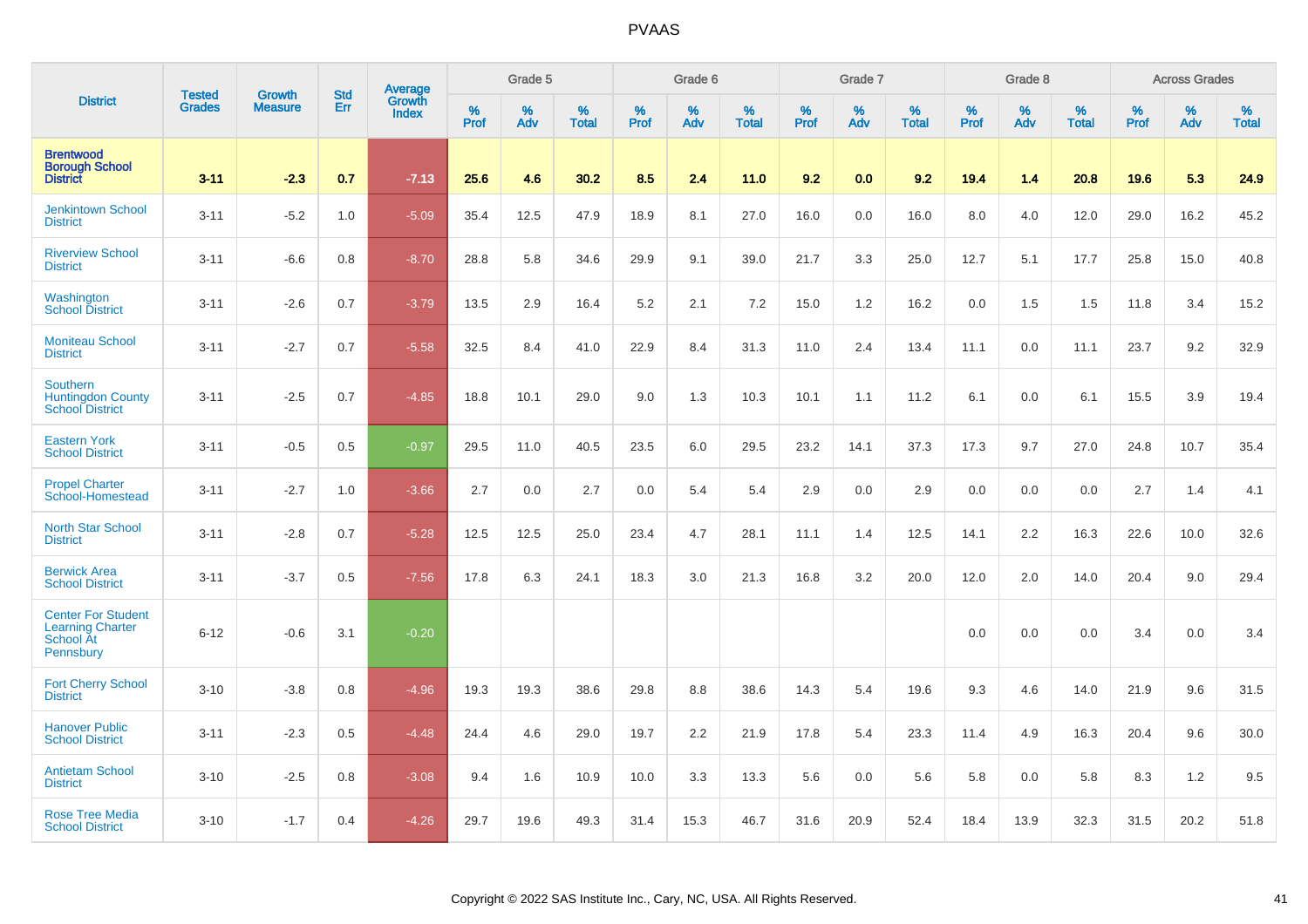|                                                                                |                                | <b>Growth</b>  | <b>Std</b> | Average         |              | Grade 5  |                   |           | Grade 6  |                   |              | Grade 7  |                   |           | Grade 8  |                   |              | <b>Across Grades</b> |                   |
|--------------------------------------------------------------------------------|--------------------------------|----------------|------------|-----------------|--------------|----------|-------------------|-----------|----------|-------------------|--------------|----------|-------------------|-----------|----------|-------------------|--------------|----------------------|-------------------|
| <b>District</b>                                                                | <b>Tested</b><br><b>Grades</b> | <b>Measure</b> | Err        | Growth<br>Index | $\%$<br>Prof | %<br>Adv | %<br><b>Total</b> | %<br>Prof | %<br>Adv | %<br><b>Total</b> | $\%$<br>Prof | %<br>Adv | %<br><b>Total</b> | %<br>Prof | %<br>Adv | %<br><b>Total</b> | $\%$<br>Prof | %<br>Adv             | %<br><b>Total</b> |
| <b>Brentwood</b><br><b>Borough School</b><br><b>District</b>                   | $3 - 11$                       | $-2.3$         | 0.7        | $-7.13$         | 25.6         | 4.6      | 30.2              | 8.5       | 2.4      | 11.0              | 9.2          | 0.0      | 9.2               | 19.4      | 1.4      | 20.8              | 19.6         | 5.3                  | 24.9              |
| <b>Jenkintown School</b><br><b>District</b>                                    | $3 - 11$                       | $-5.2$         | 1.0        | $-5.09$         | 35.4         | 12.5     | 47.9              | 18.9      | 8.1      | 27.0              | 16.0         | 0.0      | 16.0              | 8.0       | 4.0      | 12.0              | 29.0         | 16.2                 | 45.2              |
| <b>Riverview School</b><br><b>District</b>                                     | $3 - 11$                       | $-6.6$         | 0.8        | $-8.70$         | 28.8         | 5.8      | 34.6              | 29.9      | 9.1      | 39.0              | 21.7         | 3.3      | 25.0              | 12.7      | 5.1      | 17.7              | 25.8         | 15.0                 | 40.8              |
| Washington<br><b>School District</b>                                           | $3 - 11$                       | $-2.6$         | 0.7        | $-3.79$         | 13.5         | 2.9      | 16.4              | 5.2       | 2.1      | 7.2               | 15.0         | 1.2      | 16.2              | 0.0       | 1.5      | 1.5               | 11.8         | 3.4                  | 15.2              |
| <b>Moniteau School</b><br><b>District</b>                                      | $3 - 11$                       | $-2.7$         | 0.7        | $-5.58$         | 32.5         | 8.4      | 41.0              | 22.9      | 8.4      | 31.3              | 11.0         | 2.4      | 13.4              | 11.1      | 0.0      | 11.1              | 23.7         | 9.2                  | 32.9              |
| <b>Southern</b><br><b>Huntingdon County</b><br><b>School District</b>          | $3 - 11$                       | $-2.5$         | 0.7        | $-4.85$         | 18.8         | 10.1     | 29.0              | 9.0       | 1.3      | 10.3              | 10.1         | 1.1      | 11.2              | 6.1       | 0.0      | 6.1               | 15.5         | 3.9                  | 19.4              |
| <b>Eastern York</b><br><b>School District</b>                                  | $3 - 11$                       | $-0.5$         | 0.5        | $-0.97$         | 29.5         | 11.0     | 40.5              | 23.5      | 6.0      | 29.5              | 23.2         | 14.1     | 37.3              | 17.3      | 9.7      | 27.0              | 24.8         | 10.7                 | 35.4              |
| <b>Propel Charter</b><br>School-Homestead                                      | $3 - 11$                       | $-2.7$         | 1.0        | $-3.66$         | 2.7          | 0.0      | 2.7               | 0.0       | 5.4      | 5.4               | 2.9          | 0.0      | 2.9               | 0.0       | 0.0      | 0.0               | 2.7          | 1.4                  | 4.1               |
| <b>North Star School</b><br><b>District</b>                                    | $3 - 11$                       | $-2.8$         | 0.7        | $-5.28$         | 12.5         | 12.5     | 25.0              | 23.4      | 4.7      | 28.1              | 11.1         | 1.4      | 12.5              | 14.1      | 2.2      | 16.3              | 22.6         | 10.0                 | 32.6              |
| <b>Berwick Area</b><br><b>School District</b>                                  | $3 - 11$                       | $-3.7$         | 0.5        | $-7.56$         | 17.8         | 6.3      | 24.1              | 18.3      | 3.0      | 21.3              | 16.8         | 3.2      | 20.0              | 12.0      | 2.0      | 14.0              | 20.4         | 9.0                  | 29.4              |
| <b>Center For Student</b><br><b>Learning Charter</b><br>School At<br>Pennsbury | $6 - 12$                       | $-0.6$         | 3.1        | $-0.20$         |              |          |                   |           |          |                   |              |          |                   | 0.0       | 0.0      | 0.0               | 3.4          | 0.0                  | 3.4               |
| <b>Fort Cherry School</b><br><b>District</b>                                   | $3 - 10$                       | $-3.8$         | 0.8        | $-4.96$         | 19.3         | 19.3     | 38.6              | 29.8      | 8.8      | 38.6              | 14.3         | 5.4      | 19.6              | 9.3       | 4.6      | 14.0              | 21.9         | 9.6                  | 31.5              |
| <b>Hanover Public</b><br><b>School District</b>                                | $3 - 11$                       | $-2.3$         | 0.5        | $-4.48$         | 24.4         | 4.6      | 29.0              | 19.7      | 2.2      | 21.9              | 17.8         | 5.4      | 23.3              | 11.4      | 4.9      | 16.3              | 20.4         | 9.6                  | 30.0              |
| <b>Antietam School</b><br><b>District</b>                                      | $3 - 10$                       | $-2.5$         | 0.8        | $-3.08$         | 9.4          | 1.6      | 10.9              | 10.0      | 3.3      | 13.3              | 5.6          | 0.0      | 5.6               | 5.8       | 0.0      | 5.8               | 8.3          | 1.2                  | 9.5               |
| <b>Rose Tree Media</b><br><b>School District</b>                               | $3 - 10$                       | $-1.7$         | 0.4        | $-4.26$         | 29.7         | 19.6     | 49.3              | 31.4      | 15.3     | 46.7              | 31.6         | 20.9     | 52.4              | 18.4      | 13.9     | 32.3              | 31.5         | 20.2                 | 51.8              |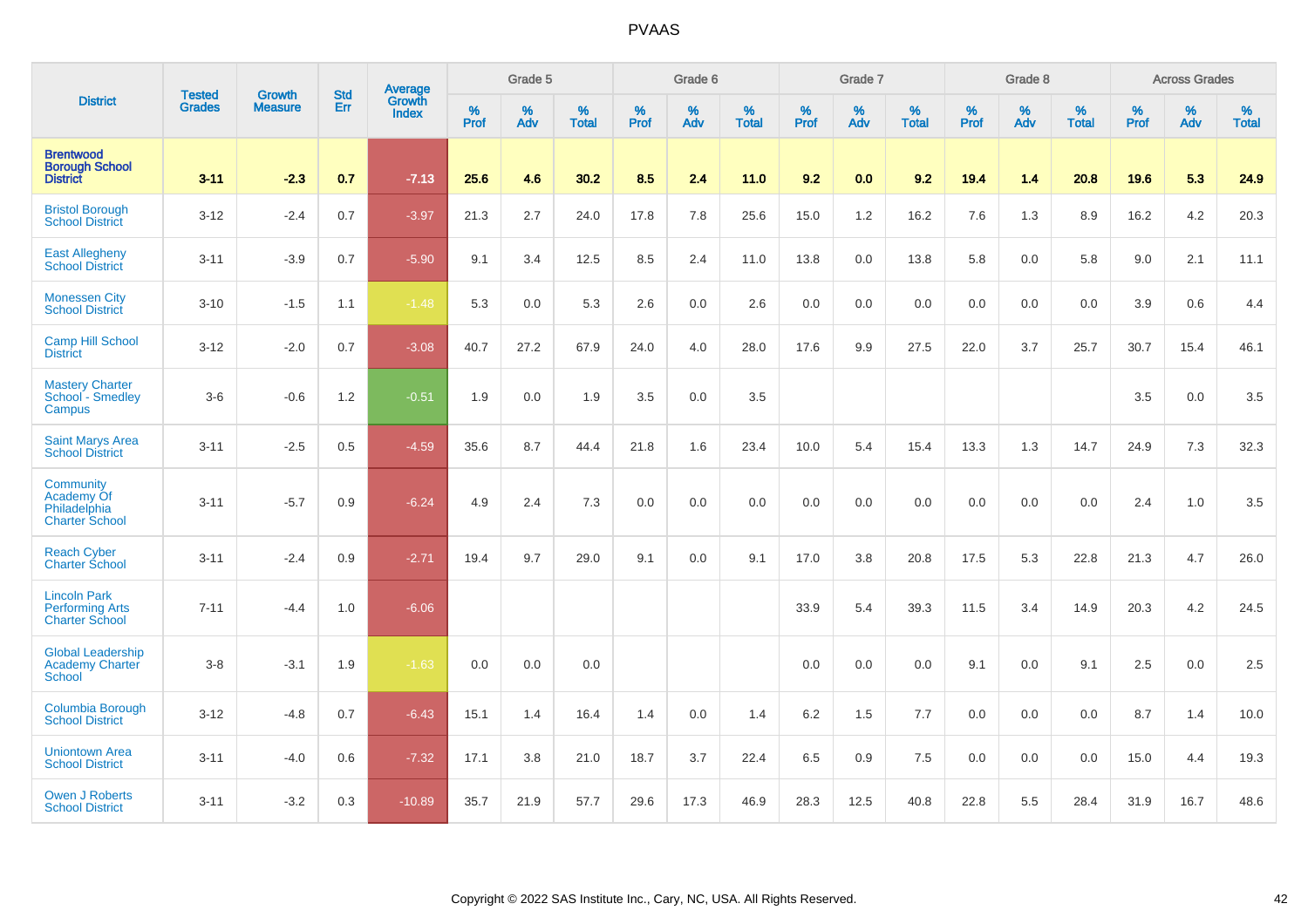|                                                                        |                                |                                 | <b>Std</b> | Average                |           | Grade 5  |                   |           | Grade 6  |                   |           | Grade 7  |                   |           | Grade 8  |                   |           | <b>Across Grades</b> |                   |
|------------------------------------------------------------------------|--------------------------------|---------------------------------|------------|------------------------|-----------|----------|-------------------|-----------|----------|-------------------|-----------|----------|-------------------|-----------|----------|-------------------|-----------|----------------------|-------------------|
| <b>District</b>                                                        | <b>Tested</b><br><b>Grades</b> | <b>Growth</b><br><b>Measure</b> | Err        | Growth<br><b>Index</b> | %<br>Prof | %<br>Adv | %<br><b>Total</b> | %<br>Prof | %<br>Adv | %<br><b>Total</b> | %<br>Prof | %<br>Adv | %<br><b>Total</b> | %<br>Prof | %<br>Adv | %<br><b>Total</b> | %<br>Prof | %<br>Adv             | %<br><b>Total</b> |
| <b>Brentwood</b><br><b>Borough School</b><br><b>District</b>           | $3 - 11$                       | $-2.3$                          | 0.7        | $-7.13$                | 25.6      | 4.6      | 30.2              | 8.5       | 2.4      | 11.0              | 9.2       | 0.0      | 9.2               | 19.4      | 1.4      | 20.8              | 19.6      | 5.3                  | 24.9              |
| <b>Bristol Borough</b><br><b>School District</b>                       | $3 - 12$                       | $-2.4$                          | 0.7        | $-3.97$                | 21.3      | 2.7      | 24.0              | 17.8      | 7.8      | 25.6              | 15.0      | 1.2      | 16.2              | 7.6       | 1.3      | 8.9               | 16.2      | 4.2                  | 20.3              |
| <b>East Allegheny</b><br><b>School District</b>                        | $3 - 11$                       | $-3.9$                          | 0.7        | $-5.90$                | 9.1       | 3.4      | 12.5              | 8.5       | 2.4      | 11.0              | 13.8      | 0.0      | 13.8              | 5.8       | 0.0      | 5.8               | 9.0       | 2.1                  | 11.1              |
| <b>Monessen City</b><br><b>School District</b>                         | $3 - 10$                       | $-1.5$                          | 1.1        | $-1.48$                | 5.3       | 0.0      | 5.3               | 2.6       | 0.0      | 2.6               | 0.0       | 0.0      | 0.0               | 0.0       | 0.0      | 0.0               | 3.9       | 0.6                  | 4.4               |
| <b>Camp Hill School</b><br><b>District</b>                             | $3 - 12$                       | $-2.0$                          | 0.7        | $-3.08$                | 40.7      | 27.2     | 67.9              | 24.0      | 4.0      | 28.0              | 17.6      | 9.9      | 27.5              | 22.0      | 3.7      | 25.7              | 30.7      | 15.4                 | 46.1              |
| <b>Mastery Charter</b><br>School - Smedley<br>Campus                   | $3-6$                          | $-0.6$                          | 1.2        | $-0.51$                | 1.9       | 0.0      | 1.9               | 3.5       | 0.0      | 3.5               |           |          |                   |           |          |                   | 3.5       | 0.0                  | 3.5               |
| <b>Saint Marys Area</b><br>School District                             | $3 - 11$                       | $-2.5$                          | 0.5        | $-4.59$                | 35.6      | 8.7      | 44.4              | 21.8      | 1.6      | 23.4              | 10.0      | 5.4      | 15.4              | 13.3      | 1.3      | 14.7              | 24.9      | 7.3                  | 32.3              |
| Community<br>Academy Of<br>Philadelphia<br><b>Charter School</b>       | $3 - 11$                       | $-5.7$                          | 0.9        | $-6.24$                | 4.9       | 2.4      | 7.3               | 0.0       | 0.0      | 0.0               | 0.0       | 0.0      | 0.0               | 0.0       | 0.0      | 0.0               | 2.4       | 1.0                  | 3.5               |
| <b>Reach Cyber</b><br><b>Charter School</b>                            | $3 - 11$                       | $-2.4$                          | 0.9        | $-2.71$                | 19.4      | 9.7      | 29.0              | 9.1       | 0.0      | 9.1               | 17.0      | 3.8      | 20.8              | 17.5      | 5.3      | 22.8              | 21.3      | 4.7                  | 26.0              |
| <b>Lincoln Park</b><br><b>Performing Arts</b><br><b>Charter School</b> | $7 - 11$                       | $-4.4$                          | 1.0        | $-6.06$                |           |          |                   |           |          |                   | 33.9      | 5.4      | 39.3              | 11.5      | 3.4      | 14.9              | 20.3      | 4.2                  | 24.5              |
| <b>Global Leadership</b><br><b>Academy Charter</b><br><b>School</b>    | $3 - 8$                        | $-3.1$                          | 1.9        | $-1.63$                | 0.0       | 0.0      | 0.0               |           |          |                   | 0.0       | 0.0      | 0.0               | 9.1       | 0.0      | 9.1               | 2.5       | 0.0                  | 2.5               |
| Columbia Borough<br><b>School District</b>                             | $3 - 12$                       | $-4.8$                          | 0.7        | $-6.43$                | 15.1      | 1.4      | 16.4              | 1.4       | 0.0      | 1.4               | 6.2       | 1.5      | 7.7               | 0.0       | 0.0      | 0.0               | 8.7       | 1.4                  | 10.0              |
| <b>Uniontown Area</b><br><b>School District</b>                        | $3 - 11$                       | $-4.0$                          | 0.6        | $-7.32$                | 17.1      | 3.8      | 21.0              | 18.7      | 3.7      | 22.4              | 6.5       | 0.9      | 7.5               | 0.0       | 0.0      | 0.0               | 15.0      | 4.4                  | 19.3              |
| <b>Owen J Roberts</b><br><b>School District</b>                        | $3 - 11$                       | $-3.2$                          | 0.3        | $-10.89$               | 35.7      | 21.9     | 57.7              | 29.6      | 17.3     | 46.9              | 28.3      | 12.5     | 40.8              | 22.8      | 5.5      | 28.4              | 31.9      | 16.7                 | 48.6              |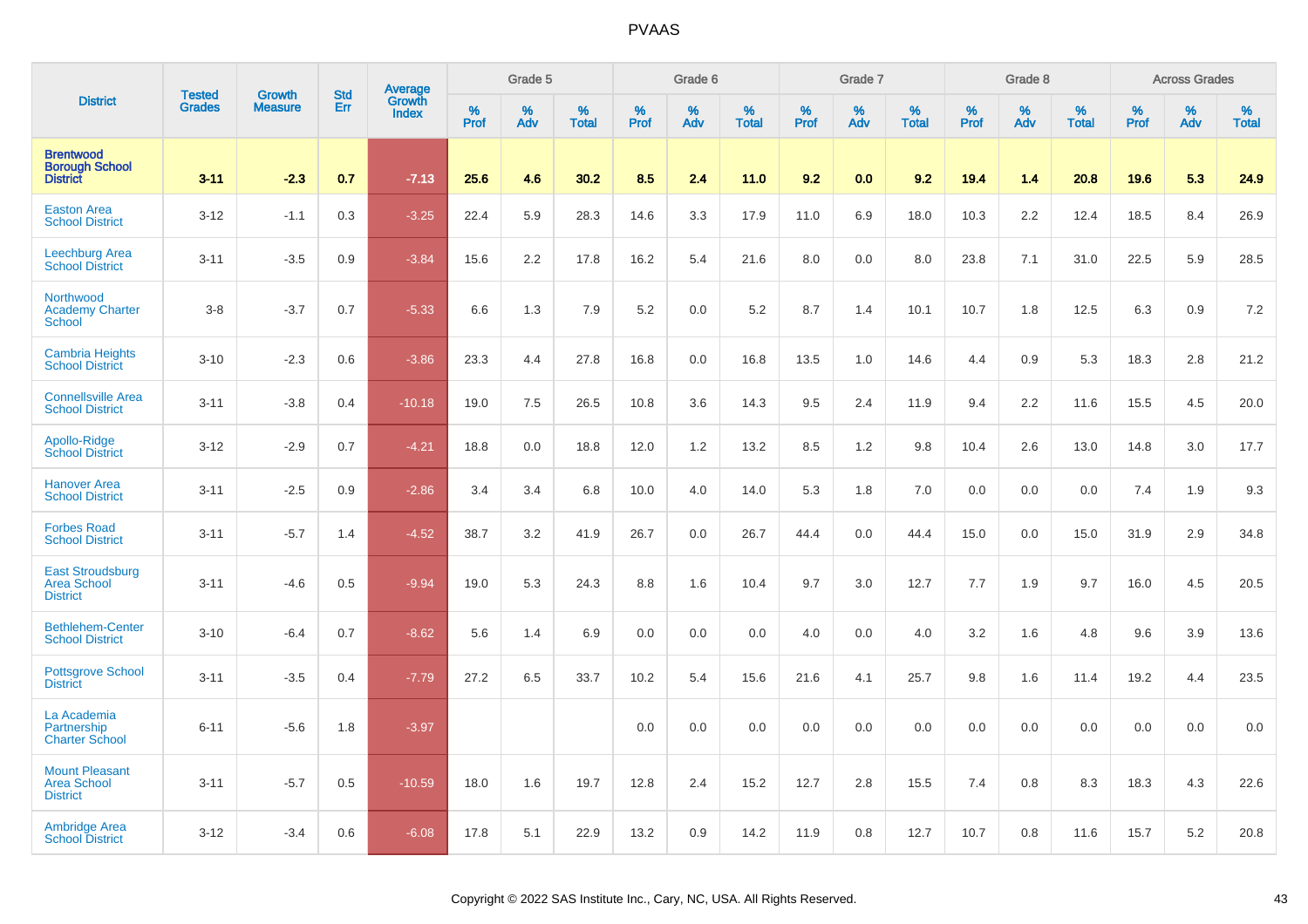|                                                                |                                |                                 | <b>Std</b> |                                          |              | Grade 5  |                   |           | Grade 6  |                   |           | Grade 7  |                   |           | Grade 8  |                   |           | <b>Across Grades</b> |                   |
|----------------------------------------------------------------|--------------------------------|---------------------------------|------------|------------------------------------------|--------------|----------|-------------------|-----------|----------|-------------------|-----------|----------|-------------------|-----------|----------|-------------------|-----------|----------------------|-------------------|
| <b>District</b>                                                | <b>Tested</b><br><b>Grades</b> | <b>Growth</b><br><b>Measure</b> | Err        | <b>Average</b><br>Growth<br><b>Index</b> | $\%$<br>Prof | %<br>Adv | %<br><b>Total</b> | %<br>Prof | %<br>Adv | %<br><b>Total</b> | %<br>Prof | %<br>Adv | %<br><b>Total</b> | %<br>Prof | %<br>Adv | %<br><b>Total</b> | %<br>Prof | %<br>Adv             | %<br><b>Total</b> |
| <b>Brentwood</b><br><b>Borough School</b><br><b>District</b>   | $3 - 11$                       | $-2.3$                          | 0.7        | $-7.13$                                  | 25.6         | 4.6      | 30.2              | 8.5       | 2.4      | 11.0              | 9.2       | 0.0      | 9.2               | 19.4      | 1.4      | 20.8              | 19.6      | 5.3                  | 24.9              |
| <b>Easton Area</b><br><b>School District</b>                   | $3 - 12$                       | $-1.1$                          | 0.3        | $-3.25$                                  | 22.4         | 5.9      | 28.3              | 14.6      | 3.3      | 17.9              | 11.0      | 6.9      | 18.0              | 10.3      | 2.2      | 12.4              | 18.5      | 8.4                  | 26.9              |
| <b>Leechburg Area</b><br><b>School District</b>                | $3 - 11$                       | $-3.5$                          | 0.9        | $-3.84$                                  | 15.6         | 2.2      | 17.8              | 16.2      | 5.4      | 21.6              | 8.0       | 0.0      | 8.0               | 23.8      | 7.1      | 31.0              | 22.5      | 5.9                  | 28.5              |
| Northwood<br><b>Academy Charter</b><br>School                  | $3-8$                          | $-3.7$                          | 0.7        | $-5.33$                                  | 6.6          | 1.3      | 7.9               | 5.2       | 0.0      | 5.2               | 8.7       | 1.4      | 10.1              | 10.7      | 1.8      | 12.5              | 6.3       | 0.9                  | 7.2               |
| <b>Cambria Heights</b><br><b>School District</b>               | $3 - 10$                       | $-2.3$                          | 0.6        | $-3.86$                                  | 23.3         | 4.4      | 27.8              | 16.8      | 0.0      | 16.8              | 13.5      | 1.0      | 14.6              | 4.4       | 0.9      | 5.3               | 18.3      | 2.8                  | 21.2              |
| <b>Connellsville Area</b><br><b>School District</b>            | $3 - 11$                       | $-3.8$                          | 0.4        | $-10.18$                                 | 19.0         | 7.5      | 26.5              | 10.8      | 3.6      | 14.3              | 9.5       | 2.4      | 11.9              | 9.4       | 2.2      | 11.6              | 15.5      | 4.5                  | 20.0              |
| Apollo-Ridge<br><b>School District</b>                         | $3 - 12$                       | $-2.9$                          | 0.7        | $-4.21$                                  | 18.8         | 0.0      | 18.8              | 12.0      | 1.2      | 13.2              | 8.5       | 1.2      | 9.8               | 10.4      | 2.6      | 13.0              | 14.8      | 3.0                  | 17.7              |
| <b>Hanover Area</b><br><b>School District</b>                  | $3 - 11$                       | $-2.5$                          | 0.9        | $-2.86$                                  | 3.4          | 3.4      | 6.8               | 10.0      | 4.0      | 14.0              | 5.3       | 1.8      | 7.0               | 0.0       | 0.0      | 0.0               | 7.4       | 1.9                  | 9.3               |
| <b>Forbes Road</b><br><b>School District</b>                   | $3 - 11$                       | $-5.7$                          | 1.4        | $-4.52$                                  | 38.7         | 3.2      | 41.9              | 26.7      | 0.0      | 26.7              | 44.4      | 0.0      | 44.4              | 15.0      | 0.0      | 15.0              | 31.9      | 2.9                  | 34.8              |
| <b>East Stroudsburg</b><br>Area School<br><b>District</b>      | $3 - 11$                       | $-4.6$                          | 0.5        | $-9.94$                                  | 19.0         | 5.3      | 24.3              | 8.8       | 1.6      | 10.4              | 9.7       | 3.0      | 12.7              | 7.7       | 1.9      | 9.7               | 16.0      | 4.5                  | 20.5              |
| <b>Bethlehem-Center</b><br><b>School District</b>              | $3 - 10$                       | $-6.4$                          | 0.7        | $-8.62$                                  | 5.6          | 1.4      | 6.9               | 0.0       | 0.0      | 0.0               | 4.0       | 0.0      | 4.0               | 3.2       | 1.6      | 4.8               | 9.6       | 3.9                  | 13.6              |
| <b>Pottsgrove School</b><br><b>District</b>                    | $3 - 11$                       | $-3.5$                          | 0.4        | $-7.79$                                  | 27.2         | 6.5      | 33.7              | 10.2      | 5.4      | 15.6              | 21.6      | 4.1      | 25.7              | 9.8       | 1.6      | 11.4              | 19.2      | 4.4                  | 23.5              |
| La Academia<br>Partnership<br><b>Charter School</b>            | $6 - 11$                       | $-5.6$                          | 1.8        | $-3.97$                                  |              |          |                   | 0.0       | 0.0      | 0.0               | 0.0       | 0.0      | 0.0               | 0.0       | 0.0      | 0.0               | 0.0       | 0.0                  | 0.0               |
| <b>Mount Pleasant</b><br><b>Area School</b><br><b>District</b> | $3 - 11$                       | $-5.7$                          | 0.5        | $-10.59$                                 | 18.0         | 1.6      | 19.7              | 12.8      | 2.4      | 15.2              | 12.7      | 2.8      | 15.5              | 7.4       | 0.8      | 8.3               | 18.3      | 4.3                  | 22.6              |
| <b>Ambridge Area</b><br><b>School District</b>                 | $3 - 12$                       | $-3.4$                          | 0.6        | $-6.08$                                  | 17.8         | 5.1      | 22.9              | 13.2      | 0.9      | 14.2              | 11.9      | 0.8      | 12.7              | 10.7      | 0.8      | 11.6              | 15.7      | 5.2                  | 20.8              |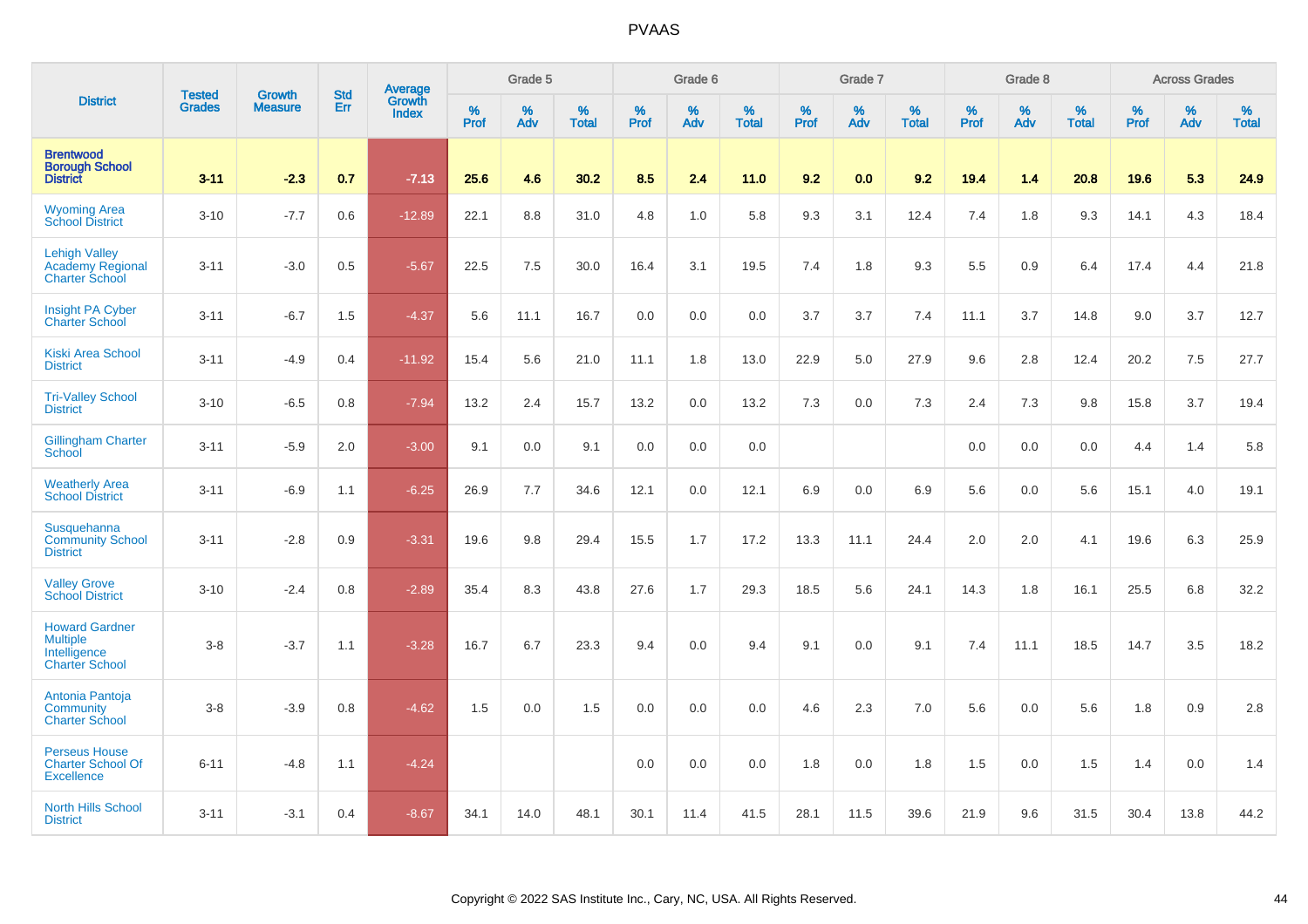|                                                                                   |                                | <b>Growth</b>  | <b>Std</b> | Average                |              | Grade 5     |                   |           | Grade 6  |                   |           | Grade 7  |                   |           | Grade 8  |                   |           | <b>Across Grades</b> |                   |
|-----------------------------------------------------------------------------------|--------------------------------|----------------|------------|------------------------|--------------|-------------|-------------------|-----------|----------|-------------------|-----------|----------|-------------------|-----------|----------|-------------------|-----------|----------------------|-------------------|
| <b>District</b>                                                                   | <b>Tested</b><br><b>Grades</b> | <b>Measure</b> | Err        | Growth<br><b>Index</b> | $\%$<br>Prof | $\%$<br>Adv | %<br><b>Total</b> | %<br>Prof | %<br>Adv | %<br><b>Total</b> | %<br>Prof | %<br>Adv | %<br><b>Total</b> | %<br>Prof | %<br>Adv | %<br><b>Total</b> | %<br>Prof | %<br>Adv             | %<br><b>Total</b> |
| <b>Brentwood</b><br><b>Borough School</b><br><b>District</b>                      | $3 - 11$                       | $-2.3$         | 0.7        | $-7.13$                | 25.6         | 4.6         | 30.2              | 8.5       | 2.4      | 11.0              | 9.2       | 0.0      | 9.2               | 19.4      | 1.4      | 20.8              | 19.6      | 5.3                  | 24.9              |
| <b>Wyoming Area</b><br><b>School District</b>                                     | $3 - 10$                       | $-7.7$         | 0.6        | $-12.89$               | 22.1         | 8.8         | 31.0              | 4.8       | 1.0      | 5.8               | 9.3       | 3.1      | 12.4              | 7.4       | 1.8      | 9.3               | 14.1      | 4.3                  | 18.4              |
| <b>Lehigh Valley</b><br><b>Academy Regional</b><br><b>Charter School</b>          | $3 - 11$                       | $-3.0$         | 0.5        | $-5.67$                | 22.5         | 7.5         | 30.0              | 16.4      | 3.1      | 19.5              | 7.4       | 1.8      | 9.3               | 5.5       | 0.9      | 6.4               | 17.4      | 4.4                  | 21.8              |
| <b>Insight PA Cyber</b><br><b>Charter School</b>                                  | $3 - 11$                       | $-6.7$         | 1.5        | $-4.37$                | 5.6          | 11.1        | 16.7              | 0.0       | 0.0      | 0.0               | 3.7       | 3.7      | 7.4               | 11.1      | 3.7      | 14.8              | 9.0       | 3.7                  | 12.7              |
| <b>Kiski Area School</b><br><b>District</b>                                       | $3 - 11$                       | $-4.9$         | 0.4        | $-11.92$               | 15.4         | 5.6         | 21.0              | 11.1      | 1.8      | 13.0              | 22.9      | 5.0      | 27.9              | 9.6       | 2.8      | 12.4              | 20.2      | 7.5                  | 27.7              |
| <b>Tri-Valley School</b><br><b>District</b>                                       | $3 - 10$                       | $-6.5$         | 0.8        | $-7.94$                | 13.2         | 2.4         | 15.7              | 13.2      | 0.0      | 13.2              | 7.3       | 0.0      | 7.3               | 2.4       | 7.3      | 9.8               | 15.8      | 3.7                  | 19.4              |
| <b>Gillingham Charter</b><br>School                                               | $3 - 11$                       | $-5.9$         | 2.0        | $-3.00$                | 9.1          | 0.0         | 9.1               | 0.0       | 0.0      | 0.0               |           |          |                   | 0.0       | 0.0      | 0.0               | 4.4       | 1.4                  | 5.8               |
| <b>Weatherly Area</b><br><b>School District</b>                                   | $3 - 11$                       | $-6.9$         | 1.1        | $-6.25$                | 26.9         | 7.7         | 34.6              | 12.1      | 0.0      | 12.1              | 6.9       | 0.0      | 6.9               | 5.6       | 0.0      | 5.6               | 15.1      | 4.0                  | 19.1              |
| Susquehanna<br><b>Community School</b><br><b>District</b>                         | $3 - 11$                       | $-2.8$         | 0.9        | $-3.31$                | 19.6         | 9.8         | 29.4              | 15.5      | 1.7      | 17.2              | 13.3      | 11.1     | 24.4              | 2.0       | 2.0      | 4.1               | 19.6      | 6.3                  | 25.9              |
| <b>Valley Grove</b><br><b>School District</b>                                     | $3 - 10$                       | $-2.4$         | 0.8        | $-2.89$                | 35.4         | 8.3         | 43.8              | 27.6      | 1.7      | 29.3              | 18.5      | 5.6      | 24.1              | 14.3      | 1.8      | 16.1              | 25.5      | 6.8                  | 32.2              |
| <b>Howard Gardner</b><br><b>Multiple</b><br>Intelligence<br><b>Charter School</b> | $3 - 8$                        | $-3.7$         | 1.1        | $-3.28$                | 16.7         | 6.7         | 23.3              | 9.4       | 0.0      | 9.4               | 9.1       | 0.0      | 9.1               | 7.4       | 11.1     | 18.5              | 14.7      | 3.5                  | 18.2              |
| Antonia Pantoja<br><b>Community</b><br><b>Charter School</b>                      | $3-8$                          | $-3.9$         | 0.8        | $-4.62$                | 1.5          | 0.0         | 1.5               | 0.0       | 0.0      | 0.0               | 4.6       | 2.3      | 7.0               | 5.6       | 0.0      | 5.6               | 1.8       | $0.9\,$              | $2.8\,$           |
| <b>Perseus House</b><br><b>Charter School Of</b><br><b>Excellence</b>             | $6 - 11$                       | $-4.8$         | 1.1        | $-4.24$                |              |             |                   | 0.0       | 0.0      | 0.0               | 1.8       | 0.0      | 1.8               | 1.5       | 0.0      | 1.5               | 1.4       | 0.0                  | 1.4               |
| North Hills School<br><b>District</b>                                             | $3 - 11$                       | $-3.1$         | 0.4        | $-8.67$                | 34.1         | 14.0        | 48.1              | 30.1      | 11.4     | 41.5              | 28.1      | 11.5     | 39.6              | 21.9      | 9.6      | 31.5              | 30.4      | 13.8                 | 44.2              |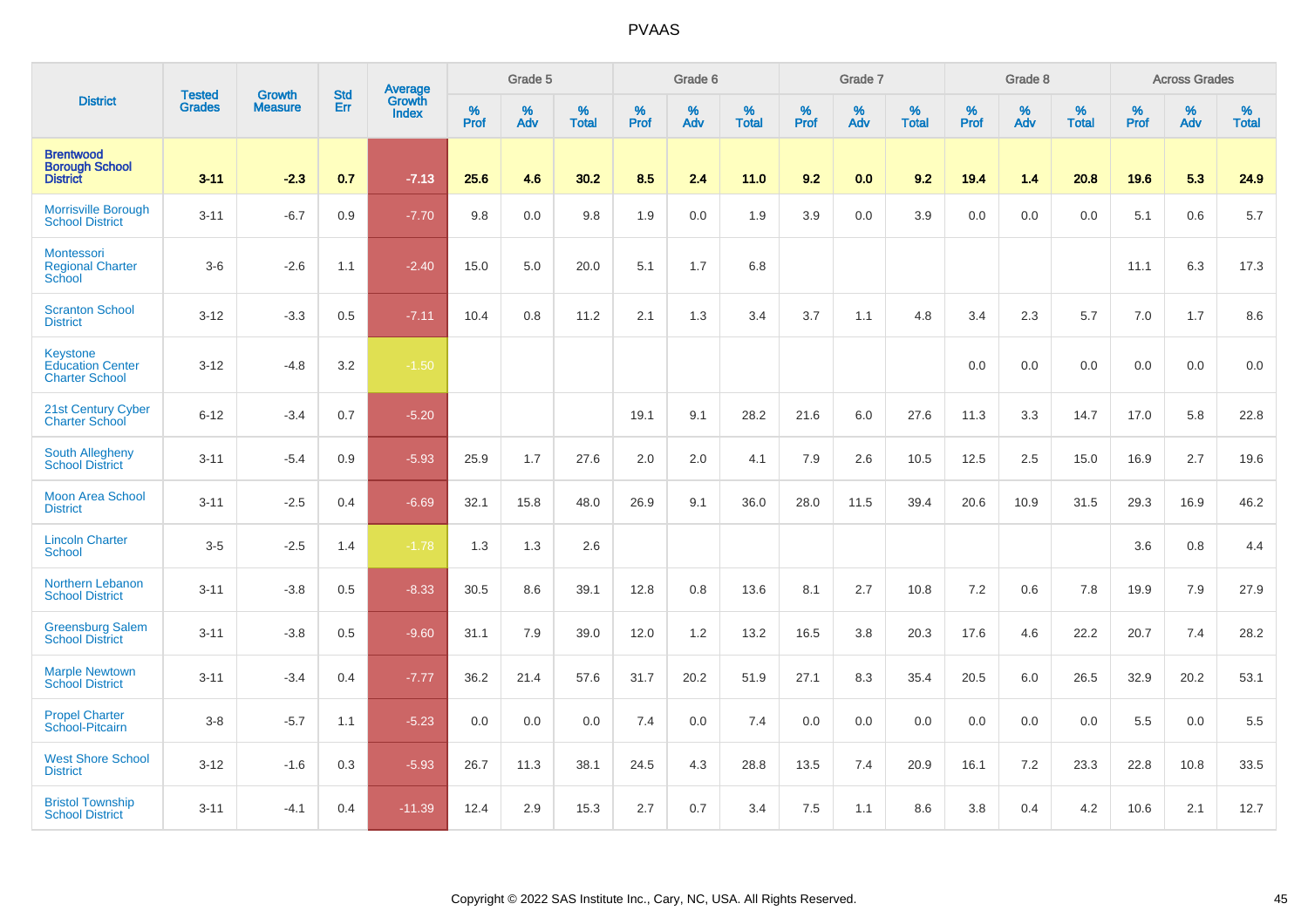|                                                              | <b>Tested</b> | <b>Growth</b>  | <b>Std</b> | Average                       |              | Grade 5  |                   |           | Grade 6  |                   |           | Grade 7  |                   |           | Grade 8  |                   |           | <b>Across Grades</b> |                   |
|--------------------------------------------------------------|---------------|----------------|------------|-------------------------------|--------------|----------|-------------------|-----------|----------|-------------------|-----------|----------|-------------------|-----------|----------|-------------------|-----------|----------------------|-------------------|
| <b>District</b>                                              | <b>Grades</b> | <b>Measure</b> | Err        | <b>Growth</b><br><b>Index</b> | $\%$<br>Prof | %<br>Adv | %<br><b>Total</b> | %<br>Prof | %<br>Adv | %<br><b>Total</b> | %<br>Prof | %<br>Adv | %<br><b>Total</b> | %<br>Prof | %<br>Adv | %<br><b>Total</b> | %<br>Prof | %<br>Adv             | %<br><b>Total</b> |
| <b>Brentwood</b><br><b>Borough School</b><br><b>District</b> | $3 - 11$      | $-2.3$         | 0.7        | $-7.13$                       | 25.6         | 4.6      | 30.2              | 8.5       | 2.4      | 11.0              | 9.2       | 0.0      | 9.2               | 19.4      | 1.4      | 20.8              | 19.6      | 5.3                  | 24.9              |
| <b>Morrisville Borough</b><br><b>School District</b>         | $3 - 11$      | $-6.7$         | 0.9        | $-7.70$                       | 9.8          | 0.0      | 9.8               | 1.9       | 0.0      | 1.9               | 3.9       | 0.0      | 3.9               | 0.0       | 0.0      | 0.0               | 5.1       | 0.6                  | 5.7               |
| Montessori<br><b>Regional Charter</b><br>School              | $3-6$         | $-2.6$         | 1.1        | $-2.40$                       | 15.0         | 5.0      | 20.0              | 5.1       | 1.7      | 6.8               |           |          |                   |           |          |                   | 11.1      | 6.3                  | 17.3              |
| <b>Scranton School</b><br><b>District</b>                    | $3 - 12$      | $-3.3$         | 0.5        | $-7.11$                       | 10.4         | 0.8      | 11.2              | 2.1       | 1.3      | 3.4               | 3.7       | 1.1      | 4.8               | 3.4       | 2.3      | 5.7               | 7.0       | 1.7                  | 8.6               |
| Keystone<br><b>Education Center</b><br><b>Charter School</b> | $3 - 12$      | $-4.8$         | 3.2        | $-1.50$                       |              |          |                   |           |          |                   |           |          |                   | 0.0       | 0.0      | 0.0               | 0.0       | 0.0                  | 0.0               |
| 21st Century Cyber<br><b>Charter School</b>                  | $6 - 12$      | $-3.4$         | 0.7        | $-5.20$                       |              |          |                   | 19.1      | 9.1      | 28.2              | 21.6      | 6.0      | 27.6              | 11.3      | 3.3      | 14.7              | 17.0      | 5.8                  | 22.8              |
| South Allegheny<br><b>School District</b>                    | $3 - 11$      | $-5.4$         | 0.9        | $-5.93$                       | 25.9         | 1.7      | 27.6              | 2.0       | 2.0      | 4.1               | 7.9       | 2.6      | 10.5              | 12.5      | 2.5      | 15.0              | 16.9      | 2.7                  | 19.6              |
| <b>Moon Area School</b><br><b>District</b>                   | $3 - 11$      | $-2.5$         | 0.4        | $-6.69$                       | 32.1         | 15.8     | 48.0              | 26.9      | 9.1      | 36.0              | 28.0      | 11.5     | 39.4              | 20.6      | 10.9     | 31.5              | 29.3      | 16.9                 | 46.2              |
| <b>Lincoln Charter</b><br>School                             | $3-5$         | $-2.5$         | 1.4        | $-1.78$                       | 1.3          | 1.3      | 2.6               |           |          |                   |           |          |                   |           |          |                   | 3.6       | 0.8                  | 4.4               |
| Northern Lebanon<br><b>School District</b>                   | $3 - 11$      | $-3.8$         | 0.5        | $-8.33$                       | 30.5         | 8.6      | 39.1              | 12.8      | 0.8      | 13.6              | 8.1       | 2.7      | 10.8              | 7.2       | 0.6      | 7.8               | 19.9      | 7.9                  | 27.9              |
| <b>Greensburg Salem</b><br><b>School District</b>            | $3 - 11$      | $-3.8$         | 0.5        | $-9.60$                       | 31.1         | 7.9      | 39.0              | 12.0      | 1.2      | 13.2              | 16.5      | 3.8      | 20.3              | 17.6      | 4.6      | 22.2              | 20.7      | 7.4                  | 28.2              |
| <b>Marple Newtown</b><br><b>School District</b>              | $3 - 11$      | $-3.4$         | 0.4        | $-7.77$                       | 36.2         | 21.4     | 57.6              | 31.7      | 20.2     | 51.9              | 27.1      | 8.3      | 35.4              | 20.5      | 6.0      | 26.5              | 32.9      | 20.2                 | 53.1              |
| <b>Propel Charter</b><br>School-Pitcairn                     | $3-8$         | $-5.7$         | 1.1        | $-5.23$                       | 0.0          | 0.0      | 0.0               | 7.4       | 0.0      | 7.4               | 0.0       | 0.0      | 0.0               | 0.0       | 0.0      | 0.0               | 5.5       | 0.0                  | 5.5               |
| <b>West Shore School</b><br><b>District</b>                  | $3 - 12$      | $-1.6$         | 0.3        | $-5.93$                       | 26.7         | 11.3     | 38.1              | 24.5      | 4.3      | 28.8              | 13.5      | 7.4      | 20.9              | 16.1      | 7.2      | 23.3              | 22.8      | 10.8                 | 33.5              |
| <b>Bristol Township</b><br><b>School District</b>            | $3 - 11$      | $-4.1$         | 0.4        | $-11.39$                      | 12.4         | 2.9      | 15.3              | 2.7       | 0.7      | 3.4               | 7.5       | 1.1      | 8.6               | 3.8       | 0.4      | 4.2               | 10.6      | 2.1                  | 12.7              |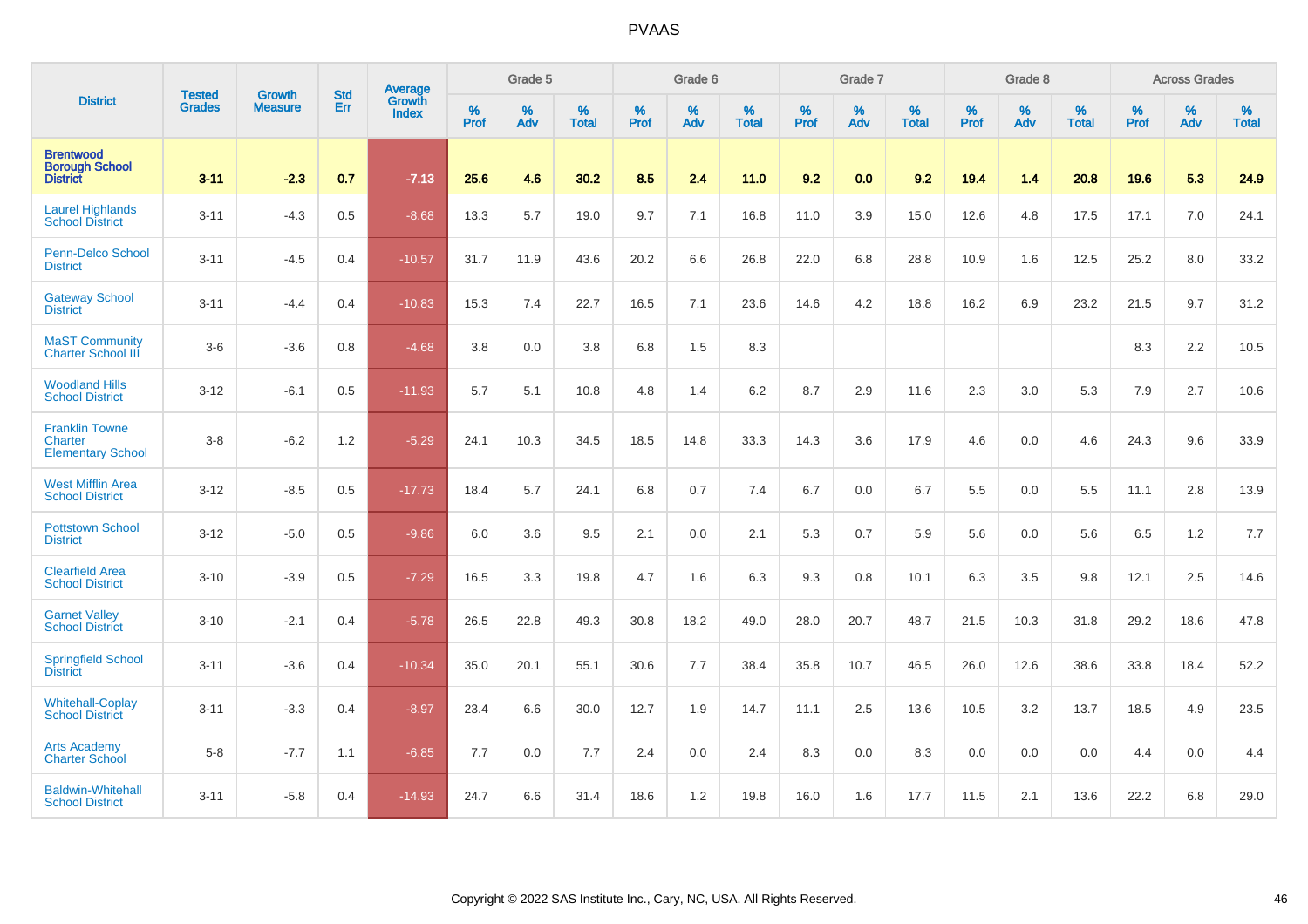|                                                              | <b>Tested</b> | <b>Growth</b>  | <b>Std</b> | Average                       |                     | Grade 5  |                   |                     | Grade 6  |                   |              | Grade 7  |                   |              | Grade 8  |                   |                     | <b>Across Grades</b> |                   |
|--------------------------------------------------------------|---------------|----------------|------------|-------------------------------|---------------------|----------|-------------------|---------------------|----------|-------------------|--------------|----------|-------------------|--------------|----------|-------------------|---------------------|----------------------|-------------------|
| <b>District</b>                                              | <b>Grades</b> | <b>Measure</b> | Err        | <b>Growth</b><br><b>Index</b> | $\%$<br><b>Prof</b> | %<br>Adv | %<br><b>Total</b> | $\%$<br><b>Prof</b> | %<br>Adv | %<br><b>Total</b> | $\%$<br>Prof | %<br>Adv | %<br><b>Total</b> | $\%$<br>Prof | %<br>Adv | %<br><b>Total</b> | $\%$<br><b>Prof</b> | $\%$<br>Adv          | %<br><b>Total</b> |
| <b>Brentwood</b><br><b>Borough School</b><br><b>District</b> | $3 - 11$      | $-2.3$         | 0.7        | $-7.13$                       | 25.6                | 4.6      | 30.2              | 8.5                 | 2.4      | 11.0              | 9.2          | 0.0      | 9.2               | 19.4         | 1.4      | 20.8              | 19.6                | 5.3                  | 24.9              |
| <b>Laurel Highlands</b><br><b>School District</b>            | $3 - 11$      | $-4.3$         | 0.5        | $-8.68$                       | 13.3                | 5.7      | 19.0              | 9.7                 | 7.1      | 16.8              | 11.0         | 3.9      | 15.0              | 12.6         | 4.8      | 17.5              | 17.1                | 7.0                  | 24.1              |
| <b>Penn-Delco School</b><br><b>District</b>                  | $3 - 11$      | $-4.5$         | 0.4        | $-10.57$                      | 31.7                | 11.9     | 43.6              | 20.2                | 6.6      | 26.8              | 22.0         | 6.8      | 28.8              | 10.9         | 1.6      | 12.5              | 25.2                | 8.0                  | 33.2              |
| <b>Gateway School</b><br><b>District</b>                     | $3 - 11$      | $-4.4$         | 0.4        | $-10.83$                      | 15.3                | 7.4      | 22.7              | 16.5                | 7.1      | 23.6              | 14.6         | 4.2      | 18.8              | 16.2         | 6.9      | 23.2              | 21.5                | 9.7                  | 31.2              |
| <b>MaST Community</b><br><b>Charter School III</b>           | $3-6$         | $-3.6$         | 0.8        | $-4.68$                       | 3.8                 | 0.0      | 3.8               | 6.8                 | 1.5      | 8.3               |              |          |                   |              |          |                   | 8.3                 | 2.2                  | 10.5              |
| <b>Woodland Hills</b><br><b>School District</b>              | $3 - 12$      | $-6.1$         | 0.5        | $-11.93$                      | 5.7                 | 5.1      | 10.8              | 4.8                 | 1.4      | 6.2               | 8.7          | 2.9      | 11.6              | 2.3          | 3.0      | 5.3               | 7.9                 | 2.7                  | 10.6              |
| <b>Franklin Towne</b><br>Charter<br><b>Elementary School</b> | $3 - 8$       | $-6.2$         | 1.2        | $-5.29$                       | 24.1                | 10.3     | 34.5              | 18.5                | 14.8     | 33.3              | 14.3         | 3.6      | 17.9              | 4.6          | 0.0      | 4.6               | 24.3                | 9.6                  | 33.9              |
| <b>West Mifflin Area</b><br><b>School District</b>           | $3 - 12$      | $-8.5$         | 0.5        | $-17.73$                      | 18.4                | 5.7      | 24.1              | 6.8                 | 0.7      | 7.4               | 6.7          | 0.0      | 6.7               | 5.5          | 0.0      | 5.5               | 11.1                | 2.8                  | 13.9              |
| <b>Pottstown School</b><br><b>District</b>                   | $3 - 12$      | $-5.0$         | 0.5        | $-9.86$                       | 6.0                 | 3.6      | 9.5               | 2.1                 | 0.0      | 2.1               | 5.3          | 0.7      | 5.9               | 5.6          | 0.0      | 5.6               | 6.5                 | $1.2$                | $7.7\,$           |
| <b>Clearfield Area</b><br><b>School District</b>             | $3 - 10$      | $-3.9$         | 0.5        | $-7.29$                       | 16.5                | 3.3      | 19.8              | 4.7                 | 1.6      | 6.3               | 9.3          | 0.8      | 10.1              | 6.3          | 3.5      | 9.8               | 12.1                | 2.5                  | 14.6              |
| <b>Garnet Valley</b><br><b>School District</b>               | $3 - 10$      | $-2.1$         | 0.4        | $-5.78$                       | 26.5                | 22.8     | 49.3              | 30.8                | 18.2     | 49.0              | 28.0         | 20.7     | 48.7              | 21.5         | 10.3     | 31.8              | 29.2                | 18.6                 | 47.8              |
| <b>Springfield School</b><br><b>District</b>                 | $3 - 11$      | $-3.6$         | 0.4        | $-10.34$                      | 35.0                | 20.1     | 55.1              | 30.6                | 7.7      | 38.4              | 35.8         | 10.7     | 46.5              | 26.0         | 12.6     | 38.6              | 33.8                | 18.4                 | 52.2              |
| <b>Whitehall-Coplay</b><br><b>School District</b>            | $3 - 11$      | $-3.3$         | 0.4        | $-8.97$                       | 23.4                | 6.6      | 30.0              | 12.7                | 1.9      | 14.7              | 11.1         | 2.5      | 13.6              | 10.5         | 3.2      | 13.7              | 18.5                | 4.9                  | 23.5              |
| <b>Arts Academy</b><br><b>Charter School</b>                 | $5 - 8$       | $-7.7$         | 1.1        | $-6.85$                       | 7.7                 | 0.0      | 7.7               | 2.4                 | 0.0      | 2.4               | 8.3          | 0.0      | 8.3               | 0.0          | 0.0      | 0.0               | 4.4                 | 0.0                  | 4.4               |
| <b>Baldwin-Whitehall</b><br><b>School District</b>           | $3 - 11$      | $-5.8$         | 0.4        | $-14.93$                      | 24.7                | 6.6      | 31.4              | 18.6                | 1.2      | 19.8              | 16.0         | 1.6      | 17.7              | 11.5         | 2.1      | 13.6              | 22.2                | 6.8                  | 29.0              |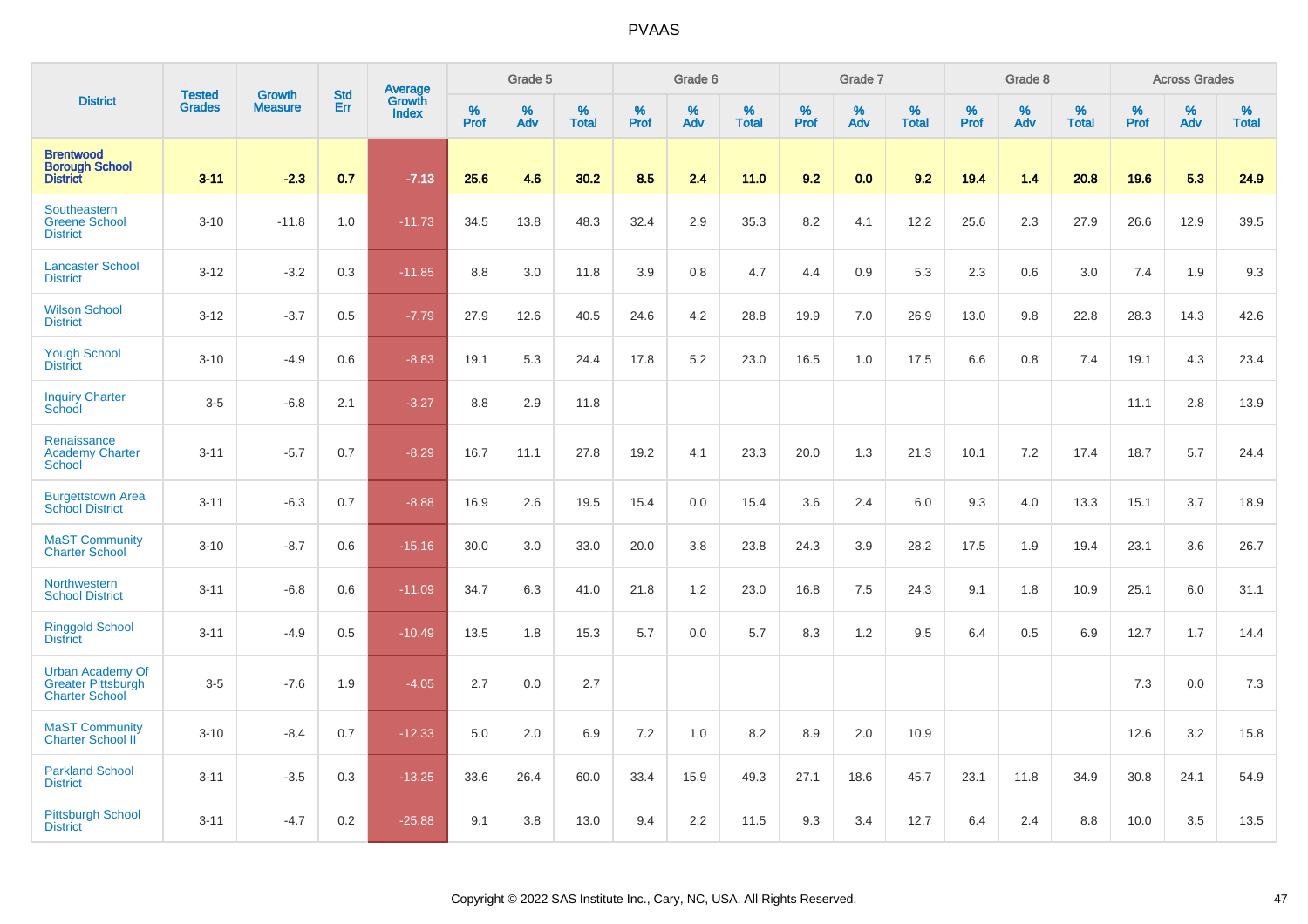|                                                                               | <b>Tested</b> | <b>Growth</b>  | <b>Std</b> | <b>Average</b><br>Growth |                     | Grade 5  |                   |           | Grade 6  |                   |           | Grade 7  |                   |                  | Grade 8  |                   |              | <b>Across Grades</b> |                   |
|-------------------------------------------------------------------------------|---------------|----------------|------------|--------------------------|---------------------|----------|-------------------|-----------|----------|-------------------|-----------|----------|-------------------|------------------|----------|-------------------|--------------|----------------------|-------------------|
| <b>District</b>                                                               | <b>Grades</b> | <b>Measure</b> | Err        | <b>Index</b>             | $\%$<br><b>Prof</b> | %<br>Adv | %<br><b>Total</b> | %<br>Prof | %<br>Adv | %<br><b>Total</b> | %<br>Prof | %<br>Adv | %<br><b>Total</b> | %<br><b>Prof</b> | %<br>Adv | %<br><b>Total</b> | $\%$<br>Prof | $\%$<br>Adv          | %<br><b>Total</b> |
| <b>Brentwood</b><br><b>Borough School</b><br><b>District</b>                  | $3 - 11$      | $-2.3$         | 0.7        | $-7.13$                  | 25.6                | 4.6      | 30.2              | 8.5       | 2.4      | 11.0              | 9.2       | 0.0      | 9.2               | 19.4             | 1.4      | 20.8              | 19.6         | 5.3                  | 24.9              |
| Southeastern<br><b>Greene School</b><br><b>District</b>                       | $3 - 10$      | $-11.8$        | 1.0        | $-11.73$                 | 34.5                | 13.8     | 48.3              | 32.4      | 2.9      | 35.3              | 8.2       | 4.1      | 12.2              | 25.6             | 2.3      | 27.9              | 26.6         | 12.9                 | 39.5              |
| <b>Lancaster School</b><br><b>District</b>                                    | $3 - 12$      | $-3.2$         | 0.3        | $-11.85$                 | 8.8                 | 3.0      | 11.8              | 3.9       | 0.8      | 4.7               | 4.4       | 0.9      | 5.3               | 2.3              | 0.6      | 3.0               | 7.4          | 1.9                  | 9.3               |
| <b>Wilson School</b><br><b>District</b>                                       | $3 - 12$      | $-3.7$         | 0.5        | $-7.79$                  | 27.9                | 12.6     | 40.5              | 24.6      | 4.2      | 28.8              | 19.9      | 7.0      | 26.9              | 13.0             | 9.8      | 22.8              | 28.3         | 14.3                 | 42.6              |
| <b>Yough School</b><br><b>District</b>                                        | $3 - 10$      | $-4.9$         | 0.6        | $-8.83$                  | 19.1                | 5.3      | 24.4              | 17.8      | 5.2      | 23.0              | 16.5      | 1.0      | 17.5              | 6.6              | 0.8      | 7.4               | 19.1         | 4.3                  | 23.4              |
| <b>Inquiry Charter</b><br>School                                              | $3-5$         | $-6.8$         | 2.1        | $-3.27$                  | 8.8                 | 2.9      | 11.8              |           |          |                   |           |          |                   |                  |          |                   | 11.1         | 2.8                  | 13.9              |
| Renaissance<br><b>Academy Charter</b><br><b>School</b>                        | $3 - 11$      | $-5.7$         | 0.7        | $-8.29$                  | 16.7                | 11.1     | 27.8              | 19.2      | 4.1      | 23.3              | 20.0      | 1.3      | 21.3              | 10.1             | 7.2      | 17.4              | 18.7         | 5.7                  | 24.4              |
| <b>Burgettstown Area</b><br><b>School District</b>                            | $3 - 11$      | $-6.3$         | 0.7        | $-8.88$                  | 16.9                | 2.6      | 19.5              | 15.4      | 0.0      | 15.4              | 3.6       | 2.4      | 6.0               | 9.3              | 4.0      | 13.3              | 15.1         | 3.7                  | 18.9              |
| <b>MaST Community</b><br><b>Charter School</b>                                | $3 - 10$      | $-8.7$         | 0.6        | $-15.16$                 | 30.0                | 3.0      | 33.0              | 20.0      | 3.8      | 23.8              | 24.3      | 3.9      | 28.2              | 17.5             | 1.9      | 19.4              | 23.1         | 3.6                  | 26.7              |
| Northwestern<br><b>School District</b>                                        | $3 - 11$      | $-6.8$         | 0.6        | $-11.09$                 | 34.7                | 6.3      | 41.0              | 21.8      | 1.2      | 23.0              | 16.8      | 7.5      | 24.3              | 9.1              | 1.8      | 10.9              | 25.1         | 6.0                  | 31.1              |
| <b>Ringgold School</b><br><b>District</b>                                     | $3 - 11$      | $-4.9$         | 0.5        | $-10.49$                 | 13.5                | 1.8      | 15.3              | 5.7       | 0.0      | 5.7               | 8.3       | 1.2      | 9.5               | 6.4              | 0.5      | 6.9               | 12.7         | 1.7                  | 14.4              |
| <b>Urban Academy Of</b><br><b>Greater Pittsburgh</b><br><b>Charter School</b> | $3-5$         | $-7.6$         | 1.9        | $-4.05$                  | 2.7                 | 0.0      | 2.7               |           |          |                   |           |          |                   |                  |          |                   | 7.3          | 0.0                  | 7.3               |
| <b>MaST Community</b><br>Charter School II                                    | $3 - 10$      | $-8.4$         | 0.7        | $-12.33$                 | 5.0                 | 2.0      | 6.9               | 7.2       | 1.0      | 8.2               | 8.9       | 2.0      | 10.9              |                  |          |                   | 12.6         | 3.2                  | 15.8              |
| <b>Parkland School</b><br><b>District</b>                                     | $3 - 11$      | $-3.5$         | 0.3        | $-13.25$                 | 33.6                | 26.4     | 60.0              | 33.4      | 15.9     | 49.3              | 27.1      | 18.6     | 45.7              | 23.1             | 11.8     | 34.9              | 30.8         | 24.1                 | 54.9              |
| <b>Pittsburgh School</b><br><b>District</b>                                   | $3 - 11$      | $-4.7$         | 0.2        | $-25.88$                 | 9.1                 | 3.8      | 13.0              | 9.4       | 2.2      | 11.5              | 9.3       | 3.4      | 12.7              | 6.4              | 2.4      | 8.8               | 10.0         | 3.5                  | 13.5              |